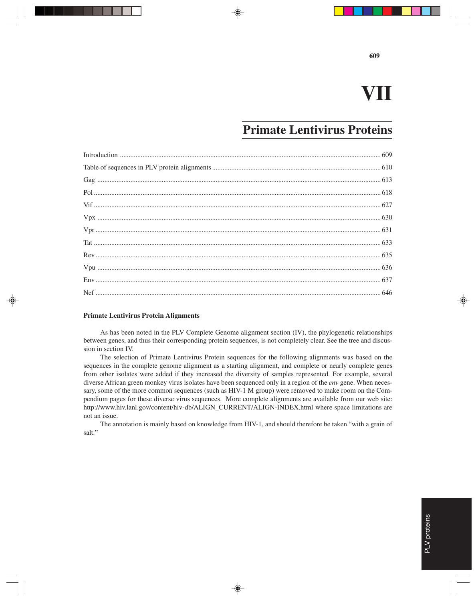## **VII**

**609**

### **Primate Lentivirus Proteins**

#### **Primate Lentivirus Protein Alignments**

As has been noted in the PLV Complete Genome alignment section (IV), the phylogenetic relationships between genes, and thus their corresponding protein sequences, is not completely clear. See the tree and discussion in section IV.

The selection of Primate Lentivirus Protein sequences for the following alignments was based on the sequences in the complete genome alignment as a starting alignment, and complete or nearly complete genes from other isolates were added if they increased the diversity of samples represented. For example, several diverse African green monkey virus isolates have been sequenced only in a region of the *env* gene. When necessary, some of the more common sequences (such as HIV-1 M group) were removed to make room on the Compendium pages for these diverse virus sequences. More complete alignments are available from our web site: http://www.hiv.lanl.gov/content/hiv-db/ALIGN\_CURRENT/ALIGN-INDEX.html where space limitations are not an issue.

The annotation is mainly based on knowledge from HIV-1, and should therefore be taken "with a grain of salt."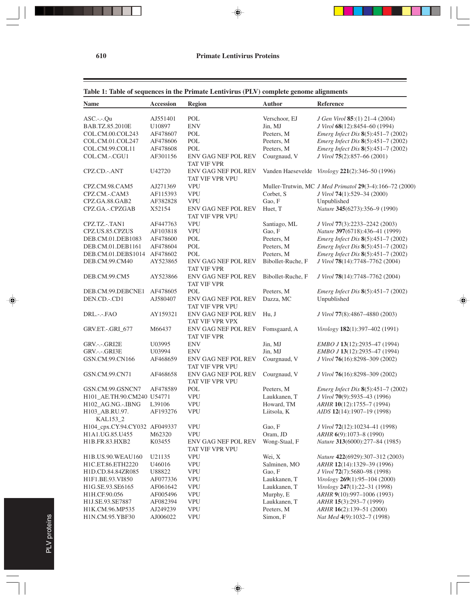#### **610 Primate Lentivirus Proteins**

⊕

#### **Table 1: Table of sequences in the Primate Lentivirus (PLV) complete genome alignments**

| <b>Name</b>                   | <b>Accession</b> | <b>Region</b>                                    | Author            | Reference                                               |
|-------------------------------|------------------|--------------------------------------------------|-------------------|---------------------------------------------------------|
| ASC .--- Qu                   | AJ551401         | POL                                              | Verschoor, EJ     | J Gen Virol 85:(1) 21-4 (2004)                          |
| BAB.TZ.85.2010E               | U10897           | <b>ENV</b>                                       | Jin, MJ           | J Virol 68(12):8454-60 (1994)                           |
| COL.CM.00.COL243              | AF478607         | POL                                              | Peeters, M        | Emerg Infect Dis 8(5):451-7 (2002)                      |
| COL.CM.01.COL247              | AF478606         | POL                                              | Peeters, M        | Emerg Infect Dis 8(5):451-7 (2002)                      |
| COL.CM.99.COL11               | AF478608         | POL                                              | Peeters, M        | Emerg Infect Dis 8(5):451-7 (2002)                      |
| COL.CM.-.CGU1                 | AF301156         | <b>ENV GAG NEF POL REV</b><br><b>TAT VIF VPR</b> | Courgnaud, V      | J Virol 75(2):857-66 (2001)                             |
| CPZ.CD.-.ANT                  | U42720           | <b>ENV GAG NEF POL REV</b><br>TAT VIF VPR VPU    |                   | Vanden Haesevelde Virology 221(2):346-50 (1996)         |
| CPZ.CM.98.CAM5                | AJ271369         | <b>VPU</b>                                       |                   | Muller-Trutwin, MC J Med Primatol 29(3-4):166-72 (2000) |
| CPZ.CM.-.CAM3                 | AF115393         | <b>VPU</b>                                       | Corbet, S         | J Virol 74(1):529-34 (2000)                             |
| CPZ.GA.88.GAB2                | AF382828         | <b>VPU</b>                                       | Gao, F            | Unpublished                                             |
| CPZ.GA.-.CPZGAB               | X52154           | <b>ENV GAG NEF POL REV</b><br>TAT VIF VPR VPU    | Huet, T           | Nature 345(6273):356-9 (1990)                           |
| CPZ.TZ.-.TAN1                 | AF447763         | <b>VPU</b>                                       | Santiago, ML      | J Virol 77(3):2233-2242 (2003)                          |
| CPZ.US.85.CPZUS               | AF103818         | <b>VPU</b>                                       | Gao, F            | Nature 397(6718):436-41 (1999)                          |
| DEB.CM.01.DEB1083             | AF478600         | POL                                              | Peeters, M        | Emerg Infect Dis 8(5):451-7 (2002)                      |
| DEB.CM.01.DEB1161             | AF478604         | POL                                              | Peeters, M        | Emerg Infect Dis 8(5):451-7 (2002)                      |
| DEB.CM.01.DEBS1014            | AF478602         | POL                                              | Peeters, M        | Emerg Infect Dis 8(5):451-7 (2002)                      |
| DEB.CM.99.CM40                | AY523865         | <b>ENV GAG NEF POL REV</b><br><b>TAT VIF VPR</b> | Bibollet-Ruche, F | J Virol 78(14):7748-7762 (2004)                         |
| DEB.CM.99.CM5                 | AY523866         | <b>ENV GAG NEF POL REV</b><br><b>TAT VIF VPR</b> | Bibollet-Ruche, F | J Virol 78(14):7748-7762 (2004)                         |
| DEB.CM.99.DEBCNE1             | AF478605         | POL                                              | Peeters, M        | <i>Emerg Infect Dis</i> 8(5):451-7 (2002)               |
| DEN.CD.-.CD1                  | AJ580407         | ENV GAG NEF POL REV<br>TAT VIF VPR VPU           | Dazza, MC         | Unpublished                                             |
| DRL .--- FAO                  | AY159321         | ENV GAG NEF POL REV<br>TAT VIF VPR VPX           | Hu, J             | J Virol 77(8):4867-4880 (2003)                          |
| GRV.ET.-.GRI_677              | M66437           | ENV GAG NEF POL REV<br><b>TAT VIF VPR</b>        | Fomsgaard, A      | Virology 182(1):397-402 (1991)                          |
| GRV.-.-.GRI2E                 | U03995           | <b>ENV</b>                                       | Jin, MJ           | EMBO J 13(12):2935-47 (1994)                            |
| GRV.-.-.GRI3E                 | U03994           | <b>ENV</b>                                       | Jin, MJ           | EMBO J 13(12):2935-47 (1994)                            |
| GSN.CM.99.CN166               | AF468659         | <b>ENV GAG NEF POL REV</b><br>TAT VIF VPR VPU    | Courgnaud, V      | J Virol 76(16):8298-309 (2002)                          |
| GSN.CM.99.CN71                | AF468658         | ENV GAG NEF POL REV<br>TAT VIF VPR VPU           | Courgnaud, V      | J Virol 76(16):8298-309 (2002)                          |
| GSN.CM.99.GSNCN7              | AF478589         | POL                                              | Peeters, M        | Emerg Infect Dis 8(5):451-7 (2002)                      |
| H101_AE.TH.90.CM240 U54771    |                  | <b>VPU</b>                                       | Laukkanen, T      | J Virol 70(9):5935-43 (1996)                            |
| H102_AG.NG.-.IBNG             | L39106           | <b>VPU</b>                                       | Howard, TM        | ARHR 10(12):1755-7 (1994)                               |
| H103_AB.RU.97.<br>KAL153_2    | AF193276         | <b>VPU</b>                                       | Liitsola, K       | AIDS 12(14):1907-19 (1998)                              |
| H104_cpx.CY.94.CY032 AF049337 |                  | <b>VPU</b>                                       | Gao, F            | J Virol 72(12):10234-41 (1998)                          |
| H1A1.UG.85.U455               | M62320           | <b>VPU</b>                                       | Oram, JD          | ARHR 6(9):1073-8 (1990)                                 |
| H1B.FR.83.HXB2                | K03455           | <b>ENV GAG NEF POL REV</b><br>TAT VIF VPR VPU    | Wong-Staal, F     | Nature 313(6000):277-84 (1985)                          |
| H1B.US.90.WEAU160             | U21135           | <b>VPU</b>                                       | Wei, X            | Nature 422(6929):307-312 (2003)                         |
| H1C.ET.86.ETH2220             | U46016           | <b>VPU</b>                                       | Salminen, MO      | ARHR 12(14):1329-39 (1996)                              |
| H1D.CD.84.84ZR085             | U88822           | <b>VPU</b>                                       | Gao, F            | J Virol 72(7):5680-98 (1998)                            |
| H1F1.BE.93.VI850              | AF077336         | <b>VPU</b>                                       | Laukkanen, T      | Virology 269(1):95-104 (2000)                           |
| H1G.SE.93.SE6165              | AF061642         | <b>VPU</b>                                       | Laukkanen, T      | Virology 247(1):22-31 (1998)                            |
| H1H.CF.90.056                 | AF005496         | <b>VPU</b>                                       | Murphy, E         | ARHR 9(10):997-1006 (1993)                              |
| H1J.SE.93.SE7887              | AF082394         | <b>VPU</b>                                       | Laukkanen, T      | ARHR 15(3):293-7 (1999)                                 |
| H1K.CM.96.MP535               | AJ249239         | <b>VPU</b>                                       | Peeters, M        | ARHR 16(2):139-51 (2000)                                |
| H1N.CM.95.YBF30               | AJ006022         | <b>VPU</b>                                       | Simon, F          | Nat Med 4(9):1032-7 (1998)                              |

 $\bigoplus$ 

⊕

 $\equiv$ 

PLV proteins PLV proteins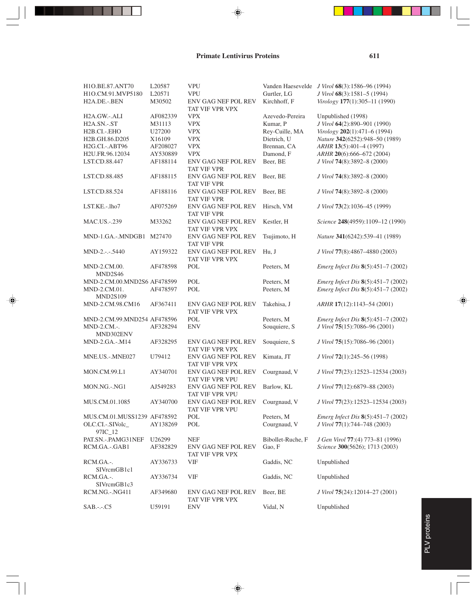#### **Primate Lentivirus Proteins**

H1O.BE.87.ANT70 L20587 VPU Vanden Haesevelde *J Virol* **68**(3):1586–96 (1994) H1O.CM.91.MVP5180 L20571 VPU Gurtler, LG *J Virol* **68**(3):1581–5 (1994) H2A.DE.-.BEN M30502 ENV GAG NEF POL REV Kirchhoff, F *Virology* **177**(1):305–11 (1990) TAT VIF VPR VPX H2A.GW.-.ALI AF082339 VPX Azevedo-Pereira Unpublished (1998) H2A.SN.-.ST M31113 VPX Kumar, P *J Virol* **64**(2):890–901 (1990) H2B.CI.-.EHO U27200 VPX Rey-Cuille, MA *Virology* **202**(1):471–6 (1994) H2B.GH.86.D205 X16109 VPX Dietrich, U *Nature* **342**(6252):948–50 (1989) H2G.CI.-.ABT96 AF208027 VPX Brennan, CA *ARHR* **13**(5):401–4 (1997) H2U.FR.96.12034 AY530889 VPX Damond, F *ARHR* **20**(6):666–672 (2004) LST.CD.88.447 AF188114 ENV GAG NEF POL REV Beer, BE *J Virol* **74**(8):3892–8 (2000) TAT VIF VPR LST.CD.88.485 AF188115 ENV GAG NEF POL REV Beer, BE *J Virol* **74**(8):3892–8 (2000) TAT VIF VPR LST.CD.88.524 AF188116 ENV GAG NEF POL REV Beer, BE *J Virol* **74**(8):3892–8 (2000) TAT VIF VPR LST.KE.-.lho7 AF075269 ENV GAG NEF POL REV Hirsch, VM *J Virol* **73**(2):1036–45 (1999) TAT VIF VPR MAC.US.-.239 M33262 ENV GAG NEF POL REV Kestler, H *Science* **248**(4959):1109–12 (1990) TAT VIF VPR VPX MND-1.GA.-.MNDGB1 M27470 ENV GAG NEF POL REV Tsujimoto, H *Nature* **341**(6242):539–41 (1989) TAT VIF VPR MND-2.-.-.5440 AY159322 ENV GAG NEF POL REV Hu, J *J Virol* **77**(8):4867–4880 (2003) TAT VIF VPR VPX MND-2.CM.00. AF478598 POL Peeters, M *Emerg Infect Dis* **8**(5):451–7 (2002) MND2S46 MND-2.CM.00.MND2S6 AF478599 POL Peeters, M *Emerg Infect Dis* **8**(5):451–7 (2002) MND-2.CM.01. AF478597 POL Peeters, M *Emerg Infect Dis* **8**(5):451–7 (2002) MND2S109 MND-2.CM.98.CM16 AF367411 ENV GAG NEF POL REV Takehisa, J *ARHR* **17**(12):1143–54 (2001) TAT VIF VPR VPX MND-2.CM.99.MND254 AF478596 POL Peeters, M *Emerg Infect Dis* **8**(5):451–7 (2002) MND-2.CM.-. AF328294 ENV Souquiere, S *J Virol* **75**(15):7086–96 (2001) MND302ENV MND-2.GA.-.M14 AF328295 ENV GAG NEF POL REV Souquiere, S *J Virol* **75**(15):7086–96 (2001) TAT VIF VPR VPX MNE.US.-.MNE027 U79412 ENV GAG NEF POL REV Kimata, JT *J Virol* **72**(1):245–56 (1998) TAT VIF VPR VPX MON.CM.99.L1 AY340701 ENV GAG NEF POL REV Courgnaud, V *J Virol* **77**(23):12523–12534 (2003) TAT VIF VPR VPU MON.NG.-.NG1 AJ549283 ENV GAG NEF POL REV Barlow, KL *J Virol* **77**(12):6879–88 (2003) TAT VIF VPR VPU MUS.CM.01.1085 AY340700 ENV GAG NEF POL REV Courgnaud, V *J Virol* **77**(23):12523–12534 (2003) TAT VIF VPR VPU MUS.CM.01.MUSS1239 AF478592 POL Peeters, M *Emerg Infect Dis* **8**(5):451–7 (2002) OLC.CI.-.SIVolc\_ AY138269 POL Courgnaud, V *J Virol* **77**(1):744–748 (2003) 97IC\_12<br>PAT.SN.-.PAMG31NEF PAT.SN.-.PAMG31NEF U26299 NEF Bibollet-Ruche, F *J Gen Virol* **77**:(4) 773–81 (1996) RCM.GA.-.GAB1 AF382829 ENV GAG NEF POL REV Gao, F *Science* **300**(5626); 1713 (2003) TAT VIF VPR VPX RCM.GA.-. AY336733 VIF Gaddis, NC Unpublished SIVrcmGB1c1 RCM.GA.-. AY336734 VIF Gaddis, NC Unpublished SIVrcmGB1c3 RCM.NG.-.NG411 AF349680 ENV GAG NEF POL REV Beer, BE *J Virol* **75**(24):12014–27 (2001) TAT VIF VPR VPX SAB.-.-C5 U59191 ENV Vidal, N Unpublished

## PLV proteins PLV proteins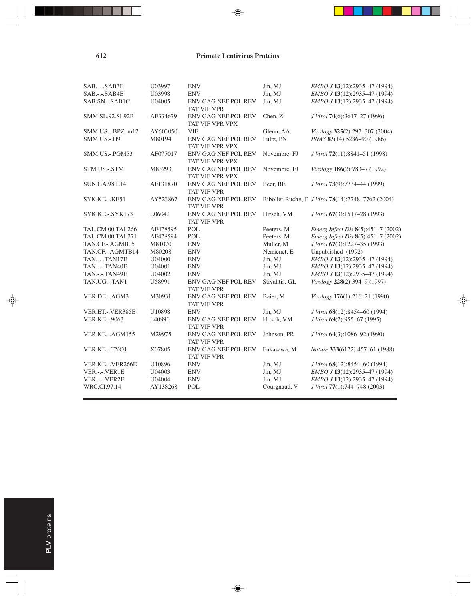#### **612 Primate Lentivirus Proteins**

◈

j.

 $\overline{\bigoplus}$ 

 $\overline{\phantom{0}}$ 

| SAB.-.-.SAB3E          | U03997   | <b>ENV</b>                                       | Jin, MJ       | EMBO J 13(12):2935-47 (1994)                      |
|------------------------|----------|--------------------------------------------------|---------------|---------------------------------------------------|
| SAB.-.-.SAB4E          | U03998   | <b>ENV</b>                                       | Jin, MJ       | EMBO J 13(12):2935-47 (1994)                      |
| SAB.SN.-.SAB1C         | U04005   | <b>ENV GAG NEF POL REV</b><br><b>TAT VIF VPR</b> | Jin, MJ       | EMBO J 13(12):2935-47 (1994)                      |
| <b>SMM.SL.92.SL92B</b> | AF334679 | ENV GAG NEF POL REV<br>TAT VIF VPR VPX           | Chen, Z       | J Virol 70(6):3617-27 (1996)                      |
| SMM.US.-.BPZ_m12       | AY603050 | <b>VIF</b>                                       | Glenn, AA     | Virology 325(2):297-307 (2004)                    |
| SMM.US.-.H9            | M80194   | ENV GAG NEF POL REV<br>TAT VIF VPR VPX           | Fultz, PN     | PNAS 83(14):5286-90 (1986)                        |
| SMM.US.-.PGM53         | AF077017 | <b>ENV GAG NEF POL REV</b><br>TAT VIF VPR VPX    | Novembre, FJ  | J Virol 72(11):8841-51 (1998)                     |
| STM.US.-.STM           | M83293   | ENV GAG NEF POL REV<br>TAT VIF VPR VPX           | Novembre, FJ  | Virology 186(2):783-7 (1992)                      |
| SUN.GA.98.L14          | AF131870 | <b>ENV GAG NEF POL REV</b><br>TAT VIF VPR        | Beer, BE      | J Virol 73(9):7734-44 (1999)                      |
| SYK.KE.-.KE51          | AY523867 | <b>ENV GAG NEF POL REV</b><br>TAT VIF VPR        |               | Bibollet-Ruche, F J Virol 78(14):7748-7762 (2004) |
| SYK.KE.-.SYK173        | L06042   | <b>ENV GAG NEF POL REV</b><br><b>TAT VIF VPR</b> | Hirsch, VM    | J Virol 67(3):1517–28 (1993)                      |
| TAL.CM.00.TAL266       | AF478595 | POL                                              | Peeters, M    | Emerg Infect Dis 8(5):451-7 (2002)                |
| TAL.CM.00.TAL271       | AF478594 | POL                                              | Peeters, M    | Emerg Infect Dis 8(5):451-7 (2002)                |
| TAN.CF.-.AGMB05        | M81070   | <b>ENV</b>                                       | Muller, M     | J Virol 67(3):1227-35 (1993)                      |
| TAN.CF.-.AGMTB14       | M80208   | <b>ENV</b>                                       | Nerrienet, E  | Unpublished (1992)                                |
| <b>TAN.-.-.TAN17E</b>  | U04000   | <b>ENV</b>                                       | Jin, MJ       | EMBO J 13(12):2935-47 (1994)                      |
| TAN.-.-.TAN40E         | U04001   | <b>ENV</b>                                       | Jin, MJ       | EMBO J 13(12):2935-47 (1994)                      |
| TAN.-.-.TAN49E         | U04002   | <b>ENV</b>                                       | Jin, MJ       | EMBO J 13(12):2935-47 (1994)                      |
| TAN.UG.-.TAN1          | U58991   | <b>ENV GAG NEF POL REV</b><br><b>TAT VIF VPR</b> | Stivahtis, GL | Virology 228(2):394-9 (1997)                      |
| VER.DE.-.AGM3          | M30931   | <b>ENV GAG NEF POL REV</b><br><b>TAT VIF VPR</b> | Baier, M      | Virology 176(1):216-21 (1990)                     |
| VER.ET.-. VER385E      | U10898   | <b>ENV</b>                                       | Jin, MJ       | J Virol 68(12):8454-60 (1994)                     |
| <b>VER.KE.-.9063</b>   | L40990   | ENV GAG NEF POL REV<br><b>TAT VIF VPR</b>        | Hirsch, VM    | J Virol 69(2):955-67 (1995)                       |
| VER.KE.-.AGM155        | M29975   | ENV GAG NEF POL REV<br><b>TAT VIF VPR</b>        | Johnson, PR   | J Virol 64(3):1086-92 (1990)                      |
| VER.KE.-.TYO1          | X07805   | <b>ENV GAG NEF POL REV</b><br>TAT VIF VPR        | Fukasawa, M   | Nature 333(6172):457-61 (1988)                    |
| VER.KE.-. VER266E      | U10896   | <b>ENV</b>                                       | Jin, MJ       | J Virol 68(12):8454-60 (1994)                     |
| VER .-.- VER1E         | U04003   | <b>ENV</b>                                       | Jin, MJ       | EMBO J 13(12):2935-47 (1994)                      |
| VER .--- VER2E         | U04004   | <b>ENV</b>                                       | Jin, MJ       | EMBO J 13(12):2935-47 (1994)                      |
| WRC.CI.97.14           | AY138268 | <b>POL</b>                                       | Courgnaud, V  | J Virol 77(1):744-748 (2003)                      |
|                        |          |                                                  |               |                                                   |

 $\Rightarrow$ 

. . .

 $\begin{array}{c} \hline \end{array}$ 

⊕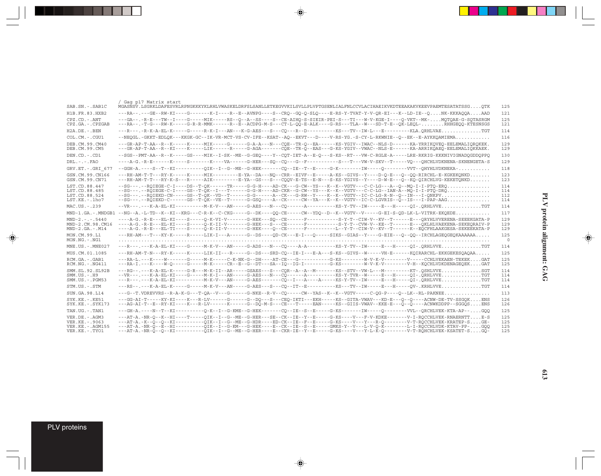|                                                                           | Gag p17 Matrix start                                                                                                                                                                                                                                                                                                                                                                                                                                                                                                        |                          |
|---------------------------------------------------------------------------|-----------------------------------------------------------------------------------------------------------------------------------------------------------------------------------------------------------------------------------------------------------------------------------------------------------------------------------------------------------------------------------------------------------------------------------------------------------------------------------------------------------------------------|--------------------------|
| SAB.SN.-.SAB1C                                                            | MGASNSV.LSGRKLDAFESVRLRPNGKKKYKLRHLVWASKELDRFSLSANLLETKEGVVKILSVLLPLVPTGSENLIALFNLCCVLACIHAEIKVKDTEEAKAKVKEEVPAEMTESATATSSGOTK                                                                                                                                                                                                                                                                                                                                                                                              | 125                      |
| H <sub>1</sub> B. FR. 83. HXB <sub>2</sub>                                | ---RA--.---GE--RW-KI----G-------K-I----R--E--AVNPG----S--CRO--GO-O-SLO----E-RS-Y-TVAT-Y-V-OR-EI---K--LD-IE--ONK-KKKAQOAAAD                                                                                                                                                                                                                                                                                                                                                                                                  | 121                      |
| $CPZ$ . $CD - ANT$<br>CPZ.GA. - . CPZGAB                                  | --GA--.-R-E---TW--I----G-----MIK-----RS--O--A--SS----S--CE-AIHO-S-SIEIR-PEI-S---TI---W-V-KGE-I----O-VKT--MK-MOTOAE-G-SOTASRGM<br>---RA--.-T-G---RW-K-----G-R-R-MMK-------R--E--ACDPG-M-S---CT-L-00-E-ALK----G-RS---TLA--W---SD-T-E--OK-LEOL-RHHGEOO-KTESNSGS                                                                                                                                                                                                                                                                | 125<br>121               |
| $H2A.DE. - .BEN$                                                          | ---R---.-R-K-A-EL-K-----G-----R-K-I---AN---K-G-AES---S---CO---R--D----------KS---TV--IW-L---E---------KLA.ORHLVAETGT                                                                                                                                                                                                                                                                                                                                                                                                        | 114                      |
| COL.CM.-.CGU1                                                             | --NEOGL.-GKKT-EDLOK---KKGK-GC--IK-VR-MCT-VS-CV-IFE--KSAT--AO--EKVT---D----V-RS-YG.-S-CY-L-RKWNIE--O--EK--E-AYKKOAMIEMA                                                                                                                                                                                                                                                                                                                                                                                                      | 116                      |
| DEB.CM.99.CM40<br>DEB.CM.99.CM5                                           | ---GR-AP-T-AA--R--K-----K-----MIK-----G------G-A-A---N---COE--TR-O--EA------KS-YGIV--IWAC--NLS-D------KA-YRRIKOVEO-EELEMALIOROKEK.<br>---GR-AP-T-AA--R--KI----K-----LIK------R-----G-AGA-------COE--TR-O--EAS---G-KS-YGIV--VWAC--NLS-E------KA-ARRIKOAEO-EELEMALIOKKAEK.                                                                                                                                                                                                                                                    | 129<br>129               |
| DEN.CD.-.CD1                                                              | --SGS--PMT-AA--R--K-----GS----MIK--I-SK--ME--G-GEO----Y--COT-IET-A--E-O---S-KS--RT---VW-C-RGLE-A-----LRE-RKRIG-KKKNIVIGNADOGDDOPPO                                                                                                                                                                                                                                                                                                                                                                                          | 130                      |
| $DRL - - -$ . $FAO$                                                       | ----A-G.-R-E------K-----S-------K----VA------G-HER---SQ--CQ---G--F---------S---T---WW-V-SKV--T-----VQ---QHCHLVDKNENA-SKNENGETA-S                                                                                                                                                                                                                                                                                                                                                                                            | 129                      |
| GRV.ET. - . GRI 677                                                       | --GGH-A.----S--T--KI----------OIK--I--G--ME--G-HEK-------CO--IE--T--E-----G-K-------IW-----O---------VVT--OHYHLVDKNEKA-                                                                                                                                                                                                                                                                                                                                                                                                     | 118                      |
| GSN.CM.99.CN166<br>GSN.CM.99.CN71                                         | ---RH-AM-T-T---RY-K-----K-----MIK--------E-YA--DA---NO--CRR--EIVF--E-----A-KS--GIVS--Y----D-O-E---O--OO-RIRCHL-E-KGKEKONKD<br>---RH-AM-T-T---RY-K-S---R-----AIK--------E-YA--GS---S---COOV-E-TS--E-N---S-KS-YGIVS--Y----D-W-E---O--KO-OIRCHLVG-KEKETONKD                                                                                                                                                                                                                                                                    | 123<br>123               |
| LST.CD.88.447<br>LST.CD.88.485<br>LST.CD.88.524<br>LST.KE.-.lho7          | --SG---.--ROIEGE-C-I----DS--T-OK------TR-----G-G-H----AD-CK---G-CW--YS---K--K--VGTV---C-C-LG---A--O--MO-I-I-PTO-ERO<br>--SG---.--ROIEGE-C-I----GS--T-OK--I---T-----G-G-H----AD-CKR--G-CW--YS---K--K--VGTV---C-C-LG--IAN-A--MO-I-I-PTO-DRO<br>--SG---.--ROIEKD-CN-----GS--T-OK--VD--T------G-G------A--CK---G-RW--Y----K--VGTV--IC-C-LG-R-N--Q--IN---I-ONKPV<br>--SG---.--ROIEKD-C------GS--T-OK--VE--T------G-GSO----A--CK-----CW--YA---K--KG-VGTV--IC-C-LGVRIS--O--IS---I-PAP-AAG                                          | 114<br>114<br>112<br>114 |
| MAC.US.-.239                                                              | --VR---.----K-A-EL-KI----------M-K-V---AN-----G-AES---N---CO------A----------KS-Y-TV--IW-----E---H-----OI-.ORHLVVETGT                                                                                                                                                                                                                                                                                                                                                                                                       | 114                      |
|                                                                           |                                                                                                                                                                                                                                                                                                                                                                                                                                                                                                                             | 117                      |
| $MND-2. - - - 5440$<br>MND-2.CM.98.CM16<br>$MND-2.GA.-.M14$               | ----A-G.-R-E---EL-KI----S-----O-K-VI-V-------G-HEK---SO--CE------F-----------S-Y-T--CIW-V--KV--T------E---ORYHLVVERENA-SEEEKGATA-P<br>----A-G.-R-E---EL-KI----S-----O-K-II-V-------G-HEK---S---CE------F----------S-Y-T--CW-V--KE--T------E---OKLHLVAEKENA-SEKEORAIV-P<br>----A-G.-R-E---EL-TI----S-----O-K-II-V-------G-HEK----O--CE------F---------L--Y-T--CIW-V--KV--T------K--EOCFHLAAKGESA-SEKEEKATA-P                                                                                                                 | 129<br>129<br>129        |
| MON.CM.99.L1<br>$MON.NG. - . NG1$                                         | ---RH-AM---T---KY-K-----R-----LIK-I---A-----G--DS----OD-CK---E-I---O-----SIKS--GIAS--Y----G-EIE---O--OO--IRCHLAGEOGEOKAAAAAA                                                                                                                                                                                                                                                                                                                                                                                                | 125<br>$\circ$           |
| MNE.US. - . MNE027                                                        | ---R---.---K-A-EL-KI----G-----M-K-V---AN-----G-ADS---N---CO----A-A---------KS-Y-TV--IW-----E---H-----OI-.ORHLVVETGT                                                                                                                                                                                                                                                                                                                                                                                                         | 114                      |
| MUS.CM.01.1085                                                            | ---RH-AM-T-N---RY-K-----K-----LIK-II---R-----G--DS---SRD-CQ--IE-I---E-A---S-KS--GIVS--W-----VH-E------KQIRARCHL-EKKGEKESQAQAA                                                                                                                                                                                                                                                                                                                                                                                               | 125                      |
| RCM.GA. - . GAB1<br>$RCM.NG. -.NG411$                                     | ---RA-L.---K----W------G-----M-K-----C-K-NK-G--DH----AT-CE---G----------G-KS--------W-V-K-V--------V-----CCHLVEKAEN-TEKEKGAT<br>---RA-I.---K----W-O----G-----M-K-----CR--E--G--DT---SA--IO--IG-I--------G-KS--------W-V-K-V---------V-H--KOCHLVDKDENAGEOEKGAT                                                                                                                                                                                                                                                               | 125<br>125               |
| SMM.SL.92.SL92B<br>$SMM. US. - . H9$<br>$SMM.US. - . PGM53$               | ---RG--.---K-A-EL-K-----G-R---M-K-II--AR-----GSAES---S---COR--A--M--------KS--STV--VW-L---M----------KT-.OSHLVVESGT<br>--VR---.---K-A-EL-KI----G-----M-K-I---AN-----G-AES---N---CO------A----------KS-Y-TVR--W-----E---H-----OI-.ORHLVVETGT                                                                                                                                                                                                                                                                                 | 114<br>114<br>114        |
| STM.US.-.STM                                                              | ---RS--.---K-A-EL-K-----G-----M-K-V---AN-----G-AES---S---CO--IT--E----------KS---TV--IW-----E---H-----OV-.KRHLVVETGT                                                                                                                                                                                                                                                                                                                                                                                                        | 114                      |
| SUN.GA.98.L14                                                             | ---G--T.VDREVVRS--R-A-K-G---T-QA--V---G------G-NKE--R-V--CQ-----CW--YAS--K--K--VGTV-----C-QG-P----Q--LK--RL-PAKNEE                                                                                                                                                                                                                                                                                                                                                                                                          | 113                      |
| $SYK.KE. - KE51$<br>$SYK.KE. - SYK173$                                    | ---GG-AI-T-----KY-KI----K---R-LV------G------G--DO---S---CEO-IKTI---EKH-----KS--GITA-VWAV---KD-E---O--O----ACNW-DE-TV-SSGOKENS<br>---AG-AI-T--E--RY-KI----K---R-LV------K----G--DO-M-S---CE---T-----EAN-----KS--GIIS-VWAV--KKE-E---O--O----ACNWKDDPP--SGGOSENS                                                                                                                                                                                                                                                              | 126<br>126               |
| TAN.UG. - . TAN1                                                          | ---GH-A.----N--T--KI----------O-K--I--G-KME--G-HEK-------CO--IE--S--E-----G-KS-------IW----O---------VVL--ORCHLVEK-KTA-AP--GOO                                                                                                                                                                                                                                                                                                                                                                                              | 125                      |
| VER.DE. - . AGM3<br>VER. KE. - . 9063<br>VER.KE.-.AGM155<br>VER.KE.-.TYO1 | ---AT-A.-NR-O--K--HI----T----OIK--I--G--ME--G-HER---SE--CK--IE--Y--E----G-KS----V---F-V-KDKE-------V-I-ROCCHLVEK-RNAERNTTE-S<br>---AT-A.-K--O--O--KI----------OIK--I--G--ME--G-HDR----ED-CK--IE--F--E-----G-KS----V----------V-T-ROCCHLVEK-KRATEP-SGE-<br>---AT-A.-NR-O--E--HI----------OIK--I--G-KM---G-HEK----E--CK--IE--S--E-----GMKS-Y--V---L-V-O-K--------L-I-ROCCHLVDK-KTAV-PP-GOO<br>---AT-A.-NR-O--O--KI----------OIK--I--G--ME--G-HER----E--CKR-IE--Y--E-----G-KS----V---Y-L-K-O---------V-T-ROHCHLVEK-KSATET-SGO- | 125<br>125<br>125<br>125 |

 $\overrightarrow{\bullet}$ 

 $\overline{\bullet}$ 

PLV proteins

 $\Rightarrow$ 

. . .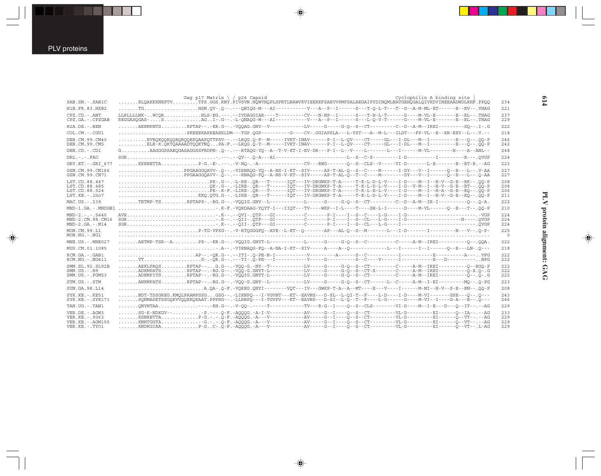$\bigoplus$ 

| SAB.SN.-.SAB1C                                                                 | Cyclophilin A binding site<br>Gag p17 Matrix $\backslash$ / p24 Capsid<br>ELQAKKKNEPTVTPS.GGS.RNY.PIVSVN.NQWVHQPLSPRTLNAWVKVIEEKKFSAEVVPMFSALAEGAIPYDINQMLNAVGEHQGALQIVKDVINEEAĀDWDLRHP.PPQQ                                                                                                                                                                                                                                                                         | 234                      |
|--------------------------------------------------------------------------------|----------------------------------------------------------------------------------------------------------------------------------------------------------------------------------------------------------------------------------------------------------------------------------------------------------------------------------------------------------------------------------------------------------------------------------------------------------------------|--------------------------|
| H1B.FR.83.HXB2                                                                 | $\ldots \ldots \ldots$ TG $\ldots \ldots \ldots \ldots \ldots$ HSN $\ldots$ QV- $\ldots$ Q-- $\ldots$ --QNIQG-M---AI-----------V---A--P--I------S--T-Q-L-T---T--G--A-M-ML-ET------E--RV-- $\ldots$ VHAG                                                                                                                                                                                                                                                              | 221                      |
| $CPZ$ . $CD - ANT$<br>CPZ.GA.-.CPZGAB                                          | LLRLLLLNK-WCORHLS-EG.---.--IVDAGGIAR----T--------CV---N-NP--I------S---T-H-L-T------D----M-VL-E-------E--RL--.THAG<br>REGGASQGAS-SAGI-.G--.-L-QNAQG-M---AI----------V---A--P--I------S---L-Q-V-T------G----M-VL-E-------E--RL--.THAG                                                                                                                                                                                                                                 | 237<br>229               |
| $H2A.DE. - .BEN$                                                               | AEKMPNTSRPTAP--.-KR.G--.-VQQAG.GNY--V-----------LV----G----G-Q--S--CT---------C--D--A-M--IREI----------SQ--.I-.G                                                                                                                                                                                                                                                                                                                                                     | 222                      |
| COL.CM.-.CGU1                                                                  | SKEEEKAKKEAEKLDM---TGP.QGP---------G---CV-.GGIAPSLA---L-YST---A--M-L---ILDT---FP-VL--E--KK-EEY--L--.V.--                                                                                                                                                                                                                                                                                                                                                             | 218                      |
| DEB.CM.99.CM40<br>DEB.CM.99.CM5                                                | EVEOKOOKOOEOROOEPOAAPOTTPSV--.--LROG.O-F--M-----IVKT-INAV------P-I--L-OV----CT-----GL---I-DL---M--I--------E---O--.OO-P<br>ELE-K.QKTQAAAADTQQKTNQPA-F.--LRQG.Q-Y--M-----IVKT-INAV------P-I--L-QV----CT----GL---I-DL---M--I---------E---Q--.QQ-P                                                                                                                                                                                                                      | 246<br>242               |
| DEN.CD. - .CD1                                                                 |                                                                                                                                                                                                                                                                                                                                                                                                                                                                      | 248                      |
| $DRL - - - FAO$                                                                |                                                                                                                                                                                                                                                                                                                                                                                                                                                                      | 224                      |
| GRV.ET. - . GRI 677                                                            | KKKNETTAP-G.-E-.---.-V-NQ-.-A---------------CV---RWG-------Q--S--CLS--V-----VI-D-------L-E-------E--RT-R.--AG                                                                                                                                                                                                                                                                                                                                                        | 223                      |
| GSN.CM.99.CN166<br>GSN.CM.99.CN71                                              | PPGAAGGQAVV-.Q--.-VIRNAQG-YQ--A-NS-I-KT--SIV-----AP-T-AL-Q--S--C----M------I-DY---V--I------Q--E---L--.V-AA<br>PPGAAGGQAVV-.Q--.---RNAQG-FQ--A-NS-V-KT--SIV-----AP-T-AL-Q--T--C----M-------DY---V--I-----Q--E---L--.Q-AA                                                                                                                                                                                                                                             | 227<br>227               |
| LST.CD.88.447<br>LST.CD.88.485<br>LST.CD.88.524<br>LST.KE.-.lho7               | PK-.G--.-L-RE-.QR---T------IQT---IV-DRGWKP-T-A-----T-K-L-D-L-V----I-D----M--I--H-V--G-E--RK--.00-P<br>QK-.G--.-LIRE-.QR---T-----IQT---IV-DRGWKP-T-A-----T-K-L-D-L-V----I-D--V-M--I--H-V--G-E--RT--.ÖÖ-P<br>KKQ.QTG.G--.-LIRE-.QR---T-----IQT---IV-DRGWKP-T-A-----T-K-L-D-L-V----I-D----M--I--H-V--G-E--RQ--.QQ-P                                                                                                                                                     | 208<br>208<br>206<br>211 |
| MAC.US.-.239                                                                   | TETMP-TSRPTAPS-.-RG.G--.-VQQIG.GNY--L-----------L-----G----G-Q--S--CT--------C--D--A-M--IR-I----------Q--.Q-A.                                                                                                                                                                                                                                                                                                                                                       | 222                      |
|                                                                                |                                                                                                                                                                                                                                                                                                                                                                                                                                                                      | 210                      |
| $MND-2. - - - 5440$<br>MND-2.CM.98.CM16<br>$MND-2.GA.-.M14$                    |                                                                                                                                                                                                                                                                                                                                                                                                                                                                      | 224<br>224<br>224        |
| MON.CM.99.L1<br>$MON.NG. - . NG1$                                              | P-TG-VPSG--.-V-RTQGGGFQ--AVE--L-KT--Q-------AP---AL-Q--S--M-------L---I-D-------I----------N---V--.Q-P-                                                                                                                                                                                                                                                                                                                                                              | 225<br>$\circ$           |
| $MNE. US.-. MNE027$                                                            | $\ldots \ldots \ldots \texttt{AETMP-TSR--A}.\ldots \ldots \ldots \texttt{PS-.-KR}.\texttt{G--.-VQQIG}.\texttt{GNYT-L--------L-----G-----G----G-O--S--C----------C-------A-M--IREI--------Q--.QQA}.$                                                                                                                                                                                                                                                                  | 222                      |
| MUS.CM.01.1085                                                                 |                                                                                                                                                                                                                                                                                                                                                                                                                                                                      | 218                      |
| RCM.GA. - . GAB1<br>$RCM.NG. - . NG411$                                        | VTS-.-QR.G--.---TI-.Q-PE---I------------------S-------S--C-----V------I---------E---D-----------NPG                                                                                                                                                                                                                                                                                                                                                                  | 222<br>222               |
| SMM. SL. 92. SL92B<br>$SMM. US. - . H9$<br>SMM.US.-.PGM53                      | ADKMPATSRPTAP--.-RG.G--.-VQQ-G.GNYT-L-----------LV-----G----G-Q--S--CT-X-------C-----A-M--IREI----------Q-X.Q-.G<br>ADKMPITSRPTAP--.-RG.G--.-VQQIG.GNYT-L-----------LV-----G-0--S--CT--------C-----A-M--IREI----------Q--.Q-.G                                                                                                                                                                                                                                       | 222<br>222<br>222        |
| STM.US.-.STM                                                                   | ANKMPATSRPTAP--.-RG.G--.-VQQ-G.GNY--L-----------LV----G----G-Q--S--CT------L--C-----A-M--I-EI----------MQ--.Q-PG                                                                                                                                                                                                                                                                                                                                                     | 223                      |
| SUN.GA.98.L14                                                                  |                                                                                                                                                                                                                                                                                                                                                                                                                                                                      | 208                      |
| $SYK.KE. - .KE51$<br>$SYK.KE. - SYK173$                                        | NDT-TSSGREG.KMOLPAAMPSSGGSG--.-LIRNPO---I-VGVNT---KT--EAVNS---D-SL--L-OI-T--F----L-D----I-D----H-VI-------GSE---O--.O---<br>SONMASETSSGOKVVOOEKOKAAT.PPPRG--.-LLRNPO---I-TGVPV---KT--EAVNS---D-SI--L-O--T--F---L-G-----D----M-VI--I----G-A---E--.O---                                                                                                                                                                                                                | 243<br>246               |
| TAN.UG. - . TAN1                                                               | $\ldots\ldots\ldots$ QNYNTAA - - - . -RH . G-- . -V-QQ- . -----T-----------TV---R-G--I---Q--S--CLS--------VI-D----M--I-E---D---Q--IT-- . --AG                                                                                                                                                                                                                                                                                                                        | 229                      |
| VER.DE. - . AGM3<br>VER.KE. - . 9063<br>VER.KE. - . AGM155<br>VER.KE. - . TYO1 | SG-K-NDKGV--P.---.O-F.-A000G.-A-I-V-----------AV-----G--I----O-S--CT---------VL-D----------EI------O--IA--.--AG<br>KSNRETTAP-G.-.-.Q-F.-AQQQG.-A---V-----------AV-----G--I----Q--S--CT---------VL-D----------EI------Q--VT--.--AG<br>KNNTGGTA--G.-.-.O-F.-A000G.-A---V------------AV-----G--I----O--S--CT----------VL-D---------EI------O--VT--.--AG<br>KNDKGIAAP-GC-.Q-F.-AQQQG.-A---V-----------AV----G--I----Q--S--CT---------VL-D-----------EI------Q--VT--.L-AG | 233<br>229<br>229<br>229 |
|                                                                                |                                                                                                                                                                                                                                                                                                                                                                                                                                                                      |                          |

 $\Rightarrow$ 

 $\color{red} \bigoplus$ 

**614**

 $\color{red} \bigoplus$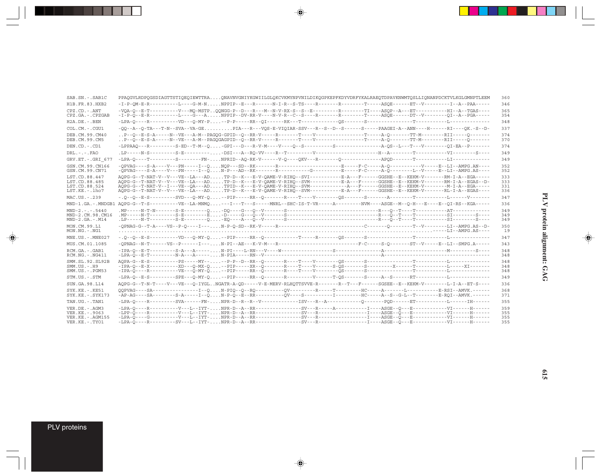| SAB.SN.-.SAB1C                           | PPAQGVLRDPQGSDIAGTTSTIQEQIEWTTRAQNAVNVGNIYKGWIILGLQKCVKMYNPVNILDIKQGPKEPFKDYVDRFYKALRAEQTDPAVKNWMTQSLLIQNANPDCKTVLKGLGMNPTLEEM                                                                                                                            | 360        |
|------------------------------------------|-----------------------------------------------------------------------------------------------------------------------------------------------------------------------------------------------------------------------------------------------------------|------------|
| H1B.FR.83.HXB2                           | -I-P-QM-E-R-----------L----G-M-NNPPIP--E---R------N-I-R--S-TS----R-------R-------T-----ASQE------ET--V---------I--A--PAA-----                                                                                                                             | 346        |
| $CPZ$ . $CD$ . - .ANT                    | -VQA-Q--E-T----------V---MQ-MSTPQQNGG-P--D---R---M--N-V-RX-S--S--E---------R--------TI----ASQP--A---ET-----------HI--A--TGAS----                                                                                                                          | 365        |
| CPZ.GA.-.CPZGAB                          |                                                                                                                                                                                                                                                           | 354        |
| H2A.DE.-.BEN                             |                                                                                                                                                                                                                                                           | 348        |
| COL.CM.-.CGU1                            | -QQ--A--Q-TA---T-N--SVA--VA-GEPIA---R---VQS-E-VIQIAR-SSV---R--S--D--S------S----PAAGEI-A--ANN----H------RI----QK.-S--D-                                                                                                                                   | 337        |
| DEB.CM.99.CM40<br>DEB.CM.99.CM5          |                                                                                                                                                                                                                                                           | 374<br>370 |
| DEN.CD.-.CD1                             |                                                                                                                                                                                                                                                           | 374        |
| $DRL - - - FAO$                          |                                                                                                                                                                                                                                                           | 349        |
| GRV.ET. - . GRI_677                      |                                                                                                                                                                                                                                                           | 349        |
| GSN.CM.99.CN166<br>GSN.CM.99.CN71        | $-QPVAG---S-A---V---PN---I--Q. N-P---AD--RK-----R-----C---S---E---E---P-C---A-Q------I--V---E--LI--AMPG.AS---A$                                                                                                                                           | 352<br>352 |
| LST.CD.88.447<br>LST.CD.88.485           | AQPG-G--T-NAT-V--V---VE--LA---ADTP-D--K---E-V-QAME-V-RIHQ--SVI----------E-A---F-----GGSHE--E--KEKM-V-------RM-I-A--EGA-----<br>AQPG-G--T-NAT-V--V--VE--LA---ADTP-D--K---E-V-QAME-V-RIHQ--SVM----------E-A---F-----GGSHE--E--KEKM-V-------RM-I-A--EGAS--D- | 333<br>333 |
| LST.CD.88.524<br>LST.KE.-.lho7           | $\verb AQPG-G--T-NAT-V--I---VE--QA---AD TPID--K---E-V-QAME-V-RIHQ--SWM---2---A---F----GGSHE--E--KEXM-V---M-I-A--EGA---A$<br>AQPG-G--T-NAT-V--V---VE--LA---ADTP-D--K---E-V-QAME-V-RIHQ--SVM----------E-A---F-----GGSHE--E--KEKM-V--------RL-I-A--EGAS----  | 331<br>336 |
| MAC.US.-.239                             | $-.Q-Q- E-S--\cdots-T- SVD--Q-MY-Q, \ldots-PIP---RR--Q--\cdots-R--T----V------Q--\cdots-S--\cdots-R--\cdots-R--\cdots-T--\cdots-T--\cdots-I--\cdots-P--\cdots-P-$                                                                                         | 347        |
|                                          |                                                                                                                                                                                                                                                           | 336        |
| $MND-2. - - - 5440$                      |                                                                                                                                                                                                                                                           | 349        |
| MND-2.CM.98.CM16                         |                                                                                                                                                                                                                                                           | 349        |
| $MND-2.GA.-.M14$                         |                                                                                                                                                                                                                                                           | 349        |
| MON.CM.99.L1<br>MON.NG.-.NG1             |                                                                                                                                                                                                                                                           | 350<br>19  |
| $MNE. US.-. MNE027$                      |                                                                                                                                                                                                                                                           | 347        |
| MUS.CM.01.1085                           | $\verb -QPNAG--N-T-----VS-P-----I---N-PI--AE--K-V-M--R-----1---1---1---F-C---S-Q-----S-T--V---E--LI--SMPG.A---S$                                                                                                                                          | 343        |
| RCM.GA. - . GAB1<br>$RCM.NG. - . NG411$  |                                                                                                                                                                                                                                                           | 348<br>348 |
| SMM. SL. 92. SL92B                       |                                                                                                                                                                                                                                                           | 348        |
| $SMM. US. - . H9$<br>SMM.US.-.PGM53      | $-IPA-Q-E-X-\cdots----XD--Q-MX-Q\ldots--PIP-\cdots-XR--Q-\cdots--R-\cdots-T-\cdots-S-\bar{Q}S-\cdots--S-\cdots-S-\cdots-X-\cdots-T-\cdots--L-\cdots-XI-\cdots--X$                                                                                         | 348        |
| STM.US.-.STM                             |                                                                                                                                                                                                                                                           | 348<br>349 |
| SUN.GA.98.L14                            |                                                                                                                                                                                                                                                           | 336        |
| $SYK.KE. - .KE51$                        |                                                                                                                                                                                                                                                           | 368        |
| $SYK.KE. - SYK173$                       |                                                                                                                                                                                                                                                           | 371        |
| TAN.UG.-.TAN1                            | -LPA-Q----R---------SVA------FN-NPR-D--R--R--V------------ISV---R--A-----------Q-------PQD------ET---------L-------IH------                                                                                                                               | 355        |
| VER.DE. - .AGM3                          |                                                                                                                                                                                                                                                           | 359        |
| VER. KE. - . 9063<br>VER. KE. - . AGM155 |                                                                                                                                                                                                                                                           | 355<br>355 |
| VER.KE. - . TYO1                         |                                                                                                                                                                                                                                                           | 355        |

 $\spadesuit$ 

 $\spadesuit$ 

 $\overline{\phantom{0}}$ 

▊

PLV proteins

 $\overrightarrow{\mathbf{\P}}$ 

 $\frac{1}{\sqrt{2}}$ 

. . .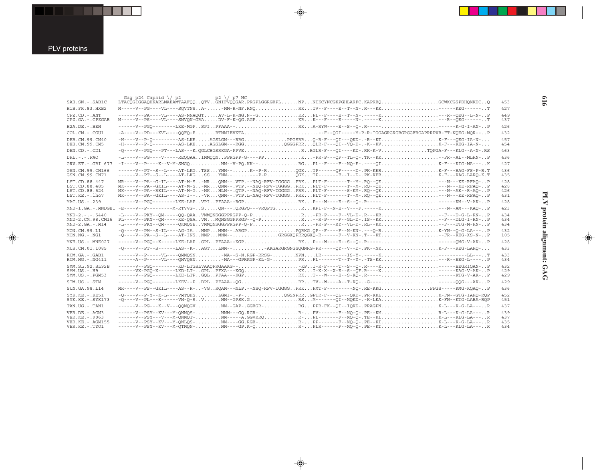| SAB.SN. - . SAB1C                                                               | Gag p24 Capsid $\sqrt{p^2+q^2}$<br>$p2 \sqrt{p7}$ NC<br>LTACOGIGGAOHKARLMAEAMTAAFOOOTVGNIFVOOGAR.PRGPLGGRGRPLNPNIKCYNCGKPGHLARFC.KAPRROGOWKCGSPDHOMKDCO                                                                                                                                                                                                                                                          | 453                      |
|---------------------------------------------------------------------------------|------------------------------------------------------------------------------------------------------------------------------------------------------------------------------------------------------------------------------------------------------------------------------------------------------------------------------------------------------------------------------------------------------------------|--------------------------|
| H1B.FR.83.HXB2                                                                  | M-----V--PG----VL----SQVTNSA--MM-R-NF.RNQRKIV--F----E--T--N-.R---KKEKG------T                                                                                                                                                                                                                                                                                                                                    | 427                      |
| $CPZ$ . $CD$ . - .ANT<br>CPZ.GA.-.CPZGAB                                        | ------V--PA----VL----AS-NNAOGTAV-L-R-NG.N--GKRPL--F---E--T--N-.-----K---R--OEG--L-N-P<br>M-----V--PS----VL----SMVQN-GRADV-F-K-QG.AGPKRK---F----B-----N-.-----K---R--OEG------T                                                                                                                                                                                                                                   | 449<br>437               |
| $H2A.DE. - .BEN$                                                                | ------V--PGO--------LKE-MGPSPIPFAAA--RKA-RYW----E--S--O-.R----------K-G-I-AN-P                                                                                                                                                                                                                                                                                                                                   | 426                      |
| $COL$ , $CM$ , $-$ , $CGUI$                                                     | -A----V--PD---KVL----OOFO-ERTNMIEVKTA--F--OGI-----M-P-R-IGGAGRGRGRGRGRERGAPRRPVR-FT-NOEG-MOR--P                                                                                                                                                                                                                                                                                                                  | 432                      |
| DEB.CM.99.CM40<br>DEB.CM.99.CM5                                                 | $-H---V-P-O-------AS-LKE.$ $AGSLGM---RRG.$ PPGSRRO-R-F--OI---OKD-.-R--KTK-F---OEG-IA-N-<br>-H----V--P-Q---------AS-LKEAGSLGM---RGGQGGGPRRQLR-F---QI--VQ-D-.-K--KVK-F---KEG-IA-N-                                                                                                                                                                                                                                 | 457<br>454               |
| DEN.CD. - .CD1                                                                  | -0----V--PG0---PT---LAS---K.OGLCHGSRKGA-PPVER.RGLR-F---OI----KD-.RK-K-VTOPGA-F---KLG--A-N-.RS                                                                                                                                                                                                                                                                                                                    | 463                      |
| $DRL - -  FRO$                                                                  | -L----V--PG----V-----REOOAAIMMOONPPRGPP-G----PPK-PR-P--OF--TL-O-.TK--KK-FR--AL--MLRN-P                                                                                                                                                                                                                                                                                                                           | 436                      |
| GRV.ET. - . GRI 677                                                             | $-1$ ----V--P----K--V-M-SNGQNM--V-PQ.KK--RGPL--F---F--MQ-E-.----QIK-F---KIG-MA---K                                                                                                                                                                                                                                                                                                                               | 427                      |
| GSN.CM.99.CN166<br>GSN.CM.99.CN71                                               | ------V--PT--S--L----AT-LKGTSSYNM--K--P-ROGKTP------OF-----D-.PK-KERK-F---RAG-FS-P-R.T                                                                                                                                                                                                                                                                                                                           | 436<br>435               |
| LST.CD.88.447<br>LST.CD.88.485<br>LST.CD.88.524<br>LST.KE.-.lho7                | MR----V--PA--G-IL----AT-M-S-MRQNM--.VTP.--NAQ-RFV-TGGGGPRKPLT-F------T--M-.RQ--QE---N---KE-RFAO-P<br>MK----V--PA--GKIL----AT-M-S-MRQNM--.VTP.--NEQ-RFV-TGGGGPRKPLT-F------T--M-.RQ--QE---N---KE-RFAQ-P<br>MK----V--PA--RKIL----AT-M-G-MKHLM--.QTP.--NAQ-RFV-TGGGGPRRPLT-F------S-KM-.RQ--QE---N--AK--R-AQ-P<br>MK----V--PA--GKIL----AS-I---VRONM--.VTP.L-NAO-RFV-TGGGGPRKPLT-F------T--M-.RO--OE---N---KE-RFAO-P | 428<br>428<br>426<br>431 |
| MAC.US.-.239                                                                    | ------V--PGO--------LKE-LAPVPIPFAAA--RGPRKP---W----E--S--O-.R----------KM--V-AK-P                                                                                                                                                                                                                                                                                                                                | 428                      |
|                                                                                 | MND-1.GA.-.MNDGB1 -E----V--P----------M-RTVVG-SQN---.QRGPQ---VRQPTGRKPI-F--N-E--V---F.-----K---N--AM---KAO-P                                                                                                                                                                                                                                                                                                     | 423                      |
| $MND-2. - - 5440$<br>MND-2.CM.98.CM16<br>$MND-2.GA.-.M14$                       | -L----V--PKY--OM-----OO-OAAVMMONSGGPPRGPP-O-PR-PR-P----F--VL-D-.R---KR--F--D-G-L-RN-P<br>PL----V--PKY--OM-----KE-OSAVMMONSGGPPRGP--O-PR-R-P----F-GL-D-.IS--KK--F---DLG-I-RN-P<br>-L----V--PKY--QM-----QKMQSEVMMQNSGGPPRGPP-Q-PR-PR-P---RY--VL-D-.RL--KK--F---DTG-M-RN-P                                                                                                                                          | 434<br>434<br>434        |
| MON.CM.99.L1<br>$MON.NG. - . NG1$                                               | -0----V--PM--S-IL----AG-IANMPMNM--.ARGPPORKG.OP--F----F--M-KN-.---O-RK-YN--O-G-LA---P<br>-Q----V--PA--S--L----AT-INSNMPMMM--GRGGXQPRRQGXQ-R-----F--V-KN-.T---KTFR--KEG-XS-N-P                                                                                                                                                                                                                                    | 432<br>105               |
| MNE.US.-.MNE027                                                                 | ------V--PGO--K-----LKE-LAPGPLPFAAA--KGPRKP---W----E--S--O-.R----------OMG-V-AK-P                                                                                                                                                                                                                                                                                                                                | 428                      |
| MUS.CM.01.1085                                                                  | -0----V--PT--S------LAS--K-AGTLNM--AKGARGRGNGSOGNRG-PR-----OY--V--D-.PK--NKK-F---REG-LARO-                                                                                                                                                                                                                                                                                                                       | 433                      |
| RCM.GA.-.GAB1<br>$RCM.NG. -.NG411$                                              | ------V--P-----VL----OMMOSN-MA--S-N.RGP-RRSG-NPNLR---------IS-Y-.----K---------LL---T<br>------A--P------VL----OMVOSN-MA---GPRKGP-KL-G-PRFL-------T--T--Y-.-TS-KK----R--EEG-L----P                                                                                                                                                                                                                               | 433<br>434               |
| SMM.SL.92.SL92B<br>$SMM.US.-.H9$<br>$SMM. US. - . PGM53$                        | ------VX-PGO-X------LKD-LT-GPLPFXA---KGOXKI-X-X--X-E--S--OF.R----X------KAG-V-AK-P                                                                                                                                                                                                                                                                                                                               | 432<br>429<br>429        |
| STM.US.-.STM                                                                    | ------V--PGQ--------LKEV--PDPLPFAAA--QGRRTV--W---A--T-KQ-.-G----QQG---AK-P                                                                                                                                                                                                                                                                                                                                       | 429                      |
| SUN.GA.98.L14                                                                   | MR----V--PS--GKIL----AS--R--VGROAM---NLP.--NSO-RFV-IGGGGPRKPMT-F--------NO-.RE-KKGPPGS-----KMG-KOAO-P                                                                                                                                                                                                                                                                                                            | 436                      |
| $SYK.KE. - KF51$<br>$SYK.KE. - .SYK173$                                         | -0----V--P-Y--K-L----VMTOHSLGMI-.-P-OGSNPRRGPTR-F---OL---OKD-.PR-KKLK-FN--GTG-IARO-ROP<br>$-\tilde{O}$ ----V--PL---K------VM- $\tilde{O}$ -SVNM--GPSK.GRSN------ $\tilde{O}$ I--MOKD-.-K-LKAK-FN--KTG-LARA-ROP                                                                                                                                                                                                   | 452<br>451               |
| TAN.UG. - . TAN1                                                                | ------V--PG---K--V---OOMOGVNM--GAP-.GGRGR-RGPPR-FK--OI--IOKD-.PRAGPNK-L---K-G-LA---R                                                                                                                                                                                                                                                                                                                             | 437                      |
| VER.DE. - . AGM3<br>VER.KE. - . 9063<br>VER. KE. - . AGM155<br>VER.KE. - . TYO1 | ------V--PSY--KV---M-ONMOS-NMM---GO.RGR-R-PV------F--MO-O-.PE--KMR-L---K-G-LA---R<br>------V--PSY---V---M-ŌNMŌT-NM-----Ā.GGVRROR-PL------F--MÕ-Õ-.TE--KIK-L---KLG-LA---R<br>------V--PSY--KV---M-ONLOS-NM----GG.RGR-R-PP-------F--MO-O-.PE--KIK-L---K-G-LA---R<br>------V--PSY--KV---M-OTMON-NM----GP.K-0R-PLR------F--MO-O-.PE--KTK-L---KLG-LA---R                                                              | 439<br>437<br>435<br>434 |

 $\overline{\blacklozenge}$ 

 $\overline{\blacklozenge}$ 

# PLV protein alignment: GAG **PLV protein alignment: GAG**

 $\Rightarrow$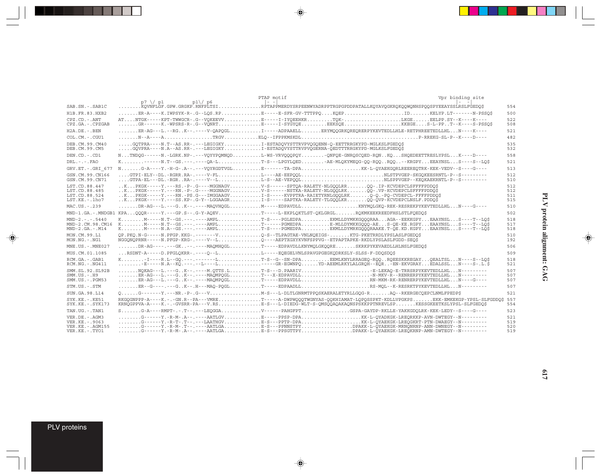|                                                                                  | $p7 \sqrt{p1}$ | p1)/p6 | PTAP motif<br>$\vert - \vert - \vert$                                                                                                                                      |                                                                                                                                                                                                                                                                                                                                                                                                                         | Vpr binding site |                          |
|----------------------------------------------------------------------------------|----------------|--------|----------------------------------------------------------------------------------------------------------------------------------------------------------------------------|-------------------------------------------------------------------------------------------------------------------------------------------------------------------------------------------------------------------------------------------------------------------------------------------------------------------------------------------------------------------------------------------------------------------------|------------------|--------------------------|
| SAB.SN. - . SAB1C                                                                |                |        |                                                                                                                                                                            | , pi, \, pi<br>KQVNFLGF.GPW.GRGKP.RNFPLTSIPTAPPMERDYSRPEENWYADRPPTRGPGPDDPATALLKQYAVQGKRQKQQWQNHSPQQSPYEEAYSSLRSLFGEDQ\$                                                                                                                                                                                                                                                                                                |                  | 554                      |
| H1B.FR.83.HXB2                                                                   |                |        |                                                                                                                                                                            | $\ldots \ldots$ .ER-A----K.IWPSYK-R-.G--LOS.RPE-----E-SFR-GV-TTTPPOKOEPIDKELYP.LT-------N-PSSOS                                                                                                                                                                                                                                                                                                                         |                  | 500                      |
| $CPZ$ , $CD - ANT$<br>CPZ.GA. - . CPZGAB                                         |                |        |                                                                                                                                                                            | ATNTGK-----KPT-TWWGCR-.G--VOKEEVVE----I-IYOEEHKRTOK-LKGEEELPP.SY--K----K----<br>GR------K.-WPSRS-R-.G--VONRTE----I-SYGYOEEEKŠOEKKEGES-L-PPT--K----S-PSSO\$                                                                                                                                                                                                                                                              |                  | 522<br>508               |
| $H2A$ . D $F -$ . BEN                                                            |                |        |                                                                                                                                                                            | $\ldots \ldots \ldots \texttt{ER-AG--L.--RG.}.K--\ldots \texttt{-V-QAPQGL}.\ldots \ldots \ldots \texttt{I---ADPAAELL}.\ldots \ldots \texttt{ERYMQQGRKQRERPYKEYTEDLLHLE-REFPHREETEDLLHL}.\ldots \texttt{N---K---L}$                                                                                                                                                                                                      |                  | 521                      |
| $COL$ , $CM$ , $-$ , $CGUI$                                                      |                |        |                                                                                                                                                                            |                                                                                                                                                                                                                                                                                                                                                                                                                         |                  | 482                      |
| DEB. CM. 99. CM40<br>DEB.CM.99.CM5                                               |                |        | GOTPRA----N.T--AS.RR-.---LEGIGKYI-ESTADOVYSTTRVPVOGOENN-O-EETTRRGKYPD-MGLKSLFGEDO\$<br>GOVPRA----N.A--AS.RR-.---LEGIGKYI-ESTADOVYSTTRVPVOGERNA-OEDTTTRRGKYPD-MGLKSLFGEDO\$ |                                                                                                                                                                                                                                                                                                                                                                                                                         |                  | 535<br>532               |
| DEN.CD. - . CD1                                                                  |                |        |                                                                                                                                                                            | NTNDOG------N.-LGRK.NP-.---VOYYPOMNODL-WS-VRVOOOPOY-ONFOE-GNROSCOED-RONKOSHOEDEETTRESLYPSLK----D----                                                                                                                                                                                                                                                                                                                    |                  | 558                      |
| $DRL - - -$ . $FAO$                                                              |                |        |                                                                                                                                                                            | K------N.T--GS.---.---OA-LT-S---LPGYLOEDAE-MLOKYMEOG-OO-ROOROO--KRGPYEEAYNSLS----S--LO\$                                                                                                                                                                                                                                                                                                                                |                  | 521                      |
| GRV.ET. - . GRI 677                                                              |                |        |                                                                                                                                                                            | NG-A----Y.-H-G-.A--.---VQYRGDTVGLE-------TA-DPAKK-L-QYAEKGQRLREEREQTRK-KEK-VEDV--S----G----                                                                                                                                                                                                                                                                                                                             |                  | 513                      |
| GSN.CM.99.CN166<br>GSN.CM.99.CN71                                                |                |        |                                                                                                                                                                            | $\ldots$ .GTPA-EL---DL.-RGRRA-.----V--LL-S--AE-VEPÕÕLNLSPPVGEP--KEÕKAEKRNTL-P--S---------                                                                                                                                                                                                                                                                                                                               |                  | 512<br>510               |
| LST.CD.88.447<br>LST.CD.88.485<br>LST.CD.88.524<br>LST.KE. - . lho7              |                |        |                                                                                                                                                                            | KPKGK-----Y.---RS.-P-.G----MGGNAGVV-S-----SPTOA-RALETY-NLGOOLRROO-.IP-KCVDEPCLSFFFFPDDO\$<br>KPKGK-----Y.---RN.-P-.G----MGGNAGVV-S------NSTKA-RALETY-NLGOOLRKOO-.VP-KCVDEPCLSFFFFPDDOS<br>$\ldots$ KPKGK-----Y.---RN.-PS.G---IMGGAAGVI-S-----KVPPTRA-RAIETYRNLGOOLRKO-O.-PO-CVDEPCL-FFFFPDDO\$<br>KPKGK-----Y.---SS.KP-.G-Y--LGGAAGRI-S-----SAPTKA-RALETY-TLGQQLKRQQ-QVP-KCVDEPCLNSLF.PDDQ\$                            |                  | 512<br>512<br>511<br>515 |
| MAC.US. - . 239                                                                  |                |        |                                                                                                                                                                            | $\ldots \ldots \ldots \text{DR-AG---L.---G. K--.---AAOVHOGL.}\ldots \ldots \ldots \text{M---EDPAVDLL}. \ldots \ldots \ldots \ldots \ldots \text{KNYMOLGKO-RESREKEYKEVTEDLLHL} \ldots \text{N---G---D}$                                                                                                                                                                                                                  |                  | 510                      |
|                                                                                  |                |        |                                                                                                                                                                            | MND-1.GA.-.MNDGB1 KPAOOOR-----Y.---GP.S--.G-Y-AOEVT-----L-EKPLOKTLST-OKLGRGLROKMKEEKREEDFHSLSTLFOEDOS                                                                                                                                                                                                                                                                                                                   |                  | 502                      |
| $MND-2. - - - 5440$<br>MND-2.CM.98.CM16<br>$MND - 2. GA - M14$                   |                |        |                                                                                                                                                                            | KM-----N.T--GS.---.----AMPLT-S----PGLEDPAEKMLLDYMKKGQQQRAAAGA--EEKKGPYEAAYNSLS----T--LQ\$<br>KM-----N.T--GS.---.---AMPLT-----PGMEDPAE-MLLDYMKKGQQQ-AES-QE-KE.RGPYEAAYNSLS----T--LQ\$<br>KM-----N.A--GS.---.---AMPLT-S----PGMEDPAEKMLLDYMRKGÖÖRAAKE.T-ÖE.KD.KGPYEAAYNSLS----T--LÖŠ                                                                                                                                       |                  | 518<br>517<br>518        |
| MON.CM.99.L1<br>$MON.NG. - . NG1$                                                |                |        |                                                                                                                                                                            | OP.PKO.N-G-----N.PFGP.KKG-.------VO-S--TLPAGTAE-VNLNOEIGS-KTG-PKETRRDLYPSLASLFGEDO\$<br>NGGONOPRNR-----N.PFGP-KRG-.----V--LO----AEPTXGXYKVNFSPPVG--ETPAPTAPKE-RKDLYPSLASLFGDD-SEQS                                                                                                                                                                                                                                      |                  | 510<br>192               |
| $MNE$ . U.S. - $MNE$ 027                                                         |                |        |                                                                                                                                                                            | DR-AG----.---GK--.---MAOMHOGLT-----EDPAVDLLKNYMOLGKOORESKRKPYKEVAEDLLHLNSLFGEDOS                                                                                                                                                                                                                                                                                                                                        |                  | 506                      |
| MUS.CM.01.1085                                                                   |                |        | RSDNT-A-----D.PFGLOKRR-.----O--LL----EOEGELVNLSPAVGPGEGKODRKSLY-SLSS-F-DDOSDOS                                                                                             |                                                                                                                                                                                                                                                                                                                                                                                                                         |                  | 509                      |
| RCM.GA.-.GAB1<br>$RCM.NG. - . NG411$                                             |                |        |                                                                                                                                                                            | KI----R.L--GQ.---.------LT-S--G--SN-DPAEEMLKNYLRRAGEQ-RQQRQEESKKREGAYQEALTSLN----S--LQ\$<br>E-----N.A--KO.---.--L----L----GR-EGWNPOYD-AEEMLRKYLALGROH--EOREN-EKVGRAYEDALSSLN----S-.L.S                                                                                                                                                                                                                                  |                  | 518<br>521               |
| SMM.SL.92.SL92B<br>$SMM.US.-.H9$<br>$SMM. US. - . PGM53$                         |                |        |                                                                                                                                                                            | $\ldots \ldots \ldots \text{NOKAG---L.---G.}.K-----.M. QITS.L.\ldots \ldots \ldots \text{--S---D. PARIV}\ldots \ldots \ldots \ldots \ldots \ldots \ldots \ldots \text{--E-LEKAQ-E-TRRSRPYKEYEBDLLHL}\ldots \text{N---N---D.}$<br>$\ldots \ldots$ .ER-AG---L.---GK--.---MAÕMPOGLT---X-EDPAVDLLN-MKV-R--RENRERPYKEVTEDLLHLN--------<br>ER-AG---L.---GK--.----MAQMPQGLT-----EDPAVDLLRN-MKM-RK-RENRERPYKEVTEDLLHLN----G---- |                  | 507<br>507<br>507        |
| STM.US.-.STM                                                                     |                |        |                                                                                                                                                                            | $\ldots \ldots$ . ER--G----,---G. . K--. H---MAO-POGLT----EDPAADLLRS-MOL--K-RESRKTPYKEVTEDLLHLN--------                                                                                                                                                                                                                                                                                                                 |                  | 507                      |
| SUN.GA.98.L14                                                                    |                |        |                                                                                                                                                                            | $0.\dots.$ G------Y.---NR.-P-.G---VM-S---L-DLTLGNRMTPPOSKAERALETYRLLGOG-RAO--RKERGECOEPCLNMLFPEDP\$                                                                                                                                                                                                                                                                                                                     |                  | 521                      |
| $SYK.KE. - KF51$<br>$SYK.KE. - .SYK173$                                          |                |        |                                                                                                                                                                            | RKGOGNPPP-A----K.-.-GN.R--PA---VMRET----A-DWPWOOOTWGNYAS-OOKHIAMAT-LOPOSSPKT-KDLLVPGKPSEKK-EMKEKGP-YPSL-SLFGDDO\$<br>KRNOGPPVA-A----K.-.-GVSRR-PA---V.RSE-S---L-DIEDG-WLT-S-OMSOOAOAKAONSPSKKPPTNREVLSPKESSGKEETKSLYPSL-SLFGEDO\$                                                                                                                                                                                       |                  | 557<br>554               |
| TAN.UG. - .TAN1                                                                  |                |        |                                                                                                                                                                            | SG-A----RMPT-.-.T--.--LEOGGAV-----PAHGFPTGSPA-GAYDP-RKLLE-YAKKGDOLRK-KEK-LEDY--S----G----                                                                                                                                                                                                                                                                                                                               |                  | 523                      |
| VER.DE. - . AGM3<br>VER. KE. - . 9063<br>VER. KE. - . AGM155<br>VER.KE. - . TYO1 |                |        |                                                                                                                                                                            | $\ldots \ldots$ .g------Y.-R-T-.T--.--LAATHGVE-S---PPTP-DPAKK-L-OYAEKGK-LREOGKRT-PTN-DWAEGY--N---------<br>$\ldots\ldots\ldots$ G------Y.-R-M-.T--.----AATLGAE-S---PPNNSTPYDPAKK-L-ÕYAEKGK-MRNÕNRNP-ANN-DWNEGY--N--------<br>$\ldots \ldots \ldots G------Y.$ -R-M-.A--.----AATLGAE-S---PPSGTTPYDPAKK-L-OYAEKGK-LREOKRNP-AMN-DWTEGY--N--------                                                                          |                  | 521<br>519<br>520<br>519 |

 $\begin{picture}(20,5) \put(0,0){\vector(0,1){10}} \put(15,0){\vector(0,1){10}} \put(15,0){\vector(0,1){10}} \put(15,0){\vector(0,1){10}} \put(15,0){\vector(0,1){10}} \put(15,0){\vector(0,1){10}} \put(15,0){\vector(0,1){10}} \put(15,0){\vector(0,1){10}} \put(15,0){\vector(0,1){10}} \put(15,0){\vector(0,1){10}} \put(15,0){\vector(0,1){10}} \put(15,0){\vector(0,$ 

 $\spadesuit$ 

 $\overline{\phantom{0}}$ 

▊

PLV proteins

 $\overrightarrow{\mathbf{\P}}$ 

 $\frac{1}{\sqrt{2}}$ 

. . .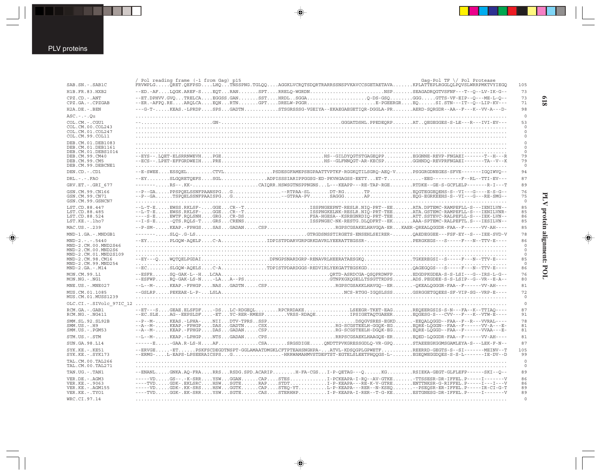| l<br>Ş                                                                |
|-----------------------------------------------------------------------|
| ֖֧ׅ֧֧ׅ֧֚֚֚֚֚֚֚֚֚֚֚֚֚֚֚֚֚֚֚֚֚֚֚֚֚֚֚֚֚֚֚֚֚֚֬֝֝֜֝֬֜<br>í<br>ĩ.<br>O<br>ì |
|                                                                       |
|                                                                       |

**618**

| SAB.SN. - . SAB1C                          | / Pol reading frame (-1 from Gag) p15<br>$Gaq-Pol TF \ \lor$ Pol Protease<br>FRVWPLGORET.OEFPSDLHOTNSSPNG.TGLOOAGGKLVCROTSDORTRARRSSNSPVKAVCCSGETAETAVAKPLATTEPLRGGLOLPOVSLWRRPMKTVYIEGO | 105                        |
|--------------------------------------------|------------------------------------------------------------------------------------------------------------------------------------------------------------------------------------------|----------------------------|
| H1B.FR.83.HXB2                             | --ED.-AFLQGK.AREF-SEQTRANSPTRRELQ-WGRDNNSPSEAGADRQGTVSFNF---T--Q--LV-IK-G--                                                                                                              | 73                         |
| CPZ.CD. - . ANT                            | --ET.DPHVV.GVOTRELCAEGGSS.GANSSTHRDLSGGAGGSGGGGTTS-VF-EIP--0---ME-L-0--                                                                                                                  | 73                         |
| CPZ.GA. - . CPZGAB                         | --ER.-AFPQ.REARQLCAEQNRTNGPTDRELW-PGGRE-PGEERGREQSI.STN---IT--Q--LIP-KV---                                                                                                               | 71                         |
| H2A.DE. - . BEN                            | ---G-T-KEAS.-LPRDPSPSGADTNSTSGRSSSG-VGEIYA--EKAEGAEGETIOR-DGGLA-PRAERD-SORGDR--AA--F---K--VV-A---D-                                                                                      | 98                         |
| $ASC. - . - . 0u$                          |                                                                                                                                                                                          | $\circ$                    |
| COL.CM. - . CGU1<br>COL.CM.00.COL243       | $\ldots \ldots \ldots \ldots \ldots$ .gN- $\dots \ldots \ldots \ldots \ldots \ldots \ldots \ldots \ldots \ldots \ldots \ldots$ .gggATDSHL.PPEDEORPATOEGEGGES-S-LE---R---IVI-EV---        | 53<br>$\mathbf 0$          |
| COL.CM.01.COL247<br>COL.CM.99.COL11        |                                                                                                                                                                                          | $\mathbf 0$<br>$\mathbf 0$ |
| DEB. CM. 01. DEB1083<br>DEB.CM.01.DEB1161  |                                                                                                                                                                                          | $\mathbb O$<br>$\mathbb O$ |
| DEB.CM.01.DEBS1014<br>DEB.CM.99.CM40       |                                                                                                                                                                                          | $\circ$<br>79              |
| DEB.CM.99.CM5<br>DEB.CM.99.DEBCNE1         |                                                                                                                                                                                          | 79<br>$\circ$              |
| DEN.CD. - . CD1                            | --E-SWEEESSOELCTVLPSDESGFAMEPSEGPAATTVPTKF-RGGKOTILSGRO-AEO-VPSGGRGDNEGES-SFVE------IGOIWVO--                                                                                            | 94                         |
| $DRL - - - FAO$                            | --EYSLGORETOEFSSGLADPISSSIARIPPGGSG-ED-PKVHGAGSS-EETTET-T-EEG---------F--RL--TTI-EV---                                                                                                   | 87                         |
| GRV.ET. - . GRI 677                        | $\verb -----R5--.KK-CATOR.HSWSGTNSPPNGNSL--KEAPP--RE-TAP-RGBRTDKE--GCE-SCFLELP---R-I--T-$                                                                                                | 89                         |
| GSN.CM.99.CN166                            | --P--GAPPSPQELSSNFPAANSPGG--RTPAA-SLDT-RGTPEQGTEGGEQEHS-S--VI---G----E-S-G--                                                                                                             | 76                         |
| GSN.CM.99.CN71<br>GSN.CM.99.GSNCN7         |                                                                                                                                                                                          | 75<br>$\circ$              |
| LST.CD.88.447                              | --L-T-EEWSS.RKLSF-GGECR--TISSPNGEEPNT-RESLR.NIO-PRT--EEATA.DPTEMC-RAMPEFLL-S---IENILVN--                                                                                                 | 85                         |
| LST.CD.88.485                              | --L-T-EEWSS.RKLSF-GGECR--TISSPNGKELNK-RESLR.NIQ-PRT-TEEATA.GSTEMC-RAMPEFLL-S---IENILVNR-                                                                                                 | 85                         |
| LST.CD.88.524<br>LST.KE.-.lho7             | ----S-EEWTF.RQLSNHGRGCR-DSFSA-HGESA--KSREGNRDIQ-PRT-TEEATT.SSTEVC-RALPEFLL-S---IEK-LVN--<br>--I-S-E-OTS.ROLS-TGRSCRENSISSPNGEC-NK-RESTG.DLODFRT--EKAAA-SPTEMC-RALPEFTL.S---IESILVN--     | 86<br>85                   |
| MAC.US.-.239                               | --P-SM-KEAP.-FPHGSSASGADANCSPRGPSCGSAKELHAVGQA-ERKAER-QREALQGGDR-FAA--F------VV-AH----                                                                                                   | 85                         |
| MND-1.GA.-.MNDGB1                          |                                                                                                                                                                                          | 78                         |
| $MND-2. - - - 5440$                        | --EYPLGOW-AOELPC-AIDPISTPDARVGRPGRKDAVRLYEERATTEGSSR-PERGKEGS--S-----F---N--TTV-E----                                                                                                    | 86                         |
| MND-2.CM.00.MND2S46                        |                                                                                                                                                                                          | $\circ$                    |
| MND-2.CM.00.MND2S6                         |                                                                                                                                                                                          | $\circ$                    |
| MND-2.CM.01.MND2S109<br>MND-2.CM.98.CM16   | --EY---OWOTOELPGDAIDPNGPSNARDGRP-RENAVRLHEERATAESGKOTGKEREGSI--S-----F---N--TTV-E----                                                                                                    | $\circ$<br>85              |
| MND-2.CM.99.MND254<br>$MND-2.GA.-.M14$     | --ECSLGOW-AQELSC-ATDPISTPDARDGGS-REDVIRLYEKGATTEGSKGDOAGEGQGS---S----F---N--TTV-E----                                                                                                    | $\Omega$<br>86             |
| MON.CM.99.L1<br>MON.NG. - . NG1            | --ESFRSQ-GAK-L--HLCAAQRTD-ASRDCGA-QSQPRDWFPEDGDPKGDEA-S-S-LSI---G--IRS-L-G--<br>--ESFWPRO-GAK-LS-N-LAA--PSGTNPXGXOGELLTSSGTTRDPSADS.PEGDEE-S-S-LSIP--G--VR--E-A--                        | 76<br>80                   |
| MNE.US. - . MNE027                         | --L--M-KEAP.-FPHGPNASGADTNCSPRGPSCGSAKKLHAVGO--ER-OKEALQGGGR-FAA--F------VV-AH----                                                                                                       | 81                         |
| MUS.CM.01.1085                             |                                                                                                                                                                                          | 72                         |
| MUS.CM.01.MUSS1239                         |                                                                                                                                                                                          | $\circ$                    |
|                                            |                                                                                                                                                                                          | $\circ$                    |
| RCM.GA. - . GAB1<br>RCM.NG. - . NG411      | --ET---SGEAE.ELSFDF-DSLC-RDGEOLRPCRRDAKELSEEGR-TKET-EAGREOEERGSIS-S-N---FA--K--TTIAO----<br>--EC.SLEAG--EEPSLDF-ETYC-RER-RMESPVRSS-RDAOEIPSIGETAOTGAEEREOGESG-S---CVV---F---K--VTW-E---  | 87<br>91                   |
| SMM.SL.92.SL92B                            | --P--M-KEAS.-LPHA-NIIDTV-TPRSSSPDSQGVSRES-EGKD-EEQALQGGD--FAA--F--R---VVRAL----<br>--A--M-KEAP.-FPHGPDASGADTNCSXRG-SCGSTEELH-GGOK-EGEORE-LÕGGN--FAA--F------VV-A---E-                    | 78                         |
| $SMM.US.-.H9$<br>SMM.US. - . PGM53         | --A--M-KEAP.-FPHGPDASGADANCSPRG-SCGSTEELH-DGOK-EGEORE-LOGGD--FAA--F------VVAA---E-                                                                                                       | 81<br>81                   |
| STM.US.-.STM                               | --L--M-KEAP.-LPHGPNTSGADANCPSRRPSCGSAEKLHAAGOE-EREOED-LOGGDR-FAA--F------VV-AH----                                                                                                       | 81                         |
| SUN.GA.98.L14                              | ------B-GAA.R-LS-HAFCSASRGSDIGEONDTTPVKGRESSGDLO-VR-GPOSTAEEEGKGGMSGAMLEYA-S---LEK-F-N--                                                                                                 | 87                         |
| SYK.KE. - . KE51                           | --ERVGE-ETPSKFSCDEGDTNSPT-GGLAMAATDMGKLCFTPTEAHSNGHPA-ATVL-KDSOGPLGPWETFREERRD-GEGTS-S--SI-------MEINV--T                                                                                | 105                        |
| $SYK.KE. - .SYK173$<br>TAL. CM. 00. TAL266 | --ERMG-L-EAPS-LPSEERAICSPSGHRRWAMAHMVSTDEPTST-EGTELSLEETPHOOGS-L-EGEOWEGGDOES-S-S-L-------IE-DV--D                                                                                       | 99<br>$\circ$              |
| TAL. CM. 00. TAL271                        |                                                                                                                                                                                          | $\circ$                    |
| TAN.UG. - . TAN1                           | --ENANLGNKA.AQ-FRARRSRSDG.SPD.ACARIPH-FA-CGSI-P-OETAG---QKGRSIEKA-GEGT-GLFLEFP------SKI--Q--                                                                                             | 89                         |
| VER.DE. - . AGM3                           | -VDGS--.-K-SRRYSWGGANCAPSTESI-PCKEAPA-I-RQ--AV-GTKE-TTSSESR-DR-IFFEL.P-----I-------V                                                                                                     | 86                         |
| VER. KE. - . 9063<br>VER. KE. - . AGM155   | ----TVDGDK-.EKLSRCHSWSGTERAPSTDTI-P-KEAPA---RE-K-V-GTREENTTNKSR-G-RIFFEL.P-----I---IV--V<br>-----VDGDK-.KK-SRSHSWGGTKCAPSTEO-YTL-P-KEAPA---RER--N-KSEO--PSEOSR-ER-IFFEL.P-----IR-CI-G-T  | 86<br>89                   |
| VER.KE. - . TYO1                           | ----TVDGGK-.EK-SRRYSWSGTECASSTERHHPI-P-KEAPA-I-RER--T-G-KEESTGNESG-DR-IFFEL.P----I-------V                                                                                               | 89                         |
| WRC.CI.97.14                               |                                                                                                                                                                                          | $\circ$                    |

◈

PLV proteins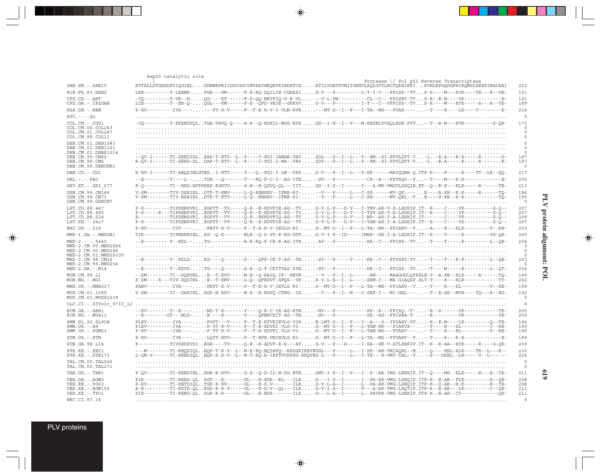|                                                                                                                                                        | Asp25 catalytic site                                                                                                                                                                                                                                                                                                                                                                                                                                                                                                 |                                                                    |
|--------------------------------------------------------------------------------------------------------------------------------------------------------|----------------------------------------------------------------------------------------------------------------------------------------------------------------------------------------------------------------------------------------------------------------------------------------------------------------------------------------------------------------------------------------------------------------------------------------------------------------------------------------------------------------------|--------------------------------------------------------------------|
| SAB.SN.-.SAB1C                                                                                                                                         | Protease $\setminus$ Pol p51 Reverse Transcriptase<br>KVTALLDTGADDSVIQGIELGDNWKPRIIGGIGGCINVKAYHNQEVKIEDKTCKATILVGETPVNIIGRNVLAQLGVTLNLTQREIEPIKVHLKPGQDGPRIRQWPLSKEKIEALKAI                                                                                                                                                                                                                                                                                                                                         | 223                                                                |
| H1B.FR.83.HXB2                                                                                                                                         | LKE--------T-LEEMS-PGR---KM------F-K-RQ-DQILIE-CGHKAIG-V---P--------L-T-I-C---FPISP--TVP-K----M---KVK----TE---K--VE-                                                                                                                                                                                                                                                                                                                                                                                                 | 191                                                                |
| CPZ.CD. - . ANT<br>CPZ.GA. - . CPZGAB                                                                                                                  | -CQ---------T-VE--H-QG----KT------F-S-QQ-NKVPIQ-G-R-VL--V-L-PN---------CL--C---FPISKV-TVP-K--E-M----VK-------------E-<br>LCE---------T--BR-Q-QGL---KM------F-K--QFD-VHIE--GRKVVG-V---P---------I-T---C--VFPISS--TVP-K----M---KVK-----A---K--TE-                                                                                                                                                                                                                                                                      | 191<br>189                                                         |
| H2A.DE. - . BEN                                                                                                                                        | P-EV---------IVA-------YT-K-V-----F--T-E-K-V-I-VLN-RVR---MT-D--I--F---I-TA--MS---PVAK------T----K----LK----T--------E-                                                                                                                                                                                                                                                                                                                                                                                               | 216                                                                |
| $ASC. - . - . Qu$                                                                                                                                      |                                                                                                                                                                                                                                                                                                                                                                                                                                                                                                                      | $\mathbf 0$                                                        |
| COL.CM. - . CGU1<br>COL.CM.00.COL243<br>COL.CM.01.COL247<br>COL.CM.99.COL11                                                                            | -CQ--------T-FKEEDVQLTGA-TAVQ-Q----A-R--Q-RDKIL-MGG-EYRGD--I-H--I--V---M-KEGKLVVAQLSDR-PVT--T--E-M---KVK---------G-QK-                                                                                                                                                                                                                                                                                                                                                                                               | 173<br>$\Omega$<br>$\circ$<br>$\circ$                              |
| DEB.CM.01.DEB1083<br>DEB.CM.01.DEB1161                                                                                                                 |                                                                                                                                                                                                                                                                                                                                                                                                                                                                                                                      | $\mathbf 0$<br>$\mathbf 0$                                         |
| DEB.CM.01.DEBS1014<br>DEB.CM.99.CM40<br>DEB.CM.99.CM5<br>DEB.CM.99.DEBCNE1                                                                             |                                                                                                                                                                                                                                                                                                                                                                                                                                                                                                                      | $\mathbf 0$<br>197<br>197<br>$\circ$                               |
| DEN.CD. - . CD1                                                                                                                                        | R-EV-I------TI-AEODINLGTEG.-I-KTV-----Y---Q--PGI-I-LM--VAVD-V---P--I--L---Y-SK------MAVQQMR-Q.VTP-K----F-----K----TT--LK--QQ-                                                                                                                                                                                                                                                                                                                                                                                        | 217                                                                |
| $DRL - - -$ . FAO                                                                                                                                      | --E---------T---L--TGK---O-------T---RO-F-C-I--AG-ITHSV---P----------CK--A---FPVSOV--V--T----M---K-K-------------E-                                                                                                                                                                                                                                                                                                                                                                                                  | 205                                                                |
| GRV.ET. - . GRI 677                                                                                                                                    | P-Q---------TI--EKD-HFPPHKP-RSKVV-----G-H--E-QGVQ-QL---IITGS--I-S--I------I---A-MK-VMGVLSSQIE.ET--Q--E-K---KLK-----R------TE-                                                                                                                                                                                                                                                                                                                                                                                        | 213                                                                |
| GSN.CM.99.CN166<br>GSN.CM.99.CN71<br>GSN.CM.99.GSNCN7                                                                                                  | V-SM--------TIV-DSAIELDTP-T-KMV-----L-O-REHKHV--IFNE-RI---V---P----L---C-SK------MV-OK----E----A-KE--K-K-----R------TO-<br>V-SM--------TIV-ESAIELDTP-T-KTV-----L-Õ--EHRHV--IFNE-RI---V---P-----L---C-SK------MV-ÕKL--VE----S-KE--K-K---------------TŨ-                                                                                                                                                                                                                                                               | 196<br>195<br>$\circ$                                              |
| LST.CD.88.447<br>LST.CD.88.485<br>LST.CD.88.524<br>LST.KE.-.lho7                                                                                       | -------TIFSENSVRIEGPYT--VV-----O-R--E-KDVFIE-AG--TVG-V-L-P---D-V---I-TNV-AR-V-S-LSDKIP.IT--K----C----VK---------G-O--<br>E----------TIFSENSVRIEGPYT--VV-----Q-K--EFRDVFIQ-AG--TVG-V-L-P---D-V---I-NP--AR-V-A-LSEKIP.IT-------C----VK---------G-Q--<br>P-S---------TIFSENSVRIEGPYT--VV-----O-R--E-RDVFIE-AG--TVG-V-L-P---D-V---I-TAM-AK-I-A-LSDKIP.IT--S----C----VK---------G-O--                                                                                                                                     | 207<br>207<br>208<br>207                                           |
| MAC.US.-.239                                                                                                                                           | P-EV---------IVT-----PHYT-K-V-----F--T-E-K-V-IEVLG-RI-G--MT-D--I--F---L-TA--MS--FPIAKV--V--A---K---KLK----------V--RE-                                                                                                                                                                                                                                                                                                                                                                                               | 203                                                                |
| MND-1.GA.-.MNDGB1                                                                                                                                      | TIR--------TIFNERNIKLKG--Q-K-------NLR--Q-D-VY-E-RG-GTFG-V-I-P--ID-----IMEK--GK-I-A-LSDKIP.IT--K----V-----K--------VG-QK-                                                                                                                                                                                                                                                                                                                                                                                            | 200                                                                |
| $MND-2. - - - 5440$<br>MND-2.CM.00.MND2S46<br>MND-2.CM.00.MND2S6<br>MND-2.CM.01.MND2S109<br>MND-2.CM.98.CM16<br>MND-2.CM.99.MND254<br>$MND-2.GA.-.M14$ | --E---------T--KDL--TG------------A-R-RO-F-CK-E-AG-ITH-AV---P-----------KK--C---FPISK--TV-T----T-----F---------L--OE-<br>--E---------T--KDLD-KG----O-------S----OFF-CK-T-AG--TH-SV---P-----V-----KK--C---FPVSKV-TV--T---T---K-K----------L--OE-<br>--E----------T--KDVD-TG----Q-------A-R--Q-F-CKITVAG-STH-SV---P----------KK--C---FPISK--TV--T----M-----K----------L--QT-                                                                                                                                           | 204<br>$\circ$<br>$\circ$<br>$\Omega$<br>203<br>$\mathbf 0$<br>204 |
| MON.CM.99.L1<br>MON.NG.-.NG1                                                                                                                           | --SM--------TI--DOHVNL-E--T-KVV-----M-E--O-KAIO-IF--REVW--V---P--I--L--------------MAAGGDLOPPSLE-T--A-KE--KLK-----R------TO<br>S-SM----X---TIV-XQDINL-E--T-KMV-----L-Q--QFKGVT-SFQG--VRX-V-L-X--I--L----SRM-I---MX-GIAQSP.SLT-T----K---KLK----------TT-                                                                                                                                                                                                                                                              | 199<br>202                                                         |
| MNE.US. - . MNE027                                                                                                                                     | PAEV---------IVA-----PHYT-K-V-----F--T-E-K-V-IEVLG-RI-G--MT-D--I--F---L-TA--MS--FPIAKV--V--T---K---KL-----------V--RE-                                                                                                                                                                                                                                                                                                                                                                                               | 199                                                                |
| MUS.CM.01.1085<br>MUS.CM.01.MUSS1239                                                                                                                   | V-SM--------TI--DAHIHLEGP-N-KSV-----N-S--E-RGVO-CFNG--IR--V---P--I--M--C-SKF-I---MI-GKL-----T--E-AK--MVK----TO---R--ED-                                                                                                                                                                                                                                                                                                                                                                                              | 192<br>$\Omega$                                                    |
| OLC.CI. - . SIVolc 97IC 12                                                                                                                             |                                                                                                                                                                                                                                                                                                                                                                                                                                                                                                                      | $\circ$                                                            |
| RCM.GA.-.GAB1<br>RCM.NG. - . NG411                                                                                                                     | --EV---------T--E-----ND-T-K-------Y----O-K-C-IE-AG-RTHHV---P-----------KK--A---FPISO--T---E--S------VK--------------TE-<br>--E--------GT---NLD--E----K------Y----QFNHCKIT-AG--TH-HV---P----------SK--AS--FPISKA-T---E--------VK----------TE-                                                                                                                                                                                                                                                                        | 205<br>209                                                         |
| SMM.SL.92.SL92B<br>$SMM.US. - . H9$<br>SMM.US. - . PGM53                                                                                               | PLEV---------IVA-----PGYT---V----F--T-E-RTVKIEVLG-VIRE-LMT-D--I--F--I--A---S--YPVAKV-YT--K--E-M----LK---------O--TE-<br>PIEV---------IVA-----P-YT-K-V-----F--T-E-KDVKI-VLG-VI-G--MT-D--I--F---L-TAM-MS---PIAKVX----T----KL-----------I--RE-<br>P-EV----------IVA-----P-YT-K-V-----F--T-E-KDVKI-VLG-VI-G--MT-D--I--F---L-TAM-MS---PVAKV-----T----KL------------V--RE-                                                                                                                                                 | 196<br>199<br>199                                                  |
| STM.US.-.STM                                                                                                                                           | P-EV---------IVA-----LOYT-KVV-----F--T-EFK-VNIEVLG-KI-G--MT-D--I--F---L-TA--MS--FPVAKV--V--T----K--K-K--------------E-                                                                                                                                                                                                                                                                                                                                                                                               | 199                                                                |
| SUN.GA.98.L14                                                                                                                                          | P---------TIVSEDSVSIEGH----VV-----Q-R--E-ADVF-E-R---ATG-V---P---D-----I-SA--GR-V-ATLSEKIP.IT--K--E-AA--KVK-----R----G-QK-                                                                                                                                                                                                                                                                                                                                                                                            | 209                                                                |
| SYK.KE. - . KE51<br>SYK.KE. - . SYK173                                                                                                                 | ---M-------TI-REQDIQLHQP-T-K-V--L--N-R-RQ-NQIRFQ--RPDGRIKEVEGSL---P----L--I-SK--AK-VMIAQKL--M--Q----KEL-KLK----TR--L---R-<br>L-QM-V------TI-REEDIQLHQP-S-K-V--L--N-T-RQ-R-IRFTVVKPSG-RKQVEG-L---P-----L---I-TK---K-VMV-TAL--V--S---DKEL--LK-----V--L-----                                                                                                                                                                                                                                                            | 230<br>224                                                         |
| TAL.CM.00.TAL266<br>TAL.CM.00.TAL271                                                                                                                   |                                                                                                                                                                                                                                                                                                                                                                                                                                                                                                                      | $\mathbf 0$<br>$\circ$                                             |
| TAN.UG.-.TAN1                                                                                                                                          | P-QV--------TI-KEEDIHLEGR-R-KVV-----G-S--Q-D-IL-N-DG-ETRGNV-I-P--I--V---I--P--AR-IMG-LNEKIP.IT--Q----MS--KLK-----E---K--TE-                                                                                                                                                                                                                                                                                                                                                                                          | 211                                                                |
| VER.DE. - . AGM3<br>VER.KE. - . 9063<br>VER. KE. - . AGM155<br>VER.KE. - . TYO1                                                                        | PIR--------TI-KEAD-OLSGT---K------GL---E-SDR--RL---ILRG---I-S--I------I--PA-AK-VMG-LSEOIP.ITP-K--E-AR--FLK---------K--OE-<br>P-KV--------TI-KETDIQLTGP-R-KV------GL---E-S-V-------ILRG-V-L-A--I------L--PA-AR-VMG-LSEQIP.ITP-K--D-AR--H-K---------K--TE-<br>A-K--------TI-KDTD-QLRGS-R-K-V-----GL---E-D-V--QL---ILRG-V-I-A--I------F--A-AK-VMG-LSQTIP.ITP-R--E-AR----LK---------I--OE-<br>PIK--------TI-KEND-OLSGP-R-K-------GL---E-NDR-------ILRG---L-A--I------L--PAVPR-VMG-LSEKIP.VTP-K--E-AR--CV-------------OE- | 208<br>208<br>211<br>211                                           |
| WRC.CI.97.14                                                                                                                                           |                                                                                                                                                                                                                                                                                                                                                                                                                                                                                                                      | $\Omega$                                                           |

 $\begin{picture}(20,5) \put(0,0){\vector(0,1){10}} \put(15,0){\vector(0,1){10}} \put(15,0){\vector(0,1){10}} \put(15,0){\vector(0,1){10}} \put(15,0){\vector(0,1){10}} \put(15,0){\vector(0,1){10}} \put(15,0){\vector(0,1){10}} \put(15,0){\vector(0,1){10}} \put(15,0){\vector(0,1){10}} \put(15,0){\vector(0,1){10}} \put(15,0){\vector(0,1){10}} \put(15,0){\vector(0,$ 

# PLV protein alignment: POL **PLV protein alignment: POL**

 $\spadesuit$ 

 $\overline{\phantom{0}}$ 

▋

**619**

PLV proteins

 $\overrightarrow{\mathbf{\P}}$ 

 $\frac{\overline{\phantom{m}}}{\overline{\phantom{m}}\phantom{m}}$ 

--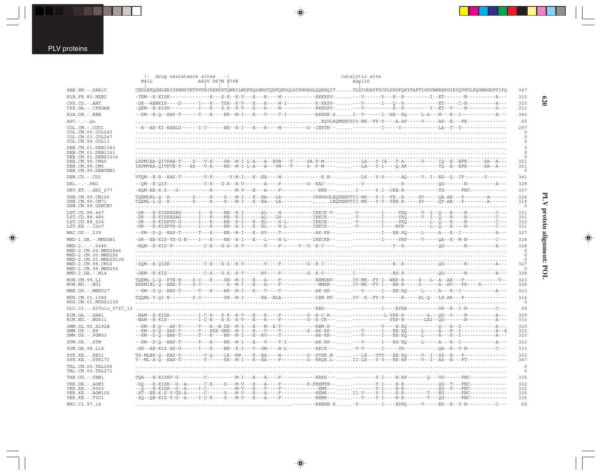$\overrightarrow{\mathbf{\P}}$ 

|                                                                   | drug resistance sites<br>M41L<br>A62V D67N K70R                                                                                                                                                                                                                                                                                                                                                                                                    | catalytic site<br>Asp110                                                                                        |
|-------------------------------------------------------------------|----------------------------------------------------------------------------------------------------------------------------------------------------------------------------------------------------------------------------------------------------------------------------------------------------------------------------------------------------------------------------------------------------------------------------------------------------|-----------------------------------------------------------------------------------------------------------------|
| SAB.SN.-.SAB1C                                                    | CEDLEKQGHLERIGPENPYNTPVFAIRKKDKTQWRILMDFRQLNKSTQDFQEVQLGIPHPAGLQQREQITVLDIGDAYFSCPLDPDFQKYTAFTIPSVNNREPGIRYQYKVLPQGWKGSPTIFQ                                                                                                                                                                                                                                                                                                                       | 347                                                                                                             |
| H1B.FR.83.HXB2                                                    |                                                                                                                                                                                                                                                                                                                                                                                                                                                    | 315                                                                                                             |
| CPZ.CD. - . ANT<br>CPZ.GA.-.CPZGAB                                | -QEM--E-KISK----------I---K--S-K--K-V---E---R----W-----------KKKKSV---V-----------K--R--------I--ET--V----N----------S---                                                                                                                                                                                                                                                                                                                          | 315<br>313                                                                                                      |
| H2A.DE. - . BEN                                                   | --KM--E-O--EAP-T------T---K----NK--M-I---E---V----T-I--------AKKKR-SI--V-----I--HE--RO-----L-A---M---K--I------------------A---                                                                                                                                                                                                                                                                                                                    | 340                                                                                                             |
| $ASC. - . - . Qu$                                                 |                                                                                                                                                                                                                                                                                                                                                                                                                                                    | 65                                                                                                              |
| COL.CM. - . CGU1                                                  | --R--AE-KI-KAELG-------I-C------NE--K-I---E---R----M---------G--IEKTH------------I-----Y-----------LA--T--V--------------------                                                                                                                                                                                                                                                                                                                    | 297                                                                                                             |
| COL.CM.00.COL243<br>COL.CM.01.COL247                              |                                                                                                                                                                                                                                                                                                                                                                                                                                                    | 0<br>$\Omega$                                                                                                   |
| COL.CM.99.COL11                                                   |                                                                                                                                                                                                                                                                                                                                                                                                                                                    | 0                                                                                                               |
| DEB.CM.01.DEB1083<br>DEB.CM.01.DEB1161                            |                                                                                                                                                                                                                                                                                                                                                                                                                                                    | $\mathbf 0$<br>$\circ$                                                                                          |
| DEB.CM.01.DEBS1014<br>DEB.CM.99.CM40<br>DEB.CM.99.CM5             | $\begin{small} \texttt{LKPMIER-QIVPAA-T---S---V-K---S-K---M-L-L-A---A--EVW---T---S A-P-M---\ldots\ldots--LA---T-A---V--A---V---U--E--EFR---S-A---E-R--A---S-A---E-R-W-1-L-A---E-P-M---\ldots\ldots--A---V-I---Q-AR---\ldots\\ \texttt{IRPMVEA-QIVPTE-T---S---V-K---N-K---N-K---N-L-L-A---A---N--P---S--P-M---\ldots\ldots--A---Q-AR---\ldots\\ \texttt{TRPMVEA-QIVPTE-T---S-S---V-K---N-K---N-K---N-L-L-A---V-W---T---S--P-M---\ldots\ldots--A---$ | $\Omega$<br>321<br>321                                                                                          |
| DEB.CM.99.DEBCNE1                                                 |                                                                                                                                                                                                                                                                                                                                                                                                                                                    | $\circ$                                                                                                         |
| DEN.CD. - .CD1                                                    | VTQM--E-R--KAP-T--------V-P------Y-M-I---K--EA----W------------K-H-----LK---Y-V------AQ-----V--I--EG--Q--IF-------V-------                                                                                                                                                                                                                                                                                                                         | 341                                                                                                             |
| $DRL$ . - . - . $FAO$                                             |                                                                                                                                                                                                                                                                                                                                                                                                                                                    | 329                                                                                                             |
| GRV.ET. - . GRI 677                                               | - KOM - EE - K - S - - - G -                                                                                                                                                                                                                                                                                                                                                                                                                       | ----K---------M-V---E---A----F-------------KKK----I------Y-I--CKE-R------------TG-------FNC-------------<br>337 |
| GSN.CM.99.CN166<br>GSN.CM.99.CN71<br>GSN.CM.99.GSNCN7             | TOEMLRL-O--K-------S----K---S---M-I---K--EA---LA----------IPHPAGLEOKEHVTII-MK---Y-I--YE--R-----SV-----OA-AE---F--------A-----                                                                                                                                                                                                                                                                                                                      | 326<br>319<br>$\circ$                                                                                           |
| LST.CD.88.447                                                     | $-{\tt DR---E-KISKADAG---N--N---K---N\\E--K-I----A{\tt I---N--+--N--+KKCK-V-}\dots\ .\ -{\tt V------T---YRQ---V-I--Q---R---N---N---N---C---C---S$                                                                                                                                                                                                                                                                                                  | 331                                                                                                             |
| LST.CD.88.485                                                     | $-{\tt DR---E-KISKADAG-----Y---N---K--N--K--1----AL---LH----1KKCK---\ldots.\\ -{\tt V-------YR\bar Q----V--I--\bar Q---R---N---\ldots.\\ -{\tt V--------X}$                                                                                                                                                                                                                                                                                        | 331                                                                                                             |
| LST.CD.88.524<br>LST.KE.-.lho7                                    |                                                                                                                                                                                                                                                                                                                                                                                                                                                    | 332<br>331                                                                                                      |
| MAC.US.-.239                                                      | --KM--D-Q--EAP-T------T---K----NK--M-I---E--RV----T----------AK-KR-----------I---EE-RQ-----L-----A---K--I------------------A---                                                                                                                                                                                                                                                                                                                    | 327                                                                                                             |
| MND-1.GA.-.MNDGB1                                                 |                                                                                                                                                                                                                                                                                                                                                                                                                                                    | 324                                                                                                             |
| $MND-2. - - - 5440$                                               |                                                                                                                                                                                                                                                                                                                                                                                                                                                    | 328                                                                                                             |
| MND-2.CM.00.MND2S46<br>MND-2.CM.00.MND2S6<br>MND-2.CM.01.MND2S109 |                                                                                                                                                                                                                                                                                                                                                                                                                                                    | $\circ$<br>$\circ$<br>$\circ$                                                                                   |
| MND-2.CM.98.CM16                                                  |                                                                                                                                                                                                                                                                                                                                                                                                                                                    | 327                                                                                                             |
| MND-2.CM.99.MND254<br>$MND-2.GA.-.M14$                            |                                                                                                                                                                                                                                                                                                                                                                                                                                                    | 0                                                                                                               |
| MON.CM.99.L1                                                      | TOEML-L-O--PTE-N----S-C---K----SK--M-I---E---A----F----------EKMDHV-IV-MK--FY-I--WEP-R-----S---L--A--AK---F-------------V--                                                                                                                                                                                                                                                                                                                        | 328<br>323                                                                                                      |
| $MON.NG. - . NG1$                                                 | XREMIEL-Q--EAE-T----S-C---------K--M-I---E---A----F--------------NMAN--IV-MK--FY-I---EN-R----S------A--AV---FR----X---------                                                                                                                                                                                                                                                                                                                       | 326                                                                                                             |
| MNE.US. - . MNE027                                                | --KM--D-Q--EAP-T------T---K----NK--M-I---E---V----T----------AK-KR-----V------I---EE-RQ-----L-----A---K--I-------------------A---                                                                                                                                                                                                                                                                                                                  | 323                                                                                                             |
| MUS.CM.01.1085                                                    | TOOML-V-OI-E--------S-C--------SK--M-I------EA--ELA------------IEH-HV-IV--K--FY-V------R-----SL-O---LG-AR---F-------------------                                                                                                                                                                                                                                                                                                                   | 316                                                                                                             |
| MUS.CM.01.MUSS1239                                                |                                                                                                                                                                                                                                                                                                                                                                                                                                                    | $\circ$                                                                                                         |
| OLC.CI. - . SIVolc 97IC 12                                        |                                                                                                                                                                                                                                                                                                                                                                                                                                                    | 69                                                                                                              |
| RCM.GA. - . GAB1<br>RCM.NG. - . NG411                             | -NAM--E-KIS-----------I-C-K---S-K--K-V---E---R-----F--------G--K-CR---------------YEP-R--------LAI--QG-------N--------------A---                                                                                                                                                                                                                                                                                                                   | 329<br>333                                                                                                      |
| SMM. SL. 92. SL92B<br>$SMM.US. - .H9$<br>$SMM.US. - . PGM53$      | --KM--E-Q---AP-T------T---K--N-DK--M-I---E---M--E-T-----------KEM-R-------------V---E-RQ----------Q---K--I------------------A---<br>--KM--D-Q--XAP-T------T---KXX-GNK--M-I---E---V----T--------------AX-RR-----V------I---EE-RQ-----L-----A--K--I------------------A-<br>--KM--D-O--EAP-T------T---K----NK--M-I---E--RV----T----------AK-RR----V-----I---EE-RO-----L-----A--K--I---------------A---                                                | 320<br>323<br>323                                                                                               |
| STM.US.-.STM                                                      | --KM--D-Q--EAP-T------T---K----NK--M-I---E---V----T-I---------AK-RR-----V------I---EG-RQ-----L-----A---K--I------------------A---                                                                                                                                                                                                                                                                                                                  | 323                                                                                                             |
| SUN.GA.98.L14                                                     |                                                                                                                                                                                                                                                                                                                                                                                                                                                    | 333                                                                                                             |
| SYK.KE. - . KE51<br>SYK.KE. - . SYK173                            | VS-MLEK-Q--KAS-T--------V-Q----LK--MP----K--EA----W--------G--STKR.M----LK---YTV---EE-RQ-----V--I--SS--E---F---------------                                                                                                                                                                                                                                                                                                                        | 353<br>347                                                                                                      |
| TAL.CM.00.TAL266<br>TAL.CM.00.TAL271                              |                                                                                                                                                                                                                                                                                                                                                                                                                                                    | $\circ$<br>$\circ$                                                                                              |
| TAN.UG. - . TAN1                                                  | $TOA---E-KTSKV-G------C$                                                                                                                                                                                                                                                                                                                                                                                                                           | 335                                                                                                             |
| VER.DE. - . AGM3                                                  | -DQ---E-KISK--G--A------C-K----S---M-V---E---A----F--------S-FEKMTE----------Y-I----E-R-----------QG--T---FNC-------------                                                                                                                                                                                                                                                                                                                         | 332                                                                                                             |
| VER. KE. - . 9063                                                 |                                                                                                                                                                                                                                                                                                                                                                                                                                                    | 332                                                                                                             |
| VER. KE. - . AGM155<br>VER.KE. - . TYO1                           | -KT--EE-K-S-V-GD-A------C-----S---M-V---E---A----F----------KKMK---II-V----Y-I----E-R-------T---EG------FNC-----------<br>-SQ--QE-KIS-V-G--A----I-C-K----S---M-V---E---A----F-----------RKMR------V----Y-I----N-R-------T---QG------FNC------------                                                                                                                                                                                                | 335<br>335                                                                                                      |
| WRC.CI.97.14                                                      |                                                                                                                                                                                                                                                                                                                                                                                                                                                    | -----RKNKN-S -V--------I----EYRO-----V-----ES--K--V-N----------C---<br>69                                       |

 $\begin{picture}(20,5) \put(0,0){\line(1,0){10}} \put(15,0){\line(1,0){10}} \put(15,0){\line(1,0){10}} \put(15,0){\line(1,0){10}} \put(15,0){\line(1,0){10}} \put(15,0){\line(1,0){10}} \put(15,0){\line(1,0){10}} \put(15,0){\line(1,0){10}} \put(15,0){\line(1,0){10}} \put(15,0){\line(1,0){10}} \put(15,0){\line(1,0){10}} \put(15,0){\line(1,$ 

 $\spadesuit$ 

### $620$

PLV protein alignment: POL

 $\begin{picture}(120,140)(-6.5,14.0) \put(0,0){\vector(0,1){10}} \put(15,0){\vector(0,1){10}} \put(15,0){\vector(0,1){10}} \put(15,0){\vector(0,1){10}} \put(15,0){\vector(0,1){10}} \put(15,0){\vector(0,1){10}} \put(15,0){\vector(0,1){10}} \put(15,0){\vector(0,1){10}} \put(15,0){\vector(0,1){10}} \put(15,0){\vector(0,1){10}} \put(15,0){\vector(0,1){10}}$ 

 $\overline{\phantom{0}}$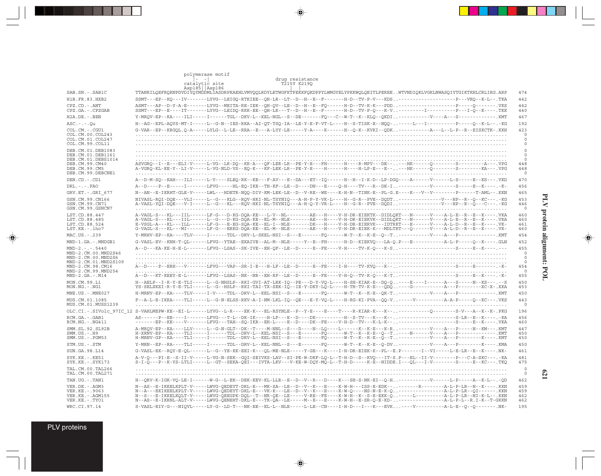|                                                                                                                                                        | polymerase motif                                                                                                                                                                                                                                                                                                                                                                                                                                                                                                                                      |                                                                       |
|--------------------------------------------------------------------------------------------------------------------------------------------------------|-------------------------------------------------------------------------------------------------------------------------------------------------------------------------------------------------------------------------------------------------------------------------------------------------------------------------------------------------------------------------------------------------------------------------------------------------------------------------------------------------------------------------------------------------------|-----------------------------------------------------------------------|
|                                                                                                                                                        | $ -$<br>drug resistance<br>T215Y K2190<br>catalytic site                                                                                                                                                                                                                                                                                                                                                                                                                                                                                              |                                                                       |
| SAB.SN.-.SAB1C                                                                                                                                         | Asp185   Asp186<br>TTANKILQEFRQKNPDVDIYQYMDDMLIASDRPKAEHLVMVQQLRDYLETWGFKTPEKKFQKDPPYLWMGYELYPKKWQLQEITLPEREEWTVNDIQKLVGKLNWASQIYTGIKTKHLCRLIRG.ARP                                                                                                                                                                                                                                                                                                                                                                                                   | 474                                                                   |
| H1B.FR.83.HXB2                                                                                                                                         | SSMT---EP--KQ---IV-------LYVG--LEIGQ-RTKIEE--QH-LR--LT--D--H--E--F-------H-D--TV-P-V---KDS---------------------P---VRO--K-L--.TKA                                                                                                                                                                                                                                                                                                                                                                                                                     | 442                                                                   |
| CPZ.CD. - . ANT<br>CPZ.GA. - . CPZGAB                                                                                                                  | ASMT---AP--D-Y-A-E-------LYVG--MEITA-RE-IEK--OH-OV--LE--D--H--E--FO------H-D--TV-K-K---PDD-------------------------Q-------.VKS<br>SSMT---EP--E----IT-------LYVG--LEIDQ-RKK-EE--QH-LK---T--D--H--E--F-------H-D--TV-P-Q---K-V---------I---------P---I-Q--K----.TKK                                                                                                                                                                                                                                                                                    | 442<br>440                                                            |
| H2A.DE. - . BEN                                                                                                                                        | Y-MROV-EP--KA----ILI-----I------TGL--DKV-L--KEL-NGL--S--DE------FO---C--W-T--K--KLO--OKDI-----------V---A---S-------------.KMT                                                                                                                                                                                                                                                                                                                                                                                                                        | 467                                                                   |
| $ASC. - . - . 0u$                                                                                                                                      | H--AG--EPL-AQYS-MT-I-----L--G-N--IES-RKA--AI-QT-TSQ-IA--LE-Y-E-F-VT-L----H--S-TISK-E--NQQ------L---I-------P-----Q--K-L--.-KG                                                                                                                                                                                                                                                                                                                                                                                                                         | 192                                                                   |
| COL.CM.-.CGU1<br>COL.CM.00.COL243<br>COL.CM.01.COL247<br>COL.CM.99.COL11                                                                               | G-VAR--EP--KRGOL.O-A-----LYLG--L-LE--RRA--E---A-LYY-LE-----Y-A----K-----H--O-K--KVKI--ODK------------A---L-P--R--EISKCTK-.KKH                                                                                                                                                                                                                                                                                                                                                                                                                         | 423<br>$\circ$<br>$\circ$<br>$\circ$                                  |
| DEB.CM.01.DEB1083<br>DEB. CM. 01. DEB1161<br>DEB.CM.01.DEBS1014<br>DEB.CM.99.CM40<br>DEB.CM.99.CM5<br>DEB.CM.99.DEBCNE1                                | ASVGRQ--I--E---ELI-V-----L-VG--LR-DQ--KK-A---QF-LER-LR--PE-Y-E---FH------H----R-MPV---DE-----HK------Q--------S----------A---.VPG<br>A-VGRO-KL-KE-Y--LI-V-----L-VG-NLD-VS--EO-K---KF-LEK-LR--PE-Y-E----H------H----H-LP-E---E-----HK------O--------S---------KA---.VPG                                                                                                                                                                                                                                                                                | $\circ$<br>$\circ$<br>0<br>448<br>448<br>$\mathbf 0$                  |
| DEN.CD. - . CD1                                                                                                                                        | A--D-M-SO--KAH---ILI-----L-V----SLEO-RK--KE---F-AV---E--DA---ET--IO------H--H--I-K-D--LP-DGO----A------V-----L-S-----E--KS---. VKD                                                                                                                                                                                                                                                                                                                                                                                                                    | 470                                                                   |
| $DRL$ . - . - . $FAO$                                                                                                                                  | A--D----P--E-----I-------LFVG-----HL-EQ-IKE--TH-KF--LE--D----DN---E----Q-H----TV---R--DK-I----------V--------S-----E--K-----.K-                                                                                                                                                                                                                                                                                                                                                                                                                       | 456                                                                   |
| GRV.ET. - . GRI 677                                                                                                                                    | N--AN--E-IKRHT-GLE-V-----LWL---HDETR-NQQ-DIV-KM-LEK-LE--D--V-RE--WE----K-H-N--TINK-E--PL-G.E----K---V--V-------P------T-AML--.KKN                                                                                                                                                                                                                                                                                                                                                                                                                     | 465                                                                   |
| GSN.CM.99.CN166<br>GSN.CM.99.CN71<br>GSN.CM.99.GSNCN7                                                                                                  | NIVASL-RQI-DQE---VLI-----L--G---KLG--RQV-HKI-NL-TSYNIQ---A-H-P-Y-VK-L----H--G-R--PVE--DQDT----------------V---HP--R--Q--KC---.-KG<br>A-VASL-YQI-DQE---V-I-----L--G---KL---RQV-HKI-NL-TSYNIQ---A-H-Q-Y-VR-L----H--G-R--PVE--DQDI----------------V---HP--R--Q---C---.-KG                                                                                                                                                                                                                                                                                | 453<br>446<br>$\circ$                                                 |
| LST.CD.88.447<br>LST.CD.88.485<br>LST.CD.88.524<br>LST.KE. - . lho7                                                                                    | A-VAGL-S---KL---IIL------LF-G---D-KG-DQA-KE---L-V--NL--------AE---H----V-H-DR-EIEKTK--DIDLQKT---N------V----A-L-E--R--E--K----.VKA<br>A-VAGL-S---KL---IIL------L--G---D-KG-DQA-KE--EL-M--NLE-------AE---H----V-H-DR-EIEKVK--DIDLQKT---N------V----A-L-E--R--E--K----.VKA<br>E-VSGL-A---KL---ILL------LF-G---E-EG-SQA-KE--EL-I--NLE-------DK---H----V-H-DR-EIERVK---IDTRKT---E------V----A-L-D--R--E--K----.VK-<br>G-VAGL-S---KL---MI-------LF-G---ERKG-DQA-KE--EL-M--NLE-------AE---H----V-H-DR-EIEK-K---MDLTKT---Q------V----A-L-D--R--E--K-----.VK- | 460<br>460<br>461<br>460                                              |
| MAC.US.-.239                                                                                                                                           | Y-MRHV-EP--KA----TLV-----I------TDL--DRV-L-SKEL-NSI--S---E-------FQ------W-T--K--K-B--Q--T---------V----A---P---------------.KMT                                                                                                                                                                                                                                                                                                                                                                                                                      | 454                                                                   |
| MND-1.GA.-.MNDGB1                                                                                                                                      | G-VASL-EV--KNH-T-QL------LFVG--YTAE--EKAIVE--AL-M--NLE-----Y--E--FH------H-D--KIEKVQ---LA-Q.P---E-------------A-L-P-----Q--K----.GLN                                                                                                                                                                                                                                                                                                                                                                                                                  | 452                                                                   |
| $MND-2. - - - 5440$<br>MND-2.CM.00.MND2S46<br>MND-2.CM.00.MND2S6<br>MND-2.CM.01.MND2S109<br>MND-2.CM.98.CM16<br>MND-2.CM.99.MND254<br>$MND-2.GA.-.M14$ | A--D---KT-KEEY-E-L-------LFVG--LSAS--NK--NR--EH-RF--LE--D-----E--FE----V-H-Q--TV-K-Q---K-T-----                                                                                                                                                                                                                                                                                                                                                                                                                                                       | 455<br>$\circ$<br>$\mathbf 0$<br>$\mathbf 0$<br>454<br>$\circ$<br>455 |
| MON.CM.99.L1<br>$MON.NG. - . NG1$                                                                                                                      | H--AELP--I-K-Y-E-TLI-----L--G-NHSLP--RKI-GVI-AT-LRK-IO--PE--D-Y-VO-L----H-SH-KIAK-E--DO-O----E----I------A--S-----N--KS---.-S<br>YS-SELXKXI-R-Y-E-TLI-----L--G--HSLP--RKI-TAI-TX-SEK-IQ--IE-Y-DKY-LQ-L----H-TH-TV-K-E---QDQ----G-------------A---P---------XC-X-.XKA                                                                                                                                                                                                                                                                                  | 450<br>453                                                            |
| MNE.US. - . MNE027                                                                                                                                     | H-MRNV-EP--KA----TLV-----I-V----TDL--DRV-L--KEL-NSI--S---E-------FO------W-T--K--K-E--OK-T---------V----A---P----------------.KMT                                                                                                                                                                                                                                                                                                                                                                                                                     | 450                                                                   |
| MUS.CM.01.1085<br>MUS.CM.01.MUSS1239                                                                                                                   | F--A-L-E-IKKA----TLI-----L--G-N-ELSS-RKV-A-I-NM-LKL-IO--OE---E-Y-VO-L----H-RG-KI-PVA--OO-V-----V----------A-A-P-----O--KC---.VKS                                                                                                                                                                                                                                                                                                                                                                                                                      | 443<br>$\circ$                                                        |
|                                                                                                                                                        | OLC.CI.-.SIVolc 97IC 12 S-VAHLMEPW-KE--EI-L------LYVG--L-R----EK-K---EL-RSYNLE--P--Y-E----E----T----R-KIAR-K---K---------------Q--------S-V---A--K--K-.PKG                                                                                                                                                                                                                                                                                                                                                                                            | 196                                                                   |
| RCM.GA.-.GAB1<br>$RCM.NG. - . NG411$                                                                                                                   | AS------P--EE----I-------LFVG---T-L--DK-IK----H-LF---E--D----DK-----------H--S-TV---K---K--, --------------------S-LR--E--K-----. -KA<br>-------EP--KE----V-------LFVG---TAH--SQ-IKR--EH-L----E--D----DK--FE----V-H-D--TV---K-L-K--------------------------E--K----.VKA                                                                                                                                                                                                                                                                               | 456<br>460                                                            |
| SMM.SL.92.SL92B<br>$SMM.US.-.H9$<br>$SMM.US. - . PGM53$                                                                                                | A-MROV-EP--KA----LLV-----L--G-N-GLT--DK--T----M-NNL--S---D----N-LO----L------K--K-E---K-R------------V---A---P-----N--KMT<br>H-XRNV-EP--KA----TLI-----I------TDL--DRV-L--KEL-NSI--S---E-------FQ------W-T--K--K-E--Q--T----N------V----A---P----------------XM<br>H-MRNV-GP--KA----TLI-----I------TDL--DRV-L--KEL-NSI--S---E-------FQ------W-T--K--K-E--Q--T---------V----A---P--------K-----KWT                                                                                                                                                      | 447<br>450<br>450                                                     |
| STM.US.-.STM                                                                                                                                           | Y-MRN--EP--RA----TLI-----I------TDL--DRV-L--KEL-NNL--S---E-------FQ-----W-T--K--K-E--Q-DV----------V----A---P---------K----.KMA                                                                                                                                                                                                                                                                                                                                                                                                                       | 450                                                                   |
| SUN.GA.98.L14                                                                                                                                          | G-VASL-EK--ROY-E-OL------L--G--YE-KK-EEI-K---OL-ME-NLE-----Y-GE---K----I-H-DR-EIEK-K--PL--E.P-------I--VI-----L-E-LR--E--K----.NK-                                                                                                                                                                                                                                                                                                                                                                                                                    | 461                                                                   |
| SYK.KE. - . KE51<br>SYK.KE. - . SYK173                                                                                                                 | A-V-Q---PI-E--S-II-V-----L-VG-N-SEK--GQI-SEIVKS-LAV--SI-PE-W-DKF-LQ-L--T-H-D--S--KVQ---IT-S.P---EL--II-V--------P---C-A-SKC---. -KA<br>S-I-O---P--K-YS-LTLI-----L--GT--SEKA-OEI---IVTA-LKV---V-KE-W-DOY-MO-L--T-H-D-----K-E--NIDDE.I---OL---I-V-------S-----E--KC---.TKO                                                                                                                                                                                                                                                                              | 481<br>475                                                            |
| TAL. CM. 00. TAL266<br>TAL. CM. 00. TAL271                                                                                                             |                                                                                                                                                                                                                                                                                                                                                                                                                                                                                                                                                       | $\circ$<br>$\circ$                                                    |
| TAN.UG. - . TAN1                                                                                                                                       | H--ORV-K-IGK-VO-LE-I------W-G--L-EK--DEK-EEV-KL-LLR--E--D--V--R---D----K---SH-S-NK-EI--O-H----------------L-P-----A--K-L--.-OD                                                                                                                                                                                                                                                                                                                                                                                                                        | 462                                                                   |
| VER.DE. - . AGM3<br>VER.KE. - . 9063<br>VER. KE. - . AGM155<br>VER.KE. - . TYO1                                                                        | N--AS--E-IKKELKPLT-V-----LWVG-QEDEYT-DRL-E---MK-SA--LE--D--V--K---E----K-W-H---ISS-E-EDK--------R-------A-L-P-LR--N--K----.KKN<br>N--A---EKIKEELKPLT-V-----LWVG-OEDEYT-DKL-E---VK-K---LE--D--V--K---E----K-W-O----NS-N-E-K-O------------------A-L-P-LR--OI------.KKN<br>N--S---E-IKKELKOLT-V-----LWVG-OEEGPK-DOL--T--NR-OE--LE-----V-RE--FE----K-W-H--K--S-E-EKK-O-----L----------A-L-P-LR--NI-K-L--.KKN<br>N--AS--E-IKRNL-ALT-V-----LWVG-QENEHT-DKL-E---TK-QA--LE----M--E---E----K-W-H--E-SR-Q-E-KD-----------------A-L-P-L--R.I-K--T-GKKN           | 459<br>459<br>462<br>462                                              |
| WRC.CI.97.14                                                                                                                                           | S-VASL-EIY-G---NIQVL-----LY-G--LD-T---NK-EE--EL-L--NLE-----L-LE--CN----I-H-D---I---K---EVK----V------------A-L-E--Q--0-------.NK-                                                                                                                                                                                                                                                                                                                                                                                                                     | 195                                                                   |

 $\begin{picture}(20,5) \put(0,0){\vector(0,1){10}} \put(15,0){\vector(0,1){10}} \put(15,0){\vector(0,1){10}} \put(15,0){\vector(0,1){10}} \put(15,0){\vector(0,1){10}} \put(15,0){\vector(0,1){10}} \put(15,0){\vector(0,1){10}} \put(15,0){\vector(0,1){10}} \put(15,0){\vector(0,1){10}} \put(15,0){\vector(0,1){10}} \put(15,0){\vector(0,1){10}} \put(15,0){\vector(0,$ 

PLV protein alignment: POL **PLV protein alignment: POL**

 $\spadesuit$ 

 $\overline{\phantom{0}}$ 

▋

**621**

PLV proteins

 $\overrightarrow{\mathbf{\P}}$ 

 $\frac{1}{\sqrt{2}}$ 

---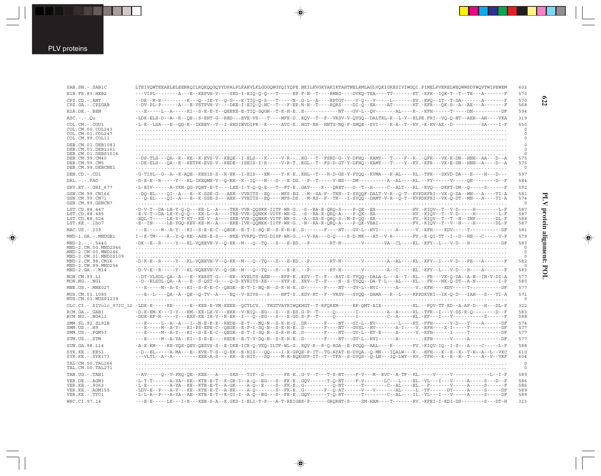⊕

| SAB.SN.-.SAB1C                                                                                                                                  | LTEIVQWTEEAELELEENRQILRQKQQGQYYDPALPLRAKVLKLGDGQWGYQIYQPE.NKILKVGKYAKIKTAHTNELRMLAGLVQKIGKESIVIWGQI.PIMELPVERELWEQWWSDYWQVTWIPEWEM                                                                                                                                                                                                                                                                                                                                                                                                    |
|-------------------------------------------------------------------------------------------------------------------------------------------------|---------------------------------------------------------------------------------------------------------------------------------------------------------------------------------------------------------------------------------------------------------------------------------------------------------------------------------------------------------------------------------------------------------------------------------------------------------------------------------------------------------------------------------------|
| H1B.FR.83.HXB2                                                                                                                                  | ---VIPL--------A---E--KEPVH-V----SKD-I-EIO-O-O---T-----EP.F-N--T----RMRG----DVKO-TEA----TT-------KT.-KFK--IOK-T--T--TE---A--------F                                                                                                                                                                                                                                                                                                                                                                                                   |
| CPZ.CD.-.ANT<br>CPZ.GA.-.CPZGAB                                                                                                                 | --DR--M-R--------K---Q--IE-Y--Q-G---K-TIQ-Q-S---T-----N-.G-L--A----RPTGT----V-Q---V-----L------EV.-KFQ--IT--T-DA-------A------F<br>--DV-PL-P------A---E-VSTPVH-V----DKE-I-EIQ-Q-NC--T---F-EP.H-N--T----RQRS----DI-Q--EA----AT-------KT.-KFR---QK-S--A--AE---A--------F                                                                                                                                                                                                                                                                |
| H2A.DE.-.BEN                                                                                                                                    | ---E------L--A-----KI--S-E-E-Y--QEEKE-E-TIQ-SQGH--T-K-H-EE------------NT---GV-L--QV-------AL----R-.-KFH------T-----DN---------DF                                                                                                                                                                                                                                                                                                                                                                                                      |
| ASC.-.-.Ou                                                                                                                                      | -LDK-ELS-D--A--R--QE--S-EHT-G--RED---EVE-VS---T----MFK-DKQV--T--F--VRSV-V-QYGQ--DALTRL-R--L-Y--RLPE.FRI--VQ-Q-NT--AEH--AN----VKA                                                                                                                                                                                                                                                                                                                                                                                                      |
| COL.CM.-.CGU1<br>COL.CM.00.COL243<br>COL.CM.01.COL247<br>COL.CM.99.COL11                                                                        | -L-E--LSA---E--QD-K--IKEEV--V--I-HEDIWVDIFR--K-----AVC-KHGT-RR--HNTG-NQ-F-SMQE--SVI----R-A--T--KV.-K-KV-AK--D----------SA----I-F                                                                                                                                                                                                                                                                                                                                                                                                      |
| DEB.CM.01.DEB1083<br>DEB.CM.01.DEB1161                                                                                                          |                                                                                                                                                                                                                                                                                                                                                                                                                                                                                                                                       |
| DEB.CM.01.DEBS1014<br>DEB.CM.99.CM40<br>DEB.CM.99.CM5<br>DEB.CM.99.DEBCNE1                                                                      |                                                                                                                                                                                                                                                                                                                                                                                                                                                                                                                                       |
| DEN.CD.-.CD1                                                                                                                                    | -G-TISL--G--A--K-AQE--KESIS-S--R-EK--I-EIS---EN----T-K-EKHL--T---H-D-GS-Y-PYQQ--KVMA---R-AL----RL.-TFR---SKVD-DA---E----N---D---                                                                                                                                                                                                                                                                                                                                                                                                      |
| DRL.-.-.FAO                                                                                                                                     | -D-E-E--R------Y---KL-IKEOMH-V--O-EK--K--IO---N---S---E-DD.--P--T-----V-NS---DM---------A--AL----RL.--FY------V-----OE-------D--F                                                                                                                                                                                                                                                                                                                                                                                                     |
| GRV.ET.-.GRI 677                                                                                                                                | -L-EIV------A-YKN-QG-VQET-E-T----LKE-I-T-Q-Q-E---T--FT-EGAV----R---QRET---D--T--H-----C--ALT---RL.-RVQ---DKKT-DM--Q-----S------F                                                                                                                                                                                                                                                                                                                                                                                                      |
| GSN.CM.99.CN166<br>GSN.CM.99.CN71<br>GSN.CM.99.GSNCN7                                                                                           | --DQ-EL----QI--A---E--K-SSE-G---AEK--VVEITS--EQ----MFS-EG-M--SA-F--TRN--I-SYQQF-DALT-V-R--Q-T--KVPDKFRI--VK-Q-DA--MN---A----TI-A<br>---Q-EL----QI--A---E--K-SSE-S---AEK--VVEITS--EQ----MFS-DS-M-RS--F--TR---I-SYQQ--DAMT-V-R--Q-T--KVPDKFRI--VK-Q-DT--MN---A----TI-A                                                                                                                                                                                                                                                                  |
| LST.CD.88.447<br>LST.CD.88.485<br>LST.CD.88.524<br>LST.KE.-.lho7                                                                                | -D-V-T--DA-LE-Y-Q-Q---KE-L--A----TKE-VVR-QQSKK-IITF-WR-G-S--RA-R-QRQ-S----P-QK--EA-------------HV.-KIQV--T--V-D-----H-------L-F<br>-E-V-T--DA-LE-Y-Q-Q---KE-L--A----TKE-VVR-QQNKK-VITF-WR-G-S--RA-R-QRQ-A----P-QK--EA-----------HV.-KIQV--T--V-D-----H-------L-F<br>-EQL-T-----LE-Y-T-KT--KE-V--A----SKE-VVR-QQNKK-VITF-WR-G-A--RA-R-QRQ-S--M-P-QQ--EA------------FV.-KIQV--T--T--N--INF-------DL-F<br>-E--IN-----LE-YGQ-KEV-KE-M--A----EKE-IVR-QQNKK-IITF-WR-G-N--RA-R-QRQ-A----P-QK-VEAI-----------FV.-KIQV--T--V--H----H------DL-F |
| MAC.US.-.239                                                                                                                                    | ---E------M--A-Y---KI--S-E-E-C--QEGK--E-T-I-SQ-N--S-K-H-ED-------F----NT---GV-L--HVI------A------V.-KFH----KDV-----T---------DF                                                                                                                                                                                                                                                                                                                                                                                                       |
| MND-1.GA.-.MNDGB1                                                                                                                               | I--K-TM----R--Y-Q-KE--AEE-E-S----NKE-YVRFQ-TTG-DISF-WK-G--V-RA---G-Q----S-D-MK---AT--V-R-------FV.-K-QI-TT--I--D--HE---C-----V-F                                                                                                                                                                                                                                                                                                                                                                                                      |
| MND-2.-.-.5440<br>MND-2.CM.00.MND2S46<br>MND-2.CM.00.MND2S6<br>MND-2.CM.01.MND2S109<br>MND-2.CM.98.CM16<br>MND-2.CM.99.MND254<br>MND-2.GA.-.M14 | -DK--E--R-----Y---KL-VQEEVH-V--Q-EK--M---Q--TQ---S---E-ED.--P--------RT-N-------VA---VA--CL----KL.-KFY--L---V-D---H---------DF<br>-D-K-E--R------Y---KL-VQEEVH-V--Q-EK--M---Q--TQ---S---E-ED.--P--------RT-N-------V-------A--AL----KL.-KFY--I---V-D---PE---A-------F<br>-D-V-E--R------Y---KL-VQEEVH-V--Q-GK--M---Q--TQ---S---E-E-.--P--------RT-H-------V---------A--C-----EL.-KFY--L---V-D---H----A-------F                                                                                                                        |
| MON.CM.99.L1<br>MON.NG.-.NG1                                                                                                                    | --DT-VLSDL-OA--A---E--KEEST-G----NE--KVELTS-AEN----RFF-EKSV--T--F---RST-S-TYQQ--DALA-L---A--T--RL.--FR---VK-Q-DA--A-N--IN-V-DI-A<br>--D--ELSDL-QA--A---E--S-QST-G----Q-D-KVEITS-XE-----XYF-EXRV--T--F----N--S-TYQQ--DA-T-L---AL----KL.--FR---NK-Q-DT--A-N---------I-P                                                                                                                                                                                                                                                                 |
| MNE.US.-.MNE027                                                                                                                                 | ---E------M--A-Y---KI--S-E-E-C--OEGK--E-T-I-NO-N--S-K-H-ED-------F----NT---GV-L--HVI------A------V.-KFH----KDV-----T--------DF                                                                                                                                                                                                                                                                                                                                                                                                        |
| MUS.CM.01.1085<br>MUS.CM.01.MUSS1239                                                                                                            | ---E--L----OA--A--OE--O-TV--A----EO--V-EIVS---S----NFT-SKGV-RT--F--VRSV---SYOO--DAMA---R--L----KPPDKVRI--IK-O-D---IAH---S---TI-A                                                                                                                                                                                                                                                                                                                                                                                                      |
|                                                                                                                                                 | OLC.CI.-.SIVolc 97IC 12 -LDK-E-----KE-----E--KEE-E-VM-KEEE--QCTLCYTKGTVAYRIWQKHGT--T-RFQRKM-----KF-QMT-AIE-----------KL.--FQV-TT-KD--A-AF-D---H---DD-F                                                                                                                                                                                                                                                                                                                                                                                |
| RCM.GA.-.GAB1<br>RCM.NG.-.NG411                                                                                                                 | -D-K-EM-K---I-Y---KM--KE-LH-V---EKK--V-NIQ--EG---S---E-ES.G-P--T-----Q-------I-----------------RL.-TFR--I---V-D\$-R-Q-------D--F<br>-DDK-EF-R-----Y---KAV-KE-IH-V--N-EK--I---Q--EG---S---E-GD.S-P--T-----Q--------I---------C--A-----KL.-KF---I---V-----------S------F                                                                                                                                                                                                                                                                |
| SMM.SL.92.SL92B<br>SMM.US.-.H9<br>SMM.US.-.PGM53                                                                                                | ---E-----L--A--A--I--N-E-E-R--REDE--E-T---NQ-N--S-K-H-GDR------F----NT---GI-L--NV--------L----KT.-FFH------V-D---T----A------DF<br>---E-----M--A-Y---KI-PS-EPE-C--QEGK--E-P-I-SQ-N--S-K-H-ED-------F----NT---GVSL--HV-------A-I----V.-RFH----X-I-----T---------DF<br>---E------M--A-Y---KI--S-E-E-C--QEGK--E-T-I-SQ-N--S-K-H-ED-------F----NT---GV-L--HV-E-----A-----V.-KFH------I-----T---------DF                                                                                                                                   |
| STM.US.-.STM                                                                                                                                    | ---E------M--A-YA--KI--S-E-E----REDK--E-T-V-DQ-N--S-K-H-ED-------F----NT---GV-L--HVI------A-------.KFH------V-----A---------DF                                                                                                                                                                                                                                                                                                                                                                                                        |
| SUN.GA.98.L14                                                                                                                                   | -A-K-KM----RE-YQS-QEV-QESVS-S--E-DKE-ICR-Q-VKQ-ILTF-WL-GKQV-R--R-Q-RGA--E-PCQQ--AAL----R------FV.-KIQV-IQ--I-S---A----C-----L-F                                                                                                                                                                                                                                                                                                                                                                                                       |
| SYK.KE.-.KE51<br>SYK.KE.-.SYK173                                                                                                                | --D--EL-----A-MA---E--KVE-T-S--Q-EK--E-HIS---QQ----I-K-GPQE-P-IT--TG-AYAT-H-DYQA--Q-MN---IQALW---K-.-EFH---K--E--K--T-H--A--L--VKC<br>---VLTL--A--A--------KEE-A-S----KK--E-HIT---SQ----M-K-EQKGPP-IT--T--TFA--S-DYQS--Q-LN---IQ-LWY--KV.-TFH---K--E--K--T----A--V--VKF                                                                                                                                                                                                                                                               |
| TAL.CM.00.TAL266<br>TAL.CM.00.TAL271                                                                                                            |                                                                                                                                                                                                                                                                                                                                                                                                                                                                                                                                       |
| TAN.UG.-.TAN1                                                                                                                                   | --AV-----Q--V-FRQ-QE--KEE---A----SKS---TIT--D-------FK-EG-V--T---T-S-NT----F-V---M--RVC--A-TF--KL.----V-----V-------------L--I-F                                                                                                                                                                                                                                                                                                                                                                                                      |
| VER.DE.-.AGM3<br>VER.KE.-.9063<br>VER.KE.-.AGM155<br>VER.KE.-.TYO1                                                                              | -L-T-T------A-YA--KE--KTE-E-T--K-GR-I--A-Q--EG---S--FK-EGOV------T-Q-NT----F-V-------LC---L----EL.-VL---I---V-----A----S---D--F<br>-L-E--------A-YA--KE--KTE-E-T--A-GK----A-Q--E----S--FK-EG----------Q-NT------T-------C--AL----EL.--F------V-----A-----S------F<br>-LDV-E--P---A-Y---KE--KTE-E-T--A-EK-----A-Q-------S--FK-EG-------F--Q-AT------V----V-----AL-----L.-TF------DT-----A-----S----DF<br>-L-L-A--P---A-YA--AE--KTE-E-T--K-GI-I--A-Q--EG---S--FK-EGQV------T-Q-NT------T------C--AL----IL.-VL---I---V-----A-----S----DF |

 $\color{red}\blacklozenge$ 

WRC.CI.97.14 ---E-E-----LE---I-K---KEE-S-A--K.GKD-I-ELI-T-P---A-T-REIGEK-P------GRQRHT-S----SM-HAM----T-------RV.-KFRI-I-KDI-DS--------S---DT-H 323

 $\Rightarrow$ 

**622**

PLV protein alignment: POL **PLV protein alignment: POL**

 $\clubsuit$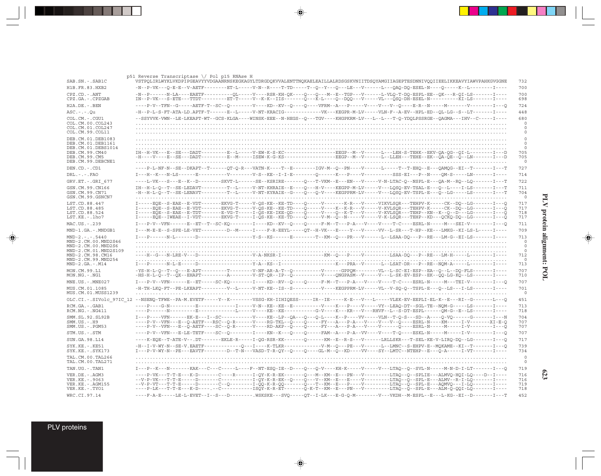| SAB.SN.-.SAB1C<br>VSTPOLIRLWYKLVKDPIPGEAVYYVDGAANRNSKEGKAGYLTDRGDOKVVALENTTNOKAELEAILLALRDSGSKVNIITDSOYAMGIIAGEPTESDNNIVOOIIEELIKKEAVYIAWVPAHKGVGGNE<br>H1B.FR.83.HXB2<br>-N--P-VK---Q-E-E--V-AETF--------ET-L------V-N--R----T-TD-----T--Q--Y---Q---LE---V------L---QAQ-DQ-ESEL-N----Q-----K--L---------I----  | 732                   |
|-----------------------------------------------------------------------------------------------------------------------------------------------------------------------------------------------------------------------------------------------------------------------------------------------------------------|-----------------------|
|                                                                                                                                                                                                                                                                                                                 | 700                   |
| CPZ.CD. - . ANT<br>-N--P------N-LA----EAETF---------QL-----V----RSR-KH-QK----Q---M--E--TGP---V------L-VLQ-T-DQ-ESPL-EE--QK---R-QI-LS-------I----<br>IN--P-VK---S-ETE---TTDT---------ET-T-----V--K-K--IIS-------Q---K-L----Q--DQQ---V-----VL---QSQ-DH-ESEL-N-----------KI-LS-------I----<br>CPZ.GA.-.CPZGAB      | 700<br>698            |
| ----P-V--TFN--G-----AETF-T--SC--O--------V----KD--KV--O----O----VFRM--A---P-----V----V---V--O----E-R--N------M-------V--------I---O<br>$H2A.DE. - .BEN$                                                                                                                                                         | 724                   |
| $ASC. - . - . Qu$<br>-H--P-L-S-FT-ATA-LD.APTF-T-----E--L-----V-NT-KRACIG------------VK---KEGPR-M-LV-----VLN-F--A-EV--HPL-ED--QL-LG--S--LT-------I----                                                                                                                                                           | 448                   |
| COL.CM. - . CGU1<br>--SSYVVK-VWN--LE-LKEAPT-WT--GCS-KLGA----WINSK-EEE--N-HEGS--Q---TGV----KHGPKRM-LV---L--L--T-Q-YDQLPSSRGE--QAGMA---IHV--C-----I----                                                                                                                                                           | 680                   |
| COL.CM.00.COL243<br>COL.CM.01.COL247                                                                                                                                                                                                                                                                            | 0<br>$\circ$          |
| COL.CM.99.COL11                                                                                                                                                                                                                                                                                                 | $\circ$               |
| DEB.CM.01.DEB1083<br>DEB.CM.01.DEB1161                                                                                                                                                                                                                                                                          |                       |
| DEB.CM.01.DEBS1014<br>IH--H-VK---E--SE---DADT---------E--L-----V-EW-K-S-KC-----------------EEGP--M--V------L---LEH-S-TEHK--EKV-QA-QG--QI-L--------I---D<br>DEB.CM.99.CM40                                                                                                                                       | 705                   |
| -H----V---E--SE---DADT---------E--M-----ISEW-K-G-KS---------------EEGP--M--V------LL--LLEH---TEHE--EK--QA-QE--Q--LN-------I---D<br>DEB.CM.99.CM5                                                                                                                                                                | 705                   |
| DEB.CM.99.DEBCNE1                                                                                                                                                                                                                                                                                               | 0                     |
| ----P-L-NF-N--SE--DKAPT--T------QT-Q-R---VATN-K----T--E--------IGV-M--Q--PN----V------L----T--EHQ--E---QAMQG--EI--T------I---T<br>DEN.CD. - .CD1                                                                                                                                                                | 727                   |
| $DRL - - - FAO$<br>I---H--K---N-LS------E----------V--------V-S--KE--I-I-E--------Q------K---P----V---------SSS-EI---P--N----QM-S-----LN-------I----                                                                                                                                                            | 714                   |
| ----L-VK---S---E--K--D--------SKVT-L------SE--KSRIRE-------Q---T-VKM--E---EN---V-N--ITAC-Q--NSPL-E---QA-M--RQ--LQ-------I---T<br>GRV.ET. - .GRI 677                                                                                                                                                             | 722                   |
| IH--H-L-Q--T--SE-LEDAVT---------T--L-----V-NT-KHRAIE--E----Q---H-V----KEGPP-M-LV-----V---LQSQ-EV-TSAL-E---Q--L----I-LS-------I---T<br>GSN.CM.99.CN166                                                                                                                                                           | 711                   |
| -H--H-L-Q--T--SE-LENAVT---------T--L-----V-NT-KYRAIE--G----Q-V-----KEGPPRM-LV-----V---LQSQ-EV-TSPL-E---Q--LG-----LS-------I---T<br>GSN.CM.99.CN71<br>GSN.CM.99.GSNCN7                                                                                                                                           | 704<br>$\circ$        |
| LST.CD.88.447<br>I-----EQE--S-EAE--E-VDT-------EKVG-T-----V-QS-KE--KE-TD----Q------V--------K-R---V-I---VIKVLSQR---TEHPV-K-----CK--DQ--LG-------I---Q                                                                                                                                                           | 717                   |
| I-----EQE--S-EAE--E-VDT-------EKVG-T-----V-QS-KE--KE-TD----Q-----V----K--K--V-----V-KVLSQR---TEHPV-K----CK--DQ--LG------I---Q<br>LST.CD.88.485                                                                                                                                                                  | 717                   |
| I-----EOE--S-EAE--E-TDT-------E-VG-T-----I-OS-KE-IKE-OD----O-----V----O--K-T---V-----V-KVLSOR---TEHP--KN--K--O--D---LG-------I---O<br>LST.CD.88.524<br>I-----EQE--IWEAE--I-VDT-------EKVG-T-----I-QS-KE--KE-TD----Q-----V-M--Q--N-----V-----V-K-LSQR---TEHP--KD---QCKQ-DQ--LG-------I---Q<br>LST.KE.-.lho7      | 718<br>717            |
| MAC.US.-.239<br>I---P-V--VFN------E--ET--T--SC-KO--------I----KD--KV--O----O----F-M--T---P-A---V----T-C----ESRL-N-----M---SEI-V-------I---O                                                                                                                                                                     | 711                   |
| MND-1.GA.-.MNDGB1<br>I---M-E-E--S-SPE-LE-VET---------D--M-----I----F-R-EEYL-----OT--H-VK---E----Y-----VV--L-SR---T-HP--KE---LMKG--KI-LS-L-----I----                                                                                                                                                             | 709                   |
| $MND-2. - - - 5440$<br>I---P------N-L-------D------------------Y-S--KS------E--------T--KM--Q---PR---V------L--LSAA-DQ---P--RE---LM-G--EI-LS-------I----                                                                                                                                                        | 713                   |
| MND-2.CM.00.MND2S46                                                                                                                                                                                                                                                                                             | 0                     |
| MND-2.CM.00.MND2S6                                                                                                                                                                                                                                                                                              | $\circ$<br>$\circ$    |
| MND-2.CM.01.MND2S109<br>----H--G---N-LRE-V---D--------------------V-A-NKSR-I---------------KM--Q---P----V---------LSAA-DQ---P--RE---LM-H-----L---------I----<br>MND-2.CM.98.CM16                                                                                                                                | 712                   |
| MND-2.CM.99.MND254<br>$MND-2.GA.-.M14$<br>I---P------N-L-E-----D------------------Y-A--KS--I--------------------K---PRA--V------L--LSAT-DR---P--RE--NQM-A-----L----------I-----                                                                                                                                 | 713                   |
| MON.CM.99.L1<br>-YS-H-L-Q--T--Q---E-APT---------T-------V-NF-AR-A-T--Q---------V------GPPQM--------VL--L-SC-EI-ESP--EA--Q--L--DQ-FLS-------I----                                                                                                                                                                | 707                   |
| MON.NG.-.NG1<br>-HS-H-L-Q--T--QX--EHAPT---------A--------V-ST-QR--IP--Q----------V----QNGPASM--V-----V---L-SK-EV-ESP--EK--QQ-LG-KQ--LS-------I----                                                                                                                                                              | 710                   |
| MNE.US.-.MNE027<br>I---P-V--VFN------E--ET-----SC-KQ--------I----KD--RV--Q----G----F-M--T---P-A---V----T-C----ESRL-N-----M---TEI-V--------I---Q                                                                                                                                                                 | 707                   |
| -H-TH-LKQ-FT--PE-LKEAPT---------V--L-----V-NT-KE--IS--S----------V----KEGPPRM-LV-----VL--V-SQ-Q--TSPL-E---Q--LS---I-LS-------I----<br>MUS.CM.01.1085<br>MUS.CM.01.MUSS1239                                                                                                                                      | 701<br>- 0            |
| OLC.CI.-.SIVolc 97IC 12 --NSENQ-TFWE--PA-M.EVETF-----Y--K--------VSSG-KH-IIHIQESS-----IR--IE-----K-E---V---L-----VLEK-EV-EEPLI-EL-K--E---RI--G-------L---Q                                                                                                                                                      | 451                   |
| ----P----G-N---------E--------------I-----V-N--KE--KE--E----------V----K---P----VY---LEAQ-DT--SGL-TE--NQM-G-----LS-------I----<br>RCM.GA.-.GAB1<br>$RCM.NG. - . NG411$<br>----P------N---------E-----------L-----V----KE--KE---------G-V----K---KR---V---RHVF--L--S-DT-ESPL------OM-G--E--LS-------I----        | 713<br>718            |
| SMM.SL.92.SL92B<br>I---P----VFN------EK-E---I--SC-----------V----KE--LP--QA---Q---Q-L----K--P----VV-----VLN--T-Q-S---SD--A----Q-VQ------G-------I---N                                                                                                                                                           | 704                   |
| ----P-V--VFN---E--O-AETF---RSC--O-R------V----RG-TKL--O----O-----FY---A---P-A---V----V---V--O----ESRL-N-----KM------I-V-------XI-E-O<br>$SMM. US. - . H9$                                                                                                                                                       | 707                   |
| SMM. US. - . PGM53<br>----P-V--VFN---E--Q-AETF----SC--Q-R------V----RD-AKP--Q----G----FY---A---P-A---V-----V-----Q----ESRL-N-----M-----I-V--------I---Q                                                                                                                                                         | 707                   |
| STM.US.-.STM<br>----P-V--VFN---E-LE-TETF----SC--O--------I----KN--K---O-----FAM--A---P-A--VV----V----T-O----ESKL-N-----M-----I-V-------I---O                                                                                                                                                                    | 707                   |
| SUN.GA.98.L14<br>----K-EOE--T-ATE-V--.DT-------EKLE-R-----I-OG-RSR-KK-------O------KM--E--R-S---V------LRLLSKR---T-SEL-KE-V-LIRO-DO--LG-------I---O                                                                                                                                                             | 717                   |
| SYK.KE. - . KE51<br>-H--I-V-WY-N--SE-V.EAETF------------Q---I----K-TLKR-------------V-M--Q---PE---V------L--LMNC--S-EHPV-E--MQKAME--KI--T-------I---Q<br>I---P-V-WY-N--PE---EAVTF-------D--T-N---VASD-T-R-QY--Q----GL-M--Q--KD----VV----SY--LMTC--NTEHP--E---Q-A----I-VT-------I----<br>$SYK.KE. - .SYK173$     | 739<br>734            |
| TAL.CM.00.TAL266<br>TAL.CM.00.TAL271                                                                                                                                                                                                                                                                            | $^{\circ}$<br>$\circ$ |
| I---P--K---N-------KAK---C---C------E---F--NT-ESO-IE--D----O--O-V----KH-K-----V-----V---LTAO--O--SVL-N-----M-N-D-I-LT-------I---O<br>TAN.UG.-.TAN1                                                                                                                                                              | 719                   |
| ----P-VK---T-T-E---K-D-------C----R------I-QY-K-R-EK-------Q---M--KM--E---PN---V---------LTAQ--Q--SPLIE---ALMVQ-HQI-LQ----D--I----<br>VER.DE. - . AGM3                                                                                                                                                          | 716                   |
| VER.KE. - . 9063<br>--V-P-VK---T-T-E-----D-------C---------I-OY-K-R-EK--O----O---V--KM--E---E----V--------LTAO--O--SPL-E---ALMV--R-I-LO-------I----<br>VER. KE. - . AGM155<br>--V-P-VT---T-T-E-----D-------C--O--------I-OO-K-R-OO-------O---T--KM--E---P----V--------LTAO--O--SPL-E---AOMVO---I-LO-------I---- | 716<br>719            |
| VER.KE. - . TYO1<br>----P-LK---T-T-E---K-D----.--C----------ISQY-K-R-ET-------Q-K-T--KM--E---PN---V--------LTAQ--Q--SPL-E---ALM-Q-QQI-LQ-------I----                                                                                                                                                            | 718                   |
| WRC.CI.97.14<br>----F-A-E-----LE-L-EVET--I--S---D-------- .WSKSKE---SVQ-----QT--I-LK---E-G-Q-M--------V---VKDH--M-ESPL--E---L-KG--EI--D-------I---T                                                                                                                                                             | 452                   |

 $\begin{picture}(20,5) \put(0,0){\vector(0,1){10}} \put(15,0){\vector(0,1){10}} \put(15,0){\vector(0,1){10}} \put(15,0){\vector(0,1){10}} \put(15,0){\vector(0,1){10}} \put(15,0){\vector(0,1){10}} \put(15,0){\vector(0,1){10}} \put(15,0){\vector(0,1){10}} \put(15,0){\vector(0,1){10}} \put(15,0){\vector(0,1){10}} \put(15,0){\vector(0,1){10}} \put(15,0){\vector(0,$ 

 $\begin{picture}(20,5) \put(0,0){\line(1,0){10}} \put(15,0){\line(1,0){10}} \put(15,0){\line(1,0){10}} \put(15,0){\line(1,0){10}} \put(15,0){\line(1,0){10}} \put(15,0){\line(1,0){10}} \put(15,0){\line(1,0){10}} \put(15,0){\line(1,0){10}} \put(15,0){\line(1,0){10}} \put(15,0){\line(1,0){10}} \put(15,0){\line(1,0){10}} \put(15,0){\line(1,$ 

 $\overline{\phantom{0}}$ 

**623**

PLV proteins

 $\overrightarrow{\mathbf{\P}}$ 

 $\overline{\overline{\phantom{a}}}%$ 

. . .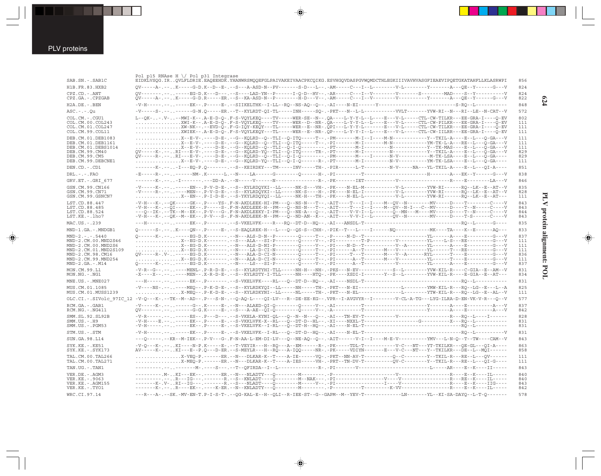$\bigoplus$ 

|                                            | Pol p15 RNAse H \/ Pol p31 Integrase                                                                                                                                                                                                                                     |
|--------------------------------------------|--------------------------------------------------------------------------------------------------------------------------------------------------------------------------------------------------------------------------------------------------------------------------|
| SAB.SN.-.SAB1C                             | EIDKLVSQG.IRQVLFLDRIE.EAQEEHDK.YHANWRSMQQEFGLPAIVAKEIVAACPKCQIKG.ESVHGQVDASPGVWQMDCTHLEGKIIIVAVHVASGFIEAEVIPQETGKATAHFLLKLASRWPI                                                                                                                                         |
| H1B.FR.83.HXB2                             | QV-----A-.--K-----G-D.K--D--E-.--S---A-ASD-N--PV-------S-D---L--.-AM-----C---I--L--------V-L---------------A---QE--Y------G---V                                                                                                                                          |
| CPZ.CD. - . ANT<br>CPZ.GA.-.CPZGAB         | $QV---A-1--1. K---G-D.R---B-R---B-R--S-KA-ASD-N-P---I-D---V--1. AM---C---I--V---I--V---V---V---V---Y---S---A--QE-Y---G---V$                                                                                                                                              |
| H2A.DE. - .BEN                             |                                                                                                                                                                                                                                                                          |
| ASC. - . - . Qu                            |                                                                                                                                                                                                                                                                          |
| COL.CM.-.CGU1                              | L--QK--.V---MWI-K--.A-E-D-Q-.F-S-VQYLKEQ----TV----WER-SE--N--.QA----L-Y-Y-L--L----E---V-L-----CTL-CW-TILKR---EE-GRA-I----Q-EV                                                                                                                                            |
| COL.CM.00.COL243                           | XWI-K--.A-E-D-Q-.F-S-VQYLKEQ----TV----WER--D--NR-.QA----L-Y-Y-L--L----E---V-L-----CTL-CW-PILKR---EE-GRA-I----Q-EV                                                                                                                                                        |
| COL.CM.01.COL247<br>COL.CM.99.COL11        | XW-NK--.--EVD-Q-.F-G-IQY-KEQY---TL-----WER--E--NR-.QPI---L-Y-Y-L------E---V-L----CTL-CW-TILKR---EE-GRA-I----Q-EV<br>XWIEK--.A-E-D-Q-.F-S-VQYLKEQY---TL-----WER--E--NR-.QP----L-Y-Y-I--L----E---V-L-----CTL-CW-IILRR---EE-GRA-I----Q-EV                                   |
| DEB.CM.01.DEB1083                          | X--E-V-.----D-E-.--G--KQLRD--Q--TLI--Q-ITQ-----T--.-PM--------M-I--I-----M-N-----------Y--TKIL-A----E--L---Q-GA---V                                                                                                                                                      |
| DEB.CM.01.DEB1161                          |                                                                                                                                                                                                                                                                          |
| DEB.CM.01.DEBS1014<br>DEB.CM.99.CM40       | X--E-V-.----D-E-.--G--KQLRD--Q--TLI--Q-I-Q--------.PT-------M-I--------N-----------Y--TK-MAS----E--L---Q-GA---V<br>QV-----K-.--RI---E-V-.----D-E-.--G--KQLRD-YQ--TLI--Q-ITQ-----TR-.-PT--------M-I---------N------------Y--TKIL-A----E--L---Q-GA---V                     |
| DEB.CM.99.CM5                              |                                                                                                                                                                                                                                                                          |
| DEB.CM.99.DEBCNE1                          | X--E-V-.----D-E-.--G--KQLRD-YQ--TLI--Q-I-Q------R-.-PT-------M-I---------N-V----------YM-TK-LSA----E--L---Q-GA----                                                                                                                                                       |
| DEN.CD. - .CD1                             | --------K-.---I---EQ-P.Q-------.--S--KEIRDKY---TM-----INV-----TH-.-PIR------L-T---------N-V----NA---YL-TKIL-A----E--L---QI-A----                                                                                                                                         |
| $DRL. - . - . FAO$                         |                                                                                                                                                                                                                                                                          |
| GRV.ET. - . GRI 677                        |                                                                                                                                                                                                                                                                          |
| GSN.CM.99.CN166                            | -V-----K-.-------EN--.P-V-D-E-.--S--KYLRDQYKI--LL-----NK-S---VH-.-PK----N-EL-M----------V-L-------YVW-RI------RQ--LK--E--AT--V                                                                                                                                           |
| GSN.CM.99.CN71                             |                                                                                                                                                                                                                                                                          |
| GSN.CM.99.GSNCN7                           | X-EN--.P-I-D-E-.--S-YKYLRDQYQI--LL-----NK-H---TH-.-PK----N-EL-L-----------V-L--------YW-RI------RQ--LK--E--AT---                                                                                                                                                         |
| LST.CD.88.447                              | -V-H---K-.--QK-----GK--.P----YS-.F-N-AKDLEEK-HI-PM---Q--NS-N---T--.-AIT----T---I--I----M--QV--N--------MV-----D----T--------C----V<br>-V-H---K-.--OI-----EK--.P-----S-.F-N-AKDLEEK-H--PM---O--NS-N---T--.-AIT----T---I--I----M--OV--N-I---C--MV-----D----T--N-----C----V |
| LST.CD.88.485<br>LST.CD.88.524             | ---Q--IK-.--TK--M--EK--.P-V---G-.F-N-AKDLEEKY-I-PM---Q--NE-A---Q--.-AIT----V-V-I--L-------Q--MN---M----DV----D----T--N----C----V                                                                                                                                         |
| LST.KE.-.lho7                              | -V-H---K-.--QK--M--EK--.P-V---S-.F-N-AKDLEEK-N--PM---Q--ND-AN--K--.-AIT----V-V-I--L------QV--N-------------MV-----D----T-S------C----V                                                                                                                                   |
| MAC.US.-.239                               | ---H-----------EK--.P-------.--S-VKELVFK----R---RQ--DT-D--HQ--.-AI---ANSDL-T----------------------------------RQ--L------G----                                                                                                                                           |
| MND-1.GA.-.MNDGB1                          |                                                                                                                                                                                                                                                                          |
| $MND-2. - - - 5440$                        |                                                                                                                                                                                                                                                                          |
| MND-2.CM.00.MND2S46                        |                                                                                                                                                                                                                                                                          |
| MND-2.CM.00.MND2S6<br>MND-2.CM.01.MND2S109 |                                                                                                                                                                                                                                                                          |
| MND-2.CM.98.CM16                           | QV-----R-.V------EG-D.K-------.--N---ALA-D-CI-N--------Q-----T--.-PI-----T---------M---V--A------RYL------T----E---------G---V                                                                                                                                           |
| MND-2.CM.99.MND254                         | X--EG-D.K-------.--N---ALA-D-CI-N-------Q-----T--.-PI-------A--T-------M---V---------YL------T----E--------G---V                                                                                                                                                         |
| $MND-2.GA.-.M14$                           |                                                                                                                                                                                                                                                                          |
| MON.CM.99.L1<br>$MON.NG. - . NG1$          | -V-R--G--.------MENL-.P-R-D-E-.--S--KYLRDTYHI-TLL-----NH-H---NH-.-PKS---N-EV-----------S--L-------YVW-KIL-R----C-GIA--E--AM--V                                                                                                                                           |
| MNE.US. - . MNE027                         |                                                                                                                                                                                                                                                                          |
| MUS.CM.01.1085                             | -V----NS-.------MEO--.P-K-D-E-.--S--KYLRDKYOI--LL-----NH-----TH-.-PKT---N-EI---------------L-------YMW-KIL-R---RO--LG--E---L-A                                                                                                                                           |
| MUS.CM.01.MUSS1239                         |                                                                                                                                                                                                                                                                          |
|                                            | OLC.CI.-.SIVolc 97IC 12 -V-Q---K-.--TK--M--AD--.P---S-N-.--Q-AQ-L----QI-LV---R--DE-EE-KG--.VPR--I-AVGVYR--I--------V-CL-A-TG---LYG-ILRA-D-EN-VK-V-R---Q--V                                                                                                               |
| RCM.GA. - . GAB1<br>RCM.NG. - . NG411      |                                                                                                                                                                                                                                                                          |
| SMM.SL.92.SL92B                            |                                                                                                                                                                                                                                                                          |
| $SMM.US. - . H9$<br>SMM.US.-.PGM53         | -V-H----E.-------EK--.P-----E-.--S-VKKLVFK-X--RL---Q--DT-D--HL--.-XI----NXXL-T--------------G--------------X---RQ--L-----------                                                                                                                                          |
| STM.US.-.STM                               |                                                                                                                                                                                                                                                                          |
| SUN.GA.98.L14                              | ---Q-----.--KR--M-IEK--.P-V---G-.F-N-AA-L-EM-DI-LV---Q--NE-AQ--Q--.-AIT------V-I--I-----M-E-V---------YMV---L-N-Q--T--TW----CAM--V                                                                                                                                       |
| SYK.KE. -. KE51                            | -V-0---K-.--KI----N-P.K-----E-.--T-VEYIR---H--RO---A--EM------R-.-PK-----TDL-T-----------V-C---NT---YT-TKILKR---OE-GL---OI-A----                                                                                                                                         |
| SYK.KE. - . SYK173                         | AV-----K-.--KI---E--P.Q---D-ER.--S-MEYLR---H--RQ---A-IQQ-----NR-.-PK-----VDIYN-------E---V-C---NT---Y--TKILKR---DE--L--MQI------                                                                                                                                         |
| TAL. CM. 00. TAL266<br>TAL. CM. 00. TAL271 | X-MEQ-P.------ER.--N---DLKAR-K--T----A-IES-----VH-.-PRT--TN-DV-T---------QV-C--------Y--TKIL-R---RE--L---QI-G---                                                                                                                                                         |
| TAN.UG.-.TAN1                              |                                                                                                                                                                                                                                                                          |
| VER.DE. - . AGM3                           |                                                                                                                                                                                                                                                                          |
| VER.KE. - . 9063                           |                                                                                                                                                                                                                                                                          |
| VER.KE. - . AGM155<br>VER.KE. - . TYO1     |                                                                                                                                                                                                                                                                          |
| WRC.CI.97.14                               | ---R---A-.--SK.-MV-EN-T.P-I-S-T-.--QG-KAL-E--H--QLI--R-IEE-ST--G--GAPM--M--YEV-T---------------------YL--KI-SA-DAYQ--L-T-Q-------                                                                                                                                        |
|                                            |                                                                                                                                                                                                                                                                          |

 $\color{red}\blacklozenge$ 

 $\color{red}\blacklozenge$ 

**624**

PLV protein alignment: POL **PLV protein alignment: POL**

◈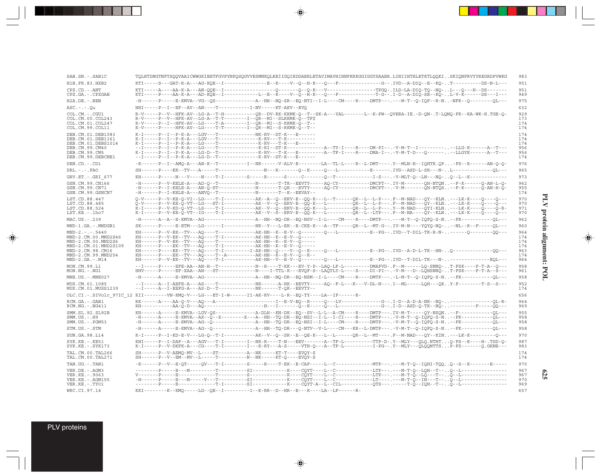| SAB.SN.-.SAB1C                                                                                                                                         | TQLHTDNGTNFTSQQVAAICWWGKIEHTFGVPYNPQSQGVVESMNKQLKEIIGQIRDDAERLETAVIMAVHIHNFKRKGGIGGYSAAER.LINIIHTELETKTLQQKISKIQNFRVYYREGRDPVWKG                                                                                                                                                                                                                                                                                                                                                                                                                                                                                              | 983                                           |
|--------------------------------------------------------------------------------------------------------------------------------------------------------|-------------------------------------------------------------------------------------------------------------------------------------------------------------------------------------------------------------------------------------------------------------------------------------------------------------------------------------------------------------------------------------------------------------------------------------------------------------------------------------------------------------------------------------------------------------------------------------------------------------------------------|-----------------------------------------------|
| H1B.FR.83.HXB2                                                                                                                                         | KTI-----S---GAT-R-A---AG-KOE--I----------------E--K----V--O--H-K---O---F--------------G--,IVD--A-DIO--E--KO-,,T---------DS-N-L---                                                                                                                                                                                                                                                                                                                                                                                                                                                                                             | 951                                           |
| CPZ.CD. - . ANT<br>CPZ.GA. - . CPZGAB                                                                                                                  | KTI-----P----AA-K-A---AD-KQE--I------------L--E--K----V--Q--H-K---Q---F------------T-G--.I-D--A-DIQ-SE--KQ-L-V-K-----DS---I---                                                                                                                                                                                                                                                                                                                                                                                                                                                                                                | 951<br>949                                    |
| H2A.DE. - .BEN                                                                                                                                         | -H------P----E-KMVA--VG--QS--------------A--HH--NQ-SR--EQ-NTI--I-L----CM----R----DMTP---.----M-T--Q-IQF--R-N-NFK--Q---------QL---                                                                                                                                                                                                                                                                                                                                                                                                                                                                                             | 975                                           |
| $ASC. - . - . 0u$                                                                                                                                      | HHI-----P--I--EF--AV--AN----T-----------I-NV-----KT-AKV--EVO                                                                                                                                                                                                                                                                                                                                                                                                                                                                                                                                                                  | 632                                           |
| COL.CM. - . CGU1<br>COL.CM.00.COL243<br>COL.CM.01.COL247<br>COL.CM.99.COL11                                                                            | R-V-----P--V--HFK-AV--LG-A--T-H----------OR--DV-RK-KKMK-O--T--SK-A---YAL------L--K-PW--OVERA-IE.-D-ON-.T-LONO-FK--KA-WK-H.TGE-O-<br>R-V-----P--V--HFK-AV--LG-A--T-T--------I--OR--MI--SLRKMK-O--TF\$<br>K-V-----P--I--HFK-AV--LG----T-A--------I--OR--MI--S-KKMK-O--T--<br>K-V-----P-----HFK-AV--LG----T-T--------I--OR--MI--S-RKMK-O--T--                                                                                                                                                                                                                                                                                    | 929<br>173<br>174<br>174                      |
| DEB.CM.01.DEB1083<br>DEB.CM.01.DEB1161<br>DEB.CM.01.DEBS1014<br>DEB.CM.99.CM40<br>DEB.CM.99.CM5<br>DEB.CM.99.DEBCNE1                                   | K-I-----P--I--P-K-A---LGV---T--------------NK-RV--DT-K---E-----<br>K-I-----P--I--P-K-A---LG----T---------------K-RV---T-K---E------<br>--I-----P--I--P-K-A---LG----T-------------K-RI--DT-K--------------A--TY-I----R---DM-PI--.-V-M-T--I------------LLG-K------A--T---<br>K-I-----P--I--P-K-A---LG-D--T-------------K-RV---T-K---E------------A--TF-I----R----DMA-I--.-V-M-T-D---O--------LLGYK-------A--T---<br>--I-----P--I--P-K-A---LG-D--T----------------K-RV--DT-K---E------                                                                                                                                           | 174<br>174<br>174<br>956<br>956<br>174        |
| DEN.CD. - .CD1                                                                                                                                         | -K------P--I--AMO-A---AN-K--T---------I--NK------V-ALV-E-------LA--TL-L----R--L-DMT----.Y--MLN-H--IOHTK.OP-FS--K------AN-O-O-                                                                                                                                                                                                                                                                                                                                                                                                                                                                                                 | 976                                           |
| DRL.-.-.FAO                                                                                                                                            |                                                                                                                                                                                                                                                                                                                                                                                                                                                                                                                                                                                                                               | 965                                           |
| GRV.ET. - .GRI 677                                                                                                                                     | KH-------P-----N---V----N----T-I--------S-----R-----S-----C--------0--T------------I-S---. V-MLT-0--LN---N0-0--L--K-----------------                                                                                                                                                                                                                                                                                                                                                                                                                                                                                          | 973                                           |
| GSN.CM.99.CN166<br>GSN.CM.99.CN71<br>GSN.CM.99.GSNCN7                                                                                                  | -H------P--V-KELE-A---AD-O--T--------------N------T-TK--EEVTY-----AO-CY----------DMCPT--.IV-M-------OH-NTON--F-K------O-AN-L-O-<br>-H------P--I-KELE-A---AN-O-ST--------------N------T-OK---EVTY-----AO-CY---------DMCPT--.-V-M-------OH-NTOS--F-K------O-AN-H-O-<br>-H------P--I-KELE-A---ANVO--T--------------N------T--K--EEVAY--                                                                                                                                                                                                                                                                                          | 962<br>955<br>174                             |
| LST.CD.88.447                                                                                                                                          | Q-V-----P--V-KE-Q-VI--LG----T-I-----------AK--A--Q--ERV-E--QQ-K---L--T------QR--L--L-P---.F--M-NAD---QY--KLN---LK-K----Q---Q---                                                                                                                                                                                                                                                                                                                                                                                                                                                                                               | 970                                           |
| LST.CD.88.485<br>LST.CD.88.524<br>$LST.KE. - Lh07$                                                                                                     | Q-V-----P--V-KE-Q-VT--LG---ST-I-----------AK--V--Q--ERV-E--QQ-K---L--------QR--L--L-P---.F--M-NAD---QY--KLN---LK-K----Q----Q---<br>K-I-----P--V-KD-Q-VT--LS----T-I-----------AK--V--Q--ERV-E--QQ-K---L---------QR--L-P---.Y--M-NAD---QYI-KLN---LK-K----Q----Q-R-<br>K-I-----P--V-KE-O-VT--IG----T-I----------AK--V--S--ERV-E--OO-K---L--------OR--L--LTP--- .F--M-NA----OY--KLN---LK-K----O----O---                                                                                                                                                                                                                           | 970<br>971<br>970                             |
| MAC.US.-.239                                                                                                                                           | -H------A--A--E-KMVA--AG------------------A--HH--NO-DR--EO-NSV--I-L----CM----R----DMTP---.---M-T--O-IOFO-S-N--FK----------OL---                                                                                                                                                                                                                                                                                                                                                                                                                                                                                               | 962                                           |
| MND-1.GA.-.MNDGB1                                                                                                                                      | SK------P----E-ETM---LG------T---------NK--Y---L-EK--E-CKE-K---A--TF-----OR--L--MT-G--.IV-M-N----YOYO-NO---NL--K--F-----OL---                                                                                                                                                                                                                                                                                                                                                                                                                                                                                                 | 960                                           |
| $MND-2. - - - 5440$<br>MND-2.CM.00.MND2S46<br>MND-2.CM.00.MND2S6<br>MND-2.CM.01.MND2S109<br>MND-2.CM.98.CM16<br>MND-2.CM.99.MND254<br>$MND-2.GA.-.M14$ | KH------P--V-EK--TV---AO----T--------------AK-HH--K--E-V--O--------O---L-----------E--PG--. IVD--T-DIL-TK-R-N-------O---------OO---<br>KH------P--V-EK--TV---AQ----T-I------------AK-HH--K--E-V--Q-----<br>KH------P--V-EK--TV---AQ----T---------------AK-HH--K--E-V--O-----<br>KH------P----EK--TV---AQ----T-I---------I-AK-HH--Q----V--Q--K-----Q---L-----------E--PG--.IVD--A-D-L-TK--HN-Q-----------------QQ---<br>KH------P----EK--TV---AQ----T--A----------AK-HH--K--E-V--Q--K--<br>KH------P--V-EK--TV---AO----T-I------------AK-HH--V--E-V--O--------O---L-----------E--PG--.IVD--T-DIL-TK---N-----------------EOL--- | 964<br>174<br>174<br>174<br>963<br>174<br>964 |
| MON.CM.99.L1<br>MON.NG.-.NG1                                                                                                                           | --I-----P----EFE-AA--AN-H--T------------N--R----T-KK---EV-Y-P--LAO-LF-L--------DMAPVD-.F--M------LO-SNNO-T-FSK----F-T-A--O---<br>HHV-----P----EF-XAA--AN---ST-------------N----I-TTL-K---EVQF-S--LAQTLY-L----X----DI-PI--.-V-M---D--LQHSNNQ-T-FSK----F-T-A--S---                                                                                                                                                                                                                                                                                                                                                              | 958<br>961                                    |
| MNE.US. - . MNE027                                                                                                                                     | -H------A-----E-KMVA--AG-----------------A--HH--NO-DR--EO-NSM--I-L----CM----R----DMTP--- .-L-M-T--O-IOFO-S-N--FK----------OL---                                                                                                                                                                                                                                                                                                                                                                                                                                                                                               | 958                                           |
| MUS.CM.01.1085<br>MUS.CM.01.MUSS1239                                                                                                                   | --I-----A--I-AEFE-A---AS----T-------------NK-----A-HK--EEVTY-----AO--F-L---K---V-DL-N---.I--ML-----LOH---OKY-F---------T-S--S---<br>--I-----A--I-EEFG-A---AS-D--T---------------NK------T-QK--EEVTY--                                                                                                                                                                                                                                                                                                                                                                                                                         | 952<br>174                                    |
|                                                                                                                                                        | OLC.CI.-.SIVolc 97IC 12 KII--------VN-KMQ-V---LG---ET-I-W------II-AK-RV----L-R--EQ-TY----LA--IF------R-                                                                                                                                                                                                                                                                                                                                                                                                                                                                                                                       | 656                                           |
| RCM.GA. - .GAB1<br>$RCM.NG. - . NG411$                                                                                                                 |                                                                                                                                                                                                                                                                                                                                                                                                                                                                                                                                                                                                                               | 964<br>969                                    |
| SMM.SL.92.SL92B<br>$SMM. US. - . H9$<br>SMM.US.-.PGM53                                                                                                 | KH------A-----E-KMVA--LGV-OS----------------A-DLH--KN-DK--EO--SV--L-L--A-CM----R----DMTP---.IV-M-T-----OY-NSON--F-------------OL---<br>-H------A-----E-KMVA--AX--O--X--------X---A--HH--TO-DR--EO-NSI--I-L--I-CI----R----DMTP---.-V-M-T--O-IOFO-S-N--FK----------OL---<br>-H------A-----E-KMVA--AG--Q----------------A--HH--TQ-DR--EQ-NSI--I-L----CM----R----DMTP---.-V-M-T--Q-IQFQ-S-N--FK-----------QL---                                                                                                                                                                                                                   | 955<br>958<br>958                             |
| STM.US.-.STM                                                                                                                                           | -H------A-----E-KMVA--AG--Q-----------------A--HH--TQ-DR---Q-NTV--V-L----CM---KR--L-DMTP---.-V-M-T--Q-IQFQ-S-N--FK-----------QL---                                                                                                                                                                                                                                                                                                                                                                                                                                                                                            | 958                                           |
| SUN.GA.98.L14                                                                                                                                          | K-I-----P--I-KD-E-V---LG-O--T-I-----------AK--V--O--SR--E--OE-K---L--L------OR--L--MT----.F--M-NAD---OY--KIN---LK-K---------O---                                                                                                                                                                                                                                                                                                                                                                                                                                                                                              | 970                                           |
| SYK.KE. -. KE51<br>SYK.KE. - . SYK173                                                                                                                  | KHI-----P--I-DAF--A---AGV---T-I--------I--NK-R----T-N---EEV-------A--TF-L---------TTP-D-.Y--MLY---OLO.NTHTO-FS--K----H-.TSD-O-<br>K-I-----P--V-DKFK-A---CG----T-I--------I---K-RY---A-S-----VTH-O---A--TF-L----------I-PG--.Y--MLY---OLOONTTSP-FS-------O.GKNE---                                                                                                                                                                                                                                                                                                                                                             | 987<br>983                                    |
| TAL. CM. 00. TAL266<br>TAL.CM.00.TAL271                                                                                                                | $SH---P--V-AEMO-MV-L---ST------A--NK---KT-T---EWOY-S$<br>$SH---P--V--EM--MW--L---T------N--NN---NK---KT----KT-0---EWOV-S$                                                                                                                                                                                                                                                                                                                                                                                                                                                                                                     | 174<br>174                                    |
| TAN.UG. - . TAN1                                                                                                                                       | -K------P--V--E-OT-----OV---T-I---------S-----R----T-EK--E-CAF-----L--C--------------MTP---.----M-T-O--IOHI-TOOO--S--K-------E-----                                                                                                                                                                                                                                                                                                                                                                                                                                                                                           | 970                                           |
| VER.DE. - . AGM3<br>VER.KE. - . 9063<br>VER.KE. - . AGM155                                                                                             | -H------P----E---M-----V---T---------SI-----------K----COYT----L--C-----------LT----.---M-T-O--IN---T--O--L-------------------------                                                                                                                                                                                                                                                                                                                                                                                                                                                                                          | 967<br>967<br>970                             |
| VER.KE. - . TYO1                                                                                                                                       |                                                                                                                                                                                                                                                                                                                                                                                                                                                                                                                                                                                                                               | 969                                           |
| WRC.CI.97.14                                                                                                                                           | KKI--------K--KMO-----LG--OE--I---------I--K-RR--D--HR--E---K----LA--LF------R-                                                                                                                                                                                                                                                                                                                                                                                                                                                                                                                                               | 657                                           |

 $\begin{picture}(20,5) \put(0,0){\line(1,0){10}} \put(15,0){\line(1,0){10}} \put(15,0){\line(1,0){10}} \put(15,0){\line(1,0){10}} \put(15,0){\line(1,0){10}} \put(15,0){\line(1,0){10}} \put(15,0){\line(1,0){10}} \put(15,0){\line(1,0){10}} \put(15,0){\line(1,0){10}} \put(15,0){\line(1,0){10}} \put(15,0){\line(1,0){10}} \put(15,0){\line(1,$ 

# PLV protein alignment: POL **PLV protein alignment: POL**

 $\Rightarrow$ 

**625**

PLV proteins

 $\Rightarrow$ 

--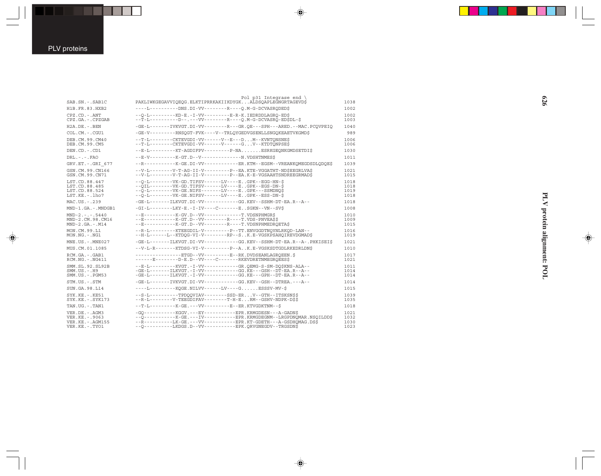| SAB.SN. - . SAB1C                                                               | Pol p31 Integrase end \<br>PAKLIWKGEGAVVIQEQG.ELKTIPRRKAKIIKDYGKALDSQAPLEGNGRTAGEVDS                                                                                                                                                                                     | 1038                         |
|---------------------------------------------------------------------------------|--------------------------------------------------------------------------------------------------------------------------------------------------------------------------------------------------------------------------------------------------------------------------|------------------------------|
| H1B.FR.83.HXB2                                                                  | ----L----------DNS.DI-VV--------R----O.M-G-DCVASRODED\$                                                                                                                                                                                                                  | 1002                         |
| $CPZ$ . $CD$ . - .ANT<br>CPZ.GA. - . CPZGAB                                     | -- 0-L --------- KD-E.-I-VV---------- E-R-K. I EDRDDLAGRO-EDS<br>--T-I----------D--.---VV---------R----O.M-G-DCVASRO-ED\$DL-\$                                                                                                                                           | 1002<br>1003                 |
| $H2A.DE. - .BEN$                                                                | -GE-L-------IVKVGT.DI-VV--------R---GR.OE---SPH---ARED.--MAC.PCOVPEIO                                                                                                                                                                                                    | 1040                         |
| COL.CM. - . CGU1                                                                | -GE-V--------RNSOGT-FVK----V--TRLOYGEDVGSENLLSNGOKEAETVKGMD\$                                                                                                                                                                                                            | 989                          |
| DEB. CM. 99. CM40<br>DEB.CM.99.CM5                                              | --T-L--------CKTEVGDI-VV-------V--E---DM--KVNTONSNE\$<br>--T-L--------CKTEVGDI-VV------V------GV--KTDTONPSE\$                                                                                                                                                            | 1006<br>1006                 |
| DEN.CD. - . CD1                                                                 | --E-L---------KT-AGDIFPV---------P-NAESRKGEONKGMDSETDI\$                                                                                                                                                                                                                 | 1030                         |
| $DRL - - -$ . $FAO$                                                             | --E-V---------K-GT.D--V---------------N.VDSHTNMESS                                                                                                                                                                                                                       | 1011                         |
| GRV.ET. - . GRI 677                                                             | --R----------K-GE.DI-VV-------------ER.KTM--EGSM--VREANKOMEGDSDLODOE\$                                                                                                                                                                                                   | 1039                         |
| GSN.CM.99.CN166<br>GSN.CM.99.CN71                                               | --V-L--------V-T-AG-II-V---------P--EA.KTE-VGGATHT-NDSEEGRLVAS<br>--V-L--------V-T-AG-II-V---------P--EA.K-E-VGSAAHTSNDREEGRMAD\$                                                                                                                                        | 1021<br>1015                 |
| LST.CD.88.447<br>LST.CD.88.485<br>LST.CD.88.524<br>$LST.KE. - Lh07$             | $-$ -O-L--------VK-GD.TIFSV------LV-----E.GPK--EGG-HN-S<br>--OIL--------VK-GD.TIFSV------LV----EGPK--EGS-DN-\$<br>--O-L--------VK-GE.NIFS-------LV----EGPK---SSMDNO\$<br>--0-L--------VK-GE.NIFSV------LV----EGPK--ESS-DN-\$                                             | 1018<br>1018<br>1019<br>1018 |
| MAC.US.-.239                                                                    | -GE-L-------ILKVGT.DI-VV-----------GG.KEV--SSHM-DT-EA.R--A--                                                                                                                                                                                                             | 1018                         |
| MND-1.GA.-.MNDGB1                                                               | $-GI-L$ --------LKY-E.-I-IV----C-------ESGKN--VN--SVS                                                                                                                                                                                                                    | 1008                         |
| $MND-2. - - - 5440$<br>MND-2.CM.98.CM16<br>$MND-2.GA.-.M14$                     | --E-----------K-GV.D--VV------------T.VDSNPHMGR\$<br>--R-----------K-GT.D--VV--------R----T.VDS-PNVEASS<br>--E-----------K-GT.D--VV---------R----T.VDSNPHMEDROETAS                                                                                                       | 1010<br>1009<br>1015         |
| MON.CM.99.L1<br>$MON.NG. - . NG1$                                               | --R-L--------KTEEGDIL-V--------P--TT.ENVGGDTNOYNLRKOD-LAN--<br>--H-L------L--KTDOG-VI-V--------RP--SK.E-VGSKPSAHOIREVDGMAD\$                                                                                                                                             | 1016<br>1019                 |
| $MNE. US.-. MNE027$                                                             | $-GE-L---I LKVGT.DI-VV------GG.KEV--SSHM-DT-EA.R--PHKISEI$$                                                                                                                                                                                                              | 1021                         |
| MUS.CM.01.1085                                                                  | --V-L-R-------KTDSG-VI-V---------P--AK.E-VGSKSDTGDLRKEDRLDN\$                                                                                                                                                                                                            | 1010                         |
| RCM.GA. - . GAB1<br>$RCM.NG. - . NG411$                                         | ---------------ETGD--VV---------E--RK.DVDSEANLAGROEEN.\$<br>------E-------D-E.D--VV----C-------RKEVDRETNMEGROEES\$                                                                                                                                                       | 1017<br>1021                 |
| SMM. SL. 92. SL92B<br>$SMM. US. - . H9$<br>$SMM.US. - . PGM53$                  | --E-L--------KVGT.-I-VV------------GR.OEMG-S-SM-DO\$KNS-ALA--<br>-GE-L-------ILKVGT.-I-VV------------GG.KE---GSH--DT-EA.R--A--<br>-GE-L-------ILKVGT.-I-VV------------GG.KE---GPH--DT-EA.R--A--                                                                          | 1011<br>1014<br>1014         |
| STM.US.-.STM                                                                    | -GE-L-------IVKVGT.DI-VV------------GG.KEV--GSH--DTREA.---A--                                                                                                                                                                                                            | 1014                         |
| SUN. GA. 98. L14                                                                | ----L---------KOGE.NILVV------LV----GESSSV-MV-\$                                                                                                                                                                                                                         | 1015                         |
| $SYK.KE. - . KE51$<br>SYK.KE. - . SYK173                                        | --S-L----------TPDOOVIAV--------SSD-ERV--GTH--ITSKSNSS<br>--R-L--------V-TEEGDIFAV--------T-H-ERM--GSHV-NDPK-D\$\$                                                                                                                                                       | 1039<br>1035                 |
| TAN.UG. - . TAN1                                                                | --T-L---------K-GE.---VV---------E--ER.KTVGDKTNM--\$                                                                                                                                                                                                                     | 1018                         |
| VER.DE. - . AGM3<br>VER. KE. - . 9063<br>VER.KE. - . AGM155<br>VER.KE. - . TYO1 | -GO-----------KGGV.---EY----------EPR.KRMGDESN---A-GADN\$<br>-- 0-----------K-GE.---IV----------- EPR. KRMGDEGNM--LRGPDNQMAR. NSQILDD\$<br>--R----------LK-GE.---VV-----------EPR.KT-GDETH---A-GSDHOMAG.DS\$<br>--O---------LKDGS.D--VV----------EPK.ORVGNEGDV--TRGSDN\$ | 1021<br>1032<br>1030<br>1023 |

 $\Rightarrow$ 

 $\Rightarrow$ 

PLV protein alignment: POL **PLV protein alignment: POL**

 $\Rightarrow$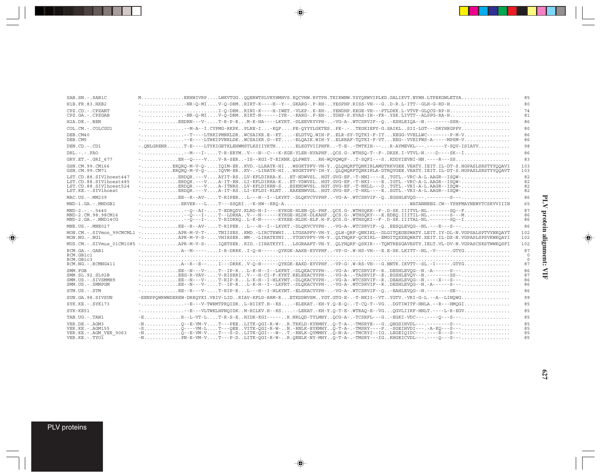| MEKHWIVRPLWKVTGGOOERWTSLVKYHMHVS.KOCVHW.RYTPH.TKIRWNW.YSYOEWVIPLKD.GALIKVT.NYWH.LTPEKGWLETYA<br>SAB.SN. - . SAB1C<br>85<br>$- \ldots \ldots \ldots \ldots \ldots \ldots \vdots$ $\text{NR-O-MI} \ldots \text{V-O-DRM} \ldots \text{RRT-K---H--Y--} \ldots \text{GRARG--} \ldots \text{RFR--} \ldots \text{YESPHP} \ldots \text{RISS--VH---G\_} \ldots \text{D-R} \ldots \text{L=ITT--GLH-G-RD-H} \ldots \ldots \ldots \ldots \ldots \ldots \ldots \ldots \ldots \ldots \text{RHS--} \ldots \text{RHS--} \ldots \text{RHS--} \ldots \text{RHS--} \ldots \text{RHS--} \ldots \text{RHS--} \$<br>H1B.FR.83.HXB2<br>80<br>CPZ.CD. - . CPZANT<br>74<br>CPZ.GA. - . CPZGAB<br>81<br>$- \ldots \ldots \ldots \ldots \ldots \text{EEDRN} - - \text{V} - \ldots \ldots \text{T-R-P-R} \ldots \text{M-K-HA---LKYRT. -DLEEVRYVPH- \ldots \text{VG-A}- \text{WTCSRVIF--Q}. - \text{KSHLEIQA--N.------SSH- \ldots \ldots \ldots \ldots \ldots \ldots$<br>$H2A.DE. -.BEN$<br>86<br>---M-A--I.CYPMG-RKPKPLRE-I-KOFPE-QYYYLGKTESPE-.-TEGKIEFY-G.SAIKLSII-LGT---DRYHRGPPV<br>COL.CM. - . COLCGU1<br>80<br>86<br>DEB.CM40<br>--E---LTHKIPVNKLDKWCSAIKR.G--KT-ELQAIK.WIH-YELRRAF-TQTKI-F-VTEEG--VVEIFWS-A-----MPSM-V<br>DEB.CM5<br>86<br>-.QNLGRENRT-E----LTYKIGETKLEHWMSTLKSIIYKTNELKGTVIIPHFR-T-E-.-TMTKIH---R-AYMEVKL---.------Y-SQV-ISIAYV<br>98<br>DEN.CD. -. CD1<br>$DRL - - - FAO$<br>---M---I-T-R-ERYMV---N--C---K-KGE-YLER-HYAPHFOCS.G-.WTHSO-T--F-.DKSK.I-VTVL-N.---D----SK--I<br>86<br>-ER--O----VV-R-SER-IS--RGI-T-KIRNK.OLPWEYRH-WOVOWOF-T-SOFI---SKDDYIEVNI-HN.----R---SS<br>83<br>GRV.ET. - . GRI 677<br>-ERORO-M-V-O-IOIM-ERKVD.-LLRATK-HIWSGKTPFV-VH-YOLOHORFTONKIRLAMDTRKVGEE.VEATY.IEIT.IL-DT-S.HGPASLSRSTYYOOAVI<br>GSN.CM.99.CM166<br>103<br>-ERORO-M-V-O-IOVM-ERKV-.-LIRATK-HIWSGKTPFV-IH-YOLOHORFTONKIRLA-DTROVGEE.VEATY.IEIT.IL-DT-S.HGPASLSRSTYYOOAVT<br>GSN.CM.99.CM71<br>103<br>LST.CD.88.SIVlhoest447<br>82<br>LST.CD.88.SIVlhoest485<br>-ERDOR.---VA-IT-RNLI-KFLDIRRA-KET-VDWVSLHGT.GVG-EF.-T-NKI----EIGTL.-VRC-A-L.AAGR--ISOW-<br>82<br>LST.CD.88.SIVlhoest524<br>82<br>$- \ldots \ldots \ldots \ldots \ldots \text{ERDOR.}--V \ldots \ldots \text{A-IT-RS.}\ldots \text{LI-KFLDI-RLNT.}\ldots \text{EAKENWVGL.}\ldots \text{HGT. GVG-EF.}-\text{T-HKL---E.}\ldots \text{GSTL.-VRL-A-L.}\text{AAGR--ISOW--}\ldots \ldots \ldots \ldots \ldots \ldots \ldots \ldots \ldots \text{A-IT-RS.}\ldots \text{HGT.}\ldots \text{HGT.}\ldots \text{HGT.}\ldots \text{HST-L.}\ldots \text{HST-L.}\ldots \text{HST-L.}\ldots \text{HST-L.$<br>LST.KE. - . SIVlhoest<br>82<br>MAC.US.-.MM239<br>86<br>$\verb --{\dots}  \verb ERVER---LT---SSORI-K-HW--RRO-A \verb MAXRNNEEG.CW--YPHEMANNEWYTCSKVVIIIN$<br>65<br>MND-1.GA.-.MNDGB1<br>87<br>$MND-2. - - - 5440$<br>MND-2.CM.98.98CM16<br>86<br>MND-2.GA.-.MND14CG<br>86<br>86<br>MNE.US.-.MNE027<br>MON.CM.-.SIVmon 99CMCML1 -APR-M-V-T-TNIISESKMD.-LIRCTKWHILTGSAPFV-VH-YOLH-ORF-ONKIKL--DLGITOEGESWATY.LEIT.IY-DL-N.VGPSALSPTVYNKOAYT<br>102<br>-APR-M-V-S-VHIRSERWM-.-LIRATKYNIYTGKVPFV-VH-YQLTHQRF-QCKIKL--EMGITQXXEQWATY.XEIT.IL-DX-N.VGPASLSPSVKWKQAYI<br>MON.NG.-.NG1<br>102<br>MUS.CM.-.SIVmus 01CM1085 -APR-M-V-S-IOETSERKID.-IIRATKYYILSGRAAFT-VH-YOLYHORF-OSKIR---TONTRESGAVESTY.IELT.VL-DV-N.VGPASCSKSTWWKOSFI<br>102<br>RCM.GA. - . GAB1<br>87<br>RCM.GB1c1<br>$\circ$<br>RCM.GB1c3<br>$^{\circ}$<br>-A--R--E--I---DRRKV-O-H------OYKGK-EAKD-EYVPHF-VP-G-.W-RS-VH---G.NNTK.IKVTT--SL.-I------.GTYG<br>RCM.NG. - . RCMNG411<br>87<br>SMM. FGB<br>86<br>-EEG-R-VAV-V-RISRRIV---H-CI-F-KYKT.RELEKACYVPH--VG-A-.-TASRVIF--EEGSHLEVOV--N.--------SS--<br>SMM. SL. 92. SL92B<br>87<br>SMM.US.-.SIVSMMH9<br>86<br>-EE--N---V-T--IP-RL-K-H--I--LKFRT.-DLOKACYVPH--VG-A-.WTCSRVIF--RDESHLEVOG--N.-A------S---<br>SMM.US.-.SMMPGM<br>86<br>-EE--R---V-T-RIP-RL---H--I-HLKYNT.-ELSKACYVPH--VG-A-.WTCSRVIF--O-EAHLEVOG--N.--------SE--<br>STM.US.-.STM<br>86<br>-EENPPOWRWWDEREW-DRROYKI.VRIV-LIDRIAV-KFLD-RRM-RETKDDWVSMYGT.GTG-E-.-T-NKII--VTYGTV.-VRI-G-L.--A--LINOWG<br>99<br>SUN.GA.98.SIVSUN<br>SYK.KE. - . SYK173<br>$-1, \ldots, \ldots, \ldots, -E---V-TWRMTPROIDR \ldots L-HIIKT .H--KS \ldots, -ELEXAT . -KH-Y. Q-E-O-1-F-CO-T--VG \ldots DGTIWITF-HNLA .--R---HMOGI \ldots, \ldots, \ldots, \ldots, \ldots$<br>85<br>$- \ldots \ldots \ldots \ldots \ldots - E---VLTWKLHPNOIDK \ldots M-HILKV.H--KS \ldots \ldots -LEKAT \ldots HH-Y.O-T-E-. WTRAO-E--VG \ldots OGVLIIKF-HNLT.---L-R-EGV \ldots \ldots \ldots \ldots \ldots \ldots \ldots$<br>SYK-KE51<br>85<br>-ER--L-VT-LT-R-S-EHIDK-KGI-----R.NRLOD-TYLMHYOCG-A-.-TCSRFL---G-EGKI-VDC---.----O---S---<br>TAN.UG. - TAN1<br>85<br>$- N \ldots \ldots \ldots \ldots Q \cdot - E - V M - V \ldots \cdot T \cdot - - P E E \ldots \text{LITK-QGI-R-W-}\ldots R \cdot \text{TRKLD-KYRMHY} \ldots Q \cdot T \cdot A \cdot \ldots \cdot \text{MRSYE---G} \ldots Q \text{HGSIHVDL---}\ldots \cdot \text{N-1} \cdot \text{N-1} \cdot \text{N-1} \cdot \text{N-1} \cdot \text{N-1} \cdot \text{N-1} \cdot \text{N-1} \cdot \text{N-1} \cdot \text{N-1} \cdot \text{N-1} \cdot \text{N-1} \cdot \text{N-$<br>85<br>VER.DE. - . AGM3<br>-S0----WM-LT---OEEVITK-OGI-R-W-N.-RNLK-EYKMHY0-T-A-.-TMSRY----PSGEIHVDI---.-A-KO---S---<br>85<br>VER. KE. - . AGM155<br>VER.KE. - . AGM VER 9063<br>85<br>$-N$ PN-E-VM-VT---P-DLITK-OGI-R-W-R.ORNLK-NY-MHYO-T-A-.-TMSRY---IGKHGEICVDL---.----O---S---<br>85<br>VER.KE. - . TYO1 |  |  |
|----------------------------------------------------------------------------------------------------------------------------------------------------------------------------------------------------------------------------------------------------------------------------------------------------------------------------------------------------------------------------------------------------------------------------------------------------------------------------------------------------------------------------------------------------------------------------------------------------------------------------------------------------------------------------------------------------------------------------------------------------------------------------------------------------------------------------------------------------------------------------------------------------------------------------------------------------------------------------------------------------------------------------------------------------------------------------------------------------------------------------------------------------------------------------------------------------------------------------------------------------------------------------------------------------------------------------------------------------------------------------------------------------------------------------------------------------------------------------------------------------------------------------------------------------------------------------------------------------------------------------------------------------------------------------------------------------------------------------------------------------------------------------------------------------------------------------------------------------------------------------------------------------------------------------------------------------------------------------------------------------------------------------------------------------------------------------------------------------------------------------------------------------------------------------------------------------------------------------------------------------------------------------------------------------------------------------------------------------------------------------------------------------------------------------------------------------------------------------------------------------------------------------------------------------------------------------------------------------------------------------------------------------------------------------------------------------------------------------------------------------------------------------------------------------------------------------------------------------------------------------------------------------------------------------------------------------------------------------------------------------------------------------------------------------------------------------------------------------------------------------------------------------------------------------------------------------------------------------------------------------------------------------------------------------------------------------------------------------------------------------------------------------------------------------------------------------------------------------------------------------------------------------------------------------------------------------------------------------------------------------------------------------------------------------------------------------------------------------------------------------------------------------------------------------------------------------------------------------------------------------------------------------------------------------------------------------------------------------------------------------------------------------------------------------------------------------------------------------------------------------------------------------------------------------------------------------------------------------------------------------------------------------------------------------------------------------------------------------------------------------------------------------------------------------------------------------------------------------------------------------------------------------------------------------------------------------------------------------------------------------------------------------------------------------------------------------------------------------------------------------------------------------------------------------------------------------------------------------------------------------------------------------------------------------------------------------------------------------------------------------------------------------------------------------------------------------------------------------------------------------------------------------------------------------------------------------------------------------------------------------------------------------------------------------------------------------------------------------------------------------------------------------------------------------|--|--|
|                                                                                                                                                                                                                                                                                                                                                                                                                                                                                                                                                                                                                                                                                                                                                                                                                                                                                                                                                                                                                                                                                                                                                                                                                                                                                                                                                                                                                                                                                                                                                                                                                                                                                                                                                                                                                                                                                                                                                                                                                                                                                                                                                                                                                                                                                                                                                                                                                                                                                                                                                                                                                                                                                                                                                                                                                                                                                                                                                                                                                                                                                                                                                                                                                                                                                                                                                                                                                                                                                                                                                                                                                                                                                                                                                                                                                                                                                                                                                                                                                                                                                                                                                                                                                                                                                                                                                                                                                                                                                                                                                                                                                                                                                                                                                                                                                                                                                                                                                                                                                                                                                                                                                                                                                                                                                                                                                                                                                            |  |  |
|                                                                                                                                                                                                                                                                                                                                                                                                                                                                                                                                                                                                                                                                                                                                                                                                                                                                                                                                                                                                                                                                                                                                                                                                                                                                                                                                                                                                                                                                                                                                                                                                                                                                                                                                                                                                                                                                                                                                                                                                                                                                                                                                                                                                                                                                                                                                                                                                                                                                                                                                                                                                                                                                                                                                                                                                                                                                                                                                                                                                                                                                                                                                                                                                                                                                                                                                                                                                                                                                                                                                                                                                                                                                                                                                                                                                                                                                                                                                                                                                                                                                                                                                                                                                                                                                                                                                                                                                                                                                                                                                                                                                                                                                                                                                                                                                                                                                                                                                                                                                                                                                                                                                                                                                                                                                                                                                                                                                                            |  |  |
|                                                                                                                                                                                                                                                                                                                                                                                                                                                                                                                                                                                                                                                                                                                                                                                                                                                                                                                                                                                                                                                                                                                                                                                                                                                                                                                                                                                                                                                                                                                                                                                                                                                                                                                                                                                                                                                                                                                                                                                                                                                                                                                                                                                                                                                                                                                                                                                                                                                                                                                                                                                                                                                                                                                                                                                                                                                                                                                                                                                                                                                                                                                                                                                                                                                                                                                                                                                                                                                                                                                                                                                                                                                                                                                                                                                                                                                                                                                                                                                                                                                                                                                                                                                                                                                                                                                                                                                                                                                                                                                                                                                                                                                                                                                                                                                                                                                                                                                                                                                                                                                                                                                                                                                                                                                                                                                                                                                                                            |  |  |
|                                                                                                                                                                                                                                                                                                                                                                                                                                                                                                                                                                                                                                                                                                                                                                                                                                                                                                                                                                                                                                                                                                                                                                                                                                                                                                                                                                                                                                                                                                                                                                                                                                                                                                                                                                                                                                                                                                                                                                                                                                                                                                                                                                                                                                                                                                                                                                                                                                                                                                                                                                                                                                                                                                                                                                                                                                                                                                                                                                                                                                                                                                                                                                                                                                                                                                                                                                                                                                                                                                                                                                                                                                                                                                                                                                                                                                                                                                                                                                                                                                                                                                                                                                                                                                                                                                                                                                                                                                                                                                                                                                                                                                                                                                                                                                                                                                                                                                                                                                                                                                                                                                                                                                                                                                                                                                                                                                                                                            |  |  |
|                                                                                                                                                                                                                                                                                                                                                                                                                                                                                                                                                                                                                                                                                                                                                                                                                                                                                                                                                                                                                                                                                                                                                                                                                                                                                                                                                                                                                                                                                                                                                                                                                                                                                                                                                                                                                                                                                                                                                                                                                                                                                                                                                                                                                                                                                                                                                                                                                                                                                                                                                                                                                                                                                                                                                                                                                                                                                                                                                                                                                                                                                                                                                                                                                                                                                                                                                                                                                                                                                                                                                                                                                                                                                                                                                                                                                                                                                                                                                                                                                                                                                                                                                                                                                                                                                                                                                                                                                                                                                                                                                                                                                                                                                                                                                                                                                                                                                                                                                                                                                                                                                                                                                                                                                                                                                                                                                                                                                            |  |  |
|                                                                                                                                                                                                                                                                                                                                                                                                                                                                                                                                                                                                                                                                                                                                                                                                                                                                                                                                                                                                                                                                                                                                                                                                                                                                                                                                                                                                                                                                                                                                                                                                                                                                                                                                                                                                                                                                                                                                                                                                                                                                                                                                                                                                                                                                                                                                                                                                                                                                                                                                                                                                                                                                                                                                                                                                                                                                                                                                                                                                                                                                                                                                                                                                                                                                                                                                                                                                                                                                                                                                                                                                                                                                                                                                                                                                                                                                                                                                                                                                                                                                                                                                                                                                                                                                                                                                                                                                                                                                                                                                                                                                                                                                                                                                                                                                                                                                                                                                                                                                                                                                                                                                                                                                                                                                                                                                                                                                                            |  |  |
|                                                                                                                                                                                                                                                                                                                                                                                                                                                                                                                                                                                                                                                                                                                                                                                                                                                                                                                                                                                                                                                                                                                                                                                                                                                                                                                                                                                                                                                                                                                                                                                                                                                                                                                                                                                                                                                                                                                                                                                                                                                                                                                                                                                                                                                                                                                                                                                                                                                                                                                                                                                                                                                                                                                                                                                                                                                                                                                                                                                                                                                                                                                                                                                                                                                                                                                                                                                                                                                                                                                                                                                                                                                                                                                                                                                                                                                                                                                                                                                                                                                                                                                                                                                                                                                                                                                                                                                                                                                                                                                                                                                                                                                                                                                                                                                                                                                                                                                                                                                                                                                                                                                                                                                                                                                                                                                                                                                                                            |  |  |
|                                                                                                                                                                                                                                                                                                                                                                                                                                                                                                                                                                                                                                                                                                                                                                                                                                                                                                                                                                                                                                                                                                                                                                                                                                                                                                                                                                                                                                                                                                                                                                                                                                                                                                                                                                                                                                                                                                                                                                                                                                                                                                                                                                                                                                                                                                                                                                                                                                                                                                                                                                                                                                                                                                                                                                                                                                                                                                                                                                                                                                                                                                                                                                                                                                                                                                                                                                                                                                                                                                                                                                                                                                                                                                                                                                                                                                                                                                                                                                                                                                                                                                                                                                                                                                                                                                                                                                                                                                                                                                                                                                                                                                                                                                                                                                                                                                                                                                                                                                                                                                                                                                                                                                                                                                                                                                                                                                                                                            |  |  |
|                                                                                                                                                                                                                                                                                                                                                                                                                                                                                                                                                                                                                                                                                                                                                                                                                                                                                                                                                                                                                                                                                                                                                                                                                                                                                                                                                                                                                                                                                                                                                                                                                                                                                                                                                                                                                                                                                                                                                                                                                                                                                                                                                                                                                                                                                                                                                                                                                                                                                                                                                                                                                                                                                                                                                                                                                                                                                                                                                                                                                                                                                                                                                                                                                                                                                                                                                                                                                                                                                                                                                                                                                                                                                                                                                                                                                                                                                                                                                                                                                                                                                                                                                                                                                                                                                                                                                                                                                                                                                                                                                                                                                                                                                                                                                                                                                                                                                                                                                                                                                                                                                                                                                                                                                                                                                                                                                                                                                            |  |  |
|                                                                                                                                                                                                                                                                                                                                                                                                                                                                                                                                                                                                                                                                                                                                                                                                                                                                                                                                                                                                                                                                                                                                                                                                                                                                                                                                                                                                                                                                                                                                                                                                                                                                                                                                                                                                                                                                                                                                                                                                                                                                                                                                                                                                                                                                                                                                                                                                                                                                                                                                                                                                                                                                                                                                                                                                                                                                                                                                                                                                                                                                                                                                                                                                                                                                                                                                                                                                                                                                                                                                                                                                                                                                                                                                                                                                                                                                                                                                                                                                                                                                                                                                                                                                                                                                                                                                                                                                                                                                                                                                                                                                                                                                                                                                                                                                                                                                                                                                                                                                                                                                                                                                                                                                                                                                                                                                                                                                                            |  |  |
|                                                                                                                                                                                                                                                                                                                                                                                                                                                                                                                                                                                                                                                                                                                                                                                                                                                                                                                                                                                                                                                                                                                                                                                                                                                                                                                                                                                                                                                                                                                                                                                                                                                                                                                                                                                                                                                                                                                                                                                                                                                                                                                                                                                                                                                                                                                                                                                                                                                                                                                                                                                                                                                                                                                                                                                                                                                                                                                                                                                                                                                                                                                                                                                                                                                                                                                                                                                                                                                                                                                                                                                                                                                                                                                                                                                                                                                                                                                                                                                                                                                                                                                                                                                                                                                                                                                                                                                                                                                                                                                                                                                                                                                                                                                                                                                                                                                                                                                                                                                                                                                                                                                                                                                                                                                                                                                                                                                                                            |  |  |
|                                                                                                                                                                                                                                                                                                                                                                                                                                                                                                                                                                                                                                                                                                                                                                                                                                                                                                                                                                                                                                                                                                                                                                                                                                                                                                                                                                                                                                                                                                                                                                                                                                                                                                                                                                                                                                                                                                                                                                                                                                                                                                                                                                                                                                                                                                                                                                                                                                                                                                                                                                                                                                                                                                                                                                                                                                                                                                                                                                                                                                                                                                                                                                                                                                                                                                                                                                                                                                                                                                                                                                                                                                                                                                                                                                                                                                                                                                                                                                                                                                                                                                                                                                                                                                                                                                                                                                                                                                                                                                                                                                                                                                                                                                                                                                                                                                                                                                                                                                                                                                                                                                                                                                                                                                                                                                                                                                                                                            |  |  |
|                                                                                                                                                                                                                                                                                                                                                                                                                                                                                                                                                                                                                                                                                                                                                                                                                                                                                                                                                                                                                                                                                                                                                                                                                                                                                                                                                                                                                                                                                                                                                                                                                                                                                                                                                                                                                                                                                                                                                                                                                                                                                                                                                                                                                                                                                                                                                                                                                                                                                                                                                                                                                                                                                                                                                                                                                                                                                                                                                                                                                                                                                                                                                                                                                                                                                                                                                                                                                                                                                                                                                                                                                                                                                                                                                                                                                                                                                                                                                                                                                                                                                                                                                                                                                                                                                                                                                                                                                                                                                                                                                                                                                                                                                                                                                                                                                                                                                                                                                                                                                                                                                                                                                                                                                                                                                                                                                                                                                            |  |  |
|                                                                                                                                                                                                                                                                                                                                                                                                                                                                                                                                                                                                                                                                                                                                                                                                                                                                                                                                                                                                                                                                                                                                                                                                                                                                                                                                                                                                                                                                                                                                                                                                                                                                                                                                                                                                                                                                                                                                                                                                                                                                                                                                                                                                                                                                                                                                                                                                                                                                                                                                                                                                                                                                                                                                                                                                                                                                                                                                                                                                                                                                                                                                                                                                                                                                                                                                                                                                                                                                                                                                                                                                                                                                                                                                                                                                                                                                                                                                                                                                                                                                                                                                                                                                                                                                                                                                                                                                                                                                                                                                                                                                                                                                                                                                                                                                                                                                                                                                                                                                                                                                                                                                                                                                                                                                                                                                                                                                                            |  |  |
|                                                                                                                                                                                                                                                                                                                                                                                                                                                                                                                                                                                                                                                                                                                                                                                                                                                                                                                                                                                                                                                                                                                                                                                                                                                                                                                                                                                                                                                                                                                                                                                                                                                                                                                                                                                                                                                                                                                                                                                                                                                                                                                                                                                                                                                                                                                                                                                                                                                                                                                                                                                                                                                                                                                                                                                                                                                                                                                                                                                                                                                                                                                                                                                                                                                                                                                                                                                                                                                                                                                                                                                                                                                                                                                                                                                                                                                                                                                                                                                                                                                                                                                                                                                                                                                                                                                                                                                                                                                                                                                                                                                                                                                                                                                                                                                                                                                                                                                                                                                                                                                                                                                                                                                                                                                                                                                                                                                                                            |  |  |
|                                                                                                                                                                                                                                                                                                                                                                                                                                                                                                                                                                                                                                                                                                                                                                                                                                                                                                                                                                                                                                                                                                                                                                                                                                                                                                                                                                                                                                                                                                                                                                                                                                                                                                                                                                                                                                                                                                                                                                                                                                                                                                                                                                                                                                                                                                                                                                                                                                                                                                                                                                                                                                                                                                                                                                                                                                                                                                                                                                                                                                                                                                                                                                                                                                                                                                                                                                                                                                                                                                                                                                                                                                                                                                                                                                                                                                                                                                                                                                                                                                                                                                                                                                                                                                                                                                                                                                                                                                                                                                                                                                                                                                                                                                                                                                                                                                                                                                                                                                                                                                                                                                                                                                                                                                                                                                                                                                                                                            |  |  |
|                                                                                                                                                                                                                                                                                                                                                                                                                                                                                                                                                                                                                                                                                                                                                                                                                                                                                                                                                                                                                                                                                                                                                                                                                                                                                                                                                                                                                                                                                                                                                                                                                                                                                                                                                                                                                                                                                                                                                                                                                                                                                                                                                                                                                                                                                                                                                                                                                                                                                                                                                                                                                                                                                                                                                                                                                                                                                                                                                                                                                                                                                                                                                                                                                                                                                                                                                                                                                                                                                                                                                                                                                                                                                                                                                                                                                                                                                                                                                                                                                                                                                                                                                                                                                                                                                                                                                                                                                                                                                                                                                                                                                                                                                                                                                                                                                                                                                                                                                                                                                                                                                                                                                                                                                                                                                                                                                                                                                            |  |  |
|                                                                                                                                                                                                                                                                                                                                                                                                                                                                                                                                                                                                                                                                                                                                                                                                                                                                                                                                                                                                                                                                                                                                                                                                                                                                                                                                                                                                                                                                                                                                                                                                                                                                                                                                                                                                                                                                                                                                                                                                                                                                                                                                                                                                                                                                                                                                                                                                                                                                                                                                                                                                                                                                                                                                                                                                                                                                                                                                                                                                                                                                                                                                                                                                                                                                                                                                                                                                                                                                                                                                                                                                                                                                                                                                                                                                                                                                                                                                                                                                                                                                                                                                                                                                                                                                                                                                                                                                                                                                                                                                                                                                                                                                                                                                                                                                                                                                                                                                                                                                                                                                                                                                                                                                                                                                                                                                                                                                                            |  |  |
|                                                                                                                                                                                                                                                                                                                                                                                                                                                                                                                                                                                                                                                                                                                                                                                                                                                                                                                                                                                                                                                                                                                                                                                                                                                                                                                                                                                                                                                                                                                                                                                                                                                                                                                                                                                                                                                                                                                                                                                                                                                                                                                                                                                                                                                                                                                                                                                                                                                                                                                                                                                                                                                                                                                                                                                                                                                                                                                                                                                                                                                                                                                                                                                                                                                                                                                                                                                                                                                                                                                                                                                                                                                                                                                                                                                                                                                                                                                                                                                                                                                                                                                                                                                                                                                                                                                                                                                                                                                                                                                                                                                                                                                                                                                                                                                                                                                                                                                                                                                                                                                                                                                                                                                                                                                                                                                                                                                                                            |  |  |
|                                                                                                                                                                                                                                                                                                                                                                                                                                                                                                                                                                                                                                                                                                                                                                                                                                                                                                                                                                                                                                                                                                                                                                                                                                                                                                                                                                                                                                                                                                                                                                                                                                                                                                                                                                                                                                                                                                                                                                                                                                                                                                                                                                                                                                                                                                                                                                                                                                                                                                                                                                                                                                                                                                                                                                                                                                                                                                                                                                                                                                                                                                                                                                                                                                                                                                                                                                                                                                                                                                                                                                                                                                                                                                                                                                                                                                                                                                                                                                                                                                                                                                                                                                                                                                                                                                                                                                                                                                                                                                                                                                                                                                                                                                                                                                                                                                                                                                                                                                                                                                                                                                                                                                                                                                                                                                                                                                                                                            |  |  |
|                                                                                                                                                                                                                                                                                                                                                                                                                                                                                                                                                                                                                                                                                                                                                                                                                                                                                                                                                                                                                                                                                                                                                                                                                                                                                                                                                                                                                                                                                                                                                                                                                                                                                                                                                                                                                                                                                                                                                                                                                                                                                                                                                                                                                                                                                                                                                                                                                                                                                                                                                                                                                                                                                                                                                                                                                                                                                                                                                                                                                                                                                                                                                                                                                                                                                                                                                                                                                                                                                                                                                                                                                                                                                                                                                                                                                                                                                                                                                                                                                                                                                                                                                                                                                                                                                                                                                                                                                                                                                                                                                                                                                                                                                                                                                                                                                                                                                                                                                                                                                                                                                                                                                                                                                                                                                                                                                                                                                            |  |  |
|                                                                                                                                                                                                                                                                                                                                                                                                                                                                                                                                                                                                                                                                                                                                                                                                                                                                                                                                                                                                                                                                                                                                                                                                                                                                                                                                                                                                                                                                                                                                                                                                                                                                                                                                                                                                                                                                                                                                                                                                                                                                                                                                                                                                                                                                                                                                                                                                                                                                                                                                                                                                                                                                                                                                                                                                                                                                                                                                                                                                                                                                                                                                                                                                                                                                                                                                                                                                                                                                                                                                                                                                                                                                                                                                                                                                                                                                                                                                                                                                                                                                                                                                                                                                                                                                                                                                                                                                                                                                                                                                                                                                                                                                                                                                                                                                                                                                                                                                                                                                                                                                                                                                                                                                                                                                                                                                                                                                                            |  |  |
|                                                                                                                                                                                                                                                                                                                                                                                                                                                                                                                                                                                                                                                                                                                                                                                                                                                                                                                                                                                                                                                                                                                                                                                                                                                                                                                                                                                                                                                                                                                                                                                                                                                                                                                                                                                                                                                                                                                                                                                                                                                                                                                                                                                                                                                                                                                                                                                                                                                                                                                                                                                                                                                                                                                                                                                                                                                                                                                                                                                                                                                                                                                                                                                                                                                                                                                                                                                                                                                                                                                                                                                                                                                                                                                                                                                                                                                                                                                                                                                                                                                                                                                                                                                                                                                                                                                                                                                                                                                                                                                                                                                                                                                                                                                                                                                                                                                                                                                                                                                                                                                                                                                                                                                                                                                                                                                                                                                                                            |  |  |
|                                                                                                                                                                                                                                                                                                                                                                                                                                                                                                                                                                                                                                                                                                                                                                                                                                                                                                                                                                                                                                                                                                                                                                                                                                                                                                                                                                                                                                                                                                                                                                                                                                                                                                                                                                                                                                                                                                                                                                                                                                                                                                                                                                                                                                                                                                                                                                                                                                                                                                                                                                                                                                                                                                                                                                                                                                                                                                                                                                                                                                                                                                                                                                                                                                                                                                                                                                                                                                                                                                                                                                                                                                                                                                                                                                                                                                                                                                                                                                                                                                                                                                                                                                                                                                                                                                                                                                                                                                                                                                                                                                                                                                                                                                                                                                                                                                                                                                                                                                                                                                                                                                                                                                                                                                                                                                                                                                                                                            |  |  |
|                                                                                                                                                                                                                                                                                                                                                                                                                                                                                                                                                                                                                                                                                                                                                                                                                                                                                                                                                                                                                                                                                                                                                                                                                                                                                                                                                                                                                                                                                                                                                                                                                                                                                                                                                                                                                                                                                                                                                                                                                                                                                                                                                                                                                                                                                                                                                                                                                                                                                                                                                                                                                                                                                                                                                                                                                                                                                                                                                                                                                                                                                                                                                                                                                                                                                                                                                                                                                                                                                                                                                                                                                                                                                                                                                                                                                                                                                                                                                                                                                                                                                                                                                                                                                                                                                                                                                                                                                                                                                                                                                                                                                                                                                                                                                                                                                                                                                                                                                                                                                                                                                                                                                                                                                                                                                                                                                                                                                            |  |  |
|                                                                                                                                                                                                                                                                                                                                                                                                                                                                                                                                                                                                                                                                                                                                                                                                                                                                                                                                                                                                                                                                                                                                                                                                                                                                                                                                                                                                                                                                                                                                                                                                                                                                                                                                                                                                                                                                                                                                                                                                                                                                                                                                                                                                                                                                                                                                                                                                                                                                                                                                                                                                                                                                                                                                                                                                                                                                                                                                                                                                                                                                                                                                                                                                                                                                                                                                                                                                                                                                                                                                                                                                                                                                                                                                                                                                                                                                                                                                                                                                                                                                                                                                                                                                                                                                                                                                                                                                                                                                                                                                                                                                                                                                                                                                                                                                                                                                                                                                                                                                                                                                                                                                                                                                                                                                                                                                                                                                                            |  |  |

 $\begin{picture}(20,5) \put(0,0){\vector(0,1){10}} \put(15,0){\vector(0,1){10}} \put(15,0){\vector(0,1){10}} \put(15,0){\vector(0,1){10}} \put(15,0){\vector(0,1){10}} \put(15,0){\vector(0,1){10}} \put(15,0){\vector(0,1){10}} \put(15,0){\vector(0,1){10}} \put(15,0){\vector(0,1){10}} \put(15,0){\vector(0,1){10}} \put(15,0){\vector(0,1){10}} \put(15,0){\vector(0,$ 

 $\spadesuit$ 

 $\overline{\phantom{0}}$ 

▊

### PLV proteins

 $\overline{\blacklozenge}$ 

 $\frac{1}{\sqrt{2}}$ 

--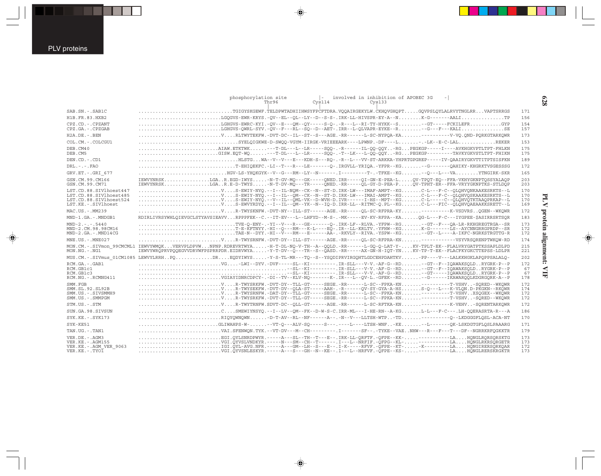|                                                                                                     | phosphorylation site<br>involved in inhibition of APOBEC 3G<br>$\vert - \vert$<br>Thr96<br>Cys114<br>Cvs133                                                                                                                                                                                                                                                                                                                                                                                                                                      |                          |
|-----------------------------------------------------------------------------------------------------|--------------------------------------------------------------------------------------------------------------------------------------------------------------------------------------------------------------------------------------------------------------------------------------------------------------------------------------------------------------------------------------------------------------------------------------------------------------------------------------------------------------------------------------------------|--------------------------|
| SAB.SN. - . SAB1C                                                                                   | $\ldots \ldots \ldots \ldots \ldots \ldots \ldots \ldots \ldots$ . TGIGYSKGEWF. TELDPWTADHIIHWSYFPCFTDRA. VOOAIRGEKYLW. CKHOVGHOPTGOVPSLOYLALRVYTNGLRRVAPTSRRGS                                                                                                                                                                                                                                                                                                                                                                                  | 171                      |
| H1B.FR.83.HXB2                                                                                      |                                                                                                                                                                                                                                                                                                                                                                                                                                                                                                                                                  | 156                      |
| CPZ.CD. - . CPZANT<br>CPZ.GA.-.CPZGAB                                                               | $\ldots \ldots \ldots \ldots \ldots \ldots \ldots$ LGHGVS-EWRC-KYI .-OV--E---OM--OY-----S-O-.-R---L--RI-TY-HYKK--S--GT-----FCKILEFRGYP                                                                                                                                                                                                                                                                                                                                                                                                           | 154<br>157               |
| H2A.DE. - . BEN                                                                                     |                                                                                                                                                                                                                                                                                                                                                                                                                                                                                                                                                  | 173                      |
| COL.CM. - . COLCGU1                                                                                 |                                                                                                                                                                                                                                                                                                                                                                                                                                                                                                                                                  | 153                      |
| DEB.CM40<br>DEB.CM5                                                                                 | AIAM.ETKTWK---T-DL---L--LR-----SQQ-.-R-----IL-QQ-QQY-RGPEGKGP-----I----AVKHGKVPTLTPT-FHLKN<br>GISW.EQT-WQ--T-DL---L--LR----SQQ--T--LK----L-QQ-QQYRGPEGKGP--------TAVKYGKVSTLTPT-FHIKN                                                                                                                                                                                                                                                                                                                                                            | 175<br>175               |
| DEN.CD. - . CD1                                                                                     | HLSTGWA--V--V---E---KDH-S---RO-.-R--L---VV-ST-ARKKA-YHPRTGPGREP-----IV-QAAIRYGKVTTITPTSISFKN                                                                                                                                                                                                                                                                                                                                                                                                                                                     | 189                      |
| $DRL - - -$ . FAO                                                                                   |                                                                                                                                                                                                                                                                                                                                                                                                                                                                                                                                                  | 172                      |
| GRV.ET. - . GRI 677                                                                                 | $\ldots\ldots\ldots\ldots\ldots\ldots\ldots\ldots$ HGV-LS-YHOKGYK--V--G---RM--LY--N-------. I--------T-.-TFKE--KG--0---L---VAYTNGIRK-SKR                                                                                                                                                                                                                                                                                                                                                                                                         | 165                      |
| GSN.CM.99.CM166<br>GSN.CM.99.CM71                                                                   | IEWVYNRSKLGAR.EGD-IWYS-N-T-GV-MO---GK-----ONED.IRR-----OI-GN-E-PEA-LOV-TPOT-EO--FFA-VKHYGKNPTOSSYALAOP<br>IEWVYNRSKLGAR.E-D-TWYS-N-T-DV-MO---TR-----ONED.-RR-----OL-GY-D-PEA-POV-TPHT-ER--FFA-VRYYGKNPTKS-STLDOP                                                                                                                                                                                                                                                                                                                                 | 203<br>203               |
| LST.CD.88.SIVlhoest447<br>LST.CD.88.SIVlhoest485<br>LST.CD.88.SIVlhoest524<br>LST.KE. - . SIVlhoest | $\ldots\ldots\ldots\ldots\ldots\ldots\ldots\ldots\ldots$ V $\ldots\ldots$ S-EWIY-NYO.--I--IL--OM--CK--N--ST-D.IRK-LW---IMAI-AMPT--KGC-L---F-C--OLOHVOSKAAKESRKTS--L<br>$\ldots\ldots\ldots\ldots\ldots\ldots\ldots\ldots\ldots\ldots$ . V $\ldots\ldots$ S-EWIY-NYQ.--V--IL--OML-VK--D-WVH-D.IVR------I-HS--MPT--KGC-L----C--OLOHVOTKTAAQPRKAP--L<br>$\ldots\ldots\ldots\ldots\ldots\ldots\ldots\ldots\ldots$                                                                                                                                    | 170<br>170<br>170<br>169 |
| MAC.US.-.MM239                                                                                      |                                                                                                                                                                                                                                                                                                                                                                                                                                                                                                                                                  | 172                      |
| MND-1.GA.-.MNDGB1                                                                                   | RDIRLIVRSYWHLOIEVGCLSTYAVSIEAVVRPPPFEK--C.--IT-EV---L--LHFYD--M-S-.-MK-----EV-KV-RFPA--KAOG-L---F-C---IYGPEE-SASIRRSRTSOR                                                                                                                                                                                                                                                                                                                                                                                                                        | 183                      |
| $MND-2. - - - 5440$<br>MND-2.CM.98.98CM16<br>MND-2.GA.-.MND14CG                                     | $\ldots \ldots \ldots \ldots \ldots \ldots \ldots \ldots \ldots \ldots$ TVE-O-ENY- . -YI--V---R---GE-------O- . IRK-LF--RLVA . -YFPW--RG --GT--F---OA-LR-RKHGREGTRGA--SR<br>T-E-KFTNYY.-HI--O---RM---K-L----EO-.IR--LL-KRLTV.-YFHW--KGK-G------LS--AYCNNGRRGPRDP--SR<br>$\ldots \ldots \ldots \ldots \ldots \ldots \ldots \ldots \ldots$ . TAE-N--DYY.-HI--V---RM---E------AA-.-RKVLY--RIVA.-YSPW--KG--GT--L----A-IKFC-NGRKSTRGTTG-R                                                                                                             | 173<br>172<br>172        |
| MNE.US.-.MNE027                                                                                     | $\ldots \ldots \ldots \ldots \ldots \ldots \ldots$ V $\ldots$ R-TWYSRNFW.-DVT-DY--ILL-ST------AGE.-RR-----OL-SC-RFPRA-KN-----------VSYVRSORENPTWKOW-RD                                                                                                                                                                                                                                                                                                                                                                                           | 174                      |
| $MON.NG. - . NG1$                                                                                   | MON.CM.-.SIVmon 99CMCML1 IEWVYWMQKVERVPLDPVWNPNP.RDREVRTWYA-H-T-DL-NO-V-TH--A--QOLD.-RR------L-GO-O-LAT-Y-KV-TPLT-EK--FLALVRYGATPTKSSAPLDLPD<br>IEWVYWROPRVPOOEGVVDRVWFPSPRRPDR.EIDRVWYA-Y-T-DV--O---TR--S--OASD.-RR-----AX-GN-H-IOT-YNKV-TP-T-EK--FLACFKYGKCTTEPSS-LDLPR                                                                                                                                                                                                                                                                        | 215<br>221               |
|                                                                                                     | MUS.CM. -.SIVmus 01CM1085 LEWVYLRRHPODREODYIWYS-Y-S-TL-MR---TO--S--YSODIPRVIRGOHTLGDCEHPDAHTKV-PP----V---LALKKHGKLAPOPPSALALO-                                                                                                                                                                                                                                                                                                                                                                                                                   | 202                      |
| RCM.GA. - . GAB1<br>RCM.GB1c1<br>RCM.GB1c3<br>RCM.NG. - . RCMNG411                                  | $\ldots \ldots \ldots \ldots \ldots \ldots \ldots$ . VGIAYIDNRCDPCY-.-DI--TV--KLV-NO-------K-.IR---L--OV-L.-GFEK--RD--G------IKAWAROOLKDGRGORK-A--P                                                                                                                                                                                                                                                                                                                                                                                              | 172<br>67<br>67<br>178   |
| SMM. FGB<br>SMM. SL. 92. SL92B<br>SMM.US.-.SIVSMMH9<br>SMM.US.-.SMMPGM                              | $\ldots \ldots \ldots \ldots \ldots \ldots \ldots \ldots \ldots$ V $\ldots$ R-TWYSRKFW.-DVT-DY--TLL-GT-----SEGE.-RR------L-SC--FPKA-KN---------T-VSHV-SORED--WKOWR                                                                                                                                                                                                                                                                                                                                                                               | 172<br>174<br>172<br>172 |
| STM.US.-.STM                                                                                        |                                                                                                                                                                                                                                                                                                                                                                                                                                                                                                                                                  | 172                      |
| SUN.GA.98.SIVSUN                                                                                    |                                                                                                                                                                                                                                                                                                                                                                                                                                                                                                                                                  | 186                      |
| $SYK.KE. - .SYK173$                                                                                 |                                                                                                                                                                                                                                                                                                                                                                                                                                                                                                                                                  | 170                      |
| SYK-KE51                                                                                            | $\ldots \ldots \ldots \ldots \ldots \ldots \ldots$ .GLIWAHPS-W- $\ldots \ldots -VT$ -O---ALV-SO-----S--- .----L----LTSH-WNF-KE--L-------OK-LSKDGTGFLOSLPAAARG                                                                                                                                                                                                                                                                                                                                                                                    | 171                      |
| TAN.UG. - . TAN1                                                                                    | $\ldots \ldots \ldots \ldots \ldots \ldots \ldots \ldots \ldots \ldots \ldots$                                                                                                                                                                                                                                                                                                                                                                                                                                                                   | 179                      |
| VER.DE. - . AGM3<br>VER. KE. - . AGM155<br>VER.KE. - . AGM VER 9063<br>VER.KE. - . TYO1             | $\ldots \ldots \ldots \ldots \ldots \ldots$ . EGI.OYLSNRDPWYR.-----A---SL--TH--T---E--. IRK-LL-ORFTF.-OFPE--KK-----------LAHONGLRORSORSKTG<br>$\ldots \ldots \ldots \ldots \ldots \ldots \ldots$ VGI.OYVSLVNDKYR.-----N---SM--CH--T------.I---L--NRFIF.-OFPG--KL-----------LAHONGLRKRSORGETR<br>$\ldots\ldots\ldots\ldots\ldots\ldots\ldots\ldots$ . IGI.OYL-AVG.NFR.----A---GM--LH--S---E--. I-K-----RFVF.-OFPE--KT--K---------LAHONGIRERSORKOAR<br>VGI.OYVSNLESKYR.----A---S---GH--N--KE--.I---L--HRFVF.-OFPE--KS------------LAHONGLRERSKRGKTR | 173<br>173<br>172<br>173 |

 $\begin{picture}(20,5) \put(0,0){\vector(0,1){10}} \put(15,0){\vector(0,1){10}} \put(15,0){\vector(0,1){10}} \put(15,0){\vector(0,1){10}} \put(15,0){\vector(0,1){10}} \put(15,0){\vector(0,1){10}} \put(15,0){\vector(0,1){10}} \put(15,0){\vector(0,1){10}} \put(15,0){\vector(0,1){10}} \put(15,0){\vector(0,1){10}} \put(15,0){\vector(0,1){10}} \put(15,0){\vector(0,$ 

 $\spadesuit$ 

## **628**

J

# PLV protein alignment: VIF **PLV protein alignment: VIF**

 $\Rightarrow$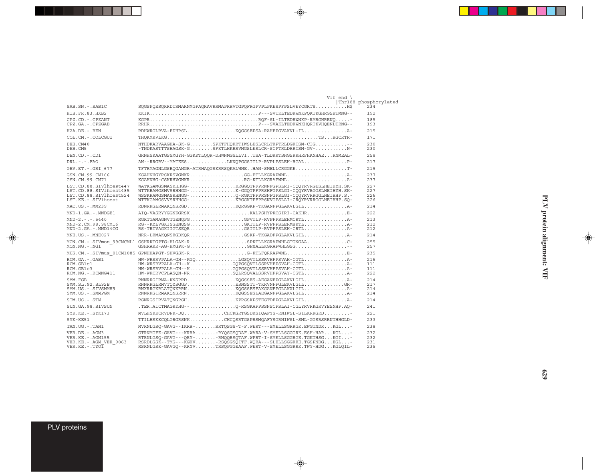|                                                                                                     | Vif end $\setminus$                                                                                                                                                                                                                                                     | Thr188 phosphorylated      |
|-----------------------------------------------------------------------------------------------------|-------------------------------------------------------------------------------------------------------------------------------------------------------------------------------------------------------------------------------------------------------------------------|----------------------------|
| SAB.SN. - . SAB1C                                                                                   | SOGSPOESORRDTRMARNMGFAORAVRRMAPRHVTGPOFRGPVPLPKESPFPSLVEYCGRTS                                                                                                                                                                                                          | 234                        |
| H1B. FR. 83. HXB2                                                                                   |                                                                                                                                                                                                                                                                         | 192                        |
| CPZ.CD. - . CPZANT<br>CPZ.GA. - . CPZGAB                                                            |                                                                                                                                                                                                                                                                         | 185<br>193                 |
| $H2A.DE. - .BEN$                                                                                    |                                                                                                                                                                                                                                                                         | 215                        |
| COL.CM. - . COLCGU1                                                                                 |                                                                                                                                                                                                                                                                         | 171                        |
| DEB.CM40<br>DEB.CM5                                                                                 | NTHDKARVAAGHA-SK-GSPKTFHQRRTIWSLESLCRLTRPTRLDGRTSM-CIG--<br>-TNDKASTTTSHAGSK-GSFKTLHKRRVMGSLESLCR-SCPTRLDRRTSM-GV-                                                                                                                                                      | 230<br>230                 |
| $DEN$ . $CD$ . $-$ . $CD1$                                                                          | GRNHSKAATGSSMGYH-GGKKTLOOR-DHWNMGSLLVITSA-TLDRRTSHGSRRHRFHKNHAERNMEAL-                                                                                                                                                                                                  | 258                        |
| $DRL - - -$ . $FAO$                                                                                 | AN--RRGRV--MATEESLKNOPGGSITLP-RVPLPSLEH-HGALP-                                                                                                                                                                                                                          | 217                        |
| GRV.ET. - . GRI 677                                                                                 | TFTRMAGNLGSROGAMGR-ATRHAOGSKRRSOKALWNEHAN-SMELLCRGGKET-                                                                                                                                                                                                                 | 219                        |
| GSN.CM.99.CM166<br>GSN.CM.99.CM71                                                                   | KGAHNHGYRSKRSVGNKRGG-ETLLKGRAPWNL<br>KGAHNHG-CSKRHVGNKRRG-KTLLKGRAPWNL                                                                                                                                                                                                  | 237<br>237                 |
| LST.CD.88.SIVlhoest447<br>LST.CD.88.SIVlhoest485<br>LST.CD.88.SIVlhoest524<br>LST.KE. - . SIVlhoest | WATKGAMGSMASRHHGG-KRGGOTPFPRNNFGPSLRI-COOYRVRGESLHEIHYH.SK-<br>WTTKRAMGSMVSRHHGG-K-GGÖTPFPRSHFGPSLGI-CÖÖYRVRGGSLHEIHYH.SK-<br>WSSKRAMGSMASRHNGG-O-RGKTPFPRSNFGPSLGI-COOYRVRRGGLHEIHHF.S.-<br>WTTKGAMGSVVSRHHGG-KRGGKTPFPRSNVGPSLAI-CROYRVRRGGLHEIHHP.SO-                | 227<br>227<br>226<br>226   |
| MAC.US.-.MM239                                                                                      | RDNRRGLRMAKONSRGDKORGGKP-TKGANFPGLAKVLGIL                                                                                                                                                                                                                               | 214                        |
| MND-1.GA.-.MNDGB1                                                                                   |                                                                                                                                                                                                                                                                         | 2.2.2                      |
| $MND-2. - - - 5440$<br>MND-2.CM.98.98CM16<br>$MND-2.GA. - MND14CG$                                  | RGRTGAMAGNVTGENOPGGPVTLP-RVPFPSLEHMCRTLA-<br>RG--KYLVGKISGENOSGGKITLP-RVPFPSLERMHRTL<br>RS-TRTVAGKIIGTSEORGSITLP-RVPFPSLEH-CRTLA-                                                                                                                                       | 213<br>212<br>212          |
| MNE.US. - MNE027                                                                                    | NRR-LRMAKONSRGDKORGSKP-TKGADFPGLAKVLGILA-                                                                                                                                                                                                                               | 214                        |
| $MON.NG. -.NG1$                                                                                     | MON.CM. -. SIVmon 99CMCML1 GSHRKTGPTG-HLGAK-RSPKTLLKGRAPWHLGTGNGAAC-<br>GSHRARR-AG-HMGPK-GGPXALLKGRAPWHLGSG                                                                                                                                                             | 255<br>257                 |
|                                                                                                     | MUS.CM. -. SIVmus 01CM1085 GPNHHAPGT-SHVGSK-RG-KTLFORRAPWNLE-                                                                                                                                                                                                           | 235                        |
| RCM.GA.-.GAB1<br>RCM.GB1c1<br>RCM.GB1c3<br>RCM.NG. - . RCMNG411                                     | HW-WRSRVPALA-GH--KGOLGSOVTLSSRVHFPSVAH-CGTL<br>HW-WRSRVPALA-GH--KGOPGSOVTLSSRVHFPSVAH-CGTLA-<br>HW-WRSRVPALA-GH--KGQPGSQVTLSSRVHFPSVAH-CGTLA-<br>HW-WRCRVCPLASON-NRSOLRSOVALSSRVHFPSVAY-CGTLA-                                                                          | 216<br>111<br>111<br>222   |
| SMM. FGB<br>SMM. SL. 92. SL92B<br>SMM.US.-.SIVSMMH9<br>SMM.US.-.SMMPGM                              | RNNRRGIRMA-KNSRRDKQGSSES-AEGANFPGLAKVLGILA-<br>RNNRRGLRMVTOYSGGPESNSSTT-TKRVNFPGLEKVLGILGR-<br>RNXRRGXRLATONXRRNKQGSSESFAXGANFPGLAKXLGIL                                                                                                                                | 214<br>217<br>2.14<br>2.14 |
| STM.US.-.STM                                                                                        | RGNRGSIRVATONGRGHKPRGSKPSTEGTDFPGLAKVLGILA-                                                                                                                                                                                                                             | 214                        |
| SUN.GA.98.SIVSUN                                                                                    | .TER.AICTMAGRYHG--O-RSGKAFPSSNSCPSLAI-CGLYRVRKGRVYESNHF.AO-                                                                                                                                                                                                             | 2.41                       |
| $SYK.KE. - .SYK173$                                                                                 | MVLHSKKCRVDPK-DOCHCKGRTGSDRSIOAFYS-RNIWSL-SILKRRGRD                                                                                                                                                                                                                     | 2.2.1                      |
| SYK-KE51                                                                                            | TTILHSKKCOLGRGRSNKCHCOSRTGSPRSMOAFYSGRNIWSL-SML-GGSRSRRNTHHGLD-                                                                                                                                                                                                         | 233                        |
| TAN.UG. - .TAN1                                                                                     | MVRNLGSO-GAVG--IKRH-SRTOSGS-T-F.WERT---SMELLSGRRGK.EWGTNDRKGL-                                                                                                                                                                                                          | 238                        |
| VER.DE. - . AGM3<br>VER. KE. - . AGM155<br>VER.KE. - . AGM VER 9063<br>$VER.KE. - . TVOI$           | GTRNMGFE-GAVG---KRHA-RYQSGSQDAF.WARA-V-SMELLSGGGRK.ESH-HARKGL-<br>RTRNLGSO-GAVG---ORY--RNOORSOTAF.WPRT-I-SMELLSGGRGE.TGKTHSGKGI-<br>RSRDLGSK--TMG---KGHV-RSQSGSQITF.WQRA---SLELLSGGRRE.TGSPNDGEGL-<br>RSRNLGSK-GAVGO--KRYVTRSOPGGEAAF.WERT-V-SMELLSGGRRK.TWY-HDGKGLOIL- | 232<br>232<br>231<br>235   |

 $\spadesuit$ 

 $\begin{picture}(20,5) \put(0,0){\vector(0,1){10}} \put(15,0){\vector(0,1){10}} \put(15,0){\vector(0,1){10}} \put(15,0){\vector(0,1){10}} \put(15,0){\vector(0,1){10}} \put(15,0){\vector(0,1){10}} \put(15,0){\vector(0,1){10}} \put(15,0){\vector(0,1){10}} \put(15,0){\vector(0,1){10}} \put(15,0){\vector(0,1){10}} \put(15,0){\vector(0,1){10}} \put(15,0){\vector(0,$ 

 $\begin{picture}(20,5) \put(0,0){\line(1,0){10}} \put(15,0){\line(1,0){10}} \put(15,0){\line(1,0){10}} \put(15,0){\line(1,0){10}} \put(15,0){\line(1,0){10}} \put(15,0){\line(1,0){10}} \put(15,0){\line(1,0){10}} \put(15,0){\line(1,0){10}} \put(15,0){\line(1,0){10}} \put(15,0){\line(1,0){10}} \put(15,0){\line(1,0){10}} \put(15,0){\line(1,$ 

### PLV proteins

 $\Rightarrow$ 

. . .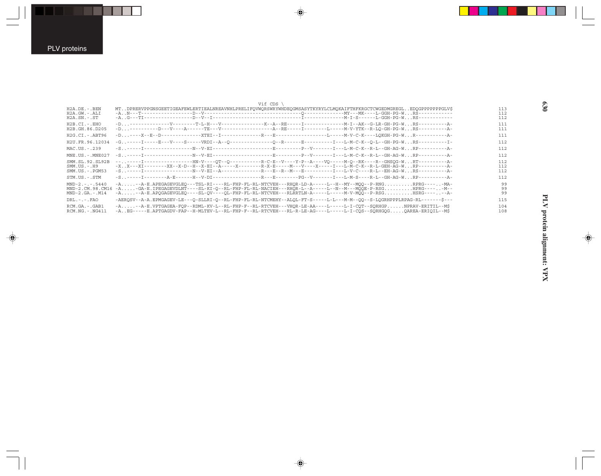$\overrightarrow{\mathbf{\P}}$ 

|                                                             | Vif CDS \                                                                                                                                                                                                                                                                                                          |                   |
|-------------------------------------------------------------|--------------------------------------------------------------------------------------------------------------------------------------------------------------------------------------------------------------------------------------------------------------------------------------------------------------------|-------------------|
| $H2A.DE. - .BEN$<br>$H2A.GW. - .ALI$<br>$H2A.SN.-.ST$       | MTDPRERVPPGNSGEETIGEAFEWLERTIEALNREAVNHLPRELIFOVWORSWRYWHDEOGMSASYTKYRYLCLMOKAIFTHFKRGCTCWGEDMGREGLEDOGPPPPPPGLV\$                                                                                                                                                                                                 | 113<br>112<br>112 |
| $H2B.CI. - . EHO$<br>H2B.GH.86.D205                         |                                                                                                                                                                                                                                                                                                                    | 111<br>111        |
| $H2G.CI.-ABT96$                                             |                                                                                                                                                                                                                                                                                                                    | 111               |
| H2U.FR.96.12034                                             | -G. .-----I-----E---V----S-----VRDI--A--O--------------O--R------E---------I---L-M-C-K--O-L--GH-PG-W.RS----------I-                                                                                                                                                                                                | 112               |
| MAC.US.-.239                                                |                                                                                                                                                                                                                                                                                                                    | 112               |
| MNE.US.-.MNE027                                             |                                                                                                                                                                                                                                                                                                                    | 112               |
| SMM.SL.92.SL92B<br>$SMM. US. - . H9$<br>$SMM.US. - . PGM53$ | -------I----------------HN-V----QT--Q-----------R-C-E--V----Y-P--A----VQ-----M-Q--RK----R--GHSQG-WRT----------A-<br>-X X---XI---------XX--X-D--H--X-EI--A-----X---------R-X-E-----M---V----X-----I---L-M-C-K--R-L-GEH-AG-W RP------------A-                                                                        | 112<br>112<br>112 |
| STM.US.-.STM                                                | -S-----I---------A-E------H--V-DI------------------R---E--------PG--V-------I---L-M-S----R-L--GH-AG-WRP----------A-                                                                                                                                                                                                | 112               |
| $MND-2. - - - 5440$<br>MND-2.CM.98.CM16<br>$MND-2.GA.-M14$  | -A-A-E.APEGAGEVGLEO---TSL-RI----RL-FHP-FL-RL-NTCVEH---RHOR-LD-A-----L--H--MY--MOO--P-RNGRPRG-----MA-<br>-A-GA-E.IPEGAGEVDLNT----SL-KI-O--RL-FHP-FL-RL-NACIEH---RHOR-L--A----L--N--M--MOOE-P-RSGHPRG-----M--<br>-A-A-E.APOGAGEVGLEO----SL-OV----OL-FHP-FL-RL-NTCVEH---RLRRTLN-A-----L-----M-V-MOO--P-RSGHSRG-----A- | 99<br>99<br>99    |
| $DRL - - - FAO$                                             | -AERQSV--A-A.EPMGAGEV-LE---Q-SLLRI-Q--RL-FHP-FL-RL-NTCMEHY--ALQL-FT-S-----L-L---M-M--QQ--S-LOGRHPPPLRPAG-RL------\$---                                                                                                                                                                                             | 115               |
| RCM.GA.-.GAB1<br>$RCM.NG. - .NG411$                         | -A-A-E.VPTGAGEA-FOP--RDML-KV-L--RL-FHP-F--RL-RTCVEH---VHOR-LE-AA----L-----L-I-COT--SORHGPNPRAV-ERITIL--M\$<br>-AEG-----E.APTGAGDV-FAP--H-MLTEV-L--RL-FHP-F--RL-RTCVEH---RL-R-LE-AG----L-----L-I-COS--SORHGOGOAREA-ERIOIL--MŚ                                                                                       | 104<br>108        |

 $\overrightarrow{\mathbf{\P}}$ 

 $\spadesuit$ 

 $\begin{picture}(20,5) \put(0,0){\line(1,0){10}} \put(15,0){\line(1,0){10}} \put(15,0){\line(1,0){10}} \put(15,0){\line(1,0){10}} \put(15,0){\line(1,0){10}} \put(15,0){\line(1,0){10}} \put(15,0){\line(1,0){10}} \put(15,0){\line(1,0){10}} \put(15,0){\line(1,0){10}} \put(15,0){\line(1,0){10}} \put(15,0){\line(1,0){10}} \put(15,0){\line(1,$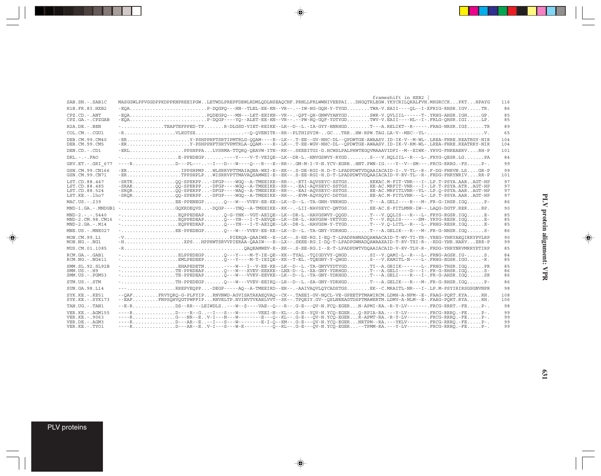| $SAB.SN.-.SAB1C$                                                              | frameshift in HXB2<br>MASGGWLPPVGGDPPKDPPKNPREEIPGWLETWDLPREPFDEWLRDMLODLNSEAOCHF.PRNLLFRLWWNIVEEPAIDHGOTRLEGW.YKYCRILOKALFVH.MKGRCCKPKTHPAYG                                                                                                                                                                                                                                                                                                    | 116                  |
|-------------------------------------------------------------------------------|--------------------------------------------------------------------------------------------------------------------------------------------------------------------------------------------------------------------------------------------------------------------------------------------------------------------------------------------------------------------------------------------------------------------------------------------------|----------------------|
|                                                                               |                                                                                                                                                                                                                                                                                                                                                                                                                                                  |                      |
| H1B.FR.83.HXB2                                                                | -EOAP-DOGPO---HN--TLEL-EE-KN--VR--.--IW-HG-GOH-Y-TYGDTWA-V.EAII----OL--I-XFRIG-RHSR.IGVTR.                                                                                                                                                                                                                                                                                                                                                       | 86                   |
| $CPZ$ . $CD$ . - .ANT<br>$CPZ.GA. - .CPZGAB$                                  |                                                                                                                                                                                                                                                                                                                                                                                                                                                  | 85<br>85             |
| $H2A.DE. - .BEN$                                                              |                                                                                                                                                                                                                                                                                                                                                                                                                                                  | 89                   |
| $COL$ , $CM$ , $-$ , $CGUI$                                                   | $-R$ VLKGTSX--O-OVENITR--RR--PLTHISVIM-GCTRRHW-RPW.TAG.LA-V--MEC--YL-                                                                                                                                                                                                                                                                                                                                                                            | 65                   |
| DEB.CM.99.CM40<br>DEB.CM.99.CM5                                               |                                                                                                                                                                                                                                                                                                                                                                                                                                                  | 104<br>104           |
| DEN.CD. - .CD1                                                                | -ERLPPSHPPALVSRMA-TTQRQ-QEAVW-ITE--RK--.SKEEITGI-D.HCWSLPALPHWTEGQVMAAAVIDFI--M--EIWK-.YRVG-FHREAERVRH-P                                                                                                                                                                                                                                                                                                                                         | 101                  |
| $DRL - - -$ . FAO                                                             | $- \ldots \ldots \ldots \ldots \ldots \ldots \ldots \text{E-PPEDEGP} \ldots \ldots \ldots \ldots \text{Y--Y--VET-VEIQE--LK--DR-L.-HNVGSWVY-RYGD} \ldots \ldots \ldots \text{S--V.HQLIII--R---L-.FRYG-QESR.LG} \ldots \ldots \text{PAP-L}$                                                                                                                                                                                                        | 84                   |
| GRV.ET. -. GRI 677                                                            | ----RD---PL-----I---D---W----O---R---E--RR--.GM-M-I-V-N.YCV-EGRRHNT.PWN-IG.---Y--V--SM---.FRCG-RRRG.-FSP-.                                                                                                                                                                                                                                                                                                                                       | 99                   |
| GSN.CM.99.CN166<br>GSN.CM.99.CN71                                             | -ERIPPSHPMPWLSRRVPTTMAIAONA-WEI-E--EK--.S-DE-RGI-H.D-T-LPADPDWTVDOAAIACAID-I-.V-TL--R-.F-DG-FHRVN.LSGR-P<br>-ERTPPSHPLPWISRRVPTTMAVAOSAMWEI-E--EK--.S-EE-RGI-H.D-T-LPADPDWTVDOAAIACAID-V-RV-TL--R-.FRDG-FHRYNRIVRR-P                                                                                                                                                                                                                             | 99<br>101            |
| LST.CD.88.447<br>LST.CD.88.485<br>LST.CD.88.524<br>LST.KE.-.lho7              | -SRTROO-SPEKPP-DFGP----WGO--A-TMEEIKE--RR--.-ETI-AOVSEYC-SSTGSEEKAC.M-FIT-VNR---I-.LP.T-PSYA.AARAGT-HP<br>-SRAROO-SPERPP-DFGP----WGO--A-TMEEIKE--RR--.-EAI-AOVSEYC-SSTGSEE-AC.MRFIT-VNR---I-.LP.T-PSYA.ATRAGT-HP<br>-SROROO-SPERPP-DFGP----WGO--A-TMEEIKE--RR--.-EVM-AOVSOYC-DSTGSEE-AC.M-FITLVNR---L-.LP.T-PSYA.AARAGT-HP                                                                                                                       | 97<br>97<br>97<br>97 |
| MAC.US.-.239                                                                  |                                                                                                                                                                                                                                                                                                                                                                                                                                                  | 86                   |
|                                                                               | MND-1.GA.-.MNDGB1 -GQKRDEQVS-DQGP----YNQ--A-TMEEIKE--RK--.-LII-NAVSEYC-QNTGSEE-AC.E-FITLMNR-IW--.LAQG-DGTF.RERRP.                                                                                                                                                                                                                                                                                                                                | 90                   |
| $MND-2. - - - 5440$<br>MND-2.CM.98.CM16<br>$MND-2. GA. - . M14$               | $-1$ EOPPEDEAPO---YN---I-T-AEVOE--LK--DR-L.-HAVGSW-YKTYGDT---V.ROLIS------SM-.YRYG-RESR.IGOE-<br>$-1$ EOPPEDEAPO---YN---I-T-AEIOE--LK--DR-L.-HAVGSW-Y-TYGDT---V.O-LITL--R---L-.FRHG-RESR.IGOE-                                                                                                                                                                                                                                                   | 85<br>85<br>85       |
| $MNE$ . US. $-$ . $MNE$ 027                                                   | $-1, \ldots, \ldots, \ldots, \text{EE-PPEDEGP}, \ldots, 0--W--VVEV-EE-KE--LK--D--L.-TA-GNY-YDRHGD, \ldots, \ldots, T--A. GELIK--R--M--M-.FR-G-NHSR. IGO, \ldots, S--D.$                                                                                                                                                                                                                                                                          | 86                   |
| MON.CM.99.L1<br>$MON.NG. - . NG1$                                             | -VPIERQA-QAAIWE--E--LK--.S-EE-RG.I-EQ-T-LPADPAWNADQAWAACAID-T-WV-TI-YR-.YREG-YHRYAEOIRRYPVLRP<br>-HXPSHPPHWTSRVVPIERAA-QAAIW---E--LX--.SKEE-RG.I-DQ-T-LPADPGWNADQAWAAXAID-T-RV-TXI-R-.-RDG-YHR.HARVXRR-P                                                                                                                                                                                                                                         | 90<br>99             |
| MUS.CM.01.1085                                                                |                                                                                                                                                                                                                                                                                                                                                                                                                                                  | 85                   |
| RCM.GA.-.GAB1<br>$RCM.NG. - . NG411$                                          |                                                                                                                                                                                                                                                                                                                                                                                                                                                  | 84<br>85             |
| SMM. SL. 92. SL92B<br>$SMM. US. - . H9$<br>$SMM. US. - . PGM53$               | $-1, \ldots, \ldots, \ldots, \text{TE-PPEDEAP}, \ldots, 0--W--XVEV-EEXKE--LNX-D--L.-XA-GNY-YDRHGD, \ldots, \text{T---A. GELI---G---I-. FR-G-RHSR. IGO, \ldots, S--D--L--A. GELI--G--L--G--L--R, \ldots, 0--S--D--L--A. GELI--G--L--G--L--R-RISR.$                                                                                                                                                                                                | 85<br>86<br>86       |
| STM.US.-.STM                                                                  | $-1, \ldots, \ldots, \ldots, \text{TH-PPEDEGP}, \ldots, 0--W--VVEV-EEIKO--LR--D--L.-SA-GNY-YDRHGD, \ldots, \text{T---A.} GELIK---R--M-.FR-G-RHSR. IGO, \ldots, P--D--L--S-CEK.$                                                                                                                                                                                                                                                                  | 86                   |
| SUN. GA. 98. L14                                                              | ---RREPVEOPP-DEGP-----AO--A-TMEEIRD--ER--.-AAIVAOVLOYCADSTGSEK--C.MRAITL-NR---I-.LP.M-PSYIRIRSGSGNVNPR                                                                                                                                                                                                                                                                                                                                           | 98                   |
| $SYK.KE. - KE51$<br>$SYK.KE. - SYK173$                                        | --OAFFRVYORO-G-PLFYIPRNVNWD-AGVISATAKAEOVAO--CK--.TAEEI-GV-NOCL-VE-GPEETPTMAWIRCM.LDMH-A-NFM--E-.FAAG-PORT.KYARH.<br>--EAFFNPSOHVOGTPWFFIPRNVELTP.NVINVTVKAELVVT--SK--.TPOEIY.GV--OSLNEEAGTDSPTMAWERTM.LDMV-A-NLM--E-.FAAG-PORT.RYARH.                                                                                                                                                                                                           | 108<br>106           |
| TAN.UG. - . TAN1                                                              | --E-RDS--RR---LEIWDLS---W--\$----VAE--O---R--.G-E--OV-N.FCO-EGERN-APMI-RA.-R-Y-LV-------.FRCG-RRRT.-FEP-.                                                                                                                                                                                                                                                                                                                                        | 98                   |
| VER. KE. - . AGM155<br>VER.KE. - . 9063<br>VER.DE. - . AGM3<br>VER.KE. - TYO1 | ----RD----R--G--I---S---W-------VEEI-N--KL--.G-E--YOV-N.YCO-EGERO-RPIA-RA.---Y-LV--------.FRCG-RRRO.-FEP-.<br>-RG---NR--EV-I---N----W--------E---O--KL--.G-E---QV-N.YCQ-EGERR-APMT-RA.-R-Y-LV-------- FRCG-RRRQ.-FEP-.<br>----RD---AR--E--I---S---W-------E-I-O--KM--.G-E---OV-N.YCO-EGERNRTPM--RA.---YKLV-------.FRCG-RRRO.-FEP-.<br>----RD---AR--EV-I---S---W-K-----------O--RL--.G-E---OV-N.YCO-EGER--TPMM-RA.---Y-LV-------.FRCG-RRRO.-FEP-. | 99<br>99<br>99<br>99 |

 $\begin{picture}(20,5) \put(0,0){\vector(0,1){10}} \put(15,0){\vector(0,1){10}} \put(15,0){\vector(0,1){10}} \put(15,0){\vector(0,1){10}} \put(15,0){\vector(0,1){10}} \put(15,0){\vector(0,1){10}} \put(15,0){\vector(0,1){10}} \put(15,0){\vector(0,1){10}} \put(15,0){\vector(0,1){10}} \put(15,0){\vector(0,1){10}} \put(15,0){\vector(0,1){10}} \put(15,0){\vector(0,$ 

PLV protein alignment: VPR **631 PLV protein alignment: VPR**

 $\spadesuit$ 

 $\overline{\phantom{0}}$ 

▋

PLV proteins

 $\overrightarrow{\mathbf{\P}}$ 

 $\frac{\overline{\phantom{m}}}{\overline{\phantom{m}}\phantom{m}}$ 

--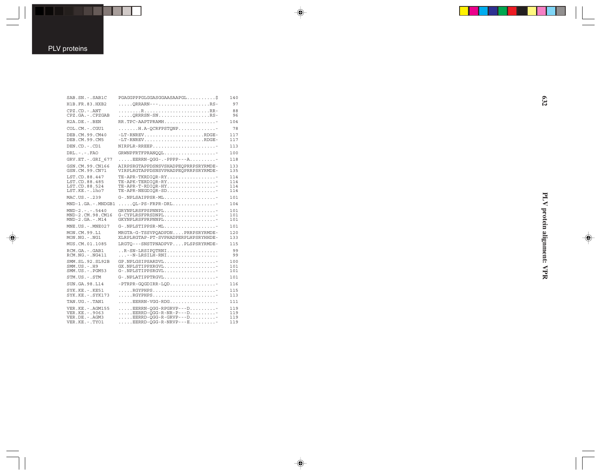$\overline{\blacklozenge}$ 

| SAB.SN. - . SAB1C                                                               | PGAGGPPPGLGGASGGAASAAPGL\$                                                                                           | 140                      |
|---------------------------------------------------------------------------------|----------------------------------------------------------------------------------------------------------------------|--------------------------|
| H1B.FR.83.HXB2                                                                  | ORRARN---RS-                                                                                                         | 97                       |
| $CPZ$ . $CD$ . - .ANT<br>CPZ.GA. - . CPZGAB                                     | ORRRSN-SNRS-                                                                                                         | 88<br>96                 |
| $H2A$ . DE. - . BEN                                                             | RR.TPC-AAPTPRAMH                                                                                                     | 104                      |
| COL.CM. - . CGU1                                                                | H.A-OCRFPSTONP                                                                                                       | 78                       |
| DEB.CM.99.CM40<br>DEB.CM.99.CM5                                                 | $-LT-RNREV$ RDGE-<br>$-LT-RNREV \ldots \ldots \ldots \ldots \ldots \ldots \ldots \ldots \text{RDGE}$                 | 117<br>117               |
| DEN.CD. - .CD1                                                                  | NIRPLR-RREEP                                                                                                         | 113                      |
| $DRL - - -$ . FAO                                                               | GRWNPFRTFPRANOOL                                                                                                     | 100                      |
| GRV.ET. -. GRI 677                                                              | $\ldots$ . EERRN-QGG-.-PPPP---A                                                                                      | 118                      |
| GSN.CM.99.CN166<br>GSN.CM.99.CN71                                               | AIRPSRGTAPPDSNSVSHADPEOPRRPSRYRMDE-<br>VIRPLRGTAPPDSNSVPHADPEOPRRPSRYRMDE-                                           | 133<br>135               |
| LST.CD.88.447<br>LST.CD.88.485<br>LST.CD.88.524<br>LST.KE. - . lho7             | $TE-APPR-TKRDIOR-RY$<br>TE-APK-TERDIOR-RY<br>$TE-APPR-T-RDIOR-HY$<br>TE-APR-NEGDIOR-SD                               | 114<br>114<br>114<br>114 |
| MAC.US. - . 239                                                                 | G-.NPLSAIPPSR-ML                                                                                                     | 101                      |
| MND-1.GA.-.MNDGB1                                                               | OL-PS-FRPR-DRL                                                                                                       | 104                      |
| $MND-2. - - 5440$<br>MND-2.CM.98.CM16<br>$MND-2.GA.-.M14$                       | GRYNPLRSFPSPNNPL<br>G-CYPLRSFPRSDNPL<br>GKYNPLRSFPRPNNPL                                                             | 101<br>101<br>101        |
| $MNE. US. - . MNE027$                                                           | $G-$ . NPLSTIPPSR-ML                                                                                                 | 101                      |
| MON.CM.99.L1<br>$MON.NG. - . NG1$                                               | MRGTA-G-TSSVPOADPDNPRRPSRYRMDE-<br>XLRPLRGTAP-PT-SVPHADPERPLHPSRYHHDE-                                               | 120<br>133               |
| MUS.CM.01.1085                                                                  | LRGTO---SNSTPNADPVPPLSPSRYRMDE-                                                                                      | 115                      |
| RCM.GA.-.GAB1<br>RCM.NG. - . NG411                                              | R-SN-LRSIPOTRNI<br>--N-LRSILH-RNI                                                                                    | 99<br>99                 |
| SMM.SL.92.SL92B<br>$SMM. US. - . H9$<br>$SMM. US. - . PGM53$                    | GP.NPLGSIPSARDVL<br>GX.NPLSTIPPXRGVL<br>$G$ -.NPLSTIPPSRGVL                                                          | 100<br>101<br>101        |
| STM.US.-.STM                                                                    | G-.NPLATIPPTRGVL                                                                                                     | 101                      |
| SUN.GA.98.L14                                                                   | $-$ PTRPR-GQGDIRR-LQD                                                                                                | 116                      |
| $SYK.KE. - .KE51$<br>$SYK.KE. - .SYK173$                                        | RGYPHPS<br>RGYPHPS                                                                                                   | 115<br>113               |
| TAN.UG. - . TAN1                                                                | EERRN-VGG-RDG                                                                                                        | 111                      |
| VER. KE. - . AGM155<br>VER.KE. - . 9063<br>VER.DE. - . AGM3<br>VER.KE. - . TYO1 | $\ldots$ . EERRN-OGG-RPGRVP---D<br>$\ldots$ . EERRD-OGG-R-NR-P---D<br>EERRD-OGG-R-GRVP---D-<br>EERRD-OGG-R-NRVP---E- | 119<br>119<br>119<br>119 |

 $\spadesuit$ 

 $\overline{\blacklozenge}$ 

PLV protein alignment: VPR **PLV protein alignment: VPR**

 $\begin{picture}(20,5) \put(0,0){\line(1,0){10}} \put(15,0){\line(1,0){10}} \put(15,0){\line(1,0){10}} \put(15,0){\line(1,0){10}} \put(15,0){\line(1,0){10}} \put(15,0){\line(1,0){10}} \put(15,0){\line(1,0){10}} \put(15,0){\line(1,0){10}} \put(15,0){\line(1,0){10}} \put(15,0){\line(1,0){10}} \put(15,0){\line(1,0){10}} \put(15,0){\line(1,$ 

 $\overline{\phantom{0}}$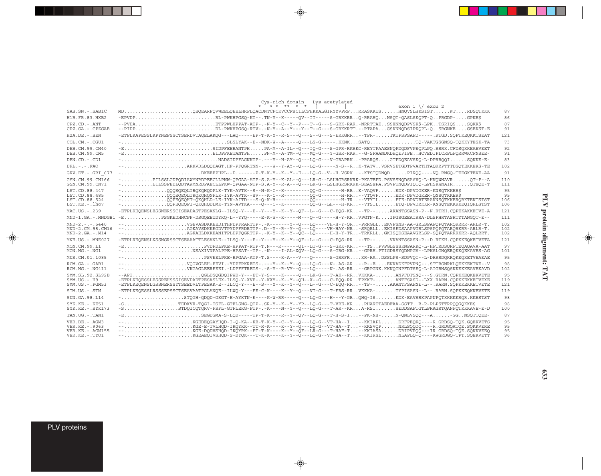|                                                                                 | Cys-rich domain Lys acetylated                                                                                                                                                                                                                                                                                                                                                                                |                        |
|---------------------------------------------------------------------------------|---------------------------------------------------------------------------------------------------------------------------------------------------------------------------------------------------------------------------------------------------------------------------------------------------------------------------------------------------------------------------------------------------------------|------------------------|
| SAB.SN. - . SAB1C                                                               |                                                                                                                                                                                                                                                                                                                                                                                                               | 87                     |
| H1B. FR. 83. HXB2                                                               | -EPVDPRL-PWKHPGSO-KT--.TN-Y--K-----OV--IT----S-GRKKRRO-RRAHONSOT-OASLSKOPT-OPRGDP-GPKE\$                                                                                                                                                                                                                                                                                                                      | 86                     |
| $CPZ$ , $CD - ANT$<br>CPZ.GA.-.CPZGAB                                           | --PVDAETPPWLHPPAT-ATP-.-N-Y--C--Y--P---T--G---S-GRK-RAR.-NRRTTAESSENNODPVSKS-LPKTSRIOSSOKKS<br>--PIDPDL-PWKHPGSO-RTV-.-N-Y--A--Y--T--G---S-GRKKRTT.--RTAPAGSKNNODSIPKOPL-OSRGNKEGSEKST-E                                                                                                                                                                                                                      | 87<br>91               |
| $H2A.DE. - .BEN$                                                                | -ETPLKAPESSLKPYNEPSSCTSERDVTAQELAKQG---LAQ-----EP-T-K-Y--R-S---Q---S--G---S-ERKGRR-TPR-TKTPSPSAPD-----.RTGD.SQPTKEQKKTSEAT                                                                                                                                                                                                                                                                                    | 121                    |
| $COL$ , $CM$ , $-$ , $CGUI$                                                     |                                                                                                                                                                                                                                                                                                                                                                                                               | 73                     |
| DEB.CM.99.CM40<br>DEB.CM.99.CM5                                                 | -ESIDPFEERANTPHPA-M--A-IL--Q---IQ-G---S-GPR-RKRKC-REYTPAAESNQPDQDFVPEQPLPQ.RRRK.CFDSQKKEAEVEET<br>-EEIDPFKETANTPHPN-M--A-TM--Q----MO-G---Y-GSR-RKR.--G-SFAANDKDHOEFIPEHCVEDIPLCRPLPORRWKCFNSEE-                                                                                                                                                                                                               | 92<br>91               |
| DEN.CD. - .CD1                                                                  |                                                                                                                                                                                                                                                                                                                                                                                                               | 83                     |
| $DRL - - -$ . $FAO$                                                             |                                                                                                                                                                                                                                                                                                                                                                                                               | 102                    |
| GRV.ET. - . GRI 677                                                             |                                                                                                                                                                                                                                                                                                                                                                                                               | 91                     |
| GSN.CM.99.CN166<br>GSN.CM.99.CN71                                               | -PILSSLGDPODIAWMNRDPEECLLPNW-OPGAA-ATP-S.A-Y--K-AL--O---LR-G--LSLHGRSRKRK-PKATEPD.PSVSSNODSASVO-L-HKOWNAVROT-P--A<br>-LILSSPEDLODTAWMNRDPAECLLPKW-OPGAA-NTP-S.A-Y--R-A---O---LR-G--LSLHGRSRKRK-SEASEPA.PSVPTNODPIOIO-LPHSKWNAIROTEOE-T                                                                                                                                                                        | 110<br>111             |
| LST.CD.88.447<br>LST.CD.88.485<br>LST.CD.88.524<br>LST.KE.-.lho7                | -OOOEOEOLTROKOHODPLK-TYK-AVTK--S--N-K-C--K--------OO-G-------H-RRK-VAOVFEDK-DPVDGKER-KNSOTKKER\$<br>-OOOEOEOLTROKOHONPLK-IYK-AVTK--SV---K-C--R--------OO-G-------H-RR--VTOVFEDK-DPVDGKER-ONSOTKKER\$<br>$\verb -----  1, 00PEOBORT-OKOHLD-LE-IYK-AITD---S-O-K-H-------OO-------H-TR\ldots-IVYIL\ldots. ETE-DPVDRTERAKNSOTKKERORKTERSTSTT$                                                                     | 95<br>95<br>106<br>106 |
| MAC.US.-.239                                                                    | -ETPLREOENSLESSNERSSCISEADASTPESANLG--ILSO-Y---E--Y---Y--X--Y--OF--L--G---C-EOS-KR--TP--AKANTSSASN-P--N.RTRH.COPEKAKKETVE-A                                                                                                                                                                                                                                                                                   | 121                    |
|                                                                                 | MND-1.GA.-.MNDGB1 -EPSGKEDHNCPP-DSGOEEIDYKO-L--YYO-----E-K-W--K-----M---O--G-----H-Y-KRVPGTN-KIPGSGEEAIRRA-DLSFHRTASRTYTANGOT-E--                                                                                                                                                                                                                                                                             | 111                    |
| $MND-2. - - - 5440$<br>MND-2.CM.98.CM16<br>$MND-2.GA.-.M14$                     | --VGEVASDKKEEDITHFDPFRARTTP-.-K-------Y--O---LO----VH-H-Y-OR-PRRGLLEKVPSNS-AA-GRLSPAPOPOTARORRRR-ARLR-T.<br>--AGKAVSDKKEGDVTPYDPFRDRTTP-.D--Y--R--Y--O---LO----VH-HAY-NR-SRORLLEKISEDSAAPVGRLSPSPOPOTARORKRR-ARLR-T.<br>--AGKAELDKKEANITPLDPFOGRTTP-.-K-Y--K--Y--OC--LO-----H-H-Y-TR-TRKRLLGKISODSEAAVGRLSP-SOPOTARRRKRR-AOLRRT.                                                                              | 102<br>102<br>102      |
| MNE.US. - . MNE027                                                              | -ETPLREOENSLKSSNGRSSCTSEAAATTLESANLE--ILSO-Y---E--Y--Y--K--Y--OF--L--G---C-EOS-RR--TP--VKANTSSASN-P--D.RTKH.COPKKEOKETVETA                                                                                                                                                                                                                                                                                    | 121                    |
| MON.CM.99.L1<br>$MON.NG. - . NG1$                                               | -EPVDPDLPKE-HPPAT-RTP-T.N---R-----QI--LT-G---S-GRK-KR---TSPVPGLSSSKNPARKQ-L-HPTRDSQRPTEQAQAVA-AAT<br>-NSAXIVNPALPPE-HPSAT--TP-.-N----I-AL-XOV--LO-G---S-GRG-KR-GPRH.PTIGDRSYODNPGV--LPKSLGNOEROKKOEKAVES-AG                                                                                                                                                                                                   | 97<br>101              |
| MUS.CM.01.1085                                                                  | --PSVEELPKE-RPGAA-ATP-T.S----K-A---V---O-----S-GRRFRKR-RADSSLPS-SDPVOI--L-DRRRDOKROKEOKETVEAEAE                                                                                                                                                                                                                                                                                                               | 95                     |
| $RCM.GA. - .GAB1$<br>$RCM.NG. -.NG411$                                          |                                                                                                                                                                                                                                                                                                                                                                                                               | 98<br>102              |
| SMM. SL. 92. SL92B<br>$SMM.US.-.H9$<br>$SMM. US. - . PGM53$                     | --APIOGLDSOGDOIPWD-Y---ET-Y-S----K-----O---LR-G---T-AK--RRVKKKA-ANPFDTSNO---S.GTRN.COPKKEOKEKVETE<br>-ETPLKEOESSLESSREHSSSISEVDADTPESASLEX-ILSO-Y-XVE--Y-KXY--K--Y--OH--X--G---C-EOO-RRTPKKT-ANTFSASD--LXX.RARN.COPKKEKKETVEXE<br>-ETPLKEQENSLGSSNERSSYTSEEDVLTPESAK-E--ILCO-Y---E--S---Y--K--Y--O---L--G---C-EOO-RR--TP--AKANTFSAPNE-L--.RARN.SQPKKEKKETVETE                                                 | 95<br>119<br>121       |
| STM.US.-.STM                                                                    | -ETPLKEQESSLRSSSEPSSCTSEAVAATPGLANQE--ILWO-Y---EE-C-K----K--Y--O---VT-G---T-ERS-RRVKKKA-TYPISASN--L--.RARN.SQPKKEQKKEVETE                                                                                                                                                                                                                                                                                     | 119                    |
| SUN.GA.98.L14                                                                   | -STOGH-ODOD-GKGT-E-AYKTN-E----K-W-RR-----O---LO-G---H---Y-GROHO-ISKDK-EAVRRKPAPNPOTKKKKKROR.KKESTST                                                                                                                                                                                                                                                                                                           | 98                     |
| SYK.KE. - . KE51<br>SYK.KE. - . SYK173                                          | -STEDKVR-TOGI-TSFL-GTFLSNG-OTP-.SR-Y--K--Y--YR--LO-G---T-VRE-KRRHARTTAEDFAA-SSTTR-R-PLPSTTRPOOGOKKES<br>$-S$ STDOICOTORV-PSFL-GTFLEKG-PTP-.-K----N--Y--O---LO-G---T-AR--KRA-RSISEDDSAPTGTLPRAGRTOANPOTKKKAVE-E-D                                                                                                                                                                                              | 98<br>100              |
| TAN.UG. - . TAN1                                                                | -ESEGDGMA-S-LOD-----TP-T-K----R--Y--OV--LO-G---T-H-S-I--PK-NH-N-ONLVSOO---A-GGNSOTTOEE-                                                                                                                                                                                                                                                                                                                       | 87                     |
| VER.DE. - . AGM3<br>VER. KE. - . 9063<br>VER.KE. - . AGM155<br>VER.KE. - . TYO1 | --KGEDEOGAYHOD-I-O-KA--KR-T-K-Y--C--Y--O---LO-G--VT-HA--I--KKIAPLDRFPEOKO----R.GRDSO-TOK.GOEKVETS<br>--KGE-E-TVLHOD-IROYKK--TT-R-K----K--Y--O---LO-G--VT-HA--T-KKSVOPNRLSOODO----R.GRDGOATOE.SOKKVERE<br>--KGE-DODVSHOD-IKOYRK--ET-T-K---K--Y--OF--LR-G---T-HAF-T-KKIASADRIPVPOO---IR.GRDSO-TOE.SOKKVEEO<br>--KGEAEOIVSHOD-S-DYOK---T-K-K----K--Y--O---LO-G--VT-HA--T--KKIRSLNLAPLO-O----KWGRDGO-TPT.SOEKVETT | 95<br>95<br>95<br>96   |

 $\Rightarrow$ 

 $\Rightarrow$ 

PLV proteins

 $\Rightarrow$ 

. . .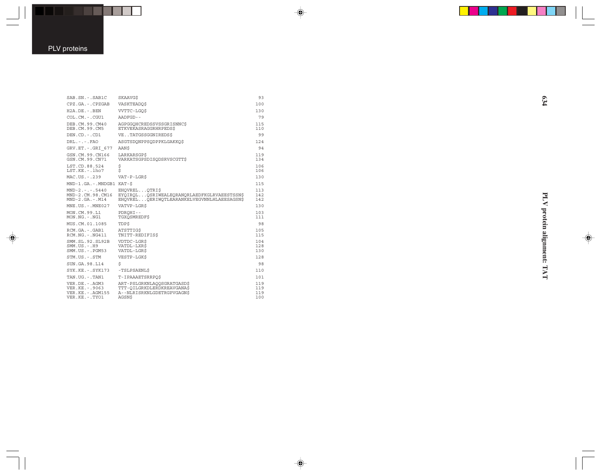$\overrightarrow{\mathbf{\P}}$ 

| SAB.SN. - . SAB1C                                                                | SKAAVG\$                                                                                               | 93                       |
|----------------------------------------------------------------------------------|--------------------------------------------------------------------------------------------------------|--------------------------|
| CPZ.GA. - . CPZGAB                                                               | <b>VASKTEADOS</b>                                                                                      | 100                      |
| $H2A$ . DE. $-$ . BEN                                                            | VVTTC-LGO\$                                                                                            | 130                      |
| $COLCM. -.CGU1$                                                                  | AADFGD--                                                                                               | 79                       |
| DEB.CM.99.CM40<br>DEB.CM.99.CM5                                                  | AGPGGOHCREDSSVSSGRISNNCS<br>ETKVEKASRAGGRHRPEDS\$                                                      | 115<br>110               |
| $DEN$ . $CD$ . $-$ . $CD1$                                                       | VETATGSSGGNIREDS\$                                                                                     | 99                       |
| $DRL - - -$ . $FAO$                                                              | ASGTSDONPPSODPPKLGAKKO\$                                                                               | 124                      |
| GRV.ET. -. GRI 677                                                               | AAN\$                                                                                                  | 94                       |
| GSN.CM.99.CN166<br>GSN.CM.99.CN71                                                | LARKARSGP\$<br>VARKATSGPSDISODSRVSCGTT\$                                                               | 119<br>134               |
| LST.CD.88.524<br>$LST.KE. - Lho7$                                                | \$<br>\$                                                                                               | 106<br>106               |
| MAC.US.-.239                                                                     | $VAT - P - LGRS$                                                                                       | 130                      |
| MND-1.GA.-.MNDGB1 KAT-\$                                                         |                                                                                                        | 115                      |
| $MND-2. - - - 5440$<br>MND-2.CM.98.CM16<br>$MND-2.GA.-.M14$                      | EHOVRELOTRIS<br>EYOIROLOSRIWEALEORANORLAEDFKGLRVAEESTSSNS<br>EHOVRELOERIWOTLEARANKELVEGVNNLHLAEESAGSNS | 113<br>142<br>142        |
| $MNE. US. - . MNE027$                                                            | VATVP-LGRS                                                                                             | 130                      |
| MON.CM.99.L1<br>$MON.NG. - . NG1$                                                | PDROHI--<br>TGXOSMREDF\$                                                                               | 103<br>111               |
| MUS.CM.01.1085                                                                   | <b>TDPS</b>                                                                                            | 98                       |
| RCM.GA.-.GAB1<br>$RCM.NG. - .NG411$                                              | ATSTTIG\$<br>TNITT-REDIFIS\$                                                                           | 105<br>115               |
| SMM. SL. 92. SL92B<br>$SMM. US. - . H9$<br>$SMM. US. - . PGM53$                  | VDTDC-LGR\$<br>VATDL-LXR\$<br>VATDL-LGR\$                                                              | 104<br>128<br>130        |
| STM.US.-.STM                                                                     | VESTP-LGK\$                                                                                            | 128                      |
| SUN.GA.98.L14                                                                    | \$                                                                                                     | 98                       |
| $SYK.KE. - .SYK173$                                                              | -TSLPSAENL\$                                                                                           | 110                      |
| TAN.UG.-.TAN1                                                                    | T-IPAAAETSRRPOS                                                                                        | 101                      |
| VER.DE. - . AGM3<br>VER. KE. - . 9063<br>VER. KE. - . AGM155<br>VER.KE. - . TYO1 | ART-PSLGRKNLAQQSGRATGASD\$<br>TTT-OILGRKDLERDKREAVGANA\$<br>A--NLRISRKNLGDETRGPVGAGN\$<br>AGSN\$       | 119<br>119<br>119<br>100 |
|                                                                                  |                                                                                                        |                          |

 $\spadesuit$ 

 $\overline{\blacklozenge}$ 

PLV protein alignment: TAT **PLV protein alignment: TAT**

 $\begin{picture}(20,5) \put(0,0){\line(1,0){10}} \put(15,0){\line(1,0){10}} \put(15,0){\line(1,0){10}} \put(15,0){\line(1,0){10}} \put(15,0){\line(1,0){10}} \put(15,0){\line(1,0){10}} \put(15,0){\line(1,0){10}} \put(15,0){\line(1,0){10}} \put(15,0){\line(1,0){10}} \put(15,0){\line(1,0){10}} \put(15,0){\line(1,0){10}} \put(15,0){\line(1,$ 

 $\overline{\phantom{0}}$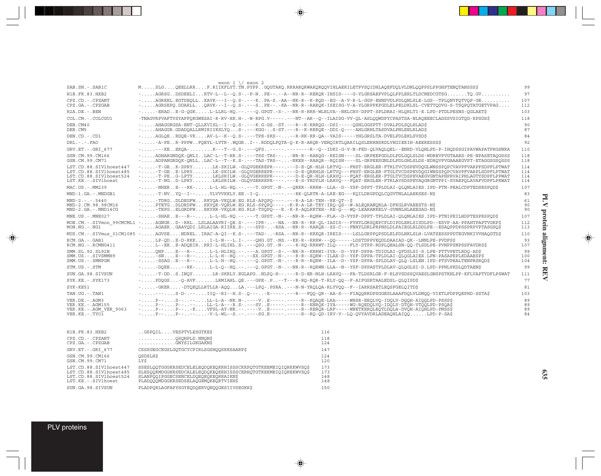|                                                                                                     | exon $1 \sqrt{\ }$ exon 2                                                                                                                                                                                                                                                                                                                                                                                                                                                                                                                                                                                                                                                                                   |                          |
|-----------------------------------------------------------------------------------------------------|-------------------------------------------------------------------------------------------------------------------------------------------------------------------------------------------------------------------------------------------------------------------------------------------------------------------------------------------------------------------------------------------------------------------------------------------------------------------------------------------------------------------------------------------------------------------------------------------------------------------------------------------------------------------------------------------------------------|--------------------------|
| SAB.SN. - . SAB1C                                                                                   | MSLGQEELLRRF.RIIKFLYT.TN.PYPPGQGTARQ.RRRARQRWAKQRQQVIHLAERILETPVSQIDHLAQEFDQLVLDNLQQPPSLPPGHPTENQTANSSS\$                                                                                                                                                                                                                                                                                                                                                                                                                                                                                                                                                                                                   | 99                       |
| H1B.FR.83.HXB2                                                                                      | $\verb -.  \ldots \verb .AGRSGDSDEELIRTV-L--L--0.S-.-P-NPE--.-A--NR-R--REROR-IHSIS---G-YLGRSAEPVPLOLDPDERLTLDCNEDCGTSG. TO .GV.$                                                                                                                                                                                                                                                                                                                                                                                                                                                                                                                                                                            | 97                       |
| CPZ.CD. - . CPZANT<br>CPZ.GA.-.CPZGAB                                                               | $-$ AGREEL.EGTDEOLLKAVK---I--O.S-.---KPA-S.-AA--NK-R--K-ROD--EG--A-V-R-L-GGP-EHNPVDLPDLONLSLE-LGS--TPLONYFOTVOP-GE<br>-AGRSEPO.DDARLLOAVK---I--O.S-.---SPE--.-KA--NR-R--RAROK-ISEISG-V-A-YLGRPPKPGDLELPELDKLSL-CVETTODVG-S-TSOPOTATGETVPAG                                                                                                                                                                                                                                                                                                                                                                                                                                                                  | 107<br>112               |
| $H2A.DE. - .BEN$                                                                                    | --ERADE-G-OGKL-LLRL-HO.--.---O.GPGT.-S-.--NR-R-RRR-WLRLVA--NKLCAV-DPPT-SPLDRAI-HLORLTI-E.LPD-PTDLPESNS-OGLAET\$                                                                                                                                                                                                                                                                                                                                                                                                                                                                                                                                                                                             | 103                      |
| COL.CM. - . COLCGU1                                                                                 | -TNAGVRPVAFTVSYAFFOKGWESAI-R-RV-HK.H-.-W-RPG.V-----.---NT--AR--O--ILAIDG-VV-OL-ASLOOWDPYCPASTSA-NLROEEECLADSSVSIGTOG-KPSDS\$                                                                                                                                                                                                                                                                                                                                                                                                                                                                                                                                                                                | 118                      |
| DEB.CM40<br>DEB.CM5                                                                                 | -AHAGGRGSA-ENT-OLLKVISL--I--O.S-.---K.G-GS.-ST.---R--K-RRROG--DSI-----OSHLGGSPTT-DVALPDLSOLHLADS<br>-AHAGGR.GDADOALLRMIRIIKSLYOS-.---KGG-S-ST.---R--K-RRROE--DDI-O----AHLGRHLTASDVALPNLEELRLADS                                                                                                                                                                                                                                                                                                                                                                                                                                                                                                             | 90<br>87                 |
| DEN.CD. - . CD1                                                                                     | -AGLOERDOE-VKAV-L--K--O.S-.---TPE-SKS----R-RK-RR-OA--VAIS-----YHLGRSLTA-DVELPDLEKLSVSD\$                                                                                                                                                                                                                                                                                                                                                                                                                                                                                                                                                                                                                    | 84                       |
| $DRL - - -$ . $FAO$                                                                                 | --A-PER-PPPWFOEYL-LVTR-.WOGRI--.RDDOLPOTA-O-K-R-AROR-VEHOIRTLOARILOSLERRNSRDLVEGIERIH-AEERESSS\$                                                                                                                                                                                                                                                                                                                                                                                                                                                                                                                                                                                                            | 92                       |
| GRV.ET. - . GRI 677                                                                                 | ----KEEKOA-K---T--G.S-.---QFS-----.------R--Q--IDKI-G-V-N-FED-QLVAQLQEL--ENKD-VLQHLPD-P-IHQDSSGIPAVWAPATPRGSNRA                                                                                                                                                                                                                                                                                                                                                                                                                                                                                                                                                                                             | 110                      |
| GSN.CM.99.CM166<br>GSN.CM.99.CM71                                                                   | -ADHARGNDOK-ONLILAC-L--T-HR.S-.---TSS-TRS---NR-R--RAROG--REISN----SL-GRPEEPGDLDLPDLGOLSLDS-WDREVPVGTAAES-PE-NPASETAOGSSS<br>-ADPANGRDOK-ONLLLAC-L--T--K.S-.---TAS-TRS---NKKR--RAROR--ROISH----SL-GRPEESGNLDLPDLGHLSLDS-EDROVPVGAAAEGVPT-ETAGGSGSOSSS                                                                                                                                                                                                                                                                                                                                                                                                                                                        | 118<br>118               |
| LST.CD.88.SIVlhoest447<br>LST.CD.88.SIVlhoest485<br>LST.CD.88.SIVlhoest524<br>LST.KE. - . SIVlhoest | -T-GEK-SPRYLK-SKILW.-GLOVGEKREPR----.---D-E-OR-HLH-LRTVO---FHST-ERGLER-FTRLTVCDSPEVDOGLWNSSPOPCVAVPFVARPFSDPFLPTWAT<br>-T-GEE-LPRYLK-SKILW.-GLOVGERREPR----.--D-E-ORRHLH-LRTVO---FHST-ERGLER-FTGLTVCDSPEVDOGIWNSSPOPCVAVPFVARPLSDPFLPTWAT<br>-T-PEG-LPTYLKLSRILM.-GLOVGERREPR----.--D-E-OR-HLH-LRAVO---FOAT-ERGLER-FTGLTVCDSPEVAEGVGNTAPHPRVAIPHLAGTYSDPFLPPWAT<br>-T-NGD-LPRYLRLSRILW.-GLOVGERREPR----.---E-S-YRDYLH-LRAVO---FOAT-ERGLER-FTRLAVSDSPEVAOGRGNTPPI-SVAEPOLAVAFVDPFLPKWAT                                                                                                                                                                                                                      | 114<br>114<br>114<br>114 |
| MAC.US.-.MM239                                                                                      | --NHERE---RK-L-L-HL-HO.--.---T.GPGT.-N-.--ORKR--RRRW--LLA--D--YSF-DPPT-TPLDLAI-OLONLAIES.IPD-PTN-PEALCDPTEDSRSPOD\$                                                                                                                                                                                                                                                                                                                                                                                                                                                                                                                                                                                         | 107                      |
| MND-1.GA.-.MNDGB1                                                                                   | $ -T-NV. Y0--I--$ YLVVVKKLY.EE. $-I-O.$ $---$ . $-K-OLRTR-A-LRE-EG--KOLLDRGPDOLCOGVTNLALAEKSES-N$$                                                                                                                                                                                                                                                                                                                                                                                                                                                                                                                                                                                                          | 83                       |
| $MND-2. - - - 5440$<br>MND-2.CM.98.98CM16<br>MND-2.GA.-.MND14CG                                     | --TDRGDLDEGFWRKYOA-VKOLW.EG.RLS-APOPO----.---R-A-LR-TEH--RE-OT--\$<br>-PTETGDLDRDFWKKYQK-VQRLW.EG.RLS-SPQPQ----.-K-R-A-LR-TEY-IRQ-QS--W-ALEQRANQRLA-DFKGLRVAEESTS-N\$<br>--TEPGELGRDFWEXYHR-VKOLW.EG.RLS-TSOPO---R.-K-R-AOLRRTEH--RE-O---WO-LEARANKELV-GVNNLHLAEESAG-N\$                                                                                                                                                                                                                                                                                                                                                                                                                                    | 61<br>90<br>90           |
| MNE.US.-.MNE027                                                                                     | --SHAEE---R--L-L-HL-HO.--.---T.GPST.-N-.--NR-R--RORW--FLA--D-VYSF-DPPT-TPLDLAI-OLONLAIES.IPD-PTNIPEILHDPTESPRSPOD\$                                                                                                                                                                                                                                                                                                                                                                                                                                                                                                                                                                                         | 107                      |
| MON.CM.-.SIVmon 99CMCML1<br>MON.NG.-.NG1                                                            | -AGNGRD--RRLLSLALAAVRI-OE.S-.---IPR---NA.--NR-R--RR-OL-IASIS---FYHYLGRSOEPCPLDIPDLERLSISDLPD--ESVP-AA-PPAHTPAPTVGKP\$<br>-AGAERGAAVODI.LRLAIGA-RIIRE.S-.---SPS--RSA.--NR-R--RAROE--XS-C---FNHYLDRLPRPNSLDLPAIEGLRLDDLPE--ESAOPPDPSSPRPVPTASGSO\$                                                                                                                                                                                                                                                                                                                                                                                                                                                            | 112<br>113               |
|                                                                                                     | MUS.CM. -. SIVmus 01CM1085 -AGVSENDRELIRAC-A-OI--K.S-.--TAD--RSA.--NR-R--KRKOR-IREIS----LSLLGRPPOPSDLELPDLNKLSLH-LVATSESSPPDTEGVNKIVVHAOGTD\$                                                                                                                                                                                                                                                                                                                                                                                                                                                                                                                                                               | 110                      |
| RCM.GA.-.GAB1<br>RCM.NG. - . RCMNG411                                                               | -LP-ODE-D-RKKI-L-N---L.I-.--OHG.GT.-NS.--KK-R--RRRW---OO------LDSTDPPVEODLDAAIAD-OK--LNNLPE-PVDFS\$<br>-L--EEE-ADOEIRRRI-L-HLIHL.S-.---OSG.GT.-N-.---K-RO-RRRWT-ILO-----FLY-DTPP-RDPLOEALSN-OO-TLSDLPE-PVNPFSNPSSFAVDRS\$                                                                                                                                                                                                                                                                                                                                                                                                                                                                                   | 93<br>107                |
| SMM.SL.92.SL92B<br>SMM.US.-.SIVSMMH9<br>SMM.US.-.SMMPGM                                             | -ONPE---R--L-L-HLIHO.--.---A.GPGT.-S-.--NR-R--KRRWI-IVA--D--YSF-DPPA-TDIDLAI-OFDSLSI-S.LPE-PTTVPETLRDO-AD\$<br>$- \ldots \ldots \text{-SN} \ldots \texttt{E--R--}\ldots \ldots \texttt{L-L-L-H--HO} \texttt{.---} \texttt{.}- \texttt{.}- \texttt{.}- \texttt{.}- \texttt{.}- \texttt{.}- \texttt{.}- \texttt{.}- \texttt{.}- \texttt{.}- \texttt{.}- \texttt{.}- \texttt{.}- \texttt{.}- \texttt{.}- \texttt{.}- \texttt{.}- \texttt{.}- \texttt{.}- \texttt{.}- \texttt{.}- \texttt{.}- \texttt{.}- \texttt{.}- \texttt{.}- \texttt{.}- \texttt{.}- \texttt{.}- \texttt{.$<br>$-1, \ldots$ -SSAGE---R--L-L-H--HO.--.---O.GPGT.-N-.---R-R--RORW--ILA--D--YSF-DPPA-SPLDLAV-OLO-LSLEN.IPD-PTSVPEALTENPRSRODS | 99<br>100<br>104         |
| STM.US.-.STM                                                                                        |                                                                                                                                                                                                                                                                                                                                                                                                                                                                                                                                                                                                                                                                                                             | 99                       |
| SUN.GA.98.SIVSUN                                                                                    | -T-DDS.INOYLR-SKRLY.EGLAPGNLPO-H--.---R-D-ER-NLH-LRAVO---FA-TLDSRLGR-F-RLSVSDSSOVAESLGNSPSTKHLPP-KFLVAPTYDFLPSWAT                                                                                                                                                                                                                                                                                                                                                                                                                                                                                                                                                                                           | 111                      |
| $SYK.KE. - SYK173$                                                                                  | -PDOGS-O-AVFLRMIAHL.OE.---GPE-.P--T---R-RO-ROR-T-RLY-OO--F-AIFGSRTAALEDSL-OLOISD\$                                                                                                                                                                                                                                                                                                                                                                                                                                                                                                                                                                                                                          | 77                       |
| SYK-KE51                                                                                            | --GRER-DTOEOLLRTLLR-AOOLA.---LPO-.PSRA---N-N-YROLOA-RLYVOO--F--IARRSAETLEOSFGELOITD\$                                                                                                                                                                                                                                                                                                                                                                                                                                                                                                                                                                                                                       | 81                       |
| TAN.UG. - . TAN1                                                                                    |                                                                                                                                                                                                                                                                                                                                                                                                                                                                                                                                                                                                                                                                                                             | 103                      |
| VER.DE. - . AGM3<br>VER.KE. - .AGM155<br>VER.KE. - . AGM VER 9063<br>$VER.KE. - .TYOI$              | $ P$ -- $S$ ---- $LL-$ - $A-NK.N-$ .---V $E$ -----.----R--ROAOE- $LRA$ ----WHSR-EEOLVO-IDOLV-DOOH-AIOOLPD-PSSSS<br>-P--P----LL-L-A---R.S-.---SVB-----.-----R--KÑRQK-IYA-----WG-RQEDQLVQ-IDQLV-DTQH-VTQQLPD-PSQA\$<br>$ P$ -- $P$ --KVFSL-AY-NR.--.----VE-----.----RE-REROR-LRF-----WNETKEROLEOTLDOLA-DVOH-AIOHLPD-PNSSS<br>-P--P-----V-L-WL--S.--.----SG.E-----.-------R--RQ-QD-IRV-V--LQ-QVYAVDRLADEAQHLAIQQLPD-P-SA\$                                                                                                                                                                                                                                                                                     | 89<br>89<br>89<br>84     |
|                                                                                                     |                                                                                                                                                                                                                                                                                                                                                                                                                                                                                                                                                                                                                                                                                                             |                          |

 $\spadesuit$ 

| H <sub>1</sub> B. FR. 83. HXB2 | GSPOILVESPTVLESGTKE\$                                         | 116 |
|--------------------------------|---------------------------------------------------------------|-----|
| $CPZ$ . $CD = CPZANT$          | OSOHPLD.NNON\$                                                | 118 |
| $CPZ.GA. - .CPZGAB$            | GNYSILGKGAKN\$                                                | 124 |
| GRV.ET. - .GRI 677             | CSSSGEGCEGSLGOTGCYCPIRLSGSHOOSKKSAARPS                        | 147 |
| GSN.CM.99.CM166                | <b>OSDSLHS</b>                                                | 124 |
| GSN.CM.99.CM71                 | LYS.                                                          | 120 |
| LST.CD.88.SIVlhoest447         | SSESLOOTGGGKRSEDCELELEODOKEOKRHISSSCKKPOTGTKEEMEIOIORKKWVSOS  | 173 |
| LST.CD.88.SIVlhoest485         | SLESOORMDGGKRSEDCALELEODOKEOKRHISSSCERHOTGTKEKMEIOIOREKWVSO\$ | 173 |
| LST.CD.88.SIVlhoest524         | SLANPOOIPGGECSENCELDOEOEOKEORRAIKN\$                          | 148 |
| LST.KE.-.SIVlhoest             | PLADOOOMDGGKRSEDSELAOGEMOKEORTVIEH\$                          | 148 |
| SUN.GA.98.SIVSUN               | PLADPORLAGFAPYSGYEODOERVONOOGESIIVSEGKKS                      | 150 |

PLV protein alignment: REV **635 PLV protein alignment: REV**

 $\Rightarrow$ 

**635** 

### PLV proteins

 $\begin{picture}(20,5) \put(0,0){\vector(0,1){10}} \put(15,0){\vector(0,1){10}} \put(15,0){\vector(0,1){10}} \put(15,0){\vector(0,1){10}} \put(15,0){\vector(0,1){10}} \put(15,0){\vector(0,1){10}} \put(15,0){\vector(0,1){10}} \put(15,0){\vector(0,1){10}} \put(15,0){\vector(0,1){10}} \put(15,0){\vector(0,1){10}} \put(15,0){\vector(0,1){10}} \put(15,0){\vector(0,$ 

 $\overline{\overline{\phantom{a}}}%$ 

. .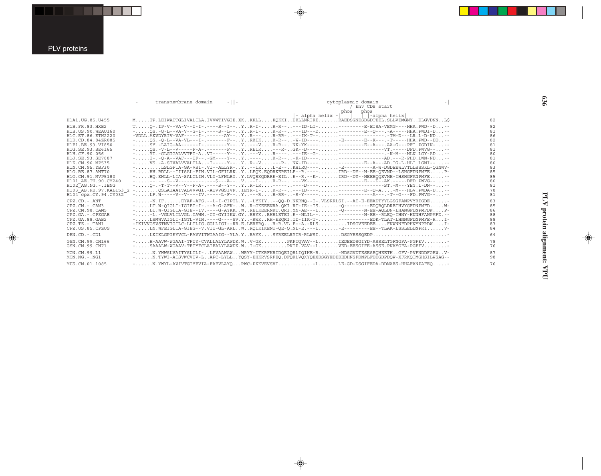|                                                                                                                                                                                                                                                                                                                                                       | $\overline{a}$ | transmembrane domain | $-11-$ | cytoplasmic domain<br>$-$ alpha helix $-$                                                                                                                                                                                                                                                                                                                                                                                                                                                                                                                                                                                                                                                                                                                                                                                                                                                                                                                                                                                                                                                                                                                                                                                          | / Env CDS start<br>phos phos<br> -alpha helix |                                                                                              |
|-------------------------------------------------------------------------------------------------------------------------------------------------------------------------------------------------------------------------------------------------------------------------------------------------------------------------------------------------------|----------------|----------------------|--------|------------------------------------------------------------------------------------------------------------------------------------------------------------------------------------------------------------------------------------------------------------------------------------------------------------------------------------------------------------------------------------------------------------------------------------------------------------------------------------------------------------------------------------------------------------------------------------------------------------------------------------------------------------------------------------------------------------------------------------------------------------------------------------------------------------------------------------------------------------------------------------------------------------------------------------------------------------------------------------------------------------------------------------------------------------------------------------------------------------------------------------------------------------------------------------------------------------------------------------|-----------------------------------------------|----------------------------------------------------------------------------------------------|
| H1A1.UG.85.U455                                                                                                                                                                                                                                                                                                                                       |                |                      |        | MTP.LEIWAITGLIVALILA.IVVWTIVGIE.XKKKLLKOKKIDRLLNRIRERAEDSGNESDGDTEEL.SLLVEMGNYDLGVDNNLS                                                                                                                                                                                                                                                                                                                                                                                                                                                                                                                                                                                                                                                                                                                                                                                                                                                                                                                                                                                                                                                                                                                                            |                                               | 82                                                                                           |
| H1B.FR.83.HXB2<br>H1B. US. 90. WEAU160<br>H1C. ET. 86. ETH2220<br>H1D.CD.84.84ZR085<br>H1F1.BE.93.VI850<br>H1G.SE.93.SE6165<br>H1H.CF.90.056<br>H1J. SE. 93. SE7887<br>H1K.CM.96.MP535<br>H1N.CM.95.YBF30<br>H10.BE.87.ANT70<br>H10.CM.91.MVP5180<br>H101 AE. TH. 90. CM240<br>$H102-AG.NG. - IBNG$<br>H103 AB.RU.97.KAL153 2<br>H104 cpx.CY.94.CY032 |                |                      |        | $T_{1},,0-1P-V-VA-V-1-I-1-1-P-S-I-1-.Y,0-0.1+P-S-1-.1+P-S-1-P-S-P-S-0.1+P-S-0.1+P-S-0.1+P-S-0.1+P-S-0.1+P-S-0.1+P-S-0.1+P-S-0.1+P-S-0.1+P-S-0.1+P-S-0.1+P-S-0.1+P-S-0.1+P-S-0.1+P-S-0.1+P-S-0.1+P-S-0.1+P-S-0.1+P-S-0.1+P-S-0.1+P-S-0.1+P-S-0.1+P-S-0.1+P-S-0.1+P-S-0.$<br>$-VDLL$ .AKVDYRIV-VAF-----I-.------AY--YR---R-RR----IK-T------------------TM-D---LR.L-D-ND--<br>-OS.-O-L--VA-VL---I-.-------F--YRRIKR-R---W-ID-----E-------E--K---.-T-----HHA.PWD--DD-<br>$-1, \ldots$ , SY, -LAIG-AA------I-, -------Y--,, Y,, ---V,,,,, R-R--,,, NK-YK----,,,,,,,---------E--A---, AA-G---PFI, PGDIN-,,,--<br>$-1, 0.05 - V - L - V - - - F - A - - - - - - F - 0.1$<br>$-$ YI.-GLGIGALVVTFI-AVI-----Y--Y---VR-------IE--G-----------------.K-M---HLN.LGY-AD--<br>-I-.-O-A--VAF---IF--.-GM----Y--Y----R-R---K-ID---------------------AD.---R-PHD.LWN-ND--<br>-VS.-A-SIVALVVALILA-I-----Y--YR--V---R-NW-ID-------------E--A---AD.IG-L-HLI.LGNI---<br>-LSLGFIA-GA-VSI-.VI--ALLYR-Y--IKL-E--KHIRO-----E----------A-W-DGDEEWLVTLLSSSKL-OGNWV-<br>-HH.RDLL--IIISAL-FIN.VIL-GFILRKYLEOK.EODRKEREILE--R.----IRD--DY--N-EE-OEVMD--LSHGFDNPMFEP-<br>-HO.ENLL-LIA-SALCLIN.VLI-LFNLRIY.LVORKODRRE-EILE--R.--K-IRD--DY--NEEEOOEVME-IHSHGFANPMFE-- |                                               | 82<br>81<br>86<br>82<br>81<br>81<br>80<br>81<br>80<br>83<br>85<br>85<br>80<br>81<br>78<br>81 |
| $CPZ$ . $CD - ANT$<br>$CPZ$ . $CM - CAM3$<br>CPZ.CM.98.CAM5<br>CPZ.GA.-.CPZGAB<br>CPZ.GA.88.GAB2<br>$CPZ.TZ. - TAN1$<br>CPZ.US.85.CPZUS                                                                                                                                                                                                               |                |                      |        | $-$ -N.IFEYAF-AFS.--L-I-CIPIL.Y-LYKIY--QQ-D.NKRNQ--I-.VLSRRLSI.--AI-E-EEADTYYLGSGFANPVYREGDE<br>$-$ LT.W-OIGLI-IGIEI-I-.--A-G-AFK-WR-GKEEENRA.OKI.RT-IE--IS-O--------EDOROLDREIHVYGFDNPMFDW-<br>$-$ LI.W-OIGLIA-GIE--IV.----G-AYKKWREIKEERNRT.ORI.YN-AE---I-O------N-EE-AOLDN-LHANGFDNPMFDWP-<br>$ -L$ .-VGLVLILVGL.IAWN.-CI-GYIIKW.GYRRYKRHRLETEI.E--NLIL----------N-EE--RLEO-IHNY-HNNHFANPMFD.--<br>-LSMWVAIGLI-IGTL-VIN.----G----SV.Y-RWKRH-EEORI.ID-IIK-T-----------EDK-TLAT-LHNNGFDNPMFE-RI-<br>-IKIVVGSVSTNVIGILC-LLILIG.GGLLIGI--RR.E.LEREROH-R.VL.E--A.-RLSIDSGVEEDEEFNWNNFDPHNYNPRDWI-<br>$-$ LN.WFEIGLIA-GIEG--V.VII-GL-ARLWROIKIKENT-OE-O.NL-E.---I-E--------EE--TLAK-LSSLELDNPRIV-                                                                                                                                                                                                                                                                                                                                                                                                                                                                                                                                     |                                               | 83<br>85<br>86<br>88<br>88<br>83<br>84                                                       |
| DEN.CD. -. CD1                                                                                                                                                                                                                                                                                                                                        |                |                      |        | $-$ LKIKLGPIEYVCL-FAVVITWIAAIG--YLA.YRAYKSYREELRYIR-RLWSIDSGYESSOEDP                                                                                                                                                                                                                                                                                                                                                                                                                                                                                                                                                                                                                                                                                                                                                                                                                                                                                                                                                                                                                                                                                                                                                               |                                               | 64                                                                                           |
| GSN.CM.99.CN166<br>GSN.CM.99.CN71                                                                                                                                                                                                                                                                                                                     |                |                      |        | -H-AAVW-WGAAI-TFIY-CVALLALYLAWDK.WV-GKPKPTOVAV--LIEDEEDSGIYD-ASSELTGFNGFA-PGFEV<br>-SAAALW-WGAAV-TFIYFCLAIFALYLAWDK.WI-GKPKIP.VAV--LVED-EESGIFE-ASSE.PNAYGFA-PGFEV                                                                                                                                                                                                                                                                                                                                                                                                                                                                                                                                                                                                                                                                                                                                                                                                                                                                                                                                                                                                                                                                 |                                               | 78<br>76                                                                                     |
| MON.CM.99.L1<br>$MON.NG. - . NG1$                                                                                                                                                                                                                                                                                                                     |                |                      |        | - N.YWWSLVAITYSLILI-LPVAAWAWWRYY-ITKRFKRIDOEIORLIOIHE-R-HDSGVDTESESEOHEETHGFV-PVFNDDFGEWV-<br>-N.TYWI-AISVWCVIV-LAPC-LYLLYOSY-EHKRVSRFEO.DFORLVOXYOEXDSGYEDEDEDHNSFDNPLFDDGDPDOW-XFRKOIMGHSILWSAG--                                                                                                                                                                                                                                                                                                                                                                                                                                                                                                                                                                                                                                                                                                                                                                                                                                                                                                                                                                                                                                |                                               | 87<br>98                                                                                     |
| MUS.CM.01.1085                                                                                                                                                                                                                                                                                                                                        |                |                      |        | -N.YWYL-AVIVTGIYFVIA-FAFVLAYORWC-PKKVEVSVILLLE-GD-DSGIFEDA-DDMAES-HHAFANPAFEO-                                                                                                                                                                                                                                                                                                                                                                                                                                                                                                                                                                                                                                                                                                                                                                                                                                                                                                                                                                                                                                                                                                                                                     |                                               | 76                                                                                           |

 $\overrightarrow{\mathbf{\P}}$ 

 $\spadesuit$ 

PLV protein alignment: VPU **PLV protein alignment: VPU**

 $\begin{picture}(20,5) \put(0,0){\line(1,0){10}} \put(15,0){\line(1,0){10}} \put(15,0){\line(1,0){10}} \put(15,0){\line(1,0){10}} \put(15,0){\line(1,0){10}} \put(15,0){\line(1,0){10}} \put(15,0){\line(1,0){10}} \put(15,0){\line(1,0){10}} \put(15,0){\line(1,0){10}} \put(15,0){\line(1,0){10}} \put(15,0){\line(1,0){10}} \put(15,0){\line(1,$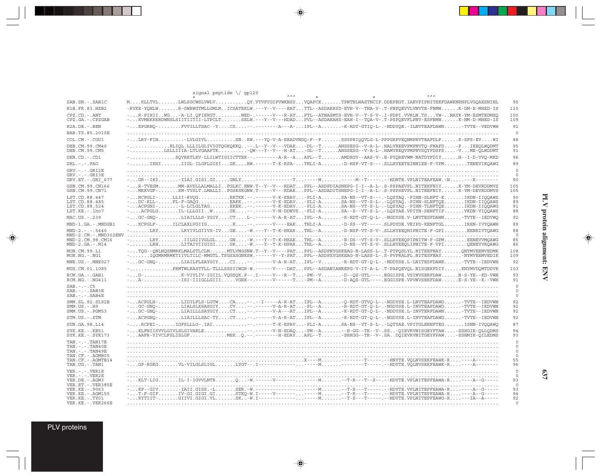|                                                                                                                                          | signal peptide $\setminus$ gp120                                                                                                                                                                                                                                                                                                                                                                                                                                                                                                                                                                                                                                                                                                                    |                          |
|------------------------------------------------------------------------------------------------------------------------------------------|-----------------------------------------------------------------------------------------------------------------------------------------------------------------------------------------------------------------------------------------------------------------------------------------------------------------------------------------------------------------------------------------------------------------------------------------------------------------------------------------------------------------------------------------------------------------------------------------------------------------------------------------------------------------------------------------------------------------------------------------------------|--------------------------|
| SAB.SN. - . SAB1C                                                                                                                        | MKLLTVLLWLSGCWSLVWLVOY.VTVFYGIPVWKNSSVOAFCKTPNTNLWASTNCIP.DDEPEGT.IAEVPIPNITEKFDAWKNRNPLVGOAESNIHL                                                                                                                                                                                                                                                                                                                                                                                                                                                                                                                                                                                                                                                  | 95                       |
| H1B.FR.83.HXB2                                                                                                                           | -RVKE-YOHLWR-GWRWGTMLLGMLMICSATEKLW.---Y--V----EATTTL--ASDAKAYD-EVH-V--THA-V-.T-PNPOEVVLVNVTE-FNMWK-DM-E-MHED-IS                                                                                                                                                                                                                                                                                                                                                                                                                                                                                                                                                                                                                                    | 110                      |
| $CPZ$ . $CD$ . - .ANT<br>CPZ.GA. - . CPZGAB                                                                                              | -R-PIHIIWG-A-LI.OFIEKGTNED-.-----V---R-ATPTL--ATNASMTS-EVH-V--T-S-V-.I-PDPI.VVRLN.TSVW-NAYK-YM-ESMTEDMXO<br>-KVMEKKKRDWNSLSIITIITII-LTPCLTSELW.---Y--V---HDADPVL--ASDAKAHS-EAH-I--TQA-V-.T-PSPQEVFLPNV-ESFNMWK-NM-D-MHED-IS                                                                                                                                                                                                                                                                                                                                                                                                                                                                                                                         | 100<br>109               |
| $H2A.DE. - .BEN$                                                                                                                         | $-1$ EPGRNO-FVVILLTSAC--YCS--.---------A---A-IPL--A-K-RDT-GTIO-L-.-NDDYOE.-ILNVTEAFDAWNTVTE--VEDVWH                                                                                                                                                                                                                                                                                                                                                                                                                                                                                                                                                                                                                                                 | 92                       |
| BAB.TZ.85.2010E                                                                                                                          |                                                                                                                                                                                                                                                                                                                                                                                                                                                                                                                                                                                                                                                                                                                                                     | $\circ$                  |
| COL.CM.-.CGU1                                                                                                                            | -LRY-FINLVLGIVLSNKW.---YO-V-A-EEADVNDO-F--FSSSPEIOOVLG-L-PPPGKPVEONMPNVTEAFDLFK-SFS-EVWI                                                                                                                                                                                                                                                                                                                                                                                                                                                                                                                                                                                                                                                            | 88                       |
| DEB.CM.99.CM40<br>DEB.CM.99.CM5                                                                                                          | -RLIQL.LLLILGLIVIGTQGKOKKO--.L--Y--VDAK-DL--TANSSESG--V-A-L-.HALVREEVPMPNVTO-FNAFD-PIEEQLWODMT                                                                                                                                                                                                                                                                                                                                                                                                                                                                                                                                                                                                                                                      | 95<br>91                 |
| DEN.CD. -. CD1                                                                                                                           | -SOVRRTLKV-LLILWTIGIICTTEK--.-------A-R--AAPL--TAMDRGV--AAS-V-.E-PYOREVWM-NATDYFDIYH--I-D-VVO-MKD                                                                                                                                                                                                                                                                                                                                                                                                                                                                                                                                                                                                                                                   | 96                       |
| $DRL - - -$ . $FAO$                                                                                                                      | $-$ IRHIIIGL-ILGFLGISIGKHW.------T-K-RPA-THLI-A-D-HSF-VT-S---.SLLHYEETEINNIEE-F-VPMTENEVIKOAWG                                                                                                                                                                                                                                                                                                                                                                                                                                                                                                                                                                                                                                                      | 89                       |
| $GRV. - . - . GRI2E$<br>$GRV. - . - . GRI3E$<br>GRV.ET. - . GRI 677                                                                      |                                                                                                                                                                                                                                                                                                                                                                                                                                                                                                                                                                                                                                                                                                                                                     | $\circ$<br>$\circ$<br>90 |
| GSN.CM.99.CN166<br>GSN.CM.99.CN71                                                                                                        | -R-TVESMMM-AVSLLALMALLIPGLKC.ENW.T--Y--V--RDATPPL--ASDPDIASNEPG-I-I--A-L-.S-PSPAEVPL.NITEKFNIYK-YM-DEVRDDMVS<br>-MRKVGF-KM-VVSLT.LMALLIPGSRSKGNW.T-----V---RDAKPPL--ASDADITSNEPG-I-I--A-L-.S-PSPSEVPL.NITEEFNIYK-YM-DEVRDDMVS                                                                                                                                                                                                                                                                                                                                                                                                                                                                                                                       | 105<br>105               |
| LST.CD.88.447<br>LST.CD.88.485<br>LST.CD.88.524<br>LST.KE.-.lho7                                                                         | $-$ NCPGLI $-$ LLII-RVOGEKTKK.--.-----V-K-EEAV-PLI-ASA-NS--VT-S---.-LOSYAO.-PIHN-SLNFT-EIKDN-IIOOAWS<br>$\ldots DC-KLL-\ldots. FL-F-GA\^{QG}\ldots\ldots\ldots. EAKK.\ldots\ldots\ldots-V-K-EDAV\ldots-PLI-A.\ldots\ldots SA-NS-\t-VT-S-L-\ldots\texttt{LQSYAQ}\ldots\texttt{PHIN-SLNFTQE}\ldots\ldots\ldots\texttt{IKDN-IIQQANS}\ldots\ldots\ldots\texttt{MQANSE}\ldots\ldots\ldots\texttt{MQANSE}\ldots\ldots\ldots\texttt{MQANSE}\ldots\ldots\ldots\ldots\texttt{MQANSE}\ldots\ldots\ldots\texttt{MQANSE}\ldots\ldots\ldots\texttt{MQANSE}\ldots\$<br>-ACPGNI--L-LCLGLTAGEKEK--.-----V-K-EDAV-PLI-ASA-NS--VT-S-L-.-LOSYAO.-PIHN-TLNFTOEIKDN-IIOOAWG<br>-ACPGLGIL-LLLGIIWGK--.-----V-N-DDNVSPLI-ASA--S--VT-S-L-.-LÕSYAE.VPIYN-SENFTĨPVKDN-VIÕÕAWS | 90<br>89<br>91<br>88     |
| MAC.US. - . 239                                                                                                                          | -GC-GNO-LIAILLLS-YGIYCTL-.-----V-A-R-ATIPL--A-K-RDT-GT-O-L-.-NGDYSE.V-LNVTESFDAWN-TVTE--IEDVWO                                                                                                                                                                                                                                                                                                                                                                                                                                                                                                                                                                                                                                                      | 92                       |
| MND-1.GA.-.MNDGB1                                                                                                                        | -KCPGLF-ILCLAXLVGIIGK--.------V----EAKTHLI-A-D-SS--VT-----.SLPDYDE.VEIPD-KENFTGLIREN-IVYOAWH                                                                                                                                                                                                                                                                                                                                                                                                                                                                                                                                                                                                                                                        | 89                       |
| $MND-2. - - 5440$<br>MND-2.CM.-.MND302ENV                                                                                                | $-$ LRYLRYIVLGIIVS-IVGE-W.---Y--T-K-HKARTHL--A-D-NSF-VT-S-V-.SLLHYEEOHIPNITE-F-GPIEENEIVTOAWG                                                                                                                                                                                                                                                                                                                                                                                                                                                                                                                                                                                                                                                       | 88<br>$^{\circ}$         |
| MND-2.CM.98.CM16<br>$MND-2.GA.-.M14$                                                                                                     | -LRYIILGIIVGLGLGN-W.---Y--T-K-HKAETHL--A-E-DS--VT-S-V-.SLLHYEEOPIPNITW-F-GPMEENEVVMOAWG<br>-LRHLITAIVIIGIGIGK-W.---Y--T-K-HPARTHL--A-D-NS--VT-S-V-.SLLHYEEQLIPNITE-F-VPIOENEVVROAWG                                                                                                                                                                                                                                                                                                                                                                                                                                                                                                                                                                 | 85<br>86                 |
| MON.CM.99.L1<br>$MON.NG. - . NG1$                                                                                                        | -TOG--ONLNOSNMRKLMALSTLCLMMTLVNGSNW.T--Y--V----PATPPL--ASDPNYGSKEAG-N-LASS-L-.T-PTPOSLYL.NITEEFNAYONYMVEEMVEDMK<br>-IOGMRMRMKTIIVLTILC-MMGTL.TSGSXSGNKSW.------V--Y-PATPPL--ASDPXYGSKEAG-N-LASS-L-.S-PVPRALPL.NITESFNAY <sup>I</sup> NYMVEEMVEDIK                                                                                                                                                                                                                                                                                                                                                                                                                                                                                                   | 108<br>109               |
| MNE.US.-.MNE027                                                                                                                          | -GC-GNO-LIAILFLSAYGIYCI--.-----V-A-R-ATIPL--V-R-RDT-GT-O-L-.-NDDYSE.L-LNITESFDAWE-TVTE--IEDVWH                                                                                                                                                                                                                                                                                                                                                                                                                                                                                                                                                                                                                                                      | 92                       |
| MUS.CM.01.1085                                                                                                                           | -PRMTWLRASTTLL-TLLLSSSIIWGR-W.------V---DATPPL--ASDANIANREPG-V-IT-A-L-.T-PAPOEVOL.NISGEKFDIYKNYMVDOMTDDVR                                                                                                                                                                                                                                                                                                                                                                                                                                                                                                                                                                                                                                           | 103                      |
| RCM.GA.-.GAB1<br>RCM.NG. - . NG411                                                                                                       | $- \ldots$ D $- \ldots \ldots \ldots \ldots$ K-VIVLIV-IGIIL.VOGSOK.P--.I-----V---R--T-PM--V-D--OS-GTL----.EGGISPE.VSINVSERFDAWN-S-YE--KD-VWN<br>-A-FISI-IIIGLLGIIIVGEK--.------V-----T-PM--A-D-AOS-GTL----.EGGISPE.VPVNVSEKFDAWE-S-YE--K--VWH                                                                                                                                                                                                                                                                                                                                                                                                                                                                                                       | 93<br>91                 |
| $SAB$ . - . - . $CS$<br>$SAB$ . $  -SAB3E$<br>$SAB$ . - . - . $SAB4E$                                                                    |                                                                                                                                                                                                                                                                                                                                                                                                                                                                                                                                                                                                                                                                                                                                                     | $\circ$                  |
| SMM.SL.92.SL92B<br>$SMM.US.-.H9$<br>SMM.US.-.PGM53                                                                                       | -ACPGLH-LIDILFLS-LGTWCA--.--I-----A-R-ATIPL--A-Q-RDT-GTVQ-L-.-NGDYSE.L-LNVTEAFDAWD-TVTE--IEDVWN<br>-GC-GNQ-LIALSLXSASGIYCV---------V-A-R-AT-PL--AR-RDT-GT-Q-L-.-NGDYSE.L-INVTEAFDAWD-TVTE--IEDVWN<br>-GC-GNO-LIAILLLSAYGIYCT--.-----V-A---ATIPL--A-K-RDT-GT-O-L-.-NDDYSE.L-INVTERFDAWNTVTE--IEDVWN                                                                                                                                                                                                                                                                                                                                                                                                                                                  | 92<br>92<br>92           |
| STM.US.-.STM                                                                                                                             | -ACPGNO-LIAILLLSAC-TYCT--.-----V-A-R-ATIPL--A-K-RDT-GT-Q-L-.-NGDYSE.L-INVTEAFDAWD-TVTE--IEDVWN                                                                                                                                                                                                                                                                                                                                                                                                                                                                                                                                                                                                                                                      | 92                       |
| SUN.GA.98.L14                                                                                                                            | -RCPEI-IGFSLLLG-.IAI-------T-K-EPAV-PLI-ASA-NS--VT-S-L-.-LQTYAE.VPITGLEENFTEGISNN-IVQQAWQ                                                                                                                                                                                                                                                                                                                                                                                                                                                                                                                                                                                                                                                           | 87                       |
| SYK.KE. - . KE51<br>$SYK.KE. - .SYK173$                                                                                                  | -KLFNIISVVLGIVLSLGIVARLE-------V-N-EDAO-PM--A--H-GG--TK--V-.SS-OIEVRVNISGEYFTAW-SSHGIR-OLLODMS<br>-AAFR-YIVCLFSLISLGFMEK0.--.-------H-EDAYAPL--T-SHKGG--TK--V-.SADOIEVRVNITGEYFPAW-SSHMIR-OILEDMS                                                                                                                                                                                                                                                                                                                                                                                                                                                                                                                                                   | 94<br>93                 |
| $TAN. - . - . TAN17E$<br>$TAN. - . - . TAN40E$<br>$TAN. - . - . TAN49E$<br>TAN.CF. - . AGMB05<br>TAN.CF. - . AGMTB14<br>TAN.UG. - . TAN1 |                                                                                                                                                                                                                                                                                                                                                                                                                                                                                                                                                                                                                                                                                                                                                     | $\circ$<br>55<br>96      |
| $VER. - . - . VER1E$                                                                                                                     |                                                                                                                                                                                                                                                                                                                                                                                                                                                                                                                                                                                                                                                                                                                                                     |                          |
| $VER. - . - . VER2E$<br>VER.DE. - . AGM3<br>VER.ET. - . VER385E                                                                          |                                                                                                                                                                                                                                                                                                                                                                                                                                                                                                                                                                                                                                                                                                                                                     | 93<br>$\circ$            |
| VER.KE. - . 9063<br>VER. KE. - . AGM155                                                                                                  |                                                                                                                                                                                                                                                                                                                                                                                                                                                                                                                                                                                                                                                                                                                                                     | 93<br>94                 |
| VER.KE. - . TYO1<br>VER.KE. - . VER266E                                                                                                  |                                                                                                                                                                                                                                                                                                                                                                                                                                                                                                                                                                                                                                                                                                                                                     | 92<br>$\circ$            |

 $\spadesuit$ 

 $\Rightarrow$ 

PLV proteins

 $\Rightarrow$ 

---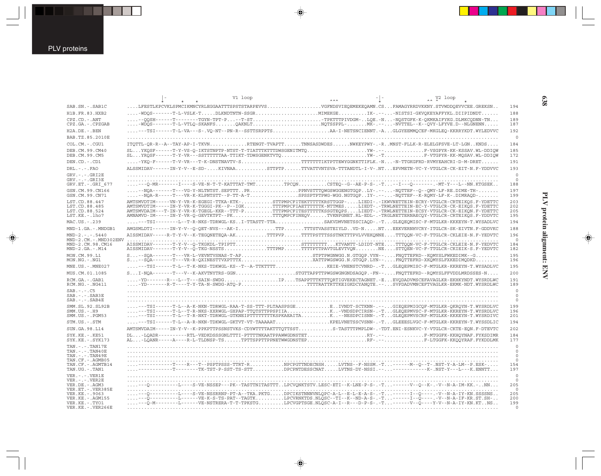|                                                                                                                                                                               | V1 loop |                                                                                                                                                                                                                                                                                                                                                                                                                                                                                                                                                                                                                  | $\lambda \lambda$ V <sub>2</sub> loop |                                                                        |
|-------------------------------------------------------------------------------------------------------------------------------------------------------------------------------|---------|------------------------------------------------------------------------------------------------------------------------------------------------------------------------------------------------------------------------------------------------------------------------------------------------------------------------------------------------------------------------------------------------------------------------------------------------------------------------------------------------------------------------------------------------------------------------------------------------------------------|---------------------------------------|------------------------------------------------------------------------|
| SAB.SN. - . SAB1C                                                                                                                                                             |         | LFESTLKPCVKLSPMCIKMNCYRLEGGAATTTSPSTSTARPEVVSVGFNDSVIEOEMEKEOAMN.CSFAMAGYRRDVKKNY.STVWDDOEVVCEE.GREKSN                                                                                                                                                                                                                                                                                                                                                                                                                                                                                                           |                                       | 194                                                                    |
| H1B.FR.83.HXB2                                                                                                                                                                |         |                                                                                                                                                                                                                                                                                                                                                                                                                                                                                                                                                                                                                  |                                       | 188                                                                    |
| CPZ.CD. - . ANT<br>CPZ.GA. - . CPZGAB                                                                                                                                         |         | $\ldots -2QSH---T---T---T GYN-TPT-P.\ldots -T-ST.\ldots\ldots\ldots\cdot TPKTTTPIVDGM-LQE.-N.\ldots-NQSTGFK-K-QKMKATPYKG. DLMKCQDNN-TN.\ldots$<br>$\ldots \ldots \ldots \texttt{WPOS-----}-\texttt{T-L-VTLQ-SKANFS} \ldots \ldots \texttt{QAKNL}.\ldots \ldots \ldots \ldots \ldots \ldots \texttt{NQTSSPPL--}\ldots \ldots \texttt{M}\bar{K}\texttt{---}-\texttt{--}\bar{\texttt{WVTTEL--K--QUY-LFYVE}} \texttt{--} \texttt{--} \texttt{NU} \texttt{--} \texttt{---} \texttt{--} \texttt{NU} \texttt{--} \texttt{--} \texttt{--} \texttt{--} \texttt{--} \texttt{--} \texttt{--} \texttt{--} \texttt{--} \text$ |                                       | 189<br>187                                                             |
| $H2A.DE. - .BEN$                                                                                                                                                              |         | ---TSI------T-L-VA---S-.VO-NT--PN-R--SSTTSRPPTSAA-I-NETSNCIENNT.-AGLGYEEMMOCEF-MKGLEO-KKRRYKDT.WYLEDVVC                                                                                                                                                                                                                                                                                                                                                                                                                                                                                                          |                                       | 192                                                                    |
| BAB.TZ.85.2010E                                                                                                                                                               |         |                                                                                                                                                                                                                                                                                                                                                                                                                                                                                                                                                                                                                  |                                       | $\overline{0}$                                                         |
| COL.CM. - . CGU1                                                                                                                                                              |         | ITOTTL-OR-R--A--TAY-AP-I-TKVNRTENGT-TVAPTTTNNSASDWDESNWKEYPWY-.-RMNST-FLLK-R-ELELGFSVE-LT-LGNKNDS                                                                                                                                                                                                                                                                                                                                                                                                                                                                                                                |                                       | 184                                                                    |
| DEB.CM.99.CM40<br>DEB.CM.99.CM5                                                                                                                                               |         | SLYKQSF------T-Y-VS-Q-IKTSTNPTP-NTST-T-TIATTTKTTTDWSGENITMTQYW-.--F-VSGPYR-KK-KSSAV.WL-DDIQW                                                                                                                                                                                                                                                                                                                                                                                                                                                                                                                     |                                       | 185<br>172                                                             |
| DEN.CD. - .CD1                                                                                                                                                                |         |                                                                                                                                                                                                                                                                                                                                                                                                                                                                                                                                                                                                                  |                                       | 191                                                                    |
| $DRL$ . - . - . $FAO$                                                                                                                                                         |         | ALSSMIDAV------IN-Y-V--E-SD-KIVNAASTTPTPTTVATTVNTSVA-TTTANDTL-I-V-.NTEPVMETN-VC-Y-VTGLCR-CK-EIT-N.F-YDDVVC                                                                                                                                                                                                                                                                                                                                                                                                                                                                                                       |                                       | 193                                                                    |
| $GRV. - . - . GRI2E$<br>$GRV. - . - . GRI3E$<br>GRV.ET. - . GRI 677                                                                                                           |         |                                                                                                                                                                                                                                                                                                                                                                                                                                                                                                                                                                                                                  |                                       | $\circ$<br>$\circ$<br>188                                              |
| GSN.CM.99.CN166<br>GSN.CM.99.CN71                                                                                                                                             |         | $\ldots \cdot - \text{NQA-R---T---VR-K-KLPNTSTT--P-TT-A-T} \ldots \ldots \ldots \ldots \cdot \text{SPSSPTPTFWG-WGTGQP} \ldots \text{NGTGQP} \ldots \text{N-TTF--K--R\bar{Q}MY-LF-K--DIMRAOD---}\ldots \ldots$                                                                                                                                                                                                                                                                                                                                                                                                    |                                       | 197<br>199                                                             |
| LST.CD.88.447<br>LST.CD.88.485<br>LST.CD.88.524<br>LST.KE.-.lho7                                                                                                              |         | AMTSMVDTIM-----VN-Y-VR-K-EGEGI-TTKA-KTK-STTPMPCFITEKTTTTTKRSTTGGP-LIEDI-.-IKWVNETTEIN-ECRY-VTGLCR-CRTEIKQS.F-YDETTC<br>AMTSMVDTIM-----IN-Y-VR-K-TGGGI-PK--P--IGKTTTPMPCFIAETTTTTK-NTTMESLIEDT-.-TRWLNETTEIN-EC-Y-VTGLCR-CK-EIKOS.F-YDETTC<br>AMTSMVDAIM---T-IN-Y-VR-K-TGEGL-KKR--TTT-PTTTPMPCFITESTTTTTKSSGTEOPSLIEDT-.-TRWLNETTEIN-ECSY-VTGLCR-CK-EIKON.F-YDETTC<br>AMNAMVD-IM-----IN-Y-VR-Q-GEVTKTPT--PKTTTQMPCFINEQVTVKNPGNET.RL-EDL-.-TRGLNETTERNAECQY-VTGLCR-CRTEIKQS.F-YDDVTC                                                                                                                              |                                       | 203<br>202<br>205<br>195                                               |
| MAC.US.-.239                                                                                                                                                                  |         | ---TSI--------L--T-R-NKS-TDRWGL-KSI-TTASTT-TTASAKVDMVNETSSCIAQD-.-TGLEQEQMISC-F-MTGLKR-KKKEYN-T.WYSADLVC                                                                                                                                                                                                                                                                                                                                                                                                                                                                                                         |                                       | 194                                                                    |
| MND-1.GA.-.MNDGB1                                                                                                                                                             |         | AMGSMLDTI------IN-Y-V--O-OET-NVS---AK-ITTPTTTSTVASSTEIYLDVD-NNTEEKVERNHVCRY-ITGLCR-SK-EIVTN.F-GDDVKC                                                                                                                                                                                                                                                                                                                                                                                                                                                                                                             |                                       | 188                                                                    |
| $MND-2. - - - 5440$<br>$MND-2$ . $CM. - . MND302ENV$                                                                                                                          |         | AISSMIDAV-----R-T-Y-V--K-TEGONETEOA-AKTTTPVPTTTTPSTTTSSSTNKTTTPVLVVEKONNETTTOON-VC-F-TTGLCR-CKLEIE-N.F-YEDVTC                                                                                                                                                                                                                                                                                                                                                                                                                                                                                                    |                                       | 196<br>$\overline{0}$                                                  |
| MND-2.CM.98.CM16<br>$MND-2.GA.-.M14$                                                                                                                                          |         | AISSMIDAV-------T-Y-V--Q-TKGKDL-TPIPTTSTTTTTTTKTVANTT-LDIDT-NTETTTQQN-VC-F-TTGLCR-CKLEIE-N.F-YEDVTC<br>$\tt{AISMIDAV-----T-Y-V--Q-TKG-NSSTS\tt{TTTPMP}\tt{TTTPTPPVPAVTGEVTVQNNE\tt{STTQEN-VC-F-TTGLCR-CKIEIK-S.F-YEDVTC}$                                                                                                                                                                                                                                                                                                                                                                                        |                                       | 184<br>182                                                             |
| MON.CM.99.L1<br>$MON.NG. - . NG1$                                                                                                                                             |         | S--SOA-------T---VR-L-VEVNTVSNAS-T-APSTPTPWGNWGG.N.GTGOP.VYN--FNOTTEFRD--KOMYSLFWKEDIMK--G<br>S--SQA-------T---VR-R-QXINESTTVXPTTTXXATTPWGSWGG.N.GTGQP.LYN--FNQTTEFRD-XKQMYSLFXKEDIMQDKD                                                                                                                                                                                                                                                                                                                                                                                                                         |                                       | 195<br>196                                                             |
| MNE.US. - . MNE027                                                                                                                                                            |         |                                                                                                                                                                                                                                                                                                                                                                                                                                                                                                                                                                                                                  |                                       | 195                                                                    |
| MUS.CM.01.1085                                                                                                                                                                |         | SI-NQA------T---V--K-AKVTNYTRS-GGNSTGTTAPPTTPWGSWGNONDSAGQP.-FN--FNQTTEFRD--RQMYSLFFVDDLMRDSSES-N                                                                                                                                                                                                                                                                                                                                                                                                                                                                                                                |                                       | 200                                                                    |
| RCM.GA.-.GAB1<br>$RCM.NG. -.NG411$                                                                                                                                            |         | $\ldots$ -YD-------R---L--T---SAIN-SWDGTPTSAPPTTKTTTORTIGVEKECTAGNET.-EEVODADVMSCEFAVAGLKR-EKHKYNDT.WYSRDLWC<br>$\ldots$ -YD-------R-T----T-Y-TA-N-SWDG-ATO-PTTTTRATTRTTKEIGKDCYANOTE.--SVPDADVMNCEFTVAGLKR-EKMK-NDT.WYSRDLWC                                                                                                                                                                                                                                                                                                                                                                                    |                                       | 191<br>189                                                             |
| $SAB$ . - . - . $CS$<br>$SAB$ . - . - . $SAB3E$<br>$SAB$ . - . - . $SAB4E$                                                                                                    |         |                                                                                                                                                                                                                                                                                                                                                                                                                                                                                                                                                                                                                  |                                       | $\circ$<br>$\circ$<br>$\circ$                                          |
| SMM. SL. 92. SL92B<br>$SMM. US. - . H9$<br>SMM.US. - . PGM53                                                                                                                  |         | $\ldots \ldots \texttt{-TST---T-L--A-K-NKN-TDRWGL-RAA-T-SS-TTT-PLTAASPSGE} \ldots \ldots \ldots \ldots \ldots \ldots \ldots \ldots \ldots \texttt{GITOEFMIGCOF-MTGLKR-OKROYN-T.WSSDLVC}$<br>$\ldots \ldots \text{---TSI-----T--L--T--R-NKS-XXRWGL-GXPAP-TTOTSTPPSPIIA \ldots \ldots \ldots \ldots \ldots \ldots \ldots \ldots \text{JUDSDPCIRSN--T--C\_GLEOEPMVSC-F-MTGLKR-KKREYN-T.WISRDLVC}$                                                                                                                                                                                                                   |                                       | 199<br>196<br>201                                                      |
| STM.US.-.STM                                                                                                                                                                  |         | ---TSI------T-L--A-R-NKN-TDKWGL-GKTVT-VT-TAAAAATKPELVNETSSCVSNN-.-TGLEEESLVGC-F-MTGLKR-KKREYN-T.WYSSDLIC                                                                                                                                                                                                                                                                                                                                                                                                                                                                                                         |                                       | 194                                                                    |
| SUN.GA.98.L14                                                                                                                                                                 |         | AMTSMVDAIM-----IN-Y-V--K-PPKPTTPSSNSTVKS-CDYWTTTTAKTTTOTTSSTS-TASTTTPMPLDW-.-TDT.ENI-ESNKVC-Y-VTGLCR-CKTE-EON.F-DTEVTC                                                                                                                                                                                                                                                                                                                                                                                                                                                                                           |                                       | 202                                                                    |
| SYK.KE. - . KE51<br>SYK.KE. - . SYK173                                                                                                                                        |         | DL-LOADR----------RTL-VEDKDSSSGNLTTTI-PTTTTNKAATPPAWWGDNSTETRY-.--F-MTGGFK-KKHOYNAF.FYKSDIMR<br>AL-LOANR-----A----R-L-TLDNSP-TSTPTTSPPTTPPNETWWGDNSTEPRF-.--F-LTGGFK-KKOOYRAF.FYKDDLMK                                                                                                                                                                                                                                                                                                                                                                                                                           |                                       | 184<br>177                                                             |
| $TAN. - . - . TAN17E$<br>$TAN. - . - . TAN40E$<br>$TAN. - . - . TAN49E$<br>TAN.CF. - . AGMB05<br>TAN.CF. - . AGMTB14<br>TAN.UG. - . TAN1                                      |         |                                                                                                                                                                                                                                                                                                                                                                                                                                                                                                                                                                                                                  |                                       | $\circ$<br>$\circ$<br>$\circ$<br>$\mathbf{0}$<br>154<br>197            |
| $VER. - . - . VER1E$<br>$VER. - . - . VER2E$<br>VER.DE. - . AGM3<br>VER.ET. - . VER385E<br>VER.KE. - . 9063<br>VER. KE. - . AGM155<br>VER.KE. - . TYO1<br>VER.KE. - . VER266E |         | $\ldots \ldots -\tilde{\mathbb{Q}} - \mathbb{N} - \cdots - \tilde{\mathbb{N}} - \mathbb{N} - \mathbb{N} - \mathbb{N} - \mathbb{N} - \mathbb{N} - \mathbb{N} - \mathbb{N} - \mathbb{N} - \mathbb{N} - \mathbb{N} - \mathbb{N} - \mathbb{N} - \mathbb{N} - \mathbb{N} - \mathbb{N} - \mathbb{N} - \mathbb{N} - \mathbb{N} - \mathbb{N} - \mathbb{N} - \mathbb{N} - \mathbb{N} - \mathbb{N} - \mathbb{N} - \mathbb{N} - \mathbb{N} -$                                                                                                                                                                               |                                       | $\circ$<br>$\Omega$<br>205<br>$\circ$<br>205<br>200<br>199<br>$\Omega$ |
|                                                                                                                                                                               |         |                                                                                                                                                                                                                                                                                                                                                                                                                                                                                                                                                                                                                  |                                       |                                                                        |

 $\begin{picture}(20,5) \put(0,0){\vector(0,1){10}} \put(15,0){\vector(0,1){10}} \put(15,0){\vector(0,1){10}} \put(15,0){\vector(0,1){10}} \put(15,0){\vector(0,1){10}} \put(15,0){\vector(0,1){10}} \put(15,0){\vector(0,1){10}} \put(15,0){\vector(0,1){10}} \put(15,0){\vector(0,1){10}} \put(15,0){\vector(0,1){10}} \put(15,0){\vector(0,1){10}} \put(15,0){\vector(0,$ 

 $\Rightarrow$ 

**638**

PLV protein alignment: ENV **PLV protein alignment: ENV**

 $\Rightarrow$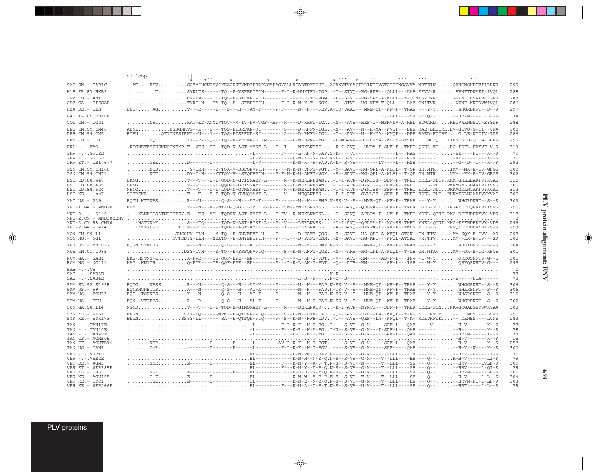|                                                                                                                                          | V2 loop | $+ \lambda \lambda \lambda$ |                                                                                                                                                                                                                                                                                                                                                                                                                                                                   | $*$ $\wedge \wedge \wedge$ $*$ | $\wedge \wedge \wedge$ | <b>AAA</b> |                                    |
|------------------------------------------------------------------------------------------------------------------------------------------|---------|-----------------------------|-------------------------------------------------------------------------------------------------------------------------------------------------------------------------------------------------------------------------------------------------------------------------------------------------------------------------------------------------------------------------------------------------------------------------------------------------------------------|--------------------------------|------------------------|------------|------------------------------------|
| SAB.SN.-.SAB1C                                                                                                                           |         |                             | $\ldots$ ATHTVGCYMIHCNTSVIKEACDKTYWDTFRLRYCAPAGYALLRCADTDYSGHKACRNVTVSACTRLINTTVSTGIGINGSYVA.NRTEIWOKNGNSNDSVIIRLNR                                                                                                                                                                                                                                                                                                                                               |                                |                        |            | 299                                |
| H1B.FR.83.HXB2                                                                                                                           |         |                             |                                                                                                                                                                                                                                                                                                                                                                                                                                                                   |                                |                        |            | 288                                |
| $CPZ$ . $CD$ . - .ANT                                                                                                                    |         |                             | CY-LW----TT-TOS-E-STFEPIPIH--------I---E-E-FT-VGM-K--S-VH--HG-SPM-A-WLLL--T-OTNTSVVMNGRKNESVLVRFGKE                                                                                                                                                                                                                                                                                                                                                               |                                |                        |            | 288                                |
| CPZ.GA. - . CPZGAB                                                                                                                       |         |                             |                                                                                                                                                                                                                                                                                                                                                                                                                                                                   |                                |                        |            | 286                                |
| H2A.DE. - . BEN                                                                                                                          |         |                             | DNT-AGT--R-----I---S---H---AM-F-----P-F-----N---FEP.K-TK-VAAS---MME-OT--WF-F--TRAE.---Y-YWHGRDNRT--S--K                                                                                                                                                                                                                                                                                                                                                           |                                |                        |            | 297                                |
| BAB.TZ.85.2010E                                                                                                                          |         |                             |                                                                                                                                                                                                                                                                                                                                                                                                                                                                   |                                |                        |            | 34                                 |
| COL.CM. - . CGU1                                                                                                                         |         |                             | NSIRAT-KD-ANYTVTOV--M-IV-PV-TGF--AP--M----D-KKWD-TGA-N---AVS--HEF-I--MSHVLV-A-KEL.SDWAKDREGVWKNDSGT-EYYWF                                                                                                                                                                                                                                                                                                                                                         |                                |                        |            | 288                                |
| DEB. CM. 99. CM40<br>DEB.CM.99.CM5                                                                                                       |         |                             | ADNKDGSGNRTG--K---D---TOS-ETSRFKP-KI-------G----D-KNFN-TGL-N---AV---N--H-MA--WVOF---DEE.RAE-LHIIRK.EV-GEVO-G-IT--VPA<br>ETENOTNTNKSIRHG--N---N---TOS-ETSRFKP-KI-------G----D-RNFN-TGL-T---AV---N--H-MA--WMOF---DEE.RAED-HIIRKG.LE-KTITV-IPP                                                                                                                                                                                                                       |                                |                        |            | 300<br>286                         |
| DEN.CD. - . CD1                                                                                                                          |         |                             | $\ldots\ldots\ldots\ldots\ldots\ldots\ldots$ . YY--RY--O-T-TO--E-VVFEP-KI-M-----F---K-N-HPW--YGL-K-MSARV--DE-H-MA--WLIM-STVEL.LD.NHTOIIRNTSKD-OTIA-LFRK                                                                                                                                                                                                                                                                                                           |                                |                        |            | 296                                |
| $DRL$ . - . - . $FAO$                                                                                                                    |         |                             | .KCGNETESPESNNCTNKKR.T--VTS--ST--TQD-N-AST-MMKF-L---P--I----NEKLNISS--K-I-AVQ---HMPA-I-SHF-F--TKHG.QDEL-ETRG-PDFL-HKYVF-V-K                                                                                                                                                                                                                                                                                                                                       |                                |                        |            | 313                                |
| $GRV. - . - . GRI2E$<br>$GRV. - . - . GRI3E$<br>GRV.ET. - . GRI 677                                                                      |         |                             | $\ldots \ldots \ldots \ldots \ldots \ldots$ . D------D--------------L-V-----------K-N-K--R-FAP.K-K--S-VH--------IT----L---RSE.------. --G--D--T---K--K                                                                                                                                                                                                                                                                                                            |                                |                        |            | 79<br>79<br>292                    |
| GSN.CM.99.CN166<br>GSN.CM.99.CN71                                                                                                        |         |                             | NOS-Y-IRN----Y-TOK-V-SSFOPVPIH----P---M-K-N-VNFT-VGT-Y--SAVT--HG-OPL-A-WLHL--T-OP.GN.NTRIMM--MK-E-IV-GFGE<br>NDTDY-I-N----YVTOK-V--SFOPVPIH----P-F-M-K-N-ANFT-VGK-S--SAVT--HG-OPL-A-WLHL--T-OP.GN.NTRVMM--KK-E-IV-GFGE                                                                                                                                                                                                                                            |                                |                        |            | 300<br>302                         |
| LST.CD.88.447<br>LST.CD.88.485<br>LST.CD.88.524<br>LST.KE.-.lho7                                                                         |         |                             | DKNGT---T---D-I-QQD-N-GVISNAYF-L------M--K-NEKLNFSAN-T-I-ATP--DYMISS--SFF-F--TNHT.DDEL-PLTP.KKM.GNLLEAKFVYKVAG<br>DKNGT---T---D-I-QQD-N-GVISNAYF-L------M--K-NEKLNFSAN-T-I-ATP--DYMIS---SFF-F--TNHT.EDKL-PLTPKKMGNLLDAKFVYKVSG<br>NENGT---T---D-I-LQD-N-GVMSNAYF-L------M--K-NEKLNFSAN-T-I-ATP--DYMISS--SFF-F--TNHT.EDEL-PLTPKKMGDLNGAKFVYKVAG<br>SGERENRT---T---D-I-TQD-N-GVMQNAYF-L------M----NEQLNFSK--E-I-ATP--GYMLSS--SFF-F--TNHT.RDEL-PLTPNKMEDLNGAKFVYKVAG |                                |                        |            | 310<br>309<br>312<br>305           |
| MAC.US. - . 239                                                                                                                          |         |                             | EQGN.NTGNESR---N-------Q-S---H---AI-F-----P-------N---FMP.K-SK-V--S---MME-OT--WF-F--TRAE.---Y-YWHGRDNRT--S--K                                                                                                                                                                                                                                                                                                                                                     |                                |                        |            | 303                                |
| MND-1.GA.-.MNDGB1                                                                                                                        |         |                             | ENNT---N---E--NT-D-O-GL.LIRCILG-V-P--VM--YNEKLNNNKL-S-ISAVO--OHLVA---SFF-F--TMHK.EGEL-PIDDKYRGPEEFHORKFVYKVPG                                                                                                                                                                                                                                                                                                                                                     |                                |                        |            | 295                                |
| $MND-2. - - - 5440$                                                                                                                      |         |                             | -KLNKTGSATNSTEPEY.E---TS--AT--TODRN-AST-RMTF-L---P-FV--K-NEKLNKTKL-G--SAVO--APLPA-I--MF-F--TKHD.YDEL-OTNP.RKG-DEFHDHKYVY-VDK                                                                                                                                                                                                                                                                                                                                      |                                |                        |            | 317                                |
| MND-2.CM.-.MND302ENV<br>MND-2.CM.98.CM16<br>$MND-2.GA.-.M14$                                                                             |         |                             | -NGTNN-YS---TQ------TQD-N-AST-EIKF-L---P--V----LERLNVSK--T-I-AVQ--QPLPA-T--MC-SS-TKHD.YNEL-QTNT.KKG-EEFHDHKYVY-VDE<br>-KKEND-ETE.E---T------TOD-N-AST-KMTF-L---P--I---REKLNKTKL-A--SAVO--DPMPA-I--MF-F--TKHN.YDEL-LVNPOKEFHDHKYVY-V-K                                                                                                                                                                                                                             |                                |                        |            | $\cap$<br>296<br>293               |
| MON.CM.99.L1<br>MON.NG.-.NG1                                                                                                             |         |                             | SNGSHY-ILN----Y-TQ--E-SNYEPVP-H----P------D-PAFT-QGS-S--SAVT--HA-QPI-A-WFQL-STGN-.PN.TTVMM-KQK-E-IVV--AK<br>NTTDDYY-LLN---XYXTQ--E-SNYEPIPIH----P---I---D-PXFT-ONN-X--SAVT--HG-MPI---WFOL-ATSAT.-X.TTVMM--KR-E-IV---XK                                                                                                                                                                                                                                            |                                |                        |            | 298<br>300                         |
| MNE.US.-.MNE027                                                                                                                          |         |                             | EOGN.STEDESR---N-------O-S---H---AI-F------P-------N--K---FMP.N-SK-V--S---MME-OT--WF-F--TRAE.---Y-YWHSKDNRT--S--K                                                                                                                                                                                                                                                                                                                                                 |                                |                        |            | 304                                |
| MUS.CM.01.1085                                                                                                                           |         |                             | DSY-ITN----Y-TQ--E-SSFQPVPIQ------S--K-N-ANFT-QGE-N---ARH--HG-LPL-A-WLQL--T-LE.GN.NTAVMM--DK-E-IG-KFGE                                                                                                                                                                                                                                                                                                                                                            |                                |                        |            | 301                                |
| RCM.GA.-.GAB1<br>RCM.NG. - . NG411                                                                                                       |         |                             | EKE-NSTNS-KKK-FVR----TS-QQF-EPK--EP-------P-F---V-K-KN-T-FDT-V---ATS--HM-----AS-F-L---INV.-E-W-YQRRQSNRTV-G--S<br>KAGNNNTRO-FIR----TS-OOF-EPK--EP-------P---I-K-L-AN-T-FDT-O---ATS--HM-------SF-L---ISE.---W-YORKOSNRTV-G---                                                                                                                                                                                                                                      |                                |                        |            | 301<br>295                         |
| $SAB$ . - . - . $CS$<br>$SAB$ . - . - . $SAB3E$<br>$SAB$ . - . - . $SAB4E$                                                               |         |                             |                                                                                                                                                                                                                                                                                                                                                                                                                                                                   |                                |                        |            | $\Omega$<br>78<br>78               |
| SMM.SL.92.SL92B<br>$SMM.US.-.H9$<br>$SMM.US. - . PGM53$                                                                                  |         |                             | EOGGNESSR---N-------O-S---H---AI-Y-----P-------N---FAP.N-SK-V--S---MME-OT--WF-F--TRAE.---Y-YWHGGSNRT--S--K<br>EQNSNGNETDSK---N------Q-S---H---AI-X----P-------N---FAP.N-TK-V--S---MME-QT--WF-F--TRAE.---Y-YWHXRSNRT--S--K<br>EQS-.TSRNESK---N------Q-S---H---AI-F-----P-------N---FAP.N-SK-V--S---MWE-QT--WF-F--TRAE.---Y-YWHSRSNRT--S--K                                                                                                                         |                                |                        |            | 306<br>306<br>310                  |
| STM.US.-.STM                                                                                                                             |         |                             | EONVTGEESR---R-------O-S---H---AL-F------P-------N-T-FAP.N-SK-V--S---MME-OT--WF-F--TRAE.---Y-YWHGRDNRT--S--K                                                                                                                                                                                                                                                                                                                                                      |                                |                        |            | 302                                |
| SUN.GA.98.L14                                                                                                                            |         |                             | NGNDT---T--D-I-TOD-H-GIMONAYF-L------M----DEKLNATK--K-I-ATP--NYMTS---SFF-F--TRHK.EDEL-PINNKVGOGAEGEYVWKVAA                                                                                                                                                                                                                                                                                                                                                        |                                |                        |            | 308                                |
| SYK.KE. - . KE51<br>SYK.KE. - . SYK173                                                                                                   |         |                             | EEGNBSYY-LO------MRN--E-OTFRP-PIO----P--S--K-N--EFE-DAE-O---AVS--HPF--LA--WFOL--T-K-.KDKVRFIR--.DKNES.---LVPE<br>EEGNSSYY-LL------SA--E-QTFQP-PIQ----P--S--K-N--NFE-DDV-T---AVS--QEF--LA--WFQL--T-K-.KDKVRFIK--.DKNES.---LVPE                                                                                                                                                                                                                                     |                                |                        |            | 290<br>283                         |
| $TAN. - . - . TAN17E$<br>$TAN. - . - . TAN40E$<br>$TAN. - . - . TAN49E$<br>TAN.CF. - . AGMB05<br>TAN.CF. - . AGMTB14<br>TAN.UG. - . TAN1 |         |                             |                                                                                                                                                                                                                                                                                                                                                                                                                                                                   |                                |                        |            | 78<br>78<br>78<br>15<br>257<br>300 |
| $VER. - . - . VER1E$<br>$VER. - . - . VER2E$                                                                                             |         |                             |                                                                                                                                                                                                                                                                                                                                                                                                                                                                   |                                |                        |            | 79<br>79                           |
| VER.DE. - . AGM3                                                                                                                         |         |                             | SNRE------D-----------EL--------F---K-N-Y--A-F-T.N-S--S-VH--N------T--LLL----SE.---O----HRV-----LVLF-K                                                                                                                                                                                                                                                                                                                                                            |                                |                        |            | 309<br>79                          |
| VER.ET. - . VER385E<br>VER.KE. - . 9063                                                                                                  |         |                             |                                                                                                                                                                                                                                                                                                                                                                                                                                                                   |                                |                        |            | 309                                |
| VER. KE. - . AGM155                                                                                                                      |         |                             |                                                                                                                                                                                                                                                                                                                                                                                                                                                                   |                                |                        |            | 304                                |
| VER.KE. - . TYO1<br>VER.KE. - . VER266E                                                                                                  |         |                             | EL-------F---K-N-A--D-F-T.N-S--S-VH--N-M----T--LLL----SE.---O---HRT-----L-L--K                                                                                                                                                                                                                                                                                                                                                                                    |                                |                        |            | 303<br>79                          |

 $\begin{picture}(20,5) \put(0,0){\vector(0,1){10}} \put(15,0){\vector(0,1){10}} \put(15,0){\vector(0,1){10}} \put(15,0){\vector(0,1){10}} \put(15,0){\vector(0,1){10}} \put(15,0){\vector(0,1){10}} \put(15,0){\vector(0,1){10}} \put(15,0){\vector(0,1){10}} \put(15,0){\vector(0,1){10}} \put(15,0){\vector(0,1){10}} \put(15,0){\vector(0,1){10}} \put(15,0){\vector(0,$ 

 $\spadesuit$ 

 $\overline{\phantom{0}}$ 

▋

PLV proteins

 $\overrightarrow{\mathbf{\P}}$ 

 $\frac{\overline{\phantom{m}}}{\overline{\phantom{m}}\phantom{m}}$ 

--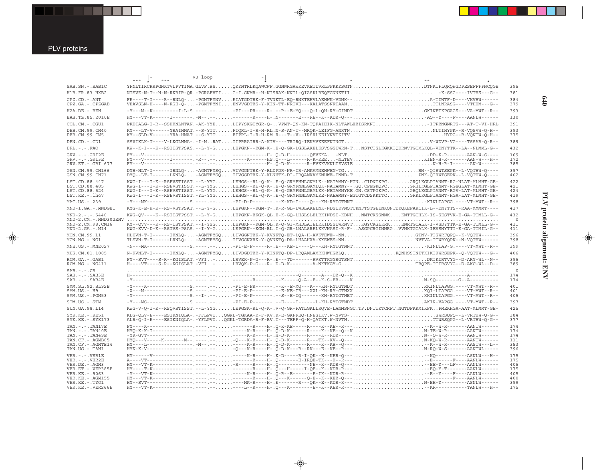$\overrightarrow{\mathbf{\P}}$ 

|                                                                                                                                                                               | V3 loop |  |                                                                                                                                                                                                                                                                                                                                                                                                                                                                                            |                                                      |
|-------------------------------------------------------------------------------------------------------------------------------------------------------------------------------|---------|--|--------------------------------------------------------------------------------------------------------------------------------------------------------------------------------------------------------------------------------------------------------------------------------------------------------------------------------------------------------------------------------------------------------------------------------------------------------------------------------------------|------------------------------------------------------|
| SAB.SN. - . SAB1C                                                                                                                                                             |         |  | YFNLTIRCRRPGNKTVLPVTIMA.GLVF.HSOKYNTRLKOAWCWF.GGNWRGAWKEVKETIVRLPPKKYSGTNDTNKIFLOROWGDPESEFFFFNCOGE                                                                                                                                                                                                                                                                                                                                                                                        | 395                                                  |
| H1B.FR.83.HXB2                                                                                                                                                                |         |  | NTSVE-N-T--N-N-RKRIR-OR.-PGRAFVTIG-I.GNMR--H-NISRAK-NNTL-OIASKLREOFGNNKTIIK-SSG----IVTHS---G--                                                                                                                                                                                                                                                                                                                                                                                             | 381                                                  |
| $CPZ$ . $CD$ . - .ANT<br>CPZ.GA. - . CPZGAB                                                                                                                                   |         |  | FE----T-I----R--RNLQ--PGMTFYNVEIATGDTRK-F-TVNKTL-EQ-RNKTEHVLAEHWK-VDNK--A-TIWTF-D----VKVHW------<br>VEAVSLN-H----N-RGE-O--PGMTFYNIENVVGDTRS-Y-KIN-TT-NRTVE---KALATSSNRTAANITLNRASG----VTHHM---G--                                                                                                                                                                                                                                                                                          | 384<br>379                                           |
| H2A.DE. - .BEN                                                                                                                                                                |         |  | -Y---M--K---------I-L-S.----.--PI---PR----R-.--R---E-MO---O-L-OH-RY-GINDTGKINFTKPGAGS---VA-MWT--R-                                                                                                                                                                                                                                                                                                                                                                                         | 393                                                  |
| BAB.TZ.85.2010E                                                                                                                                                               |         |  | HY---VT-K------I--------.-M--.----------R----H-.N-------E---RE--K--KDR-0---A0--Y----F----AANLW------                                                                                                                                                                                                                                                                                                                                                                                       | 130                                                  |
| COL.CM. - . CGU1                                                                                                                                                              |         |  | PKDIALG-I-R--SSHRNLNTAN.-AK-YYELIPYSKGIYGR-O-VPMT-ON-KN-TOFAIEIK-NLTAWLERISRKNITTPRNGNRTS---AT-T-VI-HRL                                                                                                                                                                                                                                                                                                                                                                                    | 391                                                  |
| DEB. CM. 99. CM40<br>DEB.CM.99.CM5                                                                                                                                            |         |  | KY---LT-V------YRAIHMAT.--S-YTTFIQRL-I-R-H-RL.N-S-AN-T--MRQK-LEIFG-ANRTNNLTIHYPK--R-VQSVW-Q-H--<br>KY--SLD-V------YRA-HMAT.--S-YTTFIPRL-I-R-H-RM.R---T--V--IRSRLKEIYNVTKITVHYPG--R-VONTW-O-H--                                                                                                                                                                                                                                                                                             | 393<br>375                                           |
| DEN.CD. - .CD1                                                                                                                                                                |         |  | SSVIKLK-T----V-LKGLNMA-.-I-MRATIIPRRAIRR-A-KIV----TRTRO-IEKAVKEEFNINGTV-WDVP-VG----TSSAR-O-R--                                                                                                                                                                                                                                                                                                                                                                                             | 389                                                  |
| $DRL$ . - . - . $FAO$                                                                                                                                                         |         |  | KW--K-I---K--RSIISTPSAS.--L-Y-GLEPGKN--RGM-K-.E-Q-GK-LGSLAKELKSVSGSIWRN-TNSTCISLKGKKIQDRNVTGCMLKQL-VDNYTTK--LA--NLMML-G--                                                                                                                                                                                                                                                                                                                                                                  | 432                                                  |
| $GRV. - . - . GRI2E$<br>$GRV. - . - . GRI3E$<br>GRV.ET. - . GRI 677                                                                                                           |         |  |                                                                                                                                                                                                                                                                                                                                                                                                                                                                                            | 169<br>172<br>385                                    |
| GSN.CM.99.CN166<br>GSN.CM.99.CN71                                                                                                                                             |         |  | DYH-NLT-I------IRNLQ--AGMTFYSQVIVGGNTRK-Y-RLDPDR-NR-IR-AMKAMNEHWEN-TGRN--QIRWTSEPK--L-VQTHW-Q----<br>DYQ--LT-I------LKNLQ--AGMTFYSQIIVGGDTRK-Y-KLNHTK-DI-IRQAMKAMKNHWE-INND-TPNK-QIRWTSEPK--L-VQTHW-Q----                                                                                                                                                                                                                                                                                  | 397<br>402                                           |
| LST.CD.88.447<br>LST.CD.88.485<br>LST.CD.88.524<br>$LST.KE. - Lh07$                                                                                                           |         |  | KWG-I---I-K--RSEVSTISST.--L-YYGLEHGS--RL-Q-K-.E-Q-GRMFHNLGNMLK--NATAMNY-HGNCIDNTKPCGRQLKGLPIANMT-RG-NLAT-MLMHT-GE-<br>KWG-I---I-K--RSEVSTISST.--L-YYGLEHGS--RL-O-K-.E-O-GRMFNNLGKMLOK-NATAMNY--.GO.CPEGKOPCGRHLKGLPIANMT-RGEGLAT-MLMHT-GE-<br>KWG-I---I-K--RSEVSTISST.--L-YYGLEHGS--RL-Q-K-.E-Q-GRMFNNLGRMLKK-NETAMNYKE.GN.CSTPGKPCGRQLKGLPIANMT-RGV-LAT-MLMHT-GE-<br>KWG-I---I-K--RSEVSTISST.-YL-YYGLEHGS--RL-O-K-.E-O-GRMFNNLGKMLKE-NAEAMNY-EGTGTCDSKKTTCGRKLKGLPIANMT-HGA-LAT-MLMHT-GE- | 422<br>421<br>424<br>419                             |
| MAC.US. - . 239                                                                                                                                                               |         |  | $-Y$ ---MK--------------S.----.--PI-D-P-------.--K-KD-I----Q---KH-RYTGTNNTKINLTAPGG.----VT-MWT--R--                                                                                                                                                                                                                                                                                                                                                                                        | 398                                                  |
| MND-1.GA.-.MNDGB1                                                                                                                                                             |         |  | KYG-K-E-H-K--RS-VSTPSAT.--L-Y-GLEPGKN--KGM-T-.K-R-GL-LWSLAKELNK-NDSIKVNOTCKNFTSTGEENKONTDKOKEFAKCIK-L--DNYTTS--RAA-MMMMT----                                                                                                                                                                                                                                                                                                                                                               | 417                                                  |
| $MND-2. - - - 5440$<br>MND-2.CM.-.MND302ENV<br>MND-2.CM.98.CM16<br>$MND-2.GA.-.M14$                                                                                           |         |  | KWG-OV----K--RSIISTPSST.--L-Y-GLEPGKN-RKGK-QL.E-K-GQ-LHSLSLELRKINDSI-KDNHNMTCKSSNNKKNTTGCHLK-IS-SESTVK-E-GA-TIMLL-G--<br>KY--OVV---K--RS-ISTPSAT.--I-YSGLEPGKN--KGM-OL.K-O-GI-MHDLAIELRKIDSSIWRNVTKGYCKGLKRKENRTGCALK-I-VSDYTTK-E-GA-TIMLL-G--<br>KWG-KVV-D-K--RSIVS-PSAS.--I-Y-GLEPGRN--KGM-RL.I-O-GR-LNALSRELKKVNASI-R-F-ASGPCRGINNRGVVNKTGCALK-IEVSNYTTI-E-GA-TIMIL-G--                                                                                                                 | 432<br>$\circ$<br>411<br>411                         |
| MON.CM.99.L1<br>MON.NG.-.NG1                                                                                                                                                  |         |  | HLHVN-T-I------IRNLQ--AGMTFYSQLIVGGNTRK-Y-KVNKTQ-ET-LQA-H-AVKTEWE--NNGTNV-TISWRFQPQ--K-VQTHW------<br>TLSVN-T-I------LRNLQ--AGMTFYSQIIVGGNXRK-Y-QVNKTQ-DA-LHAAHXA-XXEWES-NNNVTVA-ITWRYQPK--N-VQTHW------                                                                                                                                                                                                                                                                                   | 396<br>398                                           |
| MNE.US. - . MNE027                                                                                                                                                            |         |  | -N---MK--------------S.----PI-E-P----R-.E---KE-I----O---KH-RYTGTNNTKINLTAP-G.----VT-MWT--R-                                                                                                                                                                                                                                                                                                                                                                                                | 399                                                  |
| MUS.CM.01.1085                                                                                                                                                                |         |  | N-RVNLT-I------IRNLO--AGMTFYSOLIVDGDTRR-Y-KINKTO-DP-LROAMLAMRKHWHGRLOKONHSSINETKIKIRWRSEPK--O-VOTHW---G--                                                                                                                                                                                                                                                                                                                                                                                  | 406                                                  |
| RCM.GA. - . GAB1<br>RCM.NG. - . NG411                                                                                                                                         |         |  | FY--SVT----S-R--KGISLAT.-VFI-LRVEK-P-G---R-.E---TD-------RVKTTKGYRGTSNTDKIKIRTVYG--D-ARY-WL--N--<br>H----VT---S-R--KGISLAT.-VFI-LRVQK-P-G---R-.D-D-K--------A-NKTKGY-GTRQPE-ITIRSVYG--D-AKC-WL--D--                                                                                                                                                                                                                                                                                        | 395<br>389                                           |
| $SAB$ . $  C5$<br>$SAB$ . $-$ . $-SAB3E$<br>$SAB$ . - . - . $SAB4E$                                                                                                           |         |  |                                                                                                                                                                                                                                                                                                                                                                                                                                                                                            | $\overline{0}$<br>174<br>174                         |
| SMM. SL. 92. SL92B<br>$SMM.US.-.H9$<br>SMM.US. - . PGM53                                                                                                                      |         |  | -Y---K-------------S.----.--------PI-E-PR------.--K--E-MO---K---XH-RYTGTNDTRKINLTAPGG.----VT-MWT--R-<br>-Y------------------S.--I-.--PI-E-P-------.--S--E-IQ-------KH-RYTGTNETKKINLTAPGG.----VT-MWT--R--                                                                                                                                                                                                                                                                                   | 401<br>401<br>405                                    |
| STM.US.-.STM                                                                                                                                                                  |         |  | -Y---MS--------------S.-----PI-E-P------.-E---I-----L-KH-RYTGTNDTAKIR-VAPGG.----VT-MWT--R-                                                                                                                                                                                                                                                                                                                                                                                                 | 397                                                  |
| SUN. GA. 98. L14                                                                                                                                                              |         |  | KWG-V-Q-I-K--RSQVSTISST.--L-YYGLEPGSK-RL-Q-K-.V-Q-GR-FATLGKLLRQVE-LANMSNGC.TF.DNITKTCRFT.NGTDFKKMIKFKPMEKHGA-AAT-MLMMT-GE-                                                                                                                                                                                                                                                                                                                                                                 | 425                                                  |
| SYK.KE. - . KE51<br>$SYK.KE. - .SYK173$                                                                                                                                       |         |  | KLG-OLV-E----ESIKNIOLA-.-FFLPVIOGRL-TGKAA-R-F-KV.K-E-GKFFEO-HNESIKV.W-NVTS-SWRSOPO--L-VRTHW-O-G--<br>ALR-Q-I-E----ESIKNIQLA-.-YFLPVIQGKL-TGRDA-R-F-RV.T---TEFF-Q-H-QATKT.W-NVTNTTWRSQPG--L-VRTHW-Q-G--                                                                                                                                                                                                                                                                                     | 384<br>377                                           |
| TAN. - . - . TAN17E<br>$TAN. - . - . TAN40E$<br>TAN. - . - . TAN49E<br>TAN.CF. - . AGMB05<br>TAN.CF. - . AGMTB14<br>TAN.UG. - . TAN1                                          |         |  |                                                                                                                                                                                                                                                                                                                                                                                                                                                                                            | 174<br>174<br>174<br>111<br>353<br>396               |
| $VER. - . - . VER1E$<br>$VER. - . - . VER2E$<br>VER.DE. - . AGM3<br>VER.ET. - . VER385E<br>VER.KE. - . 9063<br>VER. KE. - . AGM155<br>VER.KE. - . TYO1<br>VER.KE. - . VER266E |         |  |                                                                                                                                                                                                                                                                                                                                                                                                                                                                                            | 175<br>175<br>405<br>175<br>405<br>400<br>399<br>175 |

 $\overline{\blacklozenge}$ 

 $\spadesuit$ 

 $\begin{picture}(20,5) \put(0,0){\line(1,0){10}} \put(15,0){\line(1,0){10}} \put(15,0){\line(1,0){10}} \put(15,0){\line(1,0){10}} \put(15,0){\line(1,0){10}} \put(15,0){\line(1,0){10}} \put(15,0){\line(1,0){10}} \put(15,0){\line(1,0){10}} \put(15,0){\line(1,0){10}} \put(15,0){\line(1,0){10}} \put(15,0){\line(1,0){10}} \put(15,0){\line(1,$ 

 $\overline{\phantom{0}}$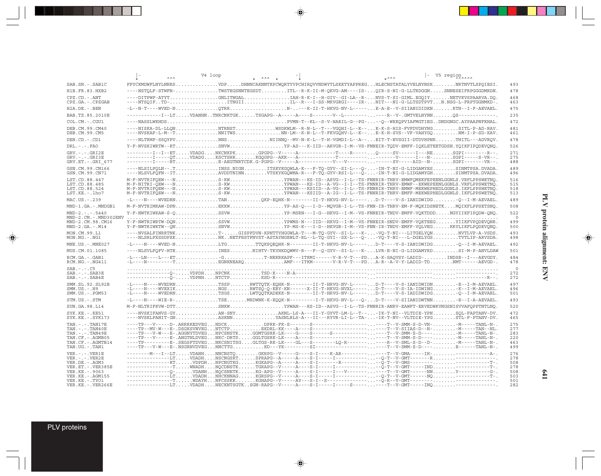|                                                                            | AA                                                                                                                                                                                                                                                                                                                                                                                                                                                                                                   | V4 loop | $*$ $\lambda \lambda \lambda +$ | $+ A A A$ | - V5 region              |
|----------------------------------------------------------------------------|------------------------------------------------------------------------------------------------------------------------------------------------------------------------------------------------------------------------------------------------------------------------------------------------------------------------------------------------------------------------------------------------------------------------------------------------------------------------------------------------------|---------|---------------------------------|-----------|--------------------------|
| SAB.SN.-.SAB1C                                                             | FFYCKMDWFLNYLNNKSVDPDHNNCAKNNTKPCWQRTYVPCHIRQVVNDWYTLSKKTYAPPREGHLECNSTATALYVELNYNSKNRTNVTLSPQIESI.                                                                                                                                                                                                                                                                                                                                                                                                  |         |                                 |           | 493                      |
| H1B.FR.83.HXB2                                                             | ----NSTQLF-STWFN-TWSTEGSNNTEGSDTITL--R-K-II-M-QKVG-AM----IS-QIR-S-NI-G-LLTRDGGNSNNESEIFRPGGGDMRDN.                                                                                                                                                                                                                                                                                                                                                                                                   |         |                                 |           | 478                      |
| CPZ.CD. - . ANT<br>CPZ.GA. - . CPZGAB                                      | ----NTSOIFTD-ITNGIIIL--R---I-SS-MRVGRGI----IR-NIT---NI-G-LLTSDTPVTN.NSG-L-FRPTGGNMKD-.                                                                                                                                                                                                                                                                                                                                                                                                               |         |                                 |           | 468<br>463               |
| H2A.DE. - . BEN                                                            |                                                                                                                                                                                                                                                                                                                                                                                                                                                                                                      |         |                                 |           | 475                      |
| BAB.TZ.85.2010E                                                            | ------------I--LTVDANHNTNRCNKTGKTSGAPG--A----A----S--------V--L------------R--V-.GMTVELNYNN0S-------------                                                                                                                                                                                                                                                                                                                                                                                           |         |                                 |           | 235                      |
| COL.CM.-.CGU1                                                              |                                                                                                                                                                                                                                                                                                                                                                                                                                                                                                      |         |                                 |           | 472                      |
| DEB.CM.99.CM40<br>DEB.CM.99.CM5                                            | ----NISKA-DL-LLONNTRNSTWSDKWLM--R-N-L--T---VGOHI-L--K--E-K-S-HIS-FVFDVDHYNGSITL-P-AD-RAV.<br>----NVSKAF-L-M--TNNITWSNN-LM--K-N-L--T-FKVGQHV-L--K--E-K-H-SVS--VF-VAHYGQNM-I-P-SD-KAV.                                                                                                                                                                                                                                                                                                                 |         |                                 |           | 481<br>461               |
| DEN.CD. - . CD1                                                            | ----NLTRMF-SSQYPVNNSNIINNQ--MV-N-K-L--T-H-VGMDI-L--A--EIT-T-NVSGII-DTDVHPNRTHITL---ADVRQV.                                                                                                                                                                                                                                                                                                                                                                                                           |         |                                 |           | 478                      |
| $DRL - - -$ . FAO                                                          | Y-F-NVSKIWRTW--RTSNVWYP-AS---K-IID--ARVGR-I-M--VS-FNNEIR-TODV-EMFF-IOKLETEETGDSN.YOIKFIPODEVONO.                                                                                                                                                                                                                                                                                                                                                                                                     |         |                                 |           | 526                      |
| $GRV. - . - . GRI2E$<br>$GRV. - . - . GRI3E$<br>GRV.ET. - . GRI 677        | ---------I--ETVDADGNKCNKPKGPGPG--V----A------------T----R-----O----SV-----I---NESGPI--------R--.                                                                                                                                                                                                                                                                                                                                                                                                     |         |                                 |           | 271<br>275<br>488        |
| GSN.CM.99.CN166<br>GSN.CM.99.CN71                                          | ----NLSILFQLN--.TINSS.NIGNITSKYKGQWLA-K---F-TQ-GYV--SI-L---Q--IN-T-NI-G-LIDGAMYESSINMTPSA.DVADA.<br>----NLSVLFQFN--ITAVDDTNINNVTSKYKGQWMA-R---F-TQ-GYV-RSI-L---Q--IN-T                                                                                                                                                                                                                                                                                                                               |         |                                 |           | 489<br>496               |
| LST.CD.88.447<br>LST.CD.88.485<br>LST.CD.88.524<br>LST.KE.-.lho7           | M-F-NVTRIFOEW---NS-KWYPWAN---KS-ID--ASVG--I-L--TS-FNNRIR-THRV-EMWFOMEKFEPEENLGGNLS.VRFLPPSWETNO<br>M-F-NITRI-OEW---NS-KWYPWAN---KS-ID--A-VG--I-I--TS-FNNRIR-THRV-EMWF--EKWEPEENLGGNLS.VRFLPPSWETNO<br>M-F-NVTRIFOEW---NS-KWYPWAN---KSIID--A-VG--I-L--TS-FNNRIR-THRV-EMWF-MEKWEPHEDLGGNLS.IKFLPPSWETNO<br>M-F-NVTRIFOEW---NS-KWYPWAN---KSIID--A-IG--I-L--TS-FNNRIR-THRV-EMFF-MEKWEPHEDLGGNLS.IKFLPPSWETNO.                                                                                            |         |                                 |           | 516<br>515<br>518<br>513 |
| MAC.US. - . 239                                                            |                                                                                                                                                                                                                                                                                                                                                                                                                                                                                                      |         |                                 |           | 489                      |
| MND-1.GA.-.MNDGB1                                                          | M-F-NVTRIMRAW-DPNEKKWYP-AS-O---I-D--MOVGR-I-L--TS-FNN-IR-THRV-EM-F-MOKIDSNETKMOIKFLPPSETSNO                                                                                                                                                                                                                                                                                                                                                                                                          |         |                                 |           | 508                      |
| $MND-2. - - - 5440$                                                        | Y-F-NWTKIWKAW-S-OSSVWYP-MSRN---I-G--HKVG--I-M--VS-FNNEIR-TNDV-EMFF-VOKTDDDNGYIIKFIPODW-ONO                                                                                                                                                                                                                                                                                                                                                                                                           |         |                                 |           | 522                      |
| MND-2.CM.-.MND302ENV<br>MND-2.CM.98.CM16<br>$MND-2.GA.-.M14$               | Y-F-NWTKIWRTW-DONSSVWYPWMS-N---IID--HKVG--I-M--VS-FNNEIR-SNDV-EMFF-VOKTEEGYIIKFVPODEVONR.<br>Y-F-NWTRIWKTW--ONSNVWYP-MS-K---I-D--HKVGR-I-M--VS-FNN-IR-TNDV-EMFF-VOLVEGKRYLIKFLPODEVONO.                                                                                                                                                                                                                                                                                                              |         |                                 |           | $\cap$<br>499<br>500     |
| MON.CM.99.L1<br>MON.NG.-.NG1                                               | ----NVSALFINRRTNKT-GISPFDVN-KPNTTYHGGWLA-T---M-TO-GYV--SI-L---K--VO-T-NI---LITGELYONNVTLVP-A-VSDS.<br>----NLSRLFXSSDPXKNKNETFESTFNVST-ASTAYNGEWLT-RL--L-TO-GYI--SX-L---O--VO-T-NI---L-DGELYGSTVTLIP-ARVSDA.                                                                                                                                                                                                                                                                                          |         |                                 |           | 493<br>498               |
| MNE.US.-.MNE027                                                            | $-L----N---WVED-N$ LTGTTQKPQEQHK-N-------II-T-HKVG-NV-L-----D-T----V-S-IANIDWIDGQ-I-M-AEVAEL.                                                                                                                                                                                                                                                                                                                                                                                                        |         |                                 |           | 492                      |
| MUS.CM.01.1085                                                             | ----NLSVLFQFV-HTEINESNIHTV-TKYHKDQWMV-R---F--Q-GYV--SI-L---K-LVR-E-NI-G-LIDGAMYRDSI-M-P-ANVLDAW                                                                                                                                                                                                                                                                                                                                                                                                      |         |                                 |           | 501                      |
| RCM.GA.-.GAB1<br>RCM.NG. - . NG411                                         | $-L---LN----L---ET\ldots, \ldots, G. \ldots, G. \ldots, \ldots, T-NEKKAPF---ITKMI---V-R-V-T---PD. \ldots, A-K-SAQVSY-LADID- \ldots, \ldots, \ldots, \text{INDSE--I---ABVGDY}.$                                                                                                                                                                                                                                                                                                                       |         |                                 |           | 484<br>478               |
| $SAB$ . - . - . $C5$<br>$SAB$ . - . - . $SAB3E$<br>$SAB$ . - . - . $SAB4E$ | $\begin{minipage}{0.99\textwidth} \begin{minipage}{0.99\textwidth} \begin{minipage}{0.99\textwidth} \begin{minipage}{0.99\textwidth} \begin{minipage}{0.99\textwidth} \begin{minipage}{0.99\textwidth} \begin{minipage}{0.99\textwidth} \begin{minipage}{0.99\textwidth} \begin{minipage}{0.99\textwidth} \begin{minipage}{0.99\textwidth} \begin{minipage}{0.99\textwidth} \begin{minipage}{0.99\textwidth} \begin{minipage}{0.99\textwidth} \begin{minipage}{0.99\textwidth} \begin{minipage}{0.9$ |         |                                 |           | $\circ$<br>272<br>272    |
| SMM. SL. 92. SL92B<br>$SMM.US.-.H9$<br>SMM.US.-.PGM53                      | $-L----N---WVEDRN$<br>$-L----N---WVEDRN$ TSGSLWTOOTKADEKK-N-------II-T-HRVG-NV-L-----D-T----V-S-IADIDWIDG-O--I-M-AEVAEL.                                                                                                                                                                                                                                                                                                                                                                             |         |                                 |           | 497<br>496<br>501        |
| STM.US.-.STM                                                               | $-L----N---WIE-R-1 \ldots, \ldots, \ldots, \text{TSE} \ldots, \text{MRDWNK-K-EOOK-N-------I-T-HKVG-NV-L---O-1 \ldots, D-T---V-SIIANIDWTNN \ldots, \ldots, \texttt{--E--I-A-AEVAEL}$                                                                                                                                                                                                                                                                                                                  |         |                                 |           | 493                      |
| SUN.GA.98.L14                                                              | M-F-NLTRIFKVW-DTTSNKWYPWAN---KS-ID--ASVG--I-L--TS-FNNRIR-ANRV-EAWFT-ERVEDWKVNGSNISVVAFOPPTNTLNO.                                                                                                                                                                                                                                                                                                                                                                                                     |         |                                 |           | 520                      |
| SYK.KE. - . KE51<br>SYK.KE. - . SYK173                                     | ----NVSKIFANVS-GYAN-SNYAKNL-LS-A---II-Y-GYVT-LM-L--T---IK-T-NI--VLTDIE-YPNSOL-FAPTANV-DV.<br>----NVSKLFANIT-GNASKNNYASNLRLS-A---II---RYVR-LI-L--TA--IK-T-NV--VLTDIE-YPGSTL-F-PTANV-DV.                                                                                                                                                                                                                                                                                                               |         |                                 |           | 472<br>465               |
| TAN. - . - . TAN17E<br>$TAN. - . - . TAN40E$                               | ----TP---V-----D-.ARRRKEDVEGNDCKDPRK-FK-S------S--------------------T--V-SMM-S-D-VN--M-----TANL-N-.<br>----TP---V-W---E-.AGGNYTDVEGNPCSNSTKGGMTGSRK-LK----G----S------S------------T--V-SMM-S-D-----M-----TANL-N-.                                                                                                                                                                                                                                                                                   |         |                                 |           | 275<br>277               |
| $TAN. - . - . TAN49E$<br>TAN.CF. - . AGMB05                                |                                                                                                                                                                                                                                                                                                                                                                                                                                                                                                      |         |                                 |           | 283<br>220               |
| TAN.CF. - . AGMTB14<br>TAN.UG. - . TAN1                                    | ----TP--------E-.SEGSFTDVEGNRCSNITSGGLTGS-RK-LK----GL---S--------LO-R-----------R--V-SML-S-D--D-M-----TANL-N-.                                                                                                                                                                                                                                                                                                                                                                                       |         |                                 |           | 463<br>499               |
| $VER. - . - . VER1E$                                                       | --------------LTVDADHNSCNGSRTSPRAPG--A-----A----S-I-----I--------------O-T--V-GMT-------R------------------                                                                                                                                                                                                                                                                                                                                                                                          |         |                                 |           | 276                      |
| $VER. - . - . VER2E$<br>VER.DE. - . AGM3                                   |                                                                                                                                                                                                                                                                                                                                                                                                                                                                                                      |         |                                 |           | 278<br>508               |
| VER.ET. - . VER385E                                                        |                                                                                                                                                                                                                                                                                                                                                                                                                                                                                                      |         |                                 |           | 278                      |
| VER.KE. - . 9063<br>VER.KE. - . AGM155                                     | --------------0-VDANHNOCSNETKKG-APG--V----A----S-I----I---V-----------T--V-GMT------NNY----------G-.                                                                                                                                                                                                                                                                                                                                                                                                 |         |                                 |           | 508<br>503               |
| VER.KE. - . TYO1                                                           |                                                                                                                                                                                                                                                                                                                                                                                                                                                                                                      |         |                                 |           | 501                      |
| VER.KE. - . VER266E                                                        | --------------LTVDADHNECKNTSGTKSGN-RAPG--V----A----S-I----I-----S--------T--V-GMT-----INQ----------------                                                                                                                                                                                                                                                                                                                                                                                            |         |                                 |           | 282                      |

 $\begin{picture}(20,5) \put(0,0){\vector(0,1){10}} \put(15,0){\vector(0,1){10}} \put(15,0){\vector(0,1){10}} \put(15,0){\vector(0,1){10}} \put(15,0){\vector(0,1){10}} \put(15,0){\vector(0,1){10}} \put(15,0){\vector(0,1){10}} \put(15,0){\vector(0,1){10}} \put(15,0){\vector(0,1){10}} \put(15,0){\vector(0,1){10}} \put(15,0){\vector(0,1){10}} \put(15,0){\vector(0,$ 

# PLV protein alignment: ENV **PLV protein alignment: ENV**

 $\spadesuit$ 

 $\overline{\phantom{0}}$ 

▊

**641**

 $\overrightarrow{\mathbf{\P}}$ 

 $\frac{\overline{\phantom{m}}}{\overline{\phantom{m}}\phantom{m}}$ 

--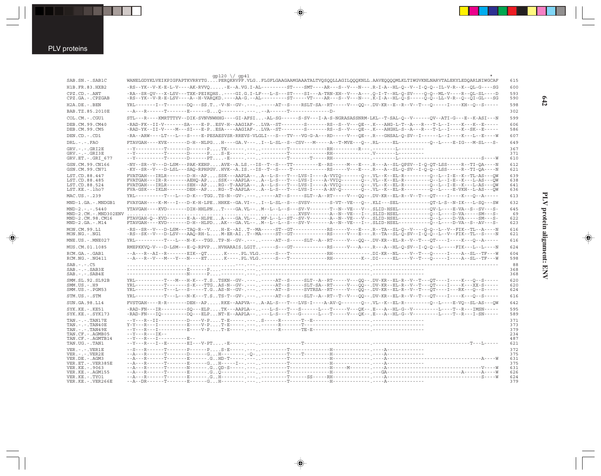PLV proteins

 $\overline{\blacklozenge}$ 

|                                                                                                                                        | gp120 \/ gp41                                                                                                                                                                                                                                                                                                                                                                                                                                                                                                                                                                                                                                                                                                                                                                                     |                                        |
|----------------------------------------------------------------------------------------------------------------------------------------|---------------------------------------------------------------------------------------------------------------------------------------------------------------------------------------------------------------------------------------------------------------------------------------------------------------------------------------------------------------------------------------------------------------------------------------------------------------------------------------------------------------------------------------------------------------------------------------------------------------------------------------------------------------------------------------------------------------------------------------------------------------------------------------------------|----------------------------------------|
| SAB.SN. - . SAB1C                                                                                                                      | WANELGDYKLVEIKPIGFAPTKVRRYTGPERQKRVPF.VLGFLGFLGAAGAAMGAAATALTVQSQQLLAGILQQQKNLL.AAVEQQQQMLKLTIWGVKNLNARVTALEKYLEDQARLNIWGCAF                                                                                                                                                                                                                                                                                                                                                                                                                                                                                                                                                                                                                                                                      | 615                                    |
| H1B.FR.83.HXB2                                                                                                                         | -RS--YK--V-K-E-L-V----AK-RVVQ-E--A.VG.I-AL--------ST----SMT----AR---S--V---N---.R-I-A--HL-Q--V--I-Q-Q--IL-V-R--K--QL-G----SG                                                                                                                                                                                                                                                                                                                                                                                                                                                                                                                                                                                                                                                                      | 600                                    |
| CPZ.CD. - . ANT<br>CPZ.GA. - . CPZGAB                                                                                                  | -RA--SR-QV---X-LSV---TXK-PEIKQHS----GI.G.I-LF---L-S---ST----SI---A-TRN-XH--V---A---.Q-I-T--HL-Q-SV----Q-Q--ML-V----R--QL-SL----D<br>-RS--YK--V-R-E-LSV----A--H-VARQKD.----AA-G.--AL--------ST-----VT----AR---S--V---N---.K-I-A--HL-Q-S-----Q-Q--LL-V-R--Q--QI-GL---SG                                                                                                                                                                                                                                                                                                                                                                                                                                                                                                                             | 593<br>590                             |
| H2A.DE.-.BEN                                                                                                                           | YRL------I--T------DQ---SS.T-V-N--GV-.--------AT--S----RSLT-SA--RT-----V---QQ--.DV-KR--E--R--V--T---Q-----I----KH--Q--S-----                                                                                                                                                                                                                                                                                                                                                                                                                                                                                                                                                                                                                                                                      | 598                                    |
| BAB.TZ.85.2010E                                                                                                                        |                                                                                                                                                                                                                                                                                                                                                                                                                                                                                                                                                                                                                                                                                                                                                                                                   | 302                                    |
| COL.CM. - . CGU1                                                                                                                       | STL---R----KMRTTTYV--DIK-SVNVNWHHG----GI-AFSI-AL-SG------S-SV---I-A-S-NGRASASSNRM-LKL--T-SAL-Q--V------QV--ATI-G---E--K-ASI---N                                                                                                                                                                                                                                                                                                                                                                                                                                                                                                                                                                                                                                                                   | 599                                    |
| DEB.CM.99.CM40<br>DEB.CM.99.CM5                                                                                                        | -RAD-FK--II-V-------SA----E-PESV-H--AAGIAF-LVA--ST--------S------RS--S--V---QE--.K---AHG-L-T--A---R---T-L--I----K---K---E-----<br>-RAD-YK--II-V----M---SI---E-PESA----AAGIAF-LVA--ST--------S-------RS--S--V---QE--.K---AHGHL-S--A---R---T-L--I----K--SK--E-----                                                                                                                                                                                                                                                                                                                                                                                                                                                                                                                                  | 606<br>586                             |
| DEN.CD. - .CD1                                                                                                                         | -RA--ARW----LT---L---S----E-PESAESVSR-RREVS-VLGLI---S---TV---VG-G-A---RD-----V---QE--.R---GHSAL-Q-SV--I------L--I---K---L--E----W                                                                                                                                                                                                                                                                                                                                                                                                                                                                                                                                                                                                                                                                 | 607                                    |
| $DRL$ . - . - . $FAO$                                                                                                                  | FTAVGAH----KVE------D-H--NLPGH----GA.V---I--L-SL--S--CSV---M-----A--T-MVE---Q--.RL-----EL--------Q--L----E-IG---M-SL---S-                                                                                                                                                                                                                                                                                                                                                                                                                                                                                                                                                                                                                                                                         | 649                                    |
| $GRV. - . - . GRI2E$<br>$GRV. - . - . GRI3E$<br>GRV.ET. - .GRI 677                                                                     |                                                                                                                                                                                                                                                                                                                                                                                                                                                                                                                                                                                                                                                                                                                                                                                                   | 367<br>371<br>610                      |
| GSN.CM.99.CN166<br>GSN.CM.99.CN71                                                                                                      | -NY--SR--V---D-LSM---PAK-KEHPAVE--A.LS.--IS--T--S---TT---------E--RS-----M---E---. R---A--SL-QPSV--I-Q-QT-LSS-----R--TI-QA----N-<br>-KY--SR--V---D-LSL---SAQ-RPHPGVHVK--A.IS.--IS--T--S----T-----------RS-----V---E---.R---A--SL-Q-SV--I-Q-Q--LSS-----R--TI-QA----N                                                                                                                                                                                                                                                                                                                                                                                                                                                                                                                               | 612<br>621                             |
| LST.CD.88.447<br>LST.CD.88.485<br>LST.CD.88.524<br>LST.KE.-.lho7                                                                       | FVATGAH---IRLR-------D-H--APSSK---AAPLA--A--L-S---T---LVS-I----A-VVIQ------Q--.VL--K--EL-R--------Q--L--I-E--K--TL-AS---QW<br>FVATGAH---IR-R-------AEHQ-APSSK---AAPLA--A--L-S---T---LVS-I----A-VVIQ-------Q--.VL--K--EL-R--------Q--L--I-E--K---L-AS---QW<br>$FVATGAH--IRLR------SEH--AP\ldots RG--T-AAPLA--\ldots A--L-S---T--LVS-I---A-VVIQ-----Q--\ldots VL--K--EL-R-----Q--L--I-E--K---L-AS---QW-RA-E--R--Q--\ldots A--R--Q--\ldots A--R--Q--\ldots A--R--Q--\ldots A--R--Q--\ldots A--R--Q--\ldots A--R--Q--\ldots A--R--Q--\ldots A--R--Q--\ldots A--R--Q--\ldots A--R--Q--\ldots A--R--Q--\ldots A--R--Q--\ldots A--R--Q--\ldots A--R--Q--\ldots A--R--Q--$<br>FVA-GSK---IKLN-------DEH--APRG--T-AAPLA--A--L-S---T---LVS-I----A-AV-Q-------Q--.VL--K--EL-R--------Q--L----E-VKH--L-AS---QW | 639<br>638<br>641<br>636               |
| MAC.US.-.239                                                                                                                           | YRL---------T---L---D-K---TGGTS-N--GV-.--------AT--S-----SLT--A--RT-----V---QQ--.DV-KR--EL-R--V--T---QT----I----K---Q--A-----                                                                                                                                                                                                                                                                                                                                                                                                                                                                                                                                                                                                                                                                     | 613                                    |
| MND-1.GA.-.MNDGB1                                                                                                                      | FVAYGAH----K-M---I---D-K-H-LPEHHKE--GA.VI--I--L-SL--S---SVSV-------S-VT--VE---O--.KLI---SEL-----------OT-L-S--N-IK---L-SO---SW                                                                                                                                                                                                                                                                                                                                                                                                                                                                                                                                                                                                                                                                    | 632                                    |
| $MND-2. - - - 5440$                                                                                                                    | YTAVGAH----KVD------DIH-HHLPNT----GA.VL--M--L--E--S---SV-V-------T--N--VE---V--.SLID-HSEL------------OV-L----E-VA--S--SV---S-                                                                                                                                                                                                                                                                                                                                                                                                                                                                                                                                                                                                                                                                     | 645                                    |
| MND-2.CM.-.MND302ENV<br>MND-2.CM.98.CM16<br>$MND-2.GA.-.M14$                                                                           | FTAVGAH-Q--KVD-------E-A--HLPEA----GA.VL--MF-L--L--ST--SV-V-------A--N--VE---V--.SLID-HSEL-----------Q--L----D-VA-----SM---S-<br>FTAVGAH----KVD------D-H--HLPDAK---GA.VL--M--L--L--S---SV-V-------A--N--VE---I--.SLID-HSEL-----------Q--L----D-VA--S--AV---S-                                                                                                                                                                                                                                                                                                                                                                                                                                                                                                                                     | 69<br>622<br>623                       |
| MON.CM.99.L1<br>MON.NG.-.NG1                                                                                                           | -RS--SR--V---D-LSM---TAQ-R--VH-E--AIT--MA-----ST--GT-----------RS-----V---E---.R--TA--SL-Q--V----Q-Q--L--V--FIK--TL--A----N<br>-RS--SK--V---D-LSV---AAQ-RH-LM-ER-AIT--MA-----ST--GT------------RS-----V--E---.R--TA--SL-Q-SV--I-Q-Q--L--V--FIK--TL--S----N                                                                                                                                                                                                                                                                                                                                                                                                                                                                                                                                        | 616<br>621                             |
| MNE.US. - . MNE027                                                                                                                     | YRL---------T---L---N-K---TGGTP-N--GV-.--------AT--S-----SLT--A--RT-----V---QQ--.DV-KR--EL-R--V--T---QT----I----K---Q--A-----                                                                                                                                                                                                                                                                                                                                                                                                                                                                                                                                                                                                                                                                     | 616                                    |
| MUS.CM.01.1085                                                                                                                         | RMEPKKVQ-V---D-LSM---E-Q-RPVPHVHARAIS.LGIT----S---GT------------RS----V---A---.R---A--HL-Q-SV--I-Q-Q--L-----FIK---L--L----N                                                                                                                                                                                                                                                                                                                                                                                                                                                                                                                                                                                                                                                                       | 624                                    |
| RCM.GA.-.GAB1                                                                                                                          | --A---R--AI--R-------EIK--QTK----.PL.VLG.----S---T-------------RH-------------DI-KR--NL----V--T---Q-----I----A--SL--TF---W                                                                                                                                                                                                                                                                                                                                                                                                                                                                                                                                                                                                                                                                        | 604                                    |
| $RCM.NG. - . NG411$                                                                                                                    | $-{\tt A} - {\tt R} - {\tt V} - {\tt M} - {\tt N} - {\tt N} - {\tt N} - {\tt N} - {\tt E} {\tt T} \ldots \ldots {\tt K} - {\tt N} - {\tt P} {\tt L} \ldots {\tt V} {\tt G} \ldots - {\tt S} - {\tt T} - {\tt T} - {\tt N} - {\tt N} - {\tt R} {\tt H} - {\tt N} - {\tt N} - {\tt N} - {\tt N} - {\tt N} - {\tt T} - {\tt N} - {\tt T} - {\tt N} - {\tt T} - {\tt N} - {\tt T} - {\tt N} - {\tt T} - {\tt N} - {\tt N} - {\tt N} - {\tt N} - {\tt N} - {\tt N$                                                                                                                                                                                                                                                                                                                                     | 598                                    |
| $SAB$ . $  C5$<br>$SAB$ . - . - . $SAB3E$<br>$SAB$ . - . - . $SAB4E$                                                                   |                                                                                                                                                                                                                                                                                                                                                                                                                                                                                                                                                                                                                                                                                                                                                                                                   | 88<br>368<br>368                       |
| SMM.SL.92.SL92B<br>$SMM.US.-.H9$<br>SMM.US.-.PGM53                                                                                     | YRL---------T---M---H-K---T.STSKN--GV-.-------AT--S-----SLT--A--RT-----V--QQ--.DV-KR--EL-R--V--T---QT----I----K---Q--S-----<br>YRL----------T------S-K---TTGAS-N--GV-.--------AT--S-----SLT-SA--RT-----V---QQ--.DV-KR--EL-R--V--T---QT----I----K---XX-S-----<br>YRL---------T---L---S-----T.GAS-N--GV-.-------AT--S-----SVTRSA--RT-----V---QQ--.DV-KR--EL-R--V--T---QT----I---RK---Q--S-----                                                                                                                                                                                                                                                                                                                                                                                                      | 620<br>620<br>624                      |
| STM.US.-.STM                                                                                                                           | YRL---------T---L---N-K---T.STS-T--GV-.--------AT--S-----SLT--A--RT--T--V---QQ--.DV-KR--EL-R--V--T---QT----I----K---Q--S-----                                                                                                                                                                                                                                                                                                                                                                                                                                                                                                                                                                                                                                                                     | 616                                    |
| SUN.GA.98.L14                                                                                                                          | FVSTGAH----R-R-------DEH--APRKE--AAPVA--A-AL-S---T---LVS-I----A-AV-Q-------Q--.VL--K--EL-R--------Q--L----E-VQ--SL-AS---QW                                                                                                                                                                                                                                                                                                                                                                                                                                                                                                                                                                                                                                                                        | 642                                    |
| $SYK.KE. - .KE51$<br>SYK.KE. - . SYK173                                                                                                | -RAD-FN---IR--------SQ---ELPTK---AAPLA-----L-S---T---S------L---T-----V---QK--.E---A--HL-G--V---------L----T--R---IMSN-----                                                                                                                                                                                                                                                                                                                                                                                                                                                                                                                                                                                                                                                                       | 595<br>589                             |
| $TAN. - . - . TAN17E$<br>$TAN. - . - . TAN40E$<br>TAN. - . - . TAN49E<br>TAN.CF. - . AGMB05<br>TAN.CF. - . AGMTB14<br>TAN.UG. - . TAN1 | $-Y - -R - -IK - -$<br>$-$ - Y - - - R - - - I - - - - - - - - - - E - -                                                                                                                                                                                                                                                                                                                                                                                                                                                                                                                                                                                                                                                                                                                          | 371<br>373<br>379<br>234<br>487<br>621 |
| $VER. - . - . VER1E$                                                                                                                   |                                                                                                                                                                                                                                                                                                                                                                                                                                                                                                                                                                                                                                                                                                                                                                                                   | 372                                    |
| $VER. - . - . VER2E$                                                                                                                   |                                                                                                                                                                                                                                                                                                                                                                                                                                                                                                                                                                                                                                                                                                                                                                                                   | 375<br>631                             |
| VER.DE. - . AGM3<br>VER.ET. - . VER385E                                                                                                |                                                                                                                                                                                                                                                                                                                                                                                                                                                                                                                                                                                                                                                                                                                                                                                                   | 375                                    |
| VER. KE. - . 9063                                                                                                                      |                                                                                                                                                                                                                                                                                                                                                                                                                                                                                                                                                                                                                                                                                                                                                                                                   | 631                                    |
| VER.KE. - . AGM155<br>VER.KE. - TYO1                                                                                                   |                                                                                                                                                                                                                                                                                                                                                                                                                                                                                                                                                                                                                                                                                                                                                                                                   | 626<br>624                             |
| VER.KE. - . VER266E                                                                                                                    |                                                                                                                                                                                                                                                                                                                                                                                                                                                                                                                                                                                                                                                                                                                                                                                                   | 379                                    |

 $\blacklozenge$ 

 $\spadesuit$ 

PLV protein alignment: ENV **PLV protein alignment: ENV**

 $\begin{picture}(20,5) \put(0,0){\line(1,0){10}} \put(15,0){\line(1,0){10}} \put(15,0){\line(1,0){10}} \put(15,0){\line(1,0){10}} \put(15,0){\line(1,0){10}} \put(15,0){\line(1,0){10}} \put(15,0){\line(1,0){10}} \put(15,0){\line(1,0){10}} \put(15,0){\line(1,0){10}} \put(15,0){\line(1,0){10}} \put(15,0){\line(1,0){10}} \put(15,0){\line(1,$ 

 $\Box$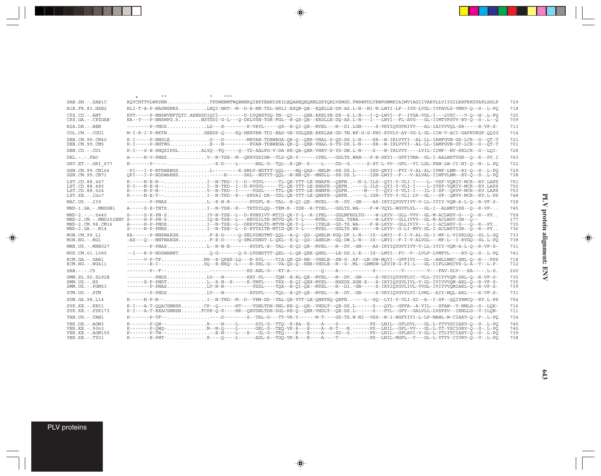|                                                                                 | ᄉᄉ<br>ᄉᄉᄉ<br>$\star$                                                                                                                                                                                                                                                                                                                                                          |                          |
|---------------------------------------------------------------------------------|-------------------------------------------------------------------------------------------------------------------------------------------------------------------------------------------------------------------------------------------------------------------------------------------------------------------------------------------------------------------------------|--------------------------|
| SAB.SN. - . SAB1C                                                               | RQVCHTTVLWKYNNTPDWENMTWQEWERQIEKYEANISRILEQAHEQEQKNLDSYQKLVSWSD.FWSWFDLTKWFGWMKIAIMVIAGIIVARVLLVIIGILRKFRKGYAPLSSLP                                                                                                                                                                                                                                                           | 729                      |
| H1B.FR.83.HXB2                                                                  | KLI-T-A-P-NASWSNKSLEOI-NHT--M--D-E-NN-TSL-HSLI-ESQN-QE--EQELLE-DK-AS.L-N--NI-N-LWYI-LF--IVG-LVGL-IVFAVLS-VNRV-Q--S-.L-FQ                                                                                                                                                                                                                                                      | 718                      |
| $CPZ$ . $CD - ANT$<br>CPZ.GA.-.CPZGAB                                           | KVT-----P-NNSWVNFTOTC.AKNSSDIOCI---------D-LVONSTGO-YN--OI----OER-KKELYE-DK--S.L-N---I-O-LWYI--F--IVGA-VGL-I---LVSC---V-O--H-.L-FO<br>KA--Y---P-NNSWPG.SNSTDDI-G-L---Q-DKLVSN-TGK-FGL--E-QS-QE--ERDLLE-DQ-AS.L-N---I---LWYI--FL-AVG---GL-IIMTVFSVV-RV-Q--S-.L--Q                                                                                                              | 720<br>709               |
| $H2A$ . DE. $-$ . BEN                                                           | --------P-VNDSLS---K--------K-VRYL-----OS--E-OI-OE--MYEL---N--DI.LGN-----S-VKYIOYGVHIVV---AL-IAIYVVOL-SR-----R-VF-S-                                                                                                                                                                                                                                                          | 713                      |
| $COLCM. - CGU1$                                                                 | M-I-R-I-P-NKTWGEEDP-O----KO-HERVRN-TDI-EAD-VE-YDLOEE-EKKLAE-GD-TN.WF-G-G-FNI-KYVLY-AY-VG-L-GL-IIM-V-ACI-GAFRVKGF.OOIG                                                                                                                                                                                                                                                         | 714                      |
| DEB.CM.99.CM40<br>DEB.CM.99.CM5                                                 | K-I-----P-NNSLED---D--------MKVAN-TDEWEGA-QR-Q--QER-VHAL-S-QD-DS.L-N----SR--W-IRLVVYI--AL-LL-IAMFGVN-GS-LCR--S--QT-T<br>K-I-----P-NHTWGE--N--------KVAN-TDEWEGA-QR-Q--QER-VHAL-S-TD-DS.L-N----SR--W-IRLVVYI--AL-LL-IAMFGVN-GT-LCR--S--QT-T                                                                                                                                    | 721<br>701               |
| DEN.CD.-.CD1                                                                    | K-I---S-E-SNOSIPGLALYO--FO----O--TD-AALFG-V-DA-KK-OA-OER-VHEV-S-YD-DN.L-N----S---W-IRLVVY----LVIL-IIMF--NV-SRLCR--S--LOI-                                                                                                                                                                                                                                                     | 728                      |
| $DRL - - -$ . $FAO$                                                             | A-----N-V-PNESV--N-TSE--M--OKRVDSISN--TLD-OK-Y------IFEL---GDLTS.WAN---F-W-SKYI--GFFIVMA--GL-I-AALWSTVGR--O--R--PY.I                                                                                                                                                                                                                                                          | 763                      |
| GRV.ET. - .GRI 677                                                              | K-------P-----K-D----L-----NAL-G--TOL--E-ON--S----L----DD--G.----S-ST-L-YV--GFL--VI-LGL-FAW-LW-CI-NI-O--N-.L.PO                                                                                                                                                                                                                                                               | 722                      |
| GSN.CM.99.CN166<br>GSN.CM.99.CN71                                               | -PI---I-P-NTSWANGSL--------K-SMLV-NDTYT-OOL----NO-OAS--NELM--SK-DS.L-----ISD-ORYI--FVI-V-AL-AL-IVMF-LNM--RI-O--S-.L-PO<br>OPI---I-P-NDSWAKNS----H-----SKL--NDTYT-OOL--N-NH-OS--MNDLL--SK-DS.L-----ISN-LWYI--F---V-ALVAL-IIMFVLNM--RV-O--S-.L-PO                                                                                                                               | 729<br>738               |
| LST.CD.88.447<br>LST.CD.88.485<br>LST.CD.88.524<br>LST.KE.-.lho7                | K-----N-P-N--V--N-TRD--I-----VGSL----TTL-OE-YTT-LE-RNNFK--ODFN----M---T--OYI-Y-VLI-I---IL-I-SF--OSVV-MCR--RV.LAPS<br>K-----N-E-T--I--N-TKD--R---SKVAI-DK--TSL-OE-YTT-LE-ONKFK--OEFN----L-ISH--TYV-Y-VLI-LV--GL---SF--ONVV-MCR--RV.L-PS                                                                                                                                        | 751<br>750<br>753<br>748 |
| MAC.US.-.239                                                                    | --------P-PNASL--K-N-E-------KVDFL-E--TAL--E-OI-OE--MYEL----N--DV.-GN----AS-IKYIOYGVYIVV-V-LL-IVIY-VOM-A-L-O--R-VF-S-                                                                                                                                                                                                                                                         | 728                      |
| MND-1.GA.-.MNDGB1                                                               | A-----S-E-TNTSI--N-TSE--K---TRTDYLOO--TEM-K--YDR--R-TYEL---GDLTS.WA----F-W-VOYL-WGVFLVL---GL-I--ALWNTISR--O--R-VF-                                                                                                                                                                                                                                                            | 745                      |
| $MND-2. - - - 5440$<br>MND-2.CM.98.CM16<br>$MND-2.GA.-.M14$                     | MND-2.CM.-.MND302ENV S-----H-P-PN-SO-N-TSE--L---KRVDILTK-MTVD-OR-Y-L----MYNL---GDL.TSWA------W-LKYV--GLLIVVV--GL-M-ACLWSV-GR--O--<br>A-----H-P-PNDSI--N-TSE--L--DKRVTALTD-MTVN-QK-Y-L----IYELE--GD-TS.WA----F-W-LKYV--GLLIVIV---L-I-ACLWSV-G---Q--R--PY<br>$S---N-P-PNES$ T--N-TSE--L--D-RVTAITN-MTID-OR-Y-L----MYEL---GDLTS.WA-----W-LKYV--G-LI-MVV-GL-I-ACLWSTIGR--O--R--PY | 759<br>177<br>735<br>736 |
| MON.CM.99.L1<br>$MON.NG. - . NG1$                                               | KA------P-NNSWAKGHF-E-D----O-SELVDNDTMT-OOL--A-O--OG--OHELM-PGO-DF.L-N---IS--LWYI--F-I-V-AL-GL-I-MF-L-VISRLGO--SL.L-SO<br>-AX---O---NNTWAKGHF-E-D-----O-SMLVDNDT-L-QXL--E-O--OG--AHELM--GO-DW.L-N---IS--LWYI--F-I-V-ALVGL---MF-L--I-RVGO--SL.L-PO                                                                                                                             | 733<br>738               |
| MNE.US.-.MNE027                                                                 | --------P-PNASL--N-N-E------KVDFL-E--TAL--E-QI-QE--MYEL---N--DV.-GN----AS-IRYIQYGVYIVV-V-LL-IVIY-VQM-A-L-Q--R-VF-S-                                                                                                                                                                                                                                                           | 731                      |
| MUS.CM.01.1085                                                                  | --I---R-P-NDSWANHTQ-G------Q-S-LVDNDTTT-QEL--L-QR-QEE-QHKL---LE-DS.L-E---IS--LWYI--FC--V--LVLF-LVMFVL----RV-Q--S-.L-PQ                                                                                                                                                                                                                                                        | 741                      |
| RCM.GA.-.GAB1<br>$RCM.NG. - .NG411$                                             | ------V-P-TFNK--E-QKES-LO---N-SYL----TIA-QE-OD-HE--VHELE--SN-G-.AF--LN-DW-MOYI--GFFIVI---GL--AWLLWNC-SNL-O--R---PPS<br>--------E-I-SO--E-NKO--L----N-SRL-G---VA-OD-O--HER-VHDLE--N--G-.ML--LNMDW-LKYIR-G-FI-L---GL-IIFLLWSCVS-L-A--T--L-P-                                                                                                                                    | 718<br>712               |
| $SAB - - - C5$                                                                  |                                                                                                                                                                                                                                                                                                                                                                               | 200                      |
| SMM. SL. 92. SL92B<br>$SMM. US. - . H9$<br>$SMM.US. - . PGM53$                  | ---------PNDSLV---N-------KKV-FL----TOM--E-RL-OE--MYEL---N--DV.-GN-----S-VRYIOYGVFLVI--VLL-IVIYVVOM-SRL-O--R-VF-S-<br>------X-P-PNDTL--X-N--X-----K-VNFL----TXX--E-QI-QEX-MYEL---NXXDX.XGN-X---X-IKYIQYGVLIVL-V-GL-IVIYVVQM-ARL-Q--R-VF-S-<br>--------P-PNASLV-N-N---------VDDL----TQA--E-QI-QE--MYEL---N--DI.-GN-----S-IKYIQYGVLIVL-VVGL-IVIYVVQMIARL-Q--R-VF-S-             | 735<br>735<br>739        |
| STM.US.-.STM                                                                    | --------P-PNDSLV---N--------KVDFL----TOL--E-OV-OE--MYEL---N--DV.-GN-----S-VRYIOYGVYLVI-LVML--AIY-MOL-ARL----R-VF-S-                                                                                                                                                                                                                                                           | 731                      |
| SUN.GA.98.L14                                                                   | K-----N-P-N--T--N-TKD--M--D--VKM-DD--TAL-OE-YVT-LE-ONKFKO-OEFN----L--SO--LYI-Y-VLI-GI--A--I-SF--OOIYRMCO--RV.L-PS                                                                                                                                                                                                                                                             | 754                      |
| $SYK.KE. - .KE51$<br>SYK.KE. - . SYK173                                         | K-I---A-T-OOACGNNSRCP--O------HT----VDNLTDH-DNL-RE-O--OE--VHDLT--OE-DS.L------S---OYL--GFFA--A-VIL---SFAW--V-NMLG--S--LOK-<br>K-I---A-T-EKACGNNSNFCPK-O-K----HR--OEVDNLTDH-DGL-RE-O--OER-VHDLT--OE-DS.L-----S---FYL--GFY--GALVLL-LVSFSV--IKNLLG--V-ILON-                                                                                                                      | 716<br>711               |
| TAN.UG. - .TAN1                                                                 | K-------P-TF------D--------S--TAL-G---TT-VK-Y----------GD-TS.W-NI--VSS--W-I-WGFYIVI-L-LF-MAWL-W-CIARV-O--F-.L-PO                                                                                                                                                                                                                                                              | 734                      |
| VER.DE. - . AGM3<br>VER. KE. - . 9063<br>VER.KE. - . AGM155<br>VER.KE. - . TYO1 | K-------P-OW--R---N----L------SYL-G--TTO--E-RA--E----A----S----.FS--LNIL--GFLDVL---GL-L-YTVYSCIARV-O--S-.L-PO<br>K-------P-TW----E-N----L---K---GL-G--TKQ----R---E----A----SD--S.------FS--LNIL--GFLAVI-V-GL-L-YTLYTCIARV-Q--S-.L-PQ<br>K-------E-PWT-R---O----L------ADL-S--TGO-VK-R---E----A----T----.-----FS--LNIL-MGFL--V---GL-L-YTVY-CIVRV-O--V-.L-PO                    | 745<br>745<br>739<br>738 |
|                                                                                 |                                                                                                                                                                                                                                                                                                                                                                               |                          |

 $\spadesuit$ 

 $\Rightarrow$ 

PLV proteins

 $\Rightarrow$ 

 $\overline{\mathbb{F}}$ 

. . .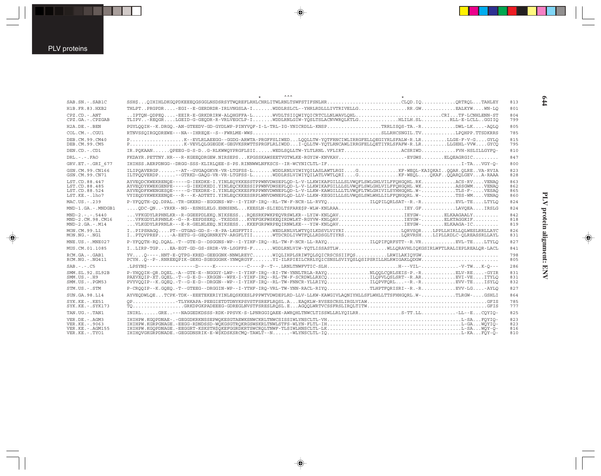$\overrightarrow{\mathbf{\P}}$ 

| SAB.SN. - . SAB1C                                                                  | SSH\$OIHIHLDKGOPDKEEEOGSGGLNSDSRSYTWOREFLRHLCHRLITWLRNLTSWFSTIFSNLHRCLOD.IOORTROLTAHLEY                                                                                                                                                                                                                                                                                                                                                                                              | 813                      |
|------------------------------------------------------------------------------------|--------------------------------------------------------------------------------------------------------------------------------------------------------------------------------------------------------------------------------------------------------------------------------------------------------------------------------------------------------------------------------------------------------------------------------------------------------------------------------------|--------------------------|
| H1B. FR. 83. HXB2                                                                  | THLPTPRGPDR-EGI--E-GERDRDR-IRLVNGSLA-IWDDLRSLCL--YHRLRDLLLIVTRIVELLGRR.GWEALKYWWN-LQ                                                                                                                                                                                                                                                                                                                                                                                                 | 801                      |
| $CPZ$ . $CD$ . - .ANT<br>$CPZ.GA. - .CPZGAB$                                       | IPTQN-QDPEQ-EEIR-E-GRKDRIRW-ALQHGFFA-LWVDLTSIIQWIYQICRTCLLNLWAVLQHLCRITF-LCNHLENN-ST<br>TLIPVREOGRLGEID-G-GEODR-R-VRLVEGCLP-IWDDLRNLGIW-YOSLTSLACNVWROLKTLGHLILH.SLRLL-E-LCLLGGIIO                                                                                                                                                                                                                                                                                                   | 804<br>799               |
| $H2A.DE. - .BEN$                                                                   | PGYLQQIH--K.DRGQ.-AN-GTEEDV-GD-GYDLWP-PINYVQF-I-L-TRL-IG-YNICRDLL-KNSPTRRLISQS-TA.-RDWL-LK-AQLQ                                                                                                                                                                                                                                                                                                                                                                                      | 805                      |
| COL.CM.-.CGU1                                                                      |                                                                                                                                                                                                                                                                                                                                                                                                                                                                                      | 785                      |
| DEB.CM.99.CM40<br>DEB.CM.99.CM5                                                    | PK--EVLRLAEEGG--GGDG-ARWTA-PRGFFSLIWEDLOOLLTW-YOTFRNCIWLIRRGFELLOEGIYRLSFALW-R.LRLLGE-F-V-GGYLO<br>PK-VEVLOLGGEGDK-GEGVKSRWTTSPRGFLRLIWDDI-QLLTW-YQTLRNCAWLIRRGFELLQETIYRLSFAFW-R.LRLLGEHL-VVWGYCQ                                                                                                                                                                                                                                                                                   | 815<br>795               |
| DEN.CD. - .CD1                                                                     | IR.POKAANOPEEG-G-S-DG-RLKWWQYPRGFLSIIWEDLSQLLTW-YLTLRNL.VFLIRTACSRIWDFVH-HSLILLGYFQ-                                                                                                                                                                                                                                                                                                                                                                                                 | 810                      |
| $DRL - - -$ . $FAO$                                                                | FKDAYR.PETTNY.HR---R-KGEEQDRGEW.NIRSEPSKPGSSKAWSEETVGTWLKE-RGYIW-KNVKAVEVGWSELQEAGRGIC                                                                                                                                                                                                                                                                                                                                                                                               | 847                      |
| GRV.ET. - . GRI_677                                                                |                                                                                                                                                                                                                                                                                                                                                                                                                                                                                      | 800                      |
| GSN.CM.99.CN166<br>GSN.CM.99.CN71                                                  | ILIPOAVERGP--AT--GVGAOGKVR-VR-LTGFSS-LWDDLRNLVIWIYOILASLAWTLRGIGKF-WEOL-KAIOKAIOOAR.OLREVA-RVIA<br>ILTPÖOVERDP-GTRKD-GAOG-VR-VR-LTGFSS-LWDDLRSLVIWIYOILATLVWTLORIGKF-WEOLOKAFOOAROLGEVA-RAAA                                                                                                                                                                                                                                                                                         | 823<br>828               |
| LST.CD.88.447<br>LST.CD.88.485<br>LST.CD.88.524<br>LST.KE. - . lho7                | AYVEODCKWEKRENOE-----G-IEKDKE-I.YINLEOYKKESSTPPWNVDWSEPLOD-L-V-LLKWIKAFGILLLSLVWOFLSWLGHLVILFFOHGOHL.RKACS-RVVENAO<br>AYVEODYKWEKGENPE-----G-IEKDKEDI.YINLEOCKKESSIPPWNVDWSEPLOD-L-V-LLKWIKAFGILLLSLVWOFLSWLGHLVILFFOHGOHL.WKASSGWMVENAO<br>AYVEODFKWENGESOE-----G-TEKDRE-I.YINLEOCKKESFRPPWNVDWNEPLOD-L-V-LLKW-KAWGILLLTLVWOFLTWLGHIVILSYHHGOHL.W-TLS-F-VESAO<br>VYIEODYKWEKEENOE---R---K-ADTETI.YINLEOCKKESSRPLWNVDWNEPLOD-LLV-LLKW-KEGGILLLSLVWOSLSWLWHLLILFFONGORL.W-TSS-WMVENAO | 863<br>862<br>865<br>860 |
| MAC.US.-.239                                                                       | P-YFOOTH-OO.DPAL.-TR-GKERD--EGGGNS-WP--I-YIHF-IRO--RL-TW-F-NCR-LL-RVYOILOPILORLSAT--R.-REVL-TELTYLO                                                                                                                                                                                                                                                                                                                                                                                  | 824                      |
| MND-1.GA.-.MNDGB1                                                                  | $\ldots$ ODC-ON-YRKR--NG--ESNSLELG.EHNSENLKEESLN-SLIEDLTSFARE\$P-WLW-KNLRAAIEY.GFLAVOEAIRSLG                                                                                                                                                                                                                                                                                                                                                                                         | 824                      |
| $MND-2. - - - 5440$<br>MND-2.CM.98.CM16<br>$MND-2.GA.-.M14$                        | VFKGDYLRPHNLKR--R-GGEEPDLEKO.NIKSESSROESRKPWKPEOVRSWLKR--LYIW-KNLOAVLEYGW-ELKAAGAALY<br>$\ldots$ VFKGDYLRPHNLK--G--R-EEPDSEKO.-TKSDSSKVEFGKPWSKEOIRDWLKT-RGYVW-KNLOAVEEKGW-ELKTAGGKIF<br>VLKGDYLRPRNLR---E-R-GELNLEEO.NIKSESSKKEFGRPWRPEOIRNWLKE---YIW-KNLOAVIEYGW-ELKAAGA-IC                                                                                                                                                                                                        | 842<br>818<br>819        |
| MON.CM.99.L1<br>$MON.NG. - . NG1$                                                  | IPIPSHAGOPT--GTGAG-GD-S--R-PA-LKGFFTIIWEDLRNLVLWTYQILKDSVLVIYRILORVSORLPPLLHIRLLOLWESLRRLLAYC                                                                                                                                                                                                                                                                                                                                                                                        | 826<br>831               |
| $MNE$ . U.S. - $MNE$ 027                                                           | P-YFOOTH-RO.DOAL.-T--GTE-D--DSGGNS-WP--I-YIHF-IRO--RL-TW-F-NCR-LL-RAYOILOPIFORFSTT--R.VREVL-TELTYLO                                                                                                                                                                                                                                                                                                                                                                                  | 827                      |
| MUS.CM.01.1085                                                                     | ILIRP-TGPEA-EGT-GD-GS-SRDR-VR-LSGFFS-FWDDLRNLVIW-YOTLISSASTLWWLLORAVHLIQKGSIRLWFTLRALIEPLREALOR-LACL                                                                                                                                                                                                                                                                                                                                                                                 | 841                      |
| $RCM.GA. - .GAB1$<br>RCM.NG. - . NG411                                             | YVO----.HNT-E-OTPG-KRED-GEEGGNK-NNWLREYCWIOLIHPLSRIWTOLSOICRSCSSIIFOSLRWILAKIOYGW<br>PCYHO--P-.RNREEOPIK-GEKG-SGEGGGHK-YNWQRGYFYI-ILRPIEILCRRLYOICSNSLSVIYOSLOSIPSRILLHLRWIGAKLODGW                                                                                                                                                                                                                                                                                                  | 798<br>805               |
| $SAB$ . - . - . $CS$                                                               | .LPSYN\$----------------D-----K----------C----P--T--.LRNLTNWFVTIC-SLHH---VIL-V-TWK-Q---                                                                                                                                                                                                                                                                                                                                                                                              | 286                      |
| SMM. SL. 92. SL92B<br>$SMM. US. - . H9$<br>$SMM.US. - . PGM53$                     | P-YHOOIH-OR.DOEL.-A--GTE-E--NGGGY-LWP--I-YIHF-IRO--RI-TW-YNNLTRLA-RAYONLOOLCORLSEIS-P.-RELV-RE-GYIR<br>PAXVXQIP-XT.GQEL.-T--G-E-D--XRGGN--WPX-I-YIHF-IRQ--RL-TW-F-SCRDWLLRXCQILQPVLQSLSRT--R.AREVI-VEITYLQ<br>PVYVOOIP--K.GOEO.-T--G-E-D--DRGGN--WP--I-YIHF-IRO--RL-TW-FNNCR-YLLRIYOILOPVFORL--R.-REVV-TEISYLO                                                                                                                                                                       | 831<br>831<br>832        |
| STM.US.-.STM                                                                       | P-CROOIP--K.GOEO.-T--GTEEG--DRGGIN-WP--I-YTHF-IRO-VRL-TW-YNN-RACL-RIYOTLHPTFORISRI--R.-REVV-LG-AYLO                                                                                                                                                                                                                                                                                                                                                                                  | 827                      |
| SUN.GA.98.L14                                                                      | AYVEODWLOETCPK-TDK--EEETEKERIYINLEOSKKESLPPPWTVDWDEPLRD-LLV-LLKW-KAWGIVLAONIYHLLSFLWHLLTTSFHHGORL.W-TLRGW-GSHLI                                                                                                                                                                                                                                                                                                                                                                      | 864                      |
| $SYK.KE. - KF51$<br>SYK.KE. - . SYK173                                             |                                                                                                                                                                                                                                                                                                                                                                                                                                                                                      | 785<br>777               |
| TAN.UG. - TAN1                                                                     |                                                                                                                                                                                                                                                                                                                                                                                                                                                                                      | 825                      |
| $VER.DE. - . AGM3$<br>VER. KE. - . 9063<br>VER. KE. - . AGM155<br>VER.KE. - . TYO1 |                                                                                                                                                                                                                                                                                                                                                                                                                                                                                      | 823<br>823<br>816<br>810 |

 $\overline{\blacklozenge}$ 

 $\spadesuit$ 

PLV protein alignment: ENV **PLV protein alignment: ENV**

 $\begin{picture}(20,5) \put(0,0){\line(1,0){10}} \put(15,0){\line(1,0){10}} \put(15,0){\line(1,0){10}} \put(15,0){\line(1,0){10}} \put(15,0){\line(1,0){10}} \put(15,0){\line(1,0){10}} \put(15,0){\line(1,0){10}} \put(15,0){\line(1,0){10}} \put(15,0){\line(1,0){10}} \put(15,0){\line(1,0){10}} \put(15,0){\line(1,0){10}} \put(15,0){\line(1,$ 

 $\overline{\phantom{0}}$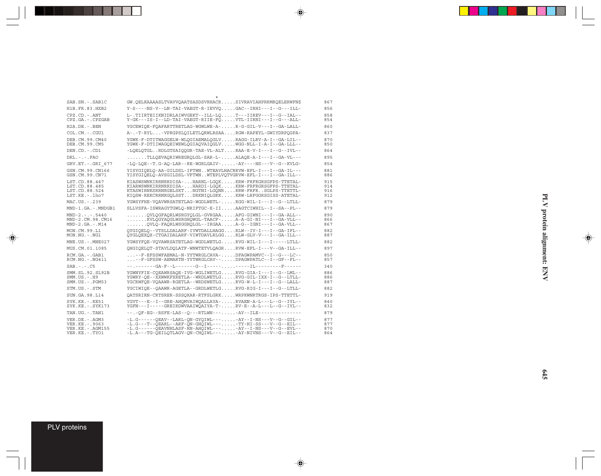\* SAB.SN.-.SAB1C GW.QELKAAAASLTVAVVQAATSASDSVRHACR.....SIVRAVIAHPRRMRQELERWFN\$ 867 H1B.FR.83.HXB2 Y-S----NS-V--LN-TAI-VAEGT-R-IEVVQ.....GAC--IRHI---I--G---ILL- 856 CPZ.CD.-.ANT L-.TIIRTEIIKNIDRLAIWVGEKT--ILL-LQ.....T---IIREV---I--G--IAL-- 858  $Y-GK---IS-I--LD-TAI-VABGT-RIIE-FQ.$ .... $VTL-IIRNI---I--G---ALL-$ H2A.DE.-.BEN YGCEWIQE-FQAFARTTRETLAG-WGWLWE-A-.....R-G-GIL-V---I--GA-LALL- 860 COL.CM.-.CGU1 A-.-T-RYL...-VPRGPSLQILETLQRWLRSAA....RGW-RAPEYL-GWIYDRPQGPA- 837 DEB.CM.99.CM40 YGWK-F-DTITWAGGELW-WLQGIAEMALQGLV.....RAGG-ILRV-A-I--GA-LIL-- 870 YGWK-F-DTIIWAGQEIWEWLQGIAQVAIQGLV.....WGG-NLL-I-A-I--GA-LLL--DEN.CD.-.CD1 -LQELQTGL..RDLGTSAIQQGR-TAE-VL-ALT....RAA-E-V-I---I--G--IVL-- 864 DRL.-.-.FAO .......TLLQEVAQRIWREGRQLGL-SAR-L-.....ALAQE-A-I---I--GA-VL--- 895  ${\tt GRV. ET. - .GRL\_677--LQ-LQE--T.G-AQ-LAR--RE-WGRLGAIV- . . . . -AY---NS--V--G--KVLG-- 854}$ GSN.CM.99.CN166 YISYGIQELQ-AA-GILDSL-IFTWN..WTEAVLHACRRVW-EFL-I---I--GA-IL--- 881<br>GSN.CM.99.CN71 YISYGIORIO-AVSGILDSI-VFTWN..WTRPI.VOTVGRVW-EFL-I---I--GA-ILL-- 886 TISTGIQELQ-AVSGILDSL-VFTWN..WTEPLVQTVGRVW-EFL-I---I--GA-ILL--LST.CD.88.447 KIASWSWNKIRRNRRDISA-...HARNL-LGQK.....KRW-FRFRGRSGFPS-TTETAL- 915 LST.CD.88.485 KIARWSWNKIRRNRRDISA-...HARDI-LGQK.....KRW-FRFRGRSGFPS-TTETAL- 914 LST.CD.88.524 KTASWIRNKSRRNRGELSKT...NGTNI-LGQNR....RRW-FRFR..SGLPS-TTETTL- 916 LST.KE.-.lho7 KIQSW-REKCRRNRGQLSST...DRKNIQLGKK.....KRW-LRFGGRSGISS-ATETAL- 912 MAC.US.-.239 YGWSYFHE-VQAVWRSATETLAG-WGDLWETL-.....RGG-WIL-I---I--G--LTLL- 879 MND-1.GA.-.MNDGB1 SLLVSFA-ISWRAGYTGWLQ-NRIFTGC-E-II.....AAGTCIWHIL--I--SA--PL-- 879 MND-2.-.-.5440 .......QVLQGFAQRLWSRGYQLGL-GVRGAA.....AFG-GIWNI---I--GA-ALL-- 890 MND-2.CM.98.CM16 .......KVLQGYAQGLWSRGHQWGL-TAACF-.....A-A-GI-NI---I--GA-VLL-- 866<br>MND-2.GA.-.M14 .......QVLQ-FAQRLWSGGHQLGL--IRGAA.....A-G--IGNI---I--GA-VLL-- 867 MON.CM.99.L1 QYGIQELQ--VTSLLDALARF-IVWTDALLHAGG....RLW--IV-I---I--GA-IFL-- 882 MON.NG.-.NG1 QYGLQEXQX-CTGAIDALARF-VIWTDAVLRLGG....RLW-GLV-V---I--GA-ILL-- 887 MNE.US.-.MNE027 YGWSYFQE-VQVAWRSATETLAG-WGDLWETLG.....RVG-WIL-I---I-----LTLL- 882 MUS.CM.01.1085 QHGIQELQT-STAVLDQLATF-WNWTETVLQAGR....RVW-EFL-I---V--GA-ILL-- 897 RCM.GA.-.GAB1 ...--F-EFSSWFAEMAL-N-YYTWRGLCAVA-.....DFAGWPAMVC--I--G---LC-- 850<br>RCM.NG.-.NG411 ...--F-GFSSW-AEMARTN-YYTWRGLCAV--.....DPAGWPATLC--I--GF--FL-- 857  $\ldots$ --F-GFSSW-AEMARTN-YYTWRGLCAV--.....DPAGWPATLC--I--GF--FL--SAB.-.-.C5 --.-------GA-F--L-------G--I-----.....-----IL---------F------ 340 SMM.SL.92.SL92B YGWNYFIE-CQEAWRSAQE-IVG-WGLIWETLG.....RVG-GIA-I---I--G--LML-- 886 SMM.US.-.H9 YGWRY-QE--XXWWKFXRETLA--WRDLWETLG.....RVG-GIL-IXX-I--G--LTLL- 886 YGCRWFQE-VQAAWR-RGETLA--WRDSWETLG.....RVG-W-L-I---I--G--LALL-STM.US.-.STM YGCIWIQE--QAAWR-AGETLA--GRDLWETLG.....RVG-RIG-I---I--G--LTLL- 882 SUN.GA.98.L14 QATSRIRN-CRTSRER-SSSQKAR-RTFSLGRK.....WRPKWNRTRGS-IPS-TTETTL- 919 SYK.KE.-.KE51 YGVT---E--I--GRE-AHQMVAIWQALLAYA-.....RVAEN-A-L---L--G--IYL-- 840<br>SYK.KE.-.SYK173 YGFN---I-----GREIRDWVAAIWQAIYA-T-.....RV-E--A-L---L--G--IYL-- 832  $\verb|YGFN---I----GREIRD@VAAIW@AIYA-T-.\dots .RV-E--A-L---L--G--IVL--$ TAN.UG.-.TAN1 --.-OF-EG--RSFE-LAS--O---RTLWN---.....-AY--ILE--------------- 879 VER.DE.-.AGM3 -L.G------QEAV--LARL-QN-GYQIWL---.....-AY--I-NS---V--G--GIL-- 877<br>VER.KE.-.9063 - L.G---T--QEARL--ARF-QN-GHQIWL---.....-TY-HI-SS---V--G--EIL-- 877<br>VER.KE.-.AGM155 -L.G------OEAVNHLASF-RN-AHOIWL---.....-AY--I-VER.KE.-.9063 -L.G---T--QEARL--ARF-QN-GHQIWL---.....-TY-HI-SS---V--G--EIL-- 877 VER.KE.-.AGM155 -L.G------QEAVNHLASF-RN-AHQIWL---.....-AY--I-NS---V--G--EVL-- 870 VER.KE.-.TYO1 -L.A---TG-QEILQTLAGV-QN-CHQIWL---.....-AY-NIVNS---V--G--EIL-- 864

⊕

PLV proteins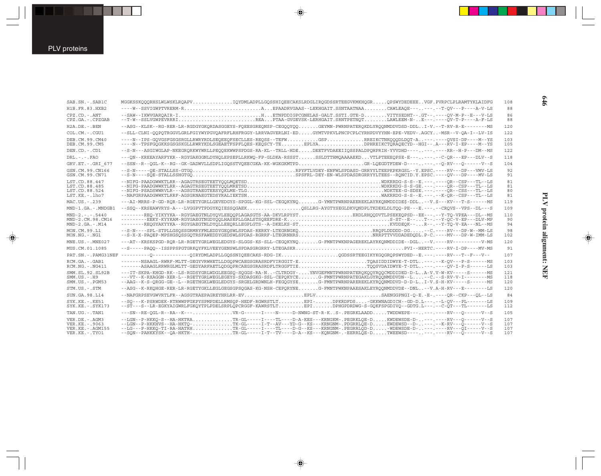ш

| SAB.SN. - . SAB1C                                                            | MGGKSSKOOORHSLWLWSKLROAPVIOYDMLADPLLGOSSHIOEECAKSLRDGLIROGDSSRTEEGVKMKHOGROPSWYDEDEEEVGF.PVRPCLPLRAMTYKLAIDFG                                                                                                                                                                                                                                                                                                                                              | 108                      |
|------------------------------------------------------------------------------|------------------------------------------------------------------------------------------------------------------------------------------------------------------------------------------------------------------------------------------------------------------------------------------------------------------------------------------------------------------------------------------------------------------------------------------------------------|--------------------------|
| H1B.FR.83.HXB2                                                               | ----W--SSVIGWPTVRERM-RAEPAADRVGAAS--LEKHGAIT.SSNTAATNAACAWLEAOE------.-T-OV---P----A-V-LS                                                                                                                                                                                                                                                                                                                                                                  | 88                       |
| $CPZ$ . $CD - ANT$<br>CPZ.GA.-.CPZGAB                                        | --SAW--IKWVGARQAIR-IHETNPDDIGPCGNELAS-GALT.SSTI.GTE-DVITYSEDHT--.GT--.----QV-M-P--E---V-LS<br>--T-W--SSLVGWPEVRRRIREAPTAA-GVGEVSK-LERHGAIT.SRNTPETNOTLAWLEEM-N-E---.----OV-T-P----A-F-LS                                                                                                                                                                                                                                                                   | 86<br>88                 |
| $H2A.DE. - .BEN$                                                             | --ASG--KLSK--RG-RER-LR-RGDGYGKQRDASGGEYS-FQEESGREQNSP-CEGQQYQQGEYMN-PWRNPATERQKDLYRQQNMDDVDSD-DDLI-V.--T-RV-R-E-------MS                                                                                                                                                                                                                                                                                                                                   | 120                      |
| $COLCM. - CGU1$                                                              | --SLL-CLNI-OOPOTRGGVLGRLFGIYWYPGVOAFRFLRHFRGGY-LRRVAGVERLNI-EDGYMTVPKVLPNCPCPLCYRHPDVYYHN-EPE-VEDV-.AGCY-MSR--V-OA-I--LV-IS                                                                                                                                                                                                                                                                                                                                | 122                      |
| DEB. CM. 99. CM40<br>DEB.CM.99.CM5                                           | ----N--IPS-GQVGSFGSGSRGLLRWRYRDLSEQEEQFSECLLES-REQSS--TEFWGSPREIKCTNKQQQDLDQT-A---.---QVSI-DP----M--YS<br>----N--TPSFGQGKKSGSGSKGLLRWRYKDLSGEAETFSPFLQES-KEQSCY-TEEPLYADPHREIKCTQRAQECYD--HGI--.A---RV-I-EP----M--YS                                                                                                                                                                                                                                       | 103<br>105               |
| DEN.CD.-.CD1                                                                 | --S-N---ASGIWGLAP-NKEGRORKWYWRLLPEOOEKWWPSPDGS-RA-KL--TRLL-HDEDEETFVDAEEIIOSSPALDPOHPRIH-YVVDHD-------.---RR--H-P---DM--MS                                                                                                                                                                                                                                                                                                                                 | 122                      |
| $DRL - - - FAO$                                                              | ---ON--KREEAYARFYKR--RGYGAKGGNLDYHOLEPSEPLLRKWO-FP-GLDKA-RSSSTSSLDTTHMOAAAAEKDVTLPTEEEOPSE-E------.-C-OR---EP---DLV--S                                                                                                                                                                                                                                                                                                                                     | 118                      |
| GRV.ET. - . GRI 677                                                          | --SSN--R--OGL-K--RG--GK-GADWVLLSDPLIGOSSTVOEECGKA-KK-WGKGKMTPDGR-LOEGDTFDEW-D-------.--O-RV---O------V--S                                                                                                                                                                                                                                                                                                                                                  | 104                      |
| GSN.CM.99.CN166<br>GSN.CM.99.CN71                                            | --S-N----SQE-STALLSSHGTGQSPSFRL-DEY-EN-WLSPDASDRGRRYYLTEES--RQNCID.Y.EPSC.----QV---DP----MV-LS                                                                                                                                                                                                                                                                                                                                                             | 92<br>91                 |
| LST.CD.88.447<br>LST.CD.88.485<br>LST.CD.88.524<br>LST.KE.-.lho7             |                                                                                                                                                                                                                                                                                                                                                                                                                                                            | 81<br>81<br>80<br>81     |
| MAC.US.-.239                                                                 | ---AI-MRRS-P-GD-ROR-LR-RGETYGRLLGEVEDGYS-SPGGL-KG-SSL-CEGOKYNOG-YMNTPWRNPAEEREKLAYRKONMDDIDE\$-DDL--V.S---KV---T-S-----MS                                                                                                                                                                                                                                                                                                                                  | 119                      |
| MND-1.GA.-.MNDGB1                                                            | --SSO--KRSEAWVRYS-A---LVGGPVTPDGYKOIESSOGAEKOSLLRG-AYGTYSEGLDKVONDPLTKDEKLDLTOO-PE---E.---.--CROVS--VPS--DL---S                                                                                                                                                                                                                                                                                                                                            | 109                      |
| $MND-2. - - - 5440$<br>MND-2.CM.98.CM16<br>$MND-2.GA.-.M14$                  | -------REQ-YIKYYKA--RGYGAEGTNLDYQVLEEQQPLAGASGTS-AA-DKVLRPYSTERDLRHQQDVTLPSEKEQPSD--EE---.--Y-TQ-VPEA---DL--MS<br>--------EEKY-KYYKAM-RGYGAEGTNGDYQQLHASEPLLGALSTSQEEFDRE-KS-ST--E--T--.--Y-QC-V-EP---DLV-MP                                                                                                                                                                                                                                               | 110<br>90<br>94          |
| MON.CM.99.L1<br>MON.NG.-.NG1                                                 | --S-N----SPL-STPLLGSQSSGRMRYFMLEDDYGEQSWLSPDAS-RERKY-LTEGRNGKQRRQPLDDDD-DG--C.----RV---DP-W--MM-LS<br>--S-X-X-PAQEP-MPSHGSQSSGQTRSFAWEDDYGEDSWLSPDAS-RGRRF-LTEGRNHRSNRRPTTVVD                                                                                                                                                                                                                                                                              | 98<br>102                |
| MNE.US.-.MNE027                                                              | ---AT--KRSKSPGD-ROR-LR-RGETYGRLWEGLEDGYS-SLGGS-KS-SLL-CEGOKYNOG-FMNTPWKNPAGEREKLAYRKONMDDIDE--DGL--V.----RV---------V-MS                                                                                                                                                                                                                                                                                                                                   | 120                      |
| MUS.CM.01.1085                                                               | --S-----PAQQ--ISSPPSPGTGRKQYFKLVEEYGENSWLSPDASGRGRRY-LTEGASKRPVI--HERTC.----RV-I-DP----MV-MS                                                                                                                                                                                                                                                                                                                                                               | 91                       |
|                                                                              | PAT.SN.-.PAMG31NEF ---------Q-----------QIRYDMLADPLLGQSSNIQEECAKS-RDG-IKQGDSSRTEEGIKYKGQGRQPSWYDED--E.---.----RV---T--F---V--                                                                                                                                                                                                                                                                                                                              | 107                      |
| RCM.GA. - . GAB1<br>$RCM.NG. - . NG411$                                      | ------NSAAGL-RWRF-MLTT-GEGYVRWHETLLDGQPWCAEGSGRASRDFVIRGGIT-ETQASIDDIDWYE-T-DTL---.--K-QV---P-S------MS<br>-------ASAAGLRRWRGLMLTT-GEDYARFAETLQDGQPRCAEGSGRASRDFLTRGGFTIETQQSVDAIDWYE-T-DTL---.----QV-I-P-S------LS                                                                                                                                                                                                                                        | 103<br>103               |
| SMM. SL. 92. SL92B<br>$SMM. US. - . H9$<br>$SMM$ . U.S. - . PGM53            | ---IT-SKPA-KHGD-RK--LS-RGDSYGRLWDGLEEGSO-SOGGS-RA-N-CLTRDGY-YNVGEFMNTPWRNPATEROKOOYROOCMDDIDED-D-LA-V.V-W-KV----S-----MS<br>---VT--K-RXAGGN-XER-L--RGETYGRLWEGLEGEYS-SXDASGKG-SSL-CEPOKYCEG-FMNTPWRNPATEGAKLGYROONMDDVDN--L--C.--S-RV-V-I--------MS<br>--AAG--K-S-QRGG-GE--L--RGETHGKLWEGLEDGYS-SRGELGRDWNLH-FEGQGYSEG-FMNTPWRNPAREREKLKYRQONMDDVD-D-D-LI-V.S-H-KV-----S------MS                                                                           | 121<br>118<br>120        |
| STM.US.-.STM                                                                 | --ASG--K-RKOHGE-RER-LR-RGETYGKLLEGLGEGSGPSOGAS-KG-NSH-CEPORYNEG-FMNTPWKNPAAESAKLEYROONMDDVDE--DNL--V.A-H-RV---E-------LS                                                                                                                                                                                                                                                                                                                                   | 120                      |
| SUN.GA.98.L14                                                                |                                                                                                                                                                                                                                                                                                                                                                                                                                                            | 84                       |
| $SYK.KE. - .KE51$<br>$SYK.KE. - .SYK173$                                     | --SO---K-PSRWDEK-RTRWWPFGKPYSPMPDELLRMSOP-HEDF-RGWRSTLTEPI-DPKRDFDS-GKKWNAGDICH--GD-D.L---.--L-OV---PL------LS<br>--ST---S--LR-EGKYAIGWRLFGKOYTPLPDELSRPLOPCRGGF-KAWRSTLTEPIDPHGPDRDWG-S-GOKFSPGDIVO--GDTG.L---.--C-OT---TL-------LS                                                                                                                                                                                                                       | 109<br>112               |
| TAN.UG.-.TAN1                                                                | ---SN--RE-OGL-R--RA--K---VR-G------I----N----D-NWNG-ST-R-KS-.PEGRKLAADDTWDDWEPE------.-----RV---O------V--S                                                                                                                                                                                                                                                                                                                                                | 105                      |
| VER.DE. - . AGM3<br>VER.KE. - . 9063<br>VER. KE. - . AGM155<br>VER.KE.-.TYO1 | --LGN--P-HKKO-S--HA-HKTRATR-GL-----I----TL----D-A-KES---KRNGKM-.PEGRKLOE-DKWDEWSDE-D----.----RV---O------V--S<br>--LGN--P-HKKHVS--HA-HKTQ-TK-GL-----I-T--AV---YD-G--KS---KRNGNM-.PDGRRLQE-DEWDEWSD--D----.--K-RV---Q------V-S<br>--LG---P-HKKQ-TI-RA-HATRHTR-GL-----I----TL---D-G--KS---KRNGNM-.PEGRRLQD-D-WDEWSDE-D----.RV---QI-----V--S<br>--SQN--PAHKKYSK--QA-HKTH-TR-GL-----I-T--TV----D-A--KS---KQNGNM-.-EERRLQE-DTWEEWSD-------.----RV---Q------V--S | 107<br>107<br>107<br>107 |
|                                                                              |                                                                                                                                                                                                                                                                                                                                                                                                                                                            |                          |

 $\begin{picture}(20,5) \put(0,0){\vector(0,1){10}} \put(15,0){\vector(0,1){10}} \put(15,0){\vector(0,1){10}} \put(15,0){\vector(0,1){10}} \put(15,0){\vector(0,1){10}} \put(15,0){\vector(0,1){10}} \put(15,0){\vector(0,1){10}} \put(15,0){\vector(0,1){10}} \put(15,0){\vector(0,1){10}} \put(15,0){\vector(0,1){10}} \put(15,0){\vector(0,1){10}} \put(15,0){\vector(0,$ 

 $\spadesuit$ 

PLV protein alignment: NEF **PLV protein alignment: NEF**

 $\Rightarrow$ 

**646**

■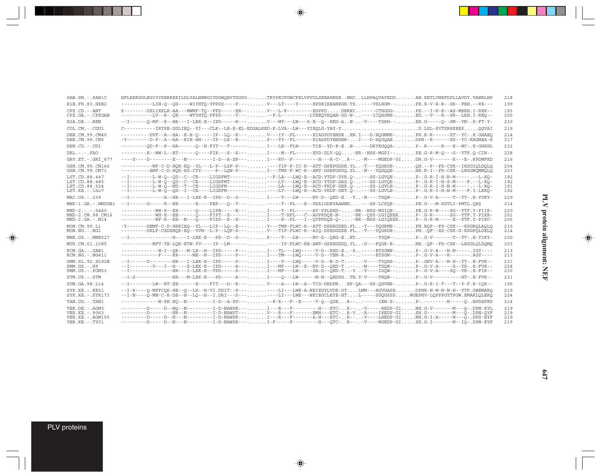| SAB.SN.-.SAB1C                                                           | HFLKEKGGLEGIYYSERRKKILDLYALNEWGIVDGWQNYTDGPGTRYPKCFGWCFKLVPVDLSEEAKNSENHCLLHPAQVAYEDDAW.KETLVWKFDPLLAVDY.VAWRLHP                                                                                                                                                                                                                                                                                                                                                                    | 218                      |
|--------------------------------------------------------------------------|-------------------------------------------------------------------------------------------------------------------------------------------------------------------------------------------------------------------------------------------------------------------------------------------------------------------------------------------------------------------------------------------------------------------------------------------------------------------------------------|--------------------------|
| H1B.FR.83.HXB2                                                           | -----------LIH-0--OD----WIYHTO-YFPD\$----P---V---LT----Y-----EPDKIEEANKGE-TS----VSLHGM--PE.R-V-E-R--SR--FHH--RE---                                                                                                                                                                                                                                                                                                                                                                  | 199                      |
| $CPZ$ . $CD - ANT$                                                       | X--------DXLIXXLK-AA---MWMF-TO--FPD-----EE--V---L-R-------ESPPDDERNI-----CTHGDG-PH.--I-R-E--AS-MRRH.I-RER--                                                                                                                                                                                                                                                                                                                                                                         | 193                      |
| CPZ.GA.-.CPZGAB                                                          | ----------LV--R--QE----WVYHTQ-FFPD-----T-----F-L---------LTEEQVEQAN-GD-N-----ICQHGME-ED.--V---R--SR--LRH.I-REQ--                                                                                                                                                                                                                                                                                                                                                                    | 200                      |
| H2A.DE.-.BEN                                                             | --I-------0-MF--R--HR---I-LEK-E--IPD-----H--- V---MY---LW---S-E--O--EED-AN- -V----TSRH-- EH .G-----O--SM--YN- . K-FT-Y-                                                                                                                                                                                                                                                                                                                                                             | 230                      |
| COL.CM.-.CGU1                                                            | C----------IRTPE-DDLIEQ--YI---CLK--LE-E-EL-EDGALKED-K-LVA--LW---YIEQLG-YAY-YD.LSL-SVTSRKKKKPQQVAI                                                                                                                                                                                                                                                                                                                                                                                   | 219                      |
| DEB.CM.99.CM40<br>DEB.CM.99.CM5                                          | ---------DVF--A--HA--E-H-O-----IP--LO--K---V---IY--FL------EIADPDYENDERN.I---D-HOGMME-PH.R-R------ST--YC-.K-GHAEO                                                                                                                                                                                                                                                                                                                                                                   | 214<br>217               |
| DEN.CD.-.CD1                                                             | ----------OD-F--P--HA------O--H-FIT---T------ I---LE--FLW-----TIE--YD-K-E N- ---DRYEGOOA- P- .R-----R---E--WC- . K-GHKKL                                                                                                                                                                                                                                                                                                                                                            | 232                      |
| DRL.-.-.FAO                                                              |                                                                                                                                                                                                                                                                                                                                                                                                                                                                                     | 228                      |
| GRV.ET. - . GRI 677                                                      | ----S----D---------E---N---------I-D--A-SP---I---RV--F---------H---R-C-R---M----MGEDP-GIDH.G-V-------K---E-.RPDMFKD                                                                                                                                                                                                                                                                                                                                                                 | 216                      |
| GSN.CM.99.CN166<br>GSN.CM.99.CN71                                        | ---------AMF-C-D-HOK-ES-CYY-----P--LOW-P---I---TMP-F-WC-R--AMT-DSEPGDDO.YL-N---YOGOOE-HH.R-I--FS-CSR--LKSGWOMNOLO                                                                                                                                                                                                                                                                                                                                                                   | 204<br>203               |
| LST.CD.88.447<br>LST.CD.88.485<br>LST.CD.88.524<br>LST.KE.-.lho7         | --I--------L-W-O--OD--C--CE----LIGDFMT--------F-LA---LWO-E--ACD-YTDP-DYR.O----SS-LGVOE-P-.G-R-I-H-N-M-----.--L-KO-<br>--I--------L-W-O--OD--C--CE----LIGDFMT----------LT---LWO-E--ACD-YTDP-DAS.O----SS-LGVOE-P-.G-R-I-H-S-M----F.--L-KO-<br>--I--------L-W-Q--ND--T--CE----LIGDFM-----------LA---LWQ-E--ACD-FKDP-DER.Q----SS-LGVLE-P-.G-R-I-H-N-M-----.--L-KQ<br>--I--------L-W-Q--QD--I--CE----LIGDFM-----------LT---LWQ-E--ACD-YKDP-DET.Q----SS-LGVLE-P-.G-R-I-H-N-M----F.I-LKKQ- | 192<br>192<br>191<br>192 |
| MAC.US.-.239                                                             | --I-------------A--HR---I-LEK-E--IPD--D--S---I----T---LW-----NV-D--QED-E-Y-M----TSQW--P-.G-V-A-----T--YT-.E-YVRY-                                                                                                                                                                                                                                                                                                                                                                   | 229                      |
| MND-1.GA.-.MNDGB1                                                        | --I------G----R--EE------E----FEP---O--T--------T--FL---E--SRAIGDEYAANNH---SS-LCPOE-PE.G---M-SGTLI-PMTL.OH\$                                                                                                                                                                                                                                                                                                                                                                        | 214                      |
| $MND-2. - - - 5440$<br>MND-2.CM.98.CM16<br>$MND-2.GA.-.M14$              | ------------WW-K--EE------O----LIPN-----K---I----T--FL------AV-PPLEED--NR--NSS-MGIOE-PE.G-R-M----SG--YTF.Y-PIIR-<br>------------WH-K--EE------O----FIPT--S------I----T-RFL---C--AVPPDQE-N-NK--QSS-LGIQEEXP-.G-R------SG--YTF.Y-PIKR-<br>------------WF-R--EE--N---Q----FIPD--E--S---I----R--FL---I--QVPPDQE-Q--NR--NSS-LGIQEEXP-.G-R-M-----E--YTF.Y-PIKC-                                                                                                                           | 220<br>201<br>205        |
| MON.CM.99.L1<br>MON.NG.-.NG1                                             | -Y-------GEMF-C-D-HRKIEQ--YL---LIP--LQ--E---V---TMP-FLWC-R--ATT-DSEEGDED.FL-T---YOGRME-PH.ROF--FS-CSK---KSGROLAQLQ<br>--------DKLF-CXDXHQK-EQ--YVM--L-P--LQF-X---V---TIP-FLWC-R--AIQ-DSEDGDXE.FL-T---YQGRDE-PH.-QF--XS-CSK-G-KSGPQLDELQ                                                                                                                                                                                                                                             | 210<br>214               |
| MNE.US.-.MNE027                                                          | --I---------------H----I-LEK-E---PD--D--S---P----T---LW-----NV-D--QEG-ENY------TSQW--P-.G-V-------T--YT-.E-YIRY-                                                                                                                                                                                                                                                                                                                                                                    | 230                      |
| MUS.CM.01.1085                                                           | -----------MFV-TE-LQK-ETW-YV----IP--LM-----------IP-FLWC-RE-AMT-GSEEGDDQ.YL-D---FQGR-E-HH.-QF--FS-CSR--LKSGLQLDQMQ                                                                                                                                                                                                                                                                                                                                                                  | 203                      |
| RCM.GA.-.GAB1<br>$RCM.NG. - . NG411$                                     |                                                                                                                                                                                                                                                                                                                                                                                                                                                                                     | 213<br>213               |
| SMM.SL.92.SL92B<br>$SMM.US. - .H9$<br>$SMM. US. - . PGM53$               | --I------D--------HR---I-LEK-E--IPD-----S--- I----F---LWO-----V-D--N-D-T. . -- -V----TYOHS- P- .GKV-A---N-H--YT- . E-FVR--<br>--I---------V---I--H----X-LEX-E--IPD-----A---I---MF---LW--X--NV-D--OED-T---M----TSOW--P-.G-V-A-----X--YX-.K-FVE--<br>--I---------------HR---I-LEK-E--TPD-----S---I---MF---LW-----SA-D--QED-T-Y-V----ISQW--P-.G-V-A----SQ--YR-.E-FIR--                                                                                                                 | 231<br>228<br>230        |
| STM.US.-.STM                                                             | --I-S--------------HR---M-LEK-E---PD-----A---I----Q---LW------M-N--QEDDGTH.Y-V----THQW--P-.G-V----------HT-.E-FVR--                                                                                                                                                                                                                                                                                                                                                                 | 231                      |
| SUN.GA.98.L14                                                            | --I--------LW--RT-EE------E----FIT---D--K---V----A---LW--A--TID-DRDPNHP-QA---SS-QGVNE-P-.G-R-I-T---T--Y-F.R-IQK--                                                                                                                                                                                                                                                                                                                                                                   | 195                      |
| $SYK.KE. - .KE51$<br>$SYK.KE. - SYK173$                                  | --I-R----O-MFFCOK-HE--O--LK--H-VI.DDIT--S-------LI---LWE-A-NEIEGYLVDE-DTLMM---AGVGASEDPHR-N-M-N-N-H--YTP.GWEMARO<br>--I-N----Q-MN-C-K-DE--H--LQ--H--I.DRI---S-------LI---LWE---NEIEGCLEYE-HTL-----SGQGSSSMGEPHV-LQPPPGYTPGW.EMARLQLERQ                                                                                                                                                                                                                                              | 219<br>224               |
| TAN.UG.-.TAN1                                                            | -------------W-PK-EQ--N---------I-D--A-SP-----K-R---F--E------V-Q--QDER--------IEW-S-P-.---------N-P----Q-.NPDSFKD                                                                                                                                                                                                                                                                                                                                                                  | 214                      |
| VER.DE. - . AGM3<br>VER.KE. - . 9063<br>VER.KE.-.AGM155<br>VER.KE.-.TYO1 | --------D--NO--N---------I-D-NAWSE---I---R---F--------H---ETC-R---V-----REDP-GINH.G-V-------M---O-.DPN-KYL<br>---------D--------NR--N---------I-D-NAWST---V---R---F-------EMH---ETC-R-Y-A----IKEDP-GISH.G---------M---O-.DPN-OYF<br>---------D----D--N---N--------I-D-NAWSK---I---R---F------A-H---ETC-R---V----LHEDP-GINH.G-I-A-----M---O-.DPS-EYF<br>---------D---N---N---------------D-NAWSK---I-F-----F---------H---OTC-R---V----MGEDP-GISH.G-I-------M--IO-.DPN-EYF            | 219<br>219<br>219<br>219 |

 $\begin{picture}(20,5) \put(0,0){\vector(0,1){10}} \put(15,0){\vector(0,1){10}} \put(15,0){\vector(0,1){10}} \put(15,0){\vector(0,1){10}} \put(15,0){\vector(0,1){10}} \put(15,0){\vector(0,1){10}} \put(15,0){\vector(0,1){10}} \put(15,0){\vector(0,1){10}} \put(15,0){\vector(0,1){10}} \put(15,0){\vector(0,1){10}} \put(15,0){\vector(0,1){10}} \put(15,0){\vector(0,$ 

 $\spadesuit$ 

 $\overline{\phantom{0}}$ 

▊

PLV proteins

 $\overline{\blacklozenge}$ 

 $\frac{1}{\sqrt{2}}$ 

. . .